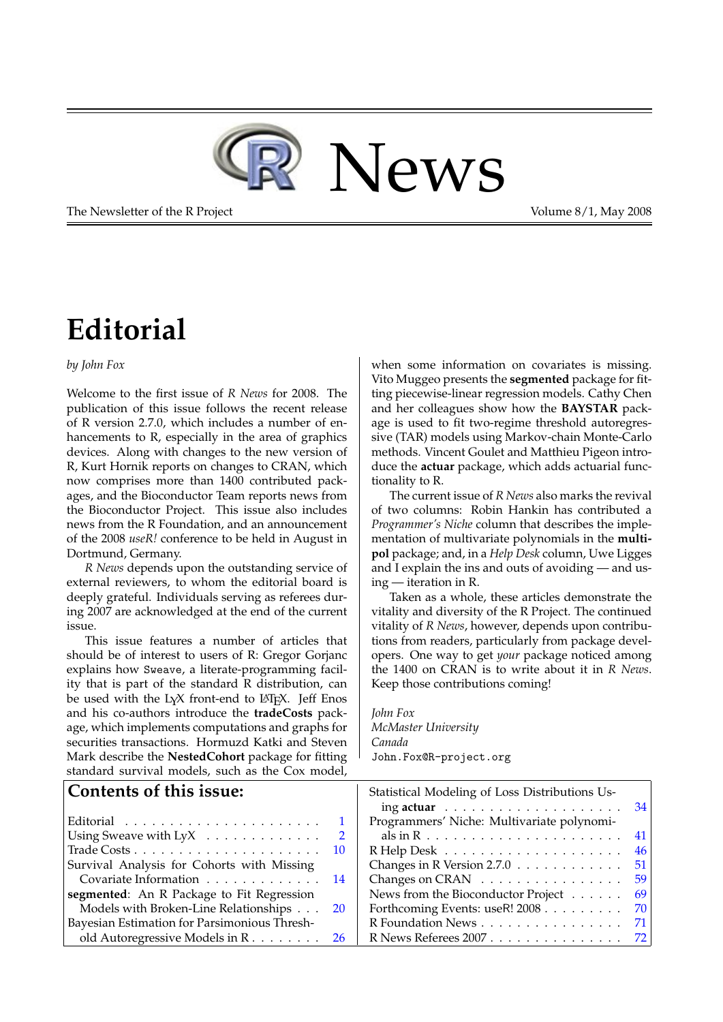

The Newsletter of the R Project **Volume 8/1, May 2008** 

# **Editorial**

#### <span id="page-0-0"></span>*by John Fox*

Welcome to the first issue of *R News* for 2008. The publication of this issue follows the recent release of R version 2.7.0, which includes a number of enhancements to R, especially in the area of graphics devices. Along with changes to the new version of R, Kurt Hornik reports on changes to CRAN, which now comprises more than 1400 contributed packages, and the Bioconductor Team reports news from the Bioconductor Project. This issue also includes news from the R Foundation, and an announcement of the 2008 *useR!* conference to be held in August in Dortmund, Germany.

*R News* depends upon the outstanding service of external reviewers, to whom the editorial board is deeply grateful. Individuals serving as referees during 2007 are acknowledged at the end of the current issue.

This issue features a number of articles that should be of interest to users of R: Gregor Gorjanc explains how Sweave, a literate-programming facility that is part of the standard R distribution, can be used with the  $L<sub>y</sub>X$  front-end to  $LAT<sub>F</sub>X$ . Jeff Enos and his co-authors introduce the **tradeCosts** package, which implements computations and graphs for securities transactions. Hormuzd Katki and Steven Mark describe the **NestedCohort** package for fitting standard survival models, such as the Cox model,

**Contents of this issue:**

| Using Sweave with LyX $\ldots \ldots \ldots \ldots 2$          |    |
|----------------------------------------------------------------|----|
| Trade Costs $\ldots \ldots \ldots \ldots \ldots \ldots \ldots$ | 10 |
| Survival Analysis for Cohorts with Missing                     |    |
| Covariate Information                                          | 14 |
| segmented: An R Package to Fit Regression                      |    |
| Models with Broken-Line Relationships                          | 20 |
| Bayesian Estimation for Parsimonious Thresh-                   |    |
| old Autoregressive Models in R. 26                             |    |

when some information on covariates is missing. Vito Muggeo presents the **segmented** package for fitting piecewise-linear regression models. Cathy Chen and her colleagues show how the **BAYSTAR** package is used to fit two-regime threshold autoregressive (TAR) models using Markov-chain Monte-Carlo methods. Vincent Goulet and Matthieu Pigeon introduce the **actuar** package, which adds actuarial functionality to R.

The current issue of *R News* also marks the revival of two columns: Robin Hankin has contributed a *Programmer's Niche* column that describes the implementation of multivariate polynomials in the **multipol** package; and, in a *Help Desk* column, Uwe Ligges and I explain the ins and outs of avoiding — and using — iteration in R.

Taken as a whole, these articles demonstrate the vitality and diversity of the R Project. The continued vitality of *R News*, however, depends upon contributions from readers, particularly from package developers. One way to get *your* package noticed among the 1400 on CRAN is to write about it in *R News*. Keep those contributions coming!

*John Fox McMaster University Canada* [John.Fox@R-project.org](mailto:John.Fox@R-project.org)

| Statistical Modeling of Loss Distributions Us-<br>34 |
|------------------------------------------------------|
| Programmers' Niche: Multivariate polynomi-           |
| 41                                                   |
| 46                                                   |
| Changes in R Version 2.7.0<br>51                     |
| Changes on CRAN<br>59                                |
| News from the Bioconductor Project<br>69             |
| Forthcoming Events: useR! 2008<br>70                 |
| R Foundation News<br>71                              |
| R News Referees 2007<br>72                           |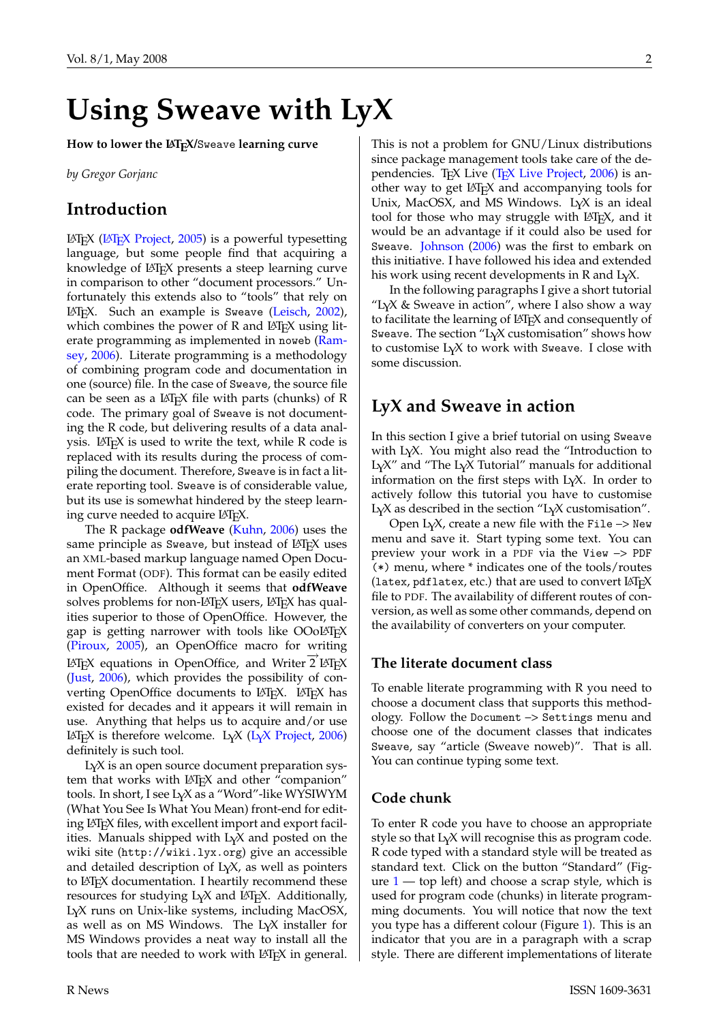# **Using Sweave with LyX**

<span id="page-1-0"></span>**How to lower the LATEX/**Sweave **learning curve**

*by Gregor Gorjanc*

# **Introduction**

LATEX (LA[TEX Project,](#page-8-0) [2005\)](#page-8-0) is a powerful typesetting language, but some people find that acquiring a knowledge of LATEX presents a steep learning curve in comparison to other "document processors." Unfortunately this extends also to "tools" that rely on LAT<sub>E</sub>X. Such an example is Sweave [\(Leisch,](#page-8-1) [2002\)](#page-8-1), which combines the power of  $R$  and  $LAT$ <sub>E</sub>X using lit-erate programming as implemented in noweb [\(Ram](#page-8-2)[sey,](#page-8-2) [2006\)](#page-8-2). Literate programming is a methodology of combining program code and documentation in one (source) file. In the case of Sweave, the source file can be seen as a  $\Delta E$ <sub>F</sub>X file with parts (chunks) of R code. The primary goal of Sweave is not documenting the R code, but delivering results of a data analysis. LATEX is used to write the text, while R code is replaced with its results during the process of compiling the document. Therefore, Sweave is in fact a literate reporting tool. Sweave is of considerable value, but its use is somewhat hindered by the steep learning curve needed to acquire LATEX.

The R package **odfWeave** [\(Kuhn,](#page-8-3) [2006\)](#page-8-3) uses the same principle as Sweave, but instead of LATEX uses an XML-based markup language named Open Document Format (ODF). This format can be easily edited in OpenOffice. Although it seems that **odfWeave** solves problems for non-LAT<sub>E</sub>X users, LAT<sub>E</sub>X has qualities superior to those of OpenOffice. However, the gap is getting narrower with tools like  $OOoIATFX$ [\(Piroux,](#page-8-4) [2005\)](#page-8-4), an OpenOffice macro for writing LAT<sub>E</sub>X equations in OpenOffice, and Writer 2 LAT<sub>E</sub>X [\(Just,](#page-7-0) [2006\)](#page-7-0), which provides the possibility of converting OpenOffice documents to LATEX. LATEX has existed for decades and it appears it will remain in use. Anything that helps us to acquire and/or use LAT<sub>E</sub>X is therefore welcome. L<sub>Y</sub>X (L<sub>Y</sub>X Project, [2006\)](#page-8-5) definitely is such tool.

LYX is an open source document preparation system that works with LATEX and other "companion" tools. In short, I see LyX as a "Word"-like WYSIWYM (What You See Is What You Mean) front-end for editing LAT<sub>E</sub>X files, with excellent import and export facilities. Manuals shipped with  $L<sub>y</sub>X$  and posted on the wiki site (<http://wiki.lyx.org>) give an accessible and detailed description of  $L<sub>Y</sub>X$ , as well as pointers to LAT<sub>E</sub>X documentation. I heartily recommend these resources for studying  $L<sub>Y</sub>X$  and  $L<sub>Y</sub>F<sub>X</sub>$ . Additionally, LYX runs on Unix-like systems, including MacOSX, as well as on MS Windows. The LYX installer for MS Windows provides a neat way to install all the tools that are needed to work with LAT<sub>E</sub>X in general. This is not a problem for GNU/Linux distributions since package management tools take care of the de-pendencies. TEX Live [\(TEX Live Project,](#page-8-6) [2006\)](#page-8-6) is another way to get LAT<sub>E</sub>X and accompanying tools for Unix, MacOSX, and MS Windows.  $L<sub>Y</sub>X$  is an ideal tool for those who may struggle with LATEX, and it would be an advantage if it could also be used for Sweave. [Johnson](#page-7-1) [\(2006\)](#page-7-1) was the first to embark on this initiative. I have followed his idea and extended his work using recent developments in R and  $L<sub>Y</sub>X$ .

In the following paragraphs I give a short tutorial "L $\chi$ X & Sweave in action", where I also show a way to facilitate the learning of LAT<sub>E</sub>X and consequently of Sweave. The section " $L<sub>Y</sub>X$  customisation" shows how to customise  $L<sub>Y</sub>X$  to work with Sweave. I close with some discussion.

# **LyX and Sweave in action**

In this section I give a brief tutorial on using Sweave with  $L<sub>Y</sub>X$ . You might also read the "Introduction to  $L<sub>Y</sub>X''$  and "The  $L<sub>Y</sub>X$  Tutorial" manuals for additional information on the first steps with  $L<sub>Y</sub>X$ . In order to actively follow this tutorial you have to customise  $L<sub>Y</sub>X$  as described in the section " $L<sub>Y</sub>X$  customisation".

Open  $L<sub>Y</sub>X$ , create a new file with the File  $\rightarrow$  New menu and save it. Start typing some text. You can preview your work in a PDF via the View –> PDF (\*) menu, where \* indicates one of the tools/routes (latex,  $pdf$ latex, etc.) that are used to convert  $\triangle T$ <sub>F</sub>X file to PDF. The availability of different routes of conversion, as well as some other commands, depend on the availability of converters on your computer.

## **The literate document class**

To enable literate programming with R you need to choose a document class that supports this methodology. Follow the Document –> Settings menu and choose one of the document classes that indicates Sweave, say "article (Sweave noweb)". That is all. You can continue typing some text.

## **Code chunk**

To enter R code you have to choose an appropriate style so that  $L<sub>Y</sub>X$  will recognise this as program code. R code typed with a standard style will be treated as standard text. Click on the button "Standard" (Figure  $1 1 -$  top left) and choose a scrap style, which is used for program code (chunks) in literate programming documents. You will notice that now the text you type has a different colour (Figure [1\)](#page-3-0). This is an indicator that you are in a paragraph with a scrap style. There are different implementations of literate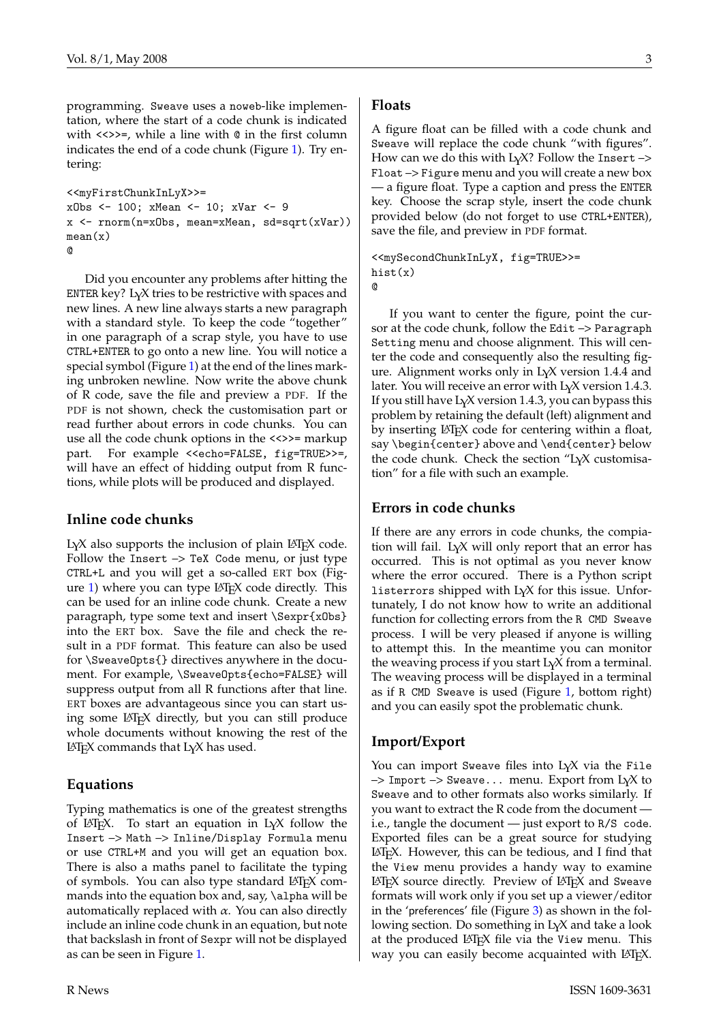```
<<myFirstChunkInLyX>>=
xObs <- 100; xMean <- 10; xVar <- 9
x <- rnorm(n=xObs, mean=xMean, sd=sqrt(xVar))
mean(x)@
```
Did you encounter any problems after hitting the ENTER key? L $\chi$ X tries to be restrictive with spaces and new lines. A new line always starts a new paragraph with a standard style. To keep the code "together" in one paragraph of a scrap style, you have to use CTRL+ENTER to go onto a new line. You will notice a special symbol (Figure [1\)](#page-3-0) at the end of the lines marking unbroken newline. Now write the above chunk of R code, save the file and preview a PDF. If the PDF is not shown, check the customisation part or read further about errors in code chunks. You can use all the code chunk options in the <<>>= markup part. For example <<echo=FALSE, fig=TRUE>>=, will have an effect of hidding output from R functions, while plots will be produced and displayed.

## **Inline code chunks**

 $L<sub>Y</sub>X$  also supports the inclusion of plain  $\mathbb{F}L<sub>F</sub>X$  code. Follow the Insert  $\rightarrow$  TeX Code menu, or just type CTRL+L and you will get a so-called ERT box (Fig-ure [1\)](#page-3-0) where you can type  $\text{LipX}$  code directly. This can be used for an inline code chunk. Create a new paragraph, type some text and insert \Sexpr{xObs} into the ERT box. Save the file and check the result in a PDF format. This feature can also be used for \SweaveOpts{} directives anywhere in the document. For example, \SweaveOpts{echo=FALSE} will suppress output from all R functions after that line. ERT boxes are advantageous since you can start using some LATEX directly, but you can still produce whole documents without knowing the rest of the  $LAT$ <sub>E</sub>X commands that  $L<sub>Y</sub>X$  has used.

## **Equations**

Typing mathematics is one of the greatest strengths of  $\Delta T_F X$ . To start an equation in  $L_Y X$  follow the Insert –> Math –> Inline/Display Formula menu or use CTRL+M and you will get an equation box. There is also a maths panel to facilitate the typing of symbols. You can also type standard LATEX commands into the equation box and, say, \alpha will be automatically replaced with  $\alpha$ . You can also directly include an inline code chunk in an equation, but note that backslash in front of Sexpr will not be displayed as can be seen in Figure [1.](#page-3-0)

## **Floats**

A figure float can be filled with a code chunk and Sweave will replace the code chunk "with figures". How can we do this with  $L<sub>y</sub>X$ ? Follow the Insert  $\rightarrow$ Float –> Figure menu and you will create a new box — a figure float. Type a caption and press the ENTER key. Choose the scrap style, insert the code chunk provided below (do not forget to use CTRL+ENTER), save the file, and preview in PDF format.

<<mySecondChunkInLyX, fig=TRUE>>= hist(x)

@

If you want to center the figure, point the cursor at the code chunk, follow the Edit -> Paragraph Setting menu and choose alignment. This will center the code and consequently also the resulting figure. Alignment works only in L<sub>Y</sub>X version 1.4.4 and later. You will receive an error with  $LyX$  version 1.4.3. If you still have  $L<sub>Y</sub>X$  version 1.4.3, you can bypass this problem by retaining the default (left) alignment and by inserting LATEX code for centering within a float, say \begin{center} above and \end{center} below the code chunk. Check the section "LYX customisation" for a file with such an example.

## **Errors in code chunks**

If there are any errors in code chunks, the compiation will fail. L $\chi$ X will only report that an error has occurred. This is not optimal as you never know where the error occured. There is a Python script listerrors shipped with  $L<sub>y</sub>X$  for this issue. Unfortunately, I do not know how to write an additional function for collecting errors from the R CMD Sweave process. I will be very pleased if anyone is willing to attempt this. In the meantime you can monitor the weaving process if you start  $L<sub>Y</sub>X$  from a terminal. The weaving process will be displayed in a terminal as if R CMD Sweave is used (Figure [1,](#page-3-0) bottom right) and you can easily spot the problematic chunk.

## **Import/Export**

You can import Sweave files into LyX via the File  $\rightarrow$  Import  $\rightarrow$  Sweave... menu. Export from L $\chi$ X to Sweave and to other formats also works similarly. If you want to extract the R code from the document i.e., tangle the document — just export to R/S code. Exported files can be a great source for studying LATEX. However, this can be tedious, and I find that the View menu provides a handy way to examine LAT<sub>E</sub>X source directly. Preview of LAT<sub>E</sub>X and Sweave formats will work only if you set up a viewer/editor in the 'preferences' file (Figure [3\)](#page-5-0) as shown in the following section. Do something in LYX and take a look at the produced LAT<sub>E</sub>X file via the View menu. This way you can easily become acquainted with LATEX.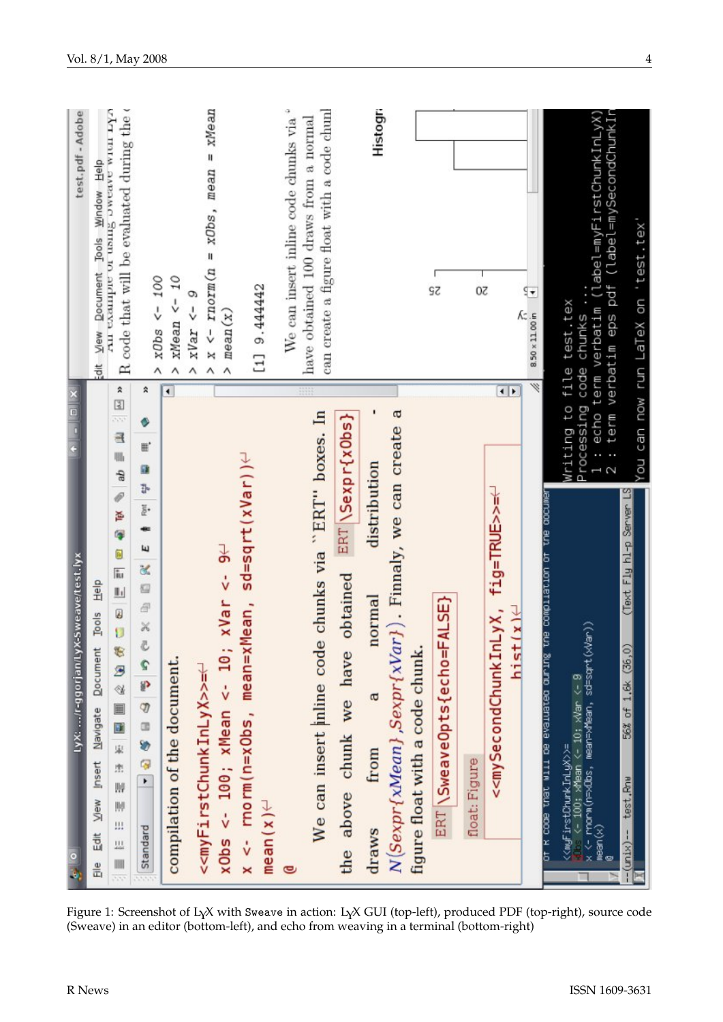| $\frac{\mathbf{x}}{1}$<br>$\frac{1}{2}$                                                                                                                                    |                                                                                                  |
|----------------------------------------------------------------------------------------------------------------------------------------------------------------------------|--------------------------------------------------------------------------------------------------|
| LyX:  /r-ggorjan/LyX-Sweave/test.lyx                                                                                                                                       | test.pdf - Adobe                                                                                 |
| Help<br><b>Tools</b><br>Document<br>Navigate<br>Insert<br>wei<br>Edit<br>Ele                                                                                               | can Mew Document Tools Window Help<br>An Example of using overave with Dya                       |
| <b>COLOR OF ALLER</b><br>S<br>S<br>S<br>E<br>国家<br>n.<br>脾<br>胂<br>Щ<br>坦<br>IIII                                                                                          | R code that will be evaluated during the $\epsilon$                                              |
| 2<br>۰<br>W.<br>Œ<br>ŀ<br>š.<br>ш<br>XIX<br>N X<br>$\mathbf{C}$<br>90<br>- 255<br>Standard                                                                                 | $> xObs < -100$                                                                                  |
| €<br>compilation of the document.                                                                                                                                          | $>$ xMean $<-10$                                                                                 |
| < <myfirstchunkinlyx>=</myfirstchunkinlyx>                                                                                                                                 | $>$ xVar $<-$ 9                                                                                  |
| $xVar < -94$<br>$xObs < -100$ ; $xMean < -10$                                                                                                                              | > $x \leftarrow \text{rnorm}(n = xObs, \text{ mean} = xMean$<br>$>$ mean $(x)$                   |
| <- rnorm(n=xObs, mean=xMean, sd=sqrt(xVar))<br>$mean(x) \leftarrow$                                                                                                        | $[1]$ 9.444442                                                                                   |
| $\bullet$                                                                                                                                                                  | We can insert inline code chunks via.                                                            |
| We can insert inline code chunks via "ERT" boxes. In                                                                                                                       | can create a figure float with a code chunl<br>have obtained 100 draws from a normal             |
| ERT \Sexpr{x0bs}<br>obtained<br>the above chunk we have                                                                                                                    |                                                                                                  |
| distribution<br>normal<br>a<br>from<br>draws                                                                                                                               | <b>Histogra</b>                                                                                  |
| N(Sexpr{xMean},Sexpr{xVar}). Finnaly, we can create a                                                                                                                      |                                                                                                  |
| ERT \SweaveOpts{echo=FALSE}<br>figure float with a code chunk                                                                                                              | ςz                                                                                               |
| float: Figure                                                                                                                                                              |                                                                                                  |
| < <mysecondchunkinlyx, fig="TRUE">&gt;=<sup>{-/</sup></mysecondchunkinlyx,>                                                                                                | $\overline{\text{S}}$                                                                            |
| $\left  \cdot \right $<br>hist(x)                                                                                                                                          |                                                                                                  |
| W                                                                                                                                                                          | Ŧ<br>$8.50 \times 11.00 \text{ in}$                                                              |
| the compilation of the accumen<br>Our une cepenieve ed Title 1eur ecco y LO                                                                                                |                                                                                                  |
| Processing code chunks<br>Writing to file test.tex<br>$\frac{1}{2}$<br>Guio <= 100; xMean <= 10; xVan <= 9<br>x <= morn(n=xObs, wean=xMean, sd=sqrt(xVar))<br>wean(x)<br>@ | : echo term verbatim (label=myFirstChunkInLyX)<br>: term verbatim eps pdf (label=mySecondChunkIn |
| Text Fly hl-p Server LS<br>56% of 1.6k (36,<br>--(unix)-- test.Rnw                                                                                                         |                                                                                                  |
|                                                                                                                                                                            | You can now run LaTeX on 'test.tex'                                                              |
|                                                                                                                                                                            |                                                                                                  |

<span id="page-3-0"></span>Figure 1: Screenshot of L<sub>Y</sub>X with Sweave in action: L<sub>Y</sub>X GUI (top-left), produced PDF (top-right), source code (Sweave) in an editor (bottom-left), and echo from weaving in a terminal (bottom-right)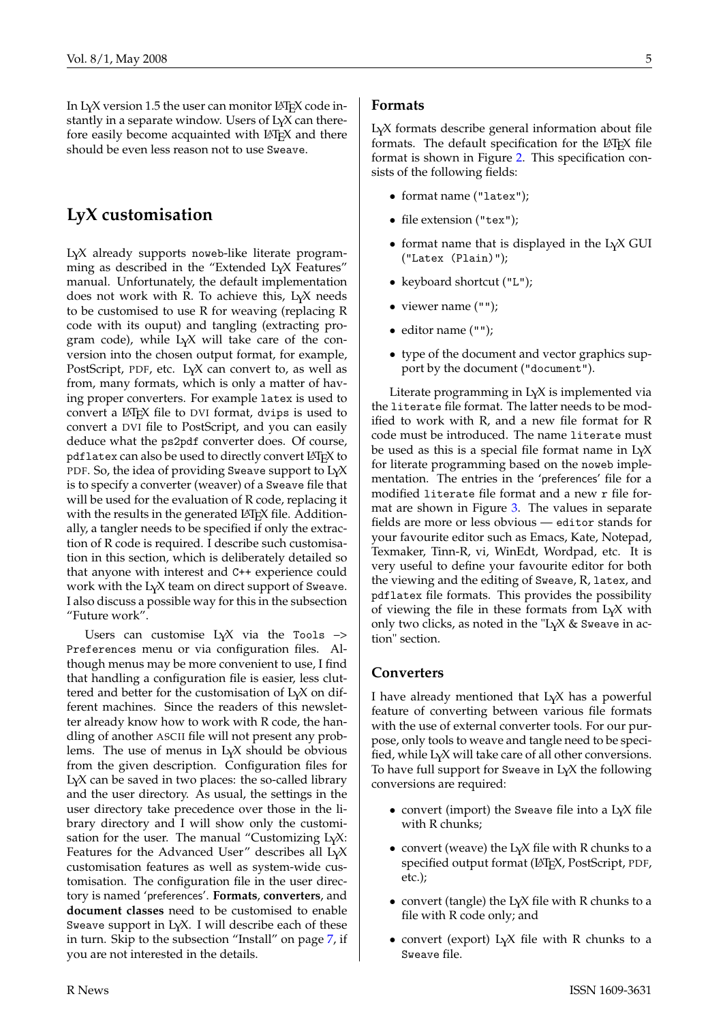In  $L<sub>Y</sub>X$  version 1.5 the user can monitor  $L<sub>T</sub>E<sub>X</sub>$  code instantly in a separate window. Users of  $L<sub>Y</sub>X$  can therefore easily become acquainted with LAT<sub>E</sub>X and there should be even less reason not to use Sweave.

# **LyX customisation**

LYX already supports noweb-like literate programming as described in the "Extended  $LyX$  Features" manual. Unfortunately, the default implementation does not work with R. To achieve this,  $L<sub>Y</sub>X$  needs to be customised to use R for weaving (replacing R code with its ouput) and tangling (extracting program code), while  $L<sub>y</sub>X$  will take care of the conversion into the chosen output format, for example, PostScript, PDF, etc. LyX can convert to, as well as from, many formats, which is only a matter of having proper converters. For example latex is used to convert a  $LAT$  $K$  file to DVI format, dvips is used to convert a DVI file to PostScript, and you can easily deduce what the ps2pdf converter does. Of course, pdflatex can also be used to directly convert LAT<sub>E</sub>X to PDF. So, the idea of providing Sweave support to LyX is to specify a converter (weaver) of a Sweave file that will be used for the evaluation of R code, replacing it with the results in the generated LATEX file. Additionally, a tangler needs to be specified if only the extraction of R code is required. I describe such customisation in this section, which is deliberately detailed so that anyone with interest and C++ experience could work with the  $L<sub>Y</sub>X$  team on direct support of Sweave. I also discuss a possible way for this in the subsection "Future work".

Users can customise  $L<sub>Y</sub>X$  via the Tools  $\rightarrow$ Preferences menu or via configuration files. Although menus may be more convenient to use, I find that handling a configuration file is easier, less cluttered and better for the customisation of  $L<sub>Y</sub>X$  on different machines. Since the readers of this newsletter already know how to work with R code, the handling of another ASCII file will not present any problems. The use of menus in  $L<sub>y</sub>X$  should be obvious from the given description. Configuration files for LYX can be saved in two places: the so-called library and the user directory. As usual, the settings in the user directory take precedence over those in the library directory and I will show only the customisation for the user. The manual "Customizing  $L<sub>Y</sub>X$ : Features for the Advanced User" describes all  $L<sub>Y</sub>X$ customisation features as well as system-wide customisation. The configuration file in the user directory is named 'preferences'. **Formats**, **converters**, and **document classes** need to be customised to enable Sweave support in  $L<sub>Y</sub>X$ . I will describe each of these in turn. Skip to the subsection "Install" on page [7,](#page-6-0) if you are not interested in the details.

### **Formats**

LYX formats describe general information about file formats. The default specification for the LATEX file format is shown in Figure [2.](#page-5-1) This specification consists of the following fields:

- format name ("latex");
- file extension ("tex");
- format name that is displayed in the  $L<sub>Y</sub>X$  GUI ("Latex (Plain)");
- keyboard shortcut ("L");
- viewer name ("");
- editor name ("");
- type of the document and vector graphics support by the document ("document").

Literate programming in  $L<sub>y</sub>X$  is implemented via the literate file format. The latter needs to be modified to work with R, and a new file format for R code must be introduced. The name literate must be used as this is a special file format name in  $L<sub>Y</sub>X$ for literate programming based on the noweb implementation. The entries in the 'preferences' file for a modified literate file format and a new r file format are shown in Figure [3.](#page-5-0) The values in separate fields are more or less obvious — editor stands for your favourite editor such as Emacs, Kate, Notepad, Texmaker, Tinn-R, vi, WinEdt, Wordpad, etc. It is very useful to define your favourite editor for both the viewing and the editing of Sweave, R, latex, and pdflatex file formats. This provides the possibility of viewing the file in these formats from  $L<sub>y</sub>X$  with only two clicks, as noted in the "L $\chi$ X & Sweave in action" section.

### **Converters**

I have already mentioned that  $L<sub>y</sub>X$  has a powerful feature of converting between various file formats with the use of external converter tools. For our purpose, only tools to weave and tangle need to be specified, while  $L<sub>Y</sub>X$  will take care of all other conversions. To have full support for Sweave in  $L<sub>Y</sub>X$  the following conversions are required:

- convert (import) the Sweave file into a  $L<sub>Y</sub>X$  file with R chunks;
- convert (weave) the LYX file with R chunks to a specified output format (LATEX, PostScript, PDF, etc.);
- convert (tangle) the  $L<sub>Y</sub>X$  file with R chunks to a file with R code only; and
- convert (export)  $L_1X$  file with R chunks to a Sweave file.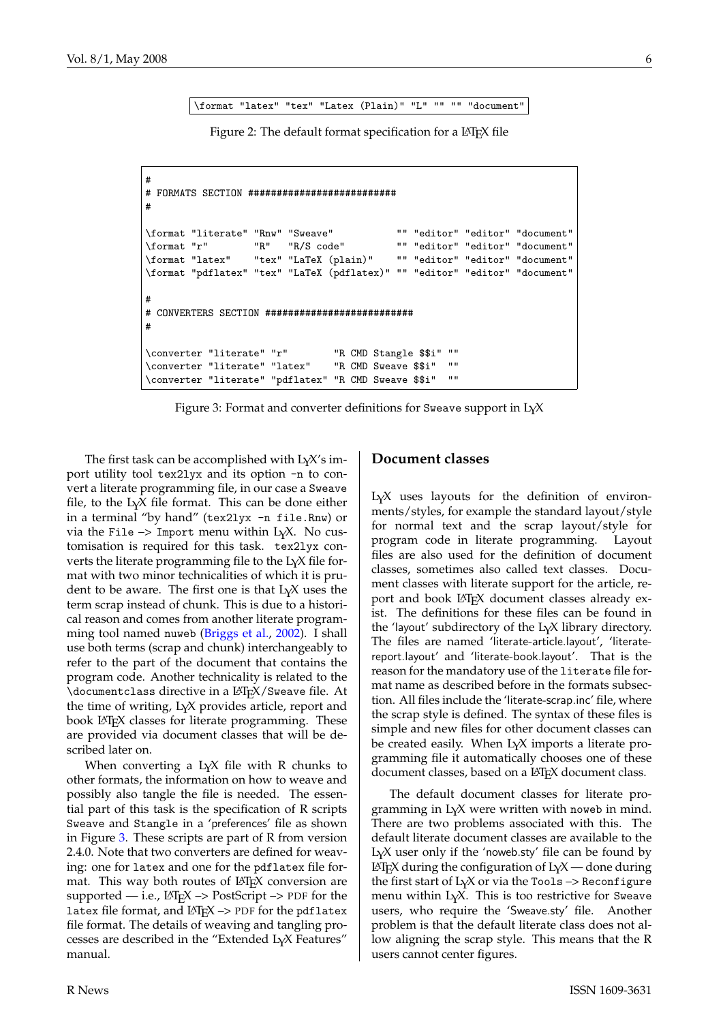\format "latex" "tex" "Latex (Plain)" "L" "" "" "document"

<span id="page-5-1"></span>Figure 2: The default format specification for a LAT<sub>E</sub>X file

```
#
# FORMATS SECTION ##########################
#
\format "literate" "Rnw" "Sweave" "" "editor" "editor" "document"
                   "R" "R/S code" "" "editor" "editor" "document"<br>"tex" "LaTeX (plain)" "" "editor" "editor" "document"
\format "latex" "tex" "LaTeX (plain)" "" "editor" "editor" "document"
\format "pdflatex" "tex" "LaTeX (pdflatex)" "" "editor" "editor" "document"
#
# CONVERTERS SECTION ##########################
#
\converter "literate" "r" TR CMD Stangle $$i" ""
\converter "literate" "latex" "R CMD Sweave $$i" ""
\converter "literate" "pdflatex" "R CMD Sweave $$i"
```
<span id="page-5-0"></span>Figure 3: Format and converter definitions for Sweave support in L<sub>Y</sub>X

The first task can be accomplished with  $L<sub>y</sub>X'$ s import utility tool tex2lyx and its option -n to convert a literate programming file, in our case a Sweave file, to the  $LyX$  file format. This can be done either in a terminal "by hand" (tex2lyx -n file.Rnw) or via the File  $\rightarrow$  Import menu within L $\gamma$ X. No customisation is required for this task. tex2lyx converts the literate programming file to the  $L<sub>Y</sub>X$  file format with two minor technicalities of which it is prudent to be aware. The first one is that  $L<sub>Y</sub>X$  uses the term scrap instead of chunk. This is due to a historical reason and comes from another literate programming tool named nuweb [\(Briggs et al.,](#page-7-2) [2002\)](#page-7-2). I shall use both terms (scrap and chunk) interchangeably to refer to the part of the document that contains the program code. Another technicality is related to the \documentclass directive in a LATEX/Sweave file. At the time of writing,  $L<sub>y</sub>X$  provides article, report and book LAT<sub>E</sub>X classes for literate programming. These are provided via document classes that will be described later on.

When converting a  $L<sub>y</sub>X$  file with R chunks to other formats, the information on how to weave and possibly also tangle the file is needed. The essential part of this task is the specification of R scripts Sweave and Stangle in a 'preferences' file as shown in Figure [3.](#page-5-0) These scripts are part of R from version 2.4.0. Note that two converters are defined for weaving: one for latex and one for the pdflatex file format. This way both routes of LATEX conversion are supported  $-$  i.e.,  $\text{L}$ <sub>F</sub> $X \rightarrow$  PostScript  $\rightarrow$  PDF for the latex file format, and  $L + \Sigma$  –> PDF for the pdflatex file format. The details of weaving and tangling processes are described in the "Extended LYX Features" manual.

#### **Document classes**

L<sub>Y</sub>X uses layouts for the definition of environments/styles, for example the standard layout/style for normal text and the scrap layout/style for program code in literate programming. Layout files are also used for the definition of document classes, sometimes also called text classes. Document classes with literate support for the article, report and book LAT<sub>E</sub>X document classes already exist. The definitions for these files can be found in the 'layout' subdirectory of the LYX library directory. The files are named 'literate-article.layout', 'literatereport.layout' and 'literate-book.layout'. That is the reason for the mandatory use of the literate file format name as described before in the formats subsection. All files include the 'literate-scrap.inc' file, where the scrap style is defined. The syntax of these files is simple and new files for other document classes can be created easily. When L<sub>Y</sub>X imports a literate programming file it automatically chooses one of these document classes, based on a LAT<sub>E</sub>X document class.

The default document classes for literate programming in  $LyX$  were written with noweb in mind. There are two problems associated with this. The default literate document classes are available to the  $L<sub>Y</sub>X$  user only if the 'noweb.sty' file can be found by LAT<sub>E</sub>X during the configuration of  $L<sub>Y</sub>X$  — done during the first start of  $L<sub>Y</sub>X$  or via the Tools  $\rightarrow$  Reconfigure menu within LYX. This is too restrictive for Sweave users, who require the 'Sweave.sty' file. Another problem is that the default literate class does not allow aligning the scrap style. This means that the R users cannot center figures.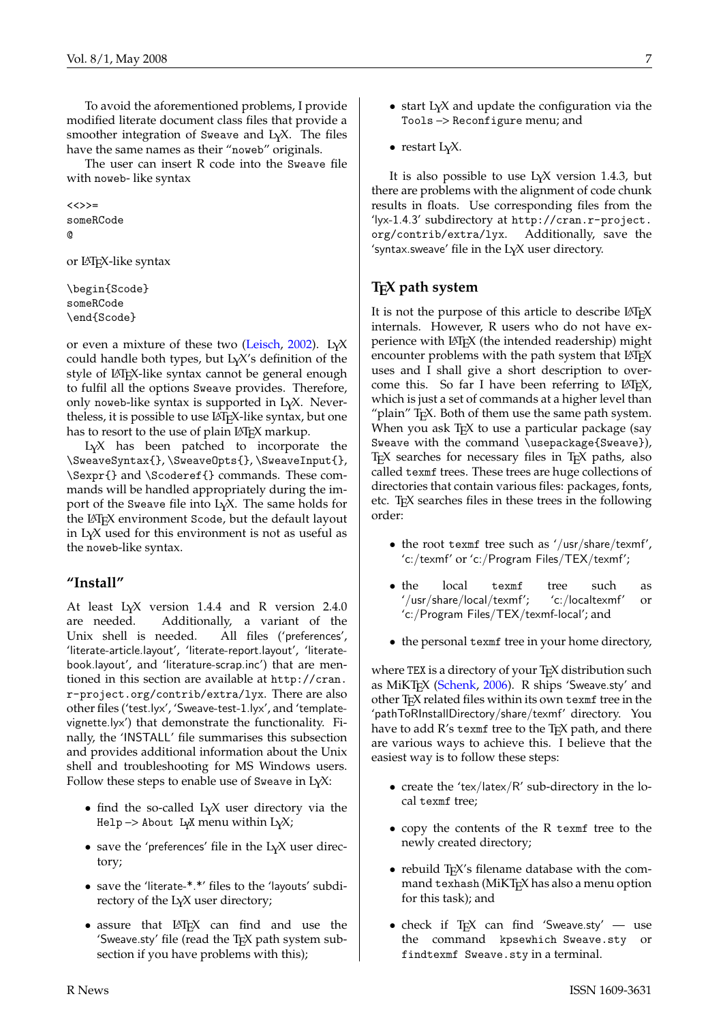have the same names as their "noweb" originals. The user can insert R code into the Sweave file with noweb- like syntax

<<>>= someRCode @

or LAT<sub>E</sub>X-like syntax

\begin{Scode} someRCode \end{Scode}

or even a mixture of these two [\(Leisch,](#page-8-1) [2002\)](#page-8-1). L $\chi$ X could handle both types, but LYX's definition of the style of LAT<sub>E</sub>X-like syntax cannot be general enough to fulfil all the options Sweave provides. Therefore, only noweb-like syntax is supported in  $L<sub>Y</sub>X$ . Nevertheless, it is possible to use LAT<sub>E</sub>X-like syntax, but one has to resort to the use of plain LAT<sub>E</sub>X markup.

LYX has been patched to incorporate the \SweaveSyntax{}, \SweaveOpts{}, \SweaveInput{}, \Sexpr{} and \Scoderef{} commands. These commands will be handled appropriately during the import of the Sweave file into  $L<sub>y</sub>X$ . The same holds for the LATEX environment Scode, but the default layout in  $L<sub>Y</sub>X$  used for this environment is not as useful as the noweb-like syntax.

## **"Install"**

<span id="page-6-0"></span>At least L<sub>Y</sub>X version 1.4.4 and R version 2.4.0 are needed. Additionally, a variant of the Additionally, a variant of the Unix shell is needed. All files ('preferences', 'literate-article.layout', 'literate-report.layout', 'literatebook.layout', and 'literature-scrap.inc') that are mentioned in this section are available at [http://cran.](http://cran.r-project.org/contrib/extra/lyx) [r-project.org/contrib/extra/lyx](http://cran.r-project.org/contrib/extra/lyx). There are also other files ('test.lyx', 'Sweave-test-1.lyx', and 'templatevignette.lyx') that demonstrate the functionality. Finally, the 'INSTALL' file summarises this subsection and provides additional information about the Unix shell and troubleshooting for MS Windows users. Follow these steps to enable use of Sweave in  $L<sub>Y</sub>X$ :

- find the so-called  $L<sub>y</sub>X$  user directory via the Help  $\rightarrow$  About LyX menu within LyX;
- save the 'preferences' file in the  $L<sub>y</sub>X$  user directory;
- save the 'literate-\*.\*' files to the 'layouts' subdirectory of the L<sub>Y</sub>X user directory;
- assure that LATEX can find and use the 'Sweave.sty' file (read the TEX path system subsection if you have problems with this);

• restart  $L<sub>Y</sub>X$ .

It is also possible to use  $L<sub>Y</sub>X$  version 1.4.3, but there are problems with the alignment of code chunk results in floats. Use corresponding files from the 'lyx-1.4.3' subdirectory at [http://cran.r-project.](http://cran.r-project.org/contrib/extra/lyx) [org/contrib/extra/lyx](http://cran.r-project.org/contrib/extra/lyx). Additionally, save the 'syntax.sweave' file in the  $L<sub>Y</sub>X$  user directory.

## **TEX path system**

It is not the purpose of this article to describe LATEX internals. However, R users who do not have experience with LAT<sub>E</sub>X (the intended readership) might encounter problems with the path system that LATEX uses and I shall give a short description to overcome this. So far I have been referring to LATEX, which is just a set of commands at a higher level than "plain" TEX. Both of them use the same path system. When you ask T<sub>E</sub>X to use a particular package (say Sweave with the command \usepackage{Sweave}),  $TeX$  searches for necessary files in  $TeX$  paths, also called texmf trees. These trees are huge collections of directories that contain various files: packages, fonts, etc. TEX searches files in these trees in the following order:

- the root texmf tree such as '/usr/share/texmf', 'c:/texmf' or 'c:/Program Files/TEX/texmf';
- the local texmf tree such as '/usr/share/local/texmf'; 'c:/localtexmf' or 'c:/Program Files/TEX/texmf-local'; and
- the personal texmf tree in your home directory,

where TEX is a directory of your  $T_FX$  distribution such as MiKT<sub>F</sub>X [\(Schenk,](#page-8-7) [2006\)](#page-8-7). R ships 'Sweave.sty' and other T<sub>F</sub>X related files within its own texmf tree in the 'pathToRInstallDirectory/share/texmf' directory. You have to add R's texmf tree to the T<sub>F</sub>X path, and there are various ways to achieve this. I believe that the easiest way is to follow these steps:

- create the 'tex/latex/R' sub-directory in the local texmf tree;
- copy the contents of the R texmf tree to the newly created directory;
- rebuild TEX's filename database with the command texhash (MiKTEX has also a menu option for this task); and
- check if TEX can find 'Sweave.sty' use the command kpsewhich Sweave.sty or findtexmf Sweave.sty in a terminal.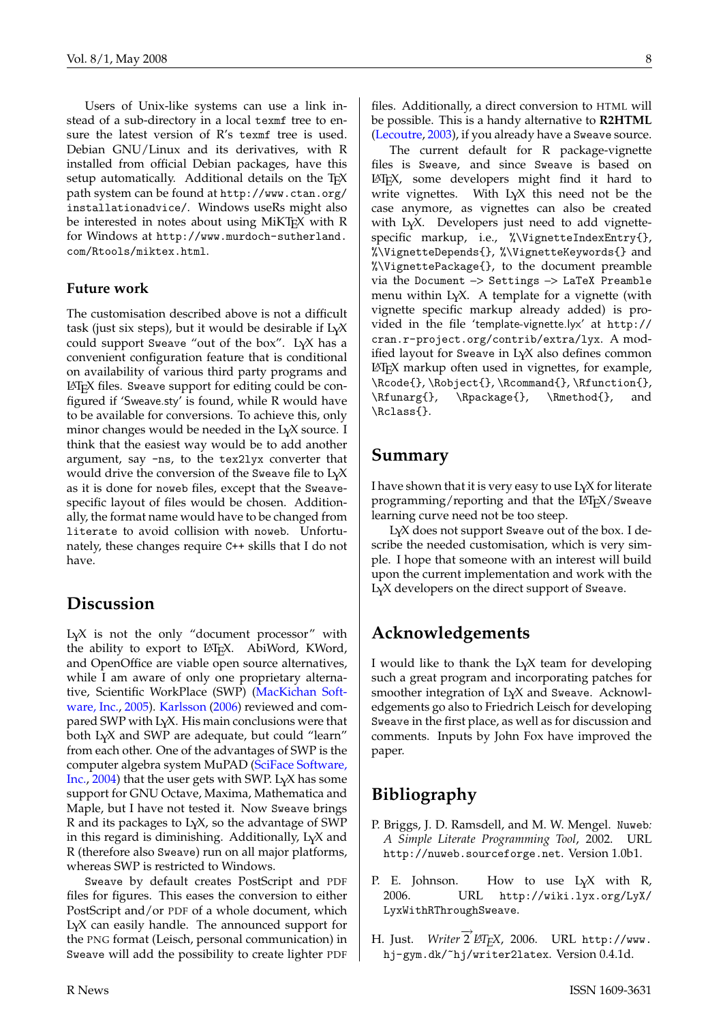Users of Unix-like systems can use a link instead of a sub-directory in a local texmf tree to ensure the latest version of R's texmf tree is used. Debian GNU/Linux and its derivatives, with R installed from official Debian packages, have this setup automatically. Additional details on the TFX path system can be found at [http://www.ctan.org/](http://www.ctan.org/installationadvice/) [installationadvice/](http://www.ctan.org/installationadvice/). Windows useRs might also be interested in notes about using MiKT<sub>E</sub>X with R for Windows at [http://www.murdoch-sutherland.](http://www.murdoch-sutherland.com/Rtools/miktex.html) [com/Rtools/miktex.html](http://www.murdoch-sutherland.com/Rtools/miktex.html).

### **Future work**

The customisation described above is not a difficult task (just six steps), but it would be desirable if  $L<sub>Y</sub>X$ could support Sweave "out of the box". L $\chi$ X has a convenient configuration feature that is conditional on availability of various third party programs and LATEX files. Sweave support for editing could be configured if 'Sweave.sty' is found, while R would have to be available for conversions. To achieve this, only minor changes would be needed in the  $L<sub>Y</sub>X$  source. I think that the easiest way would be to add another argument, say -ns, to the tex2lyx converter that would drive the conversion of the Sweave file to  $L<sub>Y</sub>X$ as it is done for noweb files, except that the Sweavespecific layout of files would be chosen. Additionally, the format name would have to be changed from literate to avoid collision with noweb. Unfortunately, these changes require C++ skills that I do not have.

## **Discussion**

LYX is not the only "document processor" with the ability to export to LAT<sub>E</sub>X. AbiWord, KWord, and OpenOffice are viable open source alternatives, while I am aware of only one proprietary alternative, Scientific WorkPlace (SWP) [\(MacKichan Soft](#page-8-8)[ware, Inc.,](#page-8-8) [2005\)](#page-8-8). [Karlsson](#page-8-9) [\(2006\)](#page-8-9) reviewed and compared SWP with LYX. His main conclusions were that both LyX and SWP are adequate, but could "learn" from each other. One of the advantages of SWP is the computer algebra system MuPAD [\(SciFace Software,](#page-8-10) [Inc.,](#page-8-10) [2004\)](#page-8-10) that the user gets with SWP. L $\chi$ X has some support for GNU Octave, Maxima, Mathematica and Maple, but I have not tested it. Now Sweave brings R and its packages to  $L<sub>y</sub>X$ , so the advantage of SWP in this regard is diminishing. Additionally,  $L<sub>Y</sub>X$  and R (therefore also Sweave) run on all major platforms, whereas SWP is restricted to Windows.

Sweave by default creates PostScript and PDF files for figures. This eases the conversion to either PostScript and/or PDF of a whole document, which L<sub>Y</sub>X can easily handle. The announced support for the PNG format (Leisch, personal communication) in Sweave will add the possibility to create lighter PDF

The current default for R package-vignette files is Sweave, and since Sweave is based on LATEX, some developers might find it hard to write vignettes. With  $L<sub>y</sub>X$  this need not be the case anymore, as vignettes can also be created with LYX. Developers just need to add vignettespecific markup, i.e., %\VignetteIndexEntry{}, %\VignetteDepends{}, %\VignetteKeywords{} and %\VignettePackage{}, to the document preamble via the Document  $\rightarrow$  Settings  $\rightarrow$  LaTeX Preamble menu within  $LyX$ . A template for a vignette (with vignette specific markup already added) is provided in the file 'template-vignette.lyx' at [http://](http://cran.r-project.org/contrib/extra/lyx) [cran.r-project.org/contrib/extra/lyx](http://cran.r-project.org/contrib/extra/lyx). A modified layout for Sweave in  $L<sub>y</sub>X$  also defines common LATEX markup often used in vignettes, for example, \Rcode{}, \Robject{}, \Rcommand{}, \Rfunction{}, \Rfunarg{}, \Rpackage{}, \Rmethod{}, and \Rclass{}.

## **Summary**

I have shown that it is very easy to use  $L<sub>Y</sub>X$  for literate programming/reporting and that the LAT<sub>E</sub>X/Sweave learning curve need not be too steep.

LYX does not support Sweave out of the box. I describe the needed customisation, which is very simple. I hope that someone with an interest will build upon the current implementation and work with the LYX developers on the direct support of Sweave.

# **Acknowledgements**

I would like to thank the  $L<sub>y</sub>X$  team for developing such a great program and incorporating patches for smoother integration of LyX and Sweave. Acknowledgements go also to Friedrich Leisch for developing Sweave in the first place, as well as for discussion and comments. Inputs by John Fox have improved the paper.

# **Bibliography**

- <span id="page-7-2"></span>P. Briggs, J. D. Ramsdell, and M. W. Mengel. Nuweb*: A Simple Literate Programming Tool*, 2002. URL <http://nuweb.sourceforge.net>. Version 1.0b1.
- <span id="page-7-1"></span>P. E. Johnson. How to use  $L_YX$  with R,<br>2006. URL http://wiki.lyx.org/LyX/ 2006. URL [http://wiki.lyx.org/LyX/](http://wiki.lyx.org/LyX/LyxWithRThroughSweave) [LyxWithRThroughSweave](http://wiki.lyx.org/LyX/LyxWithRThroughSweave).
- <span id="page-7-0"></span>H. Just. *Writer* 2 *LATEX*, 2006. URL [http://www.](http://www.hj-gym.dk/~hj/writer2latex) [hj-gym.dk/~hj/writer2latex](http://www.hj-gym.dk/~hj/writer2latex). Version 0.4.1d.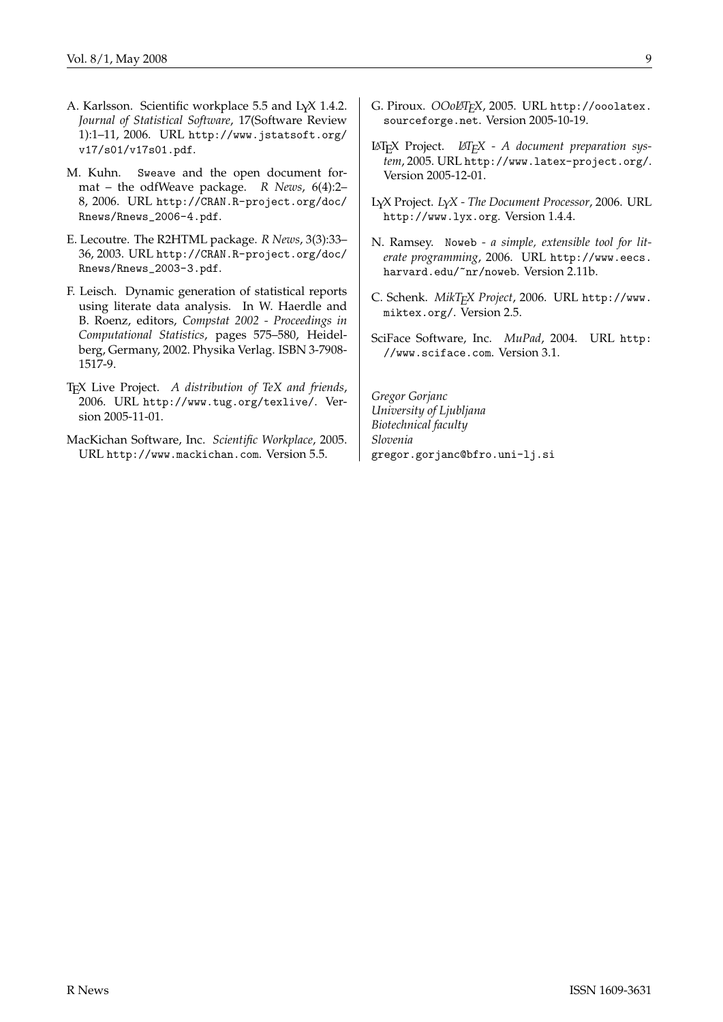- <span id="page-8-9"></span>A. Karlsson. Scientific workplace 5.5 and L<sub>Y</sub>X 1.4.2. *Journal of Statistical Software*, 17(Software Review 1):1–11, 2006. URL [http://www.jstatsoft.org/](http://www.jstatsoft.org/v17/s01/v17s01.pdf) [v17/s01/v17s01.pdf](http://www.jstatsoft.org/v17/s01/v17s01.pdf).
- <span id="page-8-3"></span>M. Kuhn. Sweave and the open document format – the odfWeave package. *R News*, 6(4):2– 8, 2006. URL [http://CRAN.R-project.org/doc/](http://CRAN.R-project.org/doc/Rnews/Rnews_2006-4.pdf) [Rnews/Rnews\\_2006-4.pdf](http://CRAN.R-project.org/doc/Rnews/Rnews_2006-4.pdf).
- <span id="page-8-11"></span>E. Lecoutre. The R2HTML package. *R News*, 3(3):33– 36, 2003. URL [http://CRAN.R-project.org/doc/](http://CRAN.R-project.org/doc/Rnews/Rnews_2003-3.pdf) [Rnews/Rnews\\_2003-3.pdf](http://CRAN.R-project.org/doc/Rnews/Rnews_2003-3.pdf).
- <span id="page-8-1"></span>F. Leisch. Dynamic generation of statistical reports using literate data analysis. In W. Haerdle and B. Roenz, editors, *Compstat 2002 - Proceedings in Computational Statistics*, pages 575–580, Heidelberg, Germany, 2002. Physika Verlag. ISBN 3-7908- 1517-9.
- <span id="page-8-6"></span>TEX Live Project. *A distribution of TeX and friends*, 2006. URL <http://www.tug.org/texlive/>. Version 2005-11-01.
- <span id="page-8-8"></span>MacKichan Software, Inc. *Scientific Workplace*, 2005. URL <http://www.mackichan.com>. Version 5.5.
- <span id="page-8-4"></span>G. Piroux. *OOoLATEX*, 2005. URL [http://ooolatex.](http://ooolatex.sourceforge.net) [sourceforge.net](http://ooolatex.sourceforge.net). Version 2005-10-19.
- <span id="page-8-0"></span>LATEX Project. *LATEX - A document preparation system*, 2005. URL <http://www.latex-project.org/>. Version 2005-12-01.
- <span id="page-8-5"></span>LYX Project. *LYX - The Document Processor*, 2006. URL <http://www.lyx.org>. Version 1.4.4.
- <span id="page-8-2"></span>N. Ramsey. Noweb *- a simple, extensible tool for literate programming*, 2006. URL [http://www.eecs.](http://www.eecs.harvard.edu/~nr/noweb) [harvard.edu/~nr/noweb](http://www.eecs.harvard.edu/~nr/noweb). Version 2.11b.
- <span id="page-8-7"></span>C. Schenk. *MikTEX Project*, 2006. URL [http://www.](http://www.miktex.org/) [miktex.org/](http://www.miktex.org/). Version 2.5.
- <span id="page-8-10"></span>SciFace Software, Inc. *MuPad*, 2004. URL [http:](http://www.sciface.com) [//www.sciface.com](http://www.sciface.com). Version 3.1.

*Gregor Gorjanc University of Ljubljana Biotechnical faculty Slovenia* [gregor.gorjanc@bfro.uni-lj.si](mailto:gregor.gorjanc@bfro.uni-lj.si)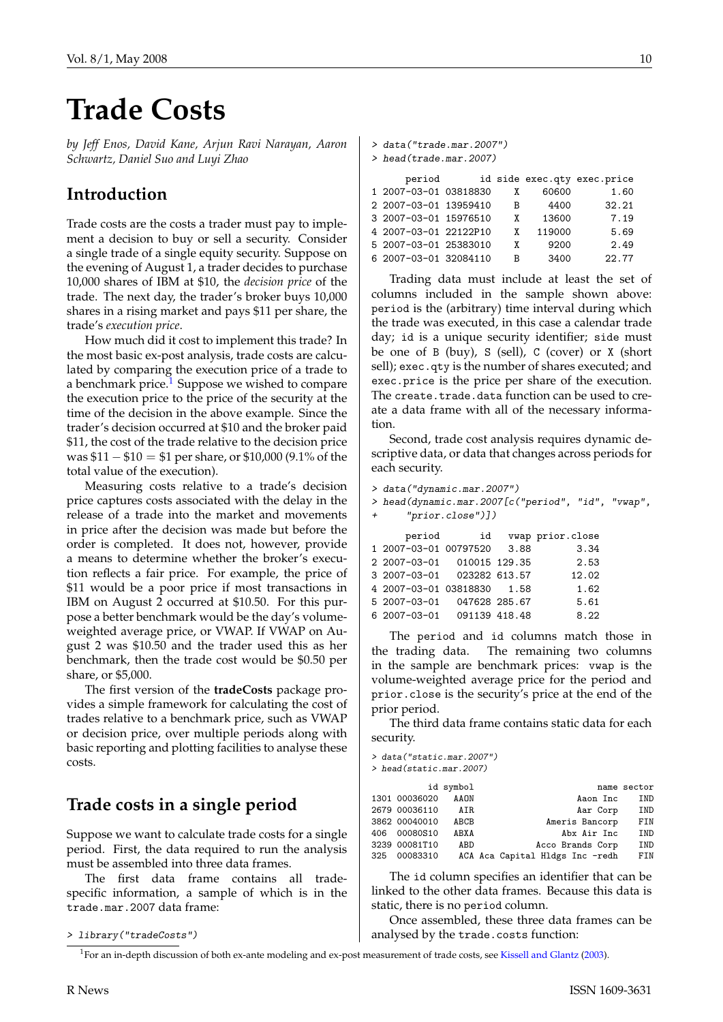# **Trade Costs**

<span id="page-9-0"></span>*by Jeff Enos, David Kane, Arjun Ravi Narayan, Aaron Schwartz, Daniel Suo and Luyi Zhao*

# **Introduction**

Trade costs are the costs a trader must pay to implement a decision to buy or sell a security. Consider a single trade of a single equity security. Suppose on the evening of August 1, a trader decides to purchase 10,000 shares of IBM at \$10, the *decision price* of the trade. The next day, the trader's broker buys 10,000 shares in a rising market and pays \$11 per share, the trade's *execution price*.

How much did it cost to implement this trade? In the most basic ex-post analysis, trade costs are calculated by comparing the execution price of a trade to a benchmark price.<sup>[1](#page-9-1)</sup> Suppose we wished to compare the execution price to the price of the security at the time of the decision in the above example. Since the trader's decision occurred at \$10 and the broker paid \$11, the cost of the trade relative to the decision price was \$11 − \$10 = \$1 per share, or \$10,000 (9.1% of the total value of the execution).

Measuring costs relative to a trade's decision price captures costs associated with the delay in the release of a trade into the market and movements in price after the decision was made but before the order is completed. It does not, however, provide a means to determine whether the broker's execution reflects a fair price. For example, the price of \$11 would be a poor price if most transactions in IBM on August 2 occurred at \$10.50. For this purpose a better benchmark would be the day's volumeweighted average price, or VWAP. If VWAP on August 2 was \$10.50 and the trader used this as her benchmark, then the trade cost would be \$0.50 per share, or \$5,000.

The first version of the **tradeCosts** package provides a simple framework for calculating the cost of trades relative to a benchmark price, such as VWAP or decision price, over multiple periods along with basic reporting and plotting facilities to analyse these costs.

# **Trade costs in a single period**

Suppose we want to calculate trade costs for a single period. First, the data required to run the analysis must be assembled into three data frames.

first data frame contains all tradespecific information, a sample of which is in the trade.mar.2007 data frame:

```
> library("tradeCosts")
```

```
> data("trade.mar.2007")
> head(trade.mar.2007)
    period id side exec.qty exec.price
1 2007-03-01 03818830 X 60600 1.60
2 2007-03-01 13959410 B 4400 32.21
3 2007-03-01 15976510 X 13600 7.19
4 2007-03-01 22122P10 X 119000 5.69
5 2007-03-01 25383010 X 9200 2.49
6 2007-03-01 32084110 B 3400 22.77
```
Trading data must include at least the set of columns included in the sample shown above: period is the (arbitrary) time interval during which the trade was executed, in this case a calendar trade day; id is a unique security identifier; side must be one of B (buy), S (sell), C (cover) or X (short sell); exec.qty is the number of shares executed; and exec.price is the price per share of the execution. The create.trade.data function can be used to create a data frame with all of the necessary information.

Second, trade cost analysis requires dynamic descriptive data, or data that changes across periods for each security.

```
> data("dynamic.mar.2007")
```

```
> head(dynamic.mar.2007[c("period", "id", "vwap",
```

```
"prior.close")])
```

|                            | period id     | vwap prior.close |
|----------------------------|---------------|------------------|
| 1 2007-03-01 00797520 3.88 |               | 3.34             |
| 2 2007-03-01 010015 129.35 |               | 2.53             |
| 3 2007-03-01 023282 613.57 |               | 12.02            |
| 4 2007-03-01 03818830 1.58 |               | 1.62             |
| 5 2007-03-01 047628 285.67 |               | 5.61             |
| 6 2007-03-01               | 091139 418.48 | 8.22             |

The period and id columns match those in the trading data. The remaining two columns in the sample are benchmark prices: vwap is the volume-weighted average price for the period and prior.close is the security's price at the end of the prior period.

The third data frame contains static data for each security.

```
> data("static.mar.2007")
```
> head(static.mar.2007)

| name sector |                                 | id symbol |               |     |
|-------------|---------------------------------|-----------|---------------|-----|
| IND         | Aaon Inc                        | AAON      | 1301 00036020 |     |
| IND         | Aar Corp                        | AIR       | 2679 00036110 |     |
| FIN         | Ameris Bancorp                  | ABCB      | 3862 00040010 |     |
| IND         | Abx Air Inc                     | ABXA      | 406 00080S10  |     |
| IND         | Acco Brands Corp                | ABD       | 3239 00081T10 |     |
| FIN         | ACA Aca Capital Hldgs Inc -redh |           | 00083310      | 325 |
|             |                                 |           |               |     |

The id column specifies an identifier that can be linked to the other data frames. Because this data is static, there is no period column.

Once assembled, these three data frames can be analysed by the trade.costs function:

<span id="page-9-1"></span><sup>1</sup>For an in-depth discussion of both ex-ante modeling and ex-post measurement of trade costs, see [Kissell and Glantz](#page-12-0) [\(2003\)](#page-12-0).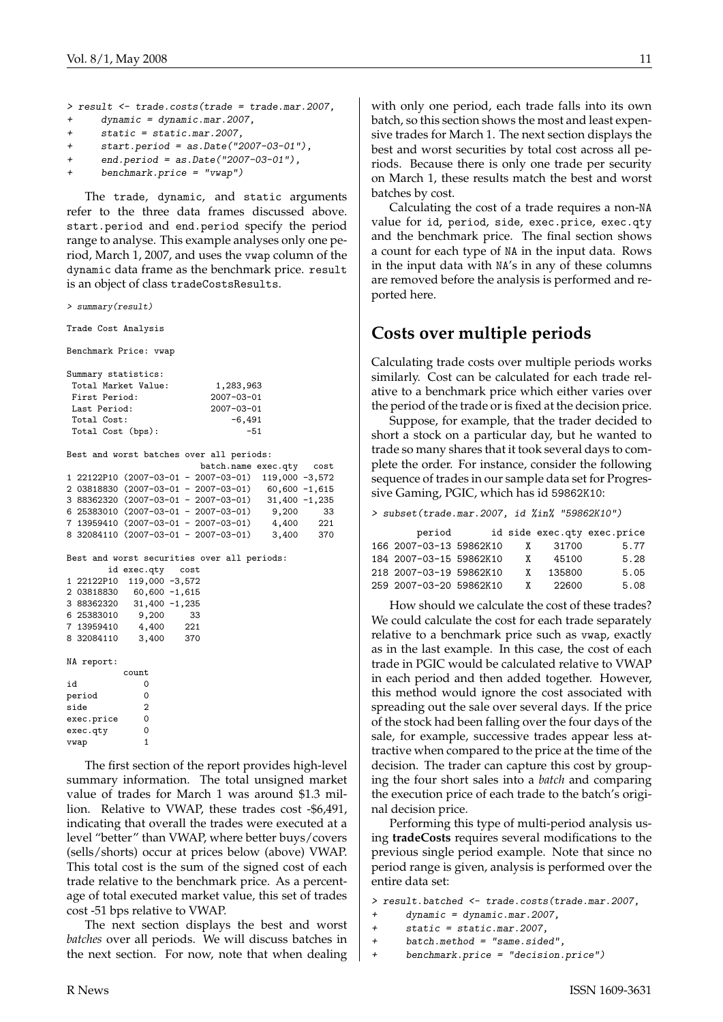```
> result <- trade.costs(trade = trade.mar.2007,
```

```
+ dynamic = dynamic.mar.2007.
```

```
static = static.max.2007,
```

```
start.period = as.Date('2007-03-01"),+ end.period = as.Date("2007-03-01"),
```

```
benchmark.printce = "vwap")
```
The trade, dynamic, and static arguments refer to the three data frames discussed above. start.period and end.period specify the period range to analyse. This example analyses only one period, March 1, 2007, and uses the vwap column of the dynamic data frame as the benchmark price. result is an object of class tradeCostsResults.

> summary(result)

Trade Cost Analysis

Benchmark Price: vwap

| Summary statistics: |                  |
|---------------------|------------------|
| Total Market Value: | 1,283,963        |
| First Period:       | $2007 - 03 - 01$ |
| Last Period:        | $2007 - 03 - 01$ |
| Total Cost:         | $-6.491$         |
| Total Cost (bps):   | $-51$            |

Best and worst batches over all periods:

```
batch.name exec.qty cost
1 22122P10 (2007-03-01 - 2007-03-01) 119,000 -3,572
2 03818830 (2007-03-01 - 2007-03-01) 60,600 -1,615<br>3 88362320 (2007-03-01 - 2007-03-01) 31,400 -1,235
3 88362320 (2007-03-01 - 2007-03-01) 31,400 -1,235
6 25383010 (2007-03-01 - 2007-03-01)
7 13959410 (2007-03-01 - 2007-03-01) 4,400 221
8 32084110 (2007-03-01 - 2007-03-01) 3,400 370
```
Best and worst securities over all periods:

|    |            | id exec.qty cost         |  |
|----|------------|--------------------------|--|
|    | 1 22122P10 | $119,000 -3,572$         |  |
|    | 2 03818830 | $60,600 -1,615$          |  |
|    |            | 3 88362320 31,400 -1,235 |  |
|    |            | 6 25383010 9,200 33      |  |
|    |            | 7 13959410 4,400 221     |  |
|    |            | 8 32084110 3,400 370     |  |
|    | NA report: |                          |  |
|    |            | count                    |  |
| id |            | 0                        |  |
|    | period     | 0                        |  |
|    | side       | $\overline{2}$           |  |
|    | exec.price | 0                        |  |
|    | exec.qty   | 0                        |  |
|    | vwap       | $\mathbf{1}$             |  |

The first section of the report provides high-level summary information. The total unsigned market value of trades for March 1 was around \$1.3 million. Relative to VWAP, these trades cost -\$6,491, indicating that overall the trades were executed at a level "better" than VWAP, where better buys/covers (sells/shorts) occur at prices below (above) VWAP. This total cost is the sum of the signed cost of each trade relative to the benchmark price. As a percentage of total executed market value, this set of trades cost -51 bps relative to VWAP.

The next section displays the best and worst *batches* over all periods. We will discuss batches in the next section. For now, note that when dealing

with only one period, each trade falls into its own batch, so this section shows the most and least expensive trades for March 1. The next section displays the best and worst securities by total cost across all periods. Because there is only one trade per security on March 1, these results match the best and worst batches by cost.

Calculating the cost of a trade requires a non-NA value for id, period, side, exec.price, exec.qty and the benchmark price. The final section shows a count for each type of NA in the input data. Rows in the input data with NA's in any of these columns are removed before the analysis is performed and reported here.

# **Costs over multiple periods**

Calculating trade costs over multiple periods works similarly. Cost can be calculated for each trade relative to a benchmark price which either varies over the period of the trade or is fixed at the decision price.

Suppose, for example, that the trader decided to short a stock on a particular day, but he wanted to trade so many shares that it took several days to complete the order. For instance, consider the following sequence of trades in our sample data set for Progressive Gaming, PGIC, which has id 59862K10:

> subset(trade.mar.2007, id %in% "59862K10")

| period                  |   |        | id side exec.qty exec.price |
|-------------------------|---|--------|-----------------------------|
| 166 2007-03-13 59862K10 | X | 31700  | 5.77                        |
| 184 2007-03-15 59862K10 | X | 45100  | 5.28                        |
| 218 2007-03-19 59862K10 | X | 135800 | 5.05                        |
| 259 2007-03-20 59862K10 | X | 22600  | 5.08                        |

How should we calculate the cost of these trades? We could calculate the cost for each trade separately relative to a benchmark price such as vwap, exactly as in the last example. In this case, the cost of each trade in PGIC would be calculated relative to VWAP in each period and then added together. However, this method would ignore the cost associated with spreading out the sale over several days. If the price of the stock had been falling over the four days of the sale, for example, successive trades appear less attractive when compared to the price at the time of the decision. The trader can capture this cost by grouping the four short sales into a *batch* and comparing the execution price of each trade to the batch's original decision price.

Performing this type of multi-period analysis using **tradeCosts** requires several modifications to the previous single period example. Note that since no period range is given, analysis is performed over the entire data set:

```
> result.batched <- trade.costs(trade.mar.2007,
```
- + dynamic = dynamic.mar.2007,
- $static = static.max.2007,$
- + batch.method = "same.sided",
- + benchmark.price = "decision.price")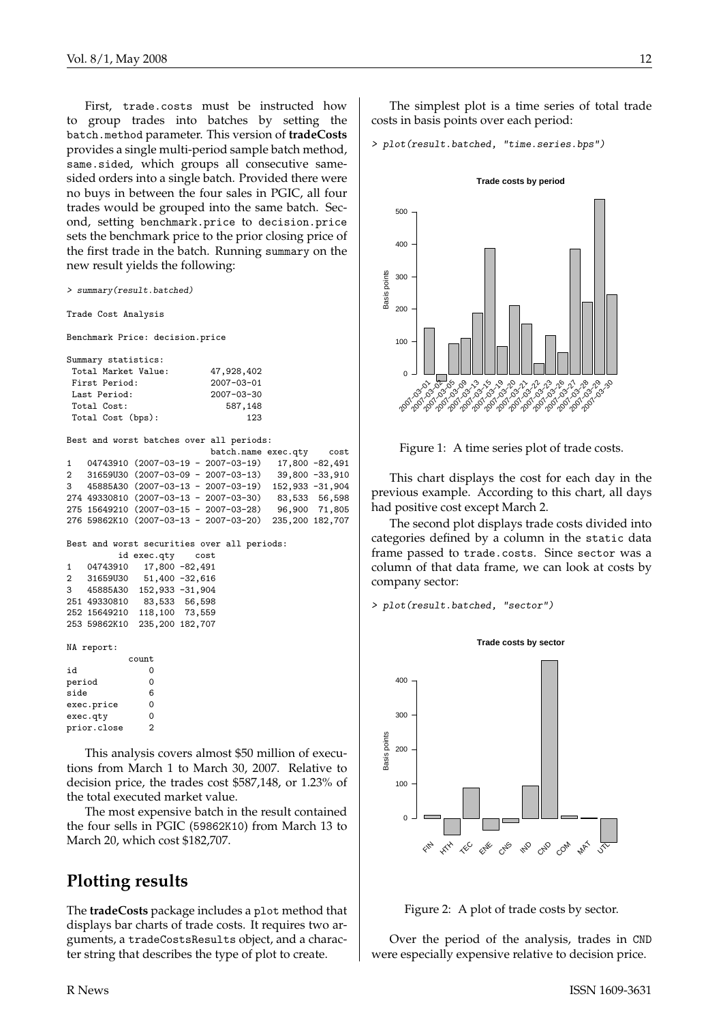> summary(result.batched)

First, trade.costs must be instructed how to group trades into batches by setting the batch.method parameter. This version of **tradeCosts** provides a single multi-period sample batch method, same.sided, which groups all consecutive samesided orders into a single batch. Provided there were no buys in between the four sales in PGIC, all four trades would be grouped into the same batch. Second, setting benchmark.price to decision.price sets the benchmark price to the prior closing price of the first trade in the batch. Running summary on the new result yields the following:

```
Trade Cost Analysis
Benchmark Price: decision.price
Summary statistics:
Total Market Value: 47,928,402
First Period: 2007-03-01<br>
Last Period: 2007-03-30
Last Period: 2007-03-30<br>Total Cost: 587,148
Total Cost:Total Cost (bps): 123
Best and worst batches over all periods:
                             batch.name exec.qty cost
1 04743910 (2007-03-19 - 2007-03-19) 17,800 -82,491
2 31659U30 (2007-03-09 - 2007-03-13) 39,800 -33,910
3 45885A30 (2007-03-13 - 2007-03-19) 152,933 -31,904
274 49330810 (2007-03-13 - 2007-03-30)
275 15649210 (2007-03-15 - 2007-03-28) 96,900 71,805
276 59862K10 (2007-03-13 - 2007-03-20) 235,200 182,707
Best and worst securities over all periods:
    id exec.qty cost<br>04743910 17,800 -82,491
1 04743910 17,800 -82,491<br>2 31659U30 51,400 -32,616
2 31659U30 51,400 -32,616<br>3 45885A30 152,933 -31,904
   3 45885A30 152,933 -31,904
251 49330810 83,533 56,598
252 15649210 118,100 73,559
253 59862K10 235,200 182,707
NA report:
            count
id 0
period 0
side 6
exec.price 0<br>exec.atv 0
exec.qtv
prior.close 2
```
This analysis covers almost \$50 million of executions from March 1 to March 30, 2007. Relative to decision price, the trades cost \$587,148, or 1.23% of the total executed market value.

The most expensive batch in the result contained the four sells in PGIC (59862K10) from March 13 to March 20, which cost \$182,707.

## **Plotting results**

The **tradeCosts** package includes a plot method that displays bar charts of trade costs. It requires two arguments, a tradeCostsResults object, and a character string that describes the type of plot to create.

The simplest plot is a time series of total trade

> plot(result.batched, "time.series.bps")

costs in basis points over each period:

**Trade costs by period**



Figure 1: A time series plot of trade costs.

This chart displays the cost for each day in the previous example. According to this chart, all days had positive cost except March 2.

The second plot displays trade costs divided into categories defined by a column in the static data frame passed to trade.costs. Since sector was a column of that data frame, we can look at costs by company sector:

> plot(result.batched, "sector")



Figure 2: A plot of trade costs by sector.

Over the period of the analysis, trades in CND were especially expensive relative to decision price.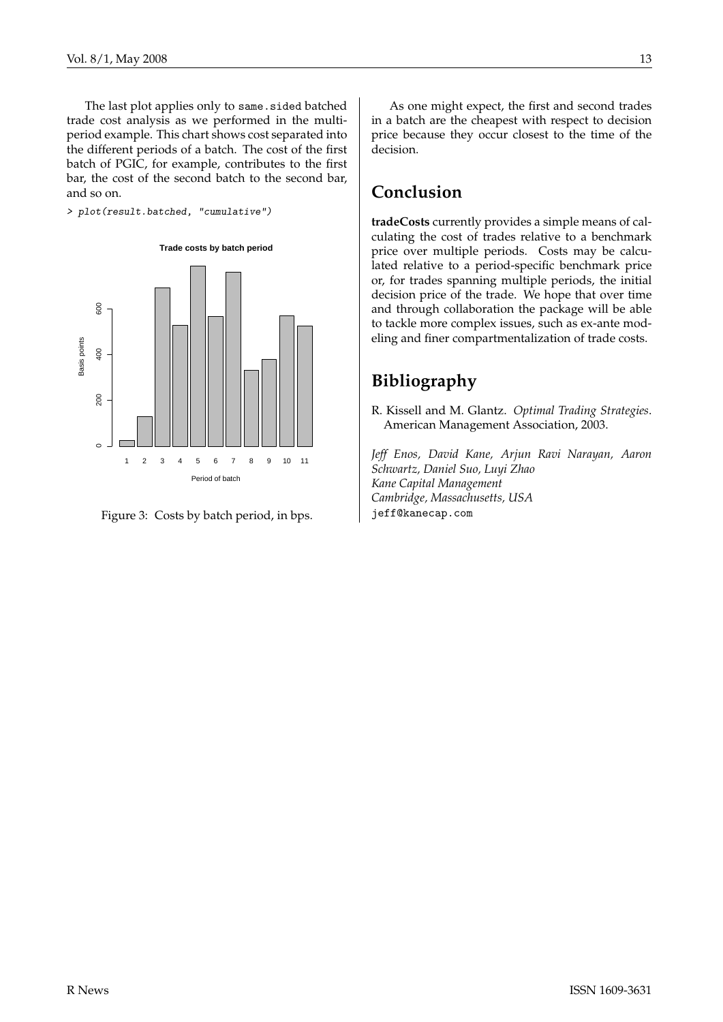The last plot applies only to same.sided batched trade cost analysis as we performed in the multiperiod example. This chart shows cost separated into the different periods of a batch. The cost of the first batch of PGIC, for example, contributes to the first bar, the cost of the second batch to the second bar, and so on.

> plot(result.batched, "cumulative")

**Trade costs by batch period**



Figure 3: Costs by batch period, in bps.

As one might expect, the first and second trades in a batch are the cheapest with respect to decision price because they occur closest to the time of the decision.

# **Conclusion**

**tradeCosts** currently provides a simple means of calculating the cost of trades relative to a benchmark price over multiple periods. Costs may be calculated relative to a period-specific benchmark price or, for trades spanning multiple periods, the initial decision price of the trade. We hope that over time and through collaboration the package will be able to tackle more complex issues, such as ex-ante modeling and finer compartmentalization of trade costs.

# **Bibliography**

<span id="page-12-0"></span>R. Kissell and M. Glantz. *Optimal Trading Strategies*. American Management Association, 2003.

*Jeff Enos, David Kane, Arjun Ravi Narayan, Aaron Schwartz, Daniel Suo, Luyi Zhao Kane Capital Management Cambridge, Massachusetts, USA* [jeff@kanecap.com](mailto:jeff@kanecap.com)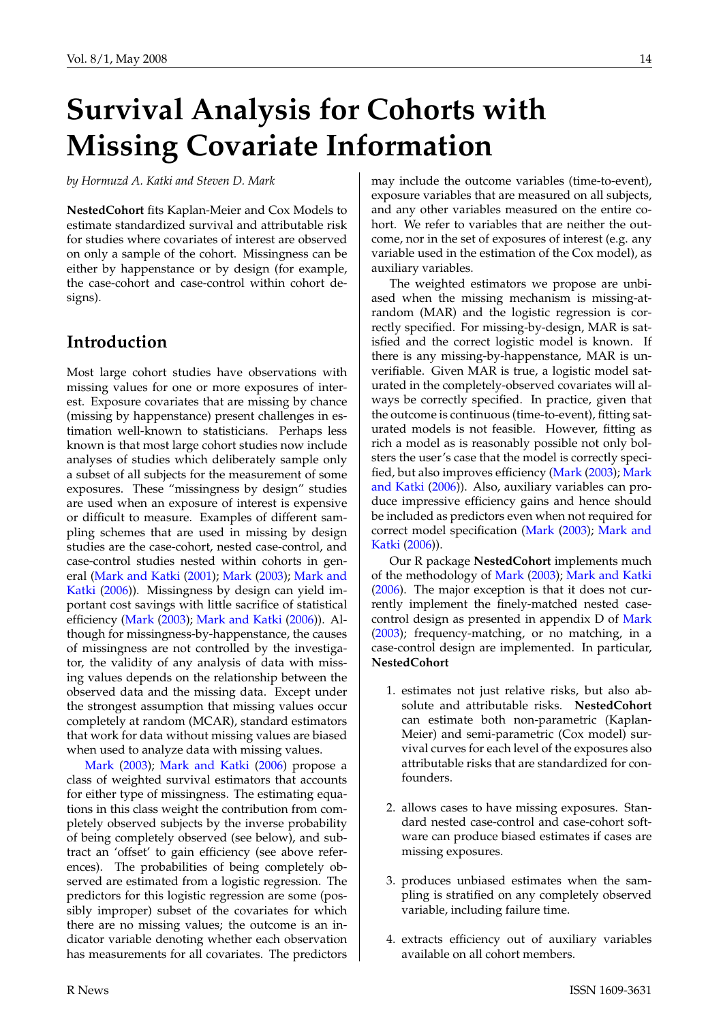# **Survival Analysis for Cohorts with Missing Covariate Information**

<span id="page-13-0"></span>*by Hormuzd A. Katki and Steven D. Mark*

**NestedCohort** fits Kaplan-Meier and Cox Models to estimate standardized survival and attributable risk for studies where covariates of interest are observed on only a sample of the cohort. Missingness can be either by happenstance or by design (for example, the case-cohort and case-control within cohort designs).

# **Introduction**

Most large cohort studies have observations with missing values for one or more exposures of interest. Exposure covariates that are missing by chance (missing by happenstance) present challenges in estimation well-known to statisticians. Perhaps less known is that most large cohort studies now include analyses of studies which deliberately sample only a subset of all subjects for the measurement of some exposures. These "missingness by design" studies are used when an exposure of interest is expensive or difficult to measure. Examples of different sampling schemes that are used in missing by design studies are the case-cohort, nested case-control, and case-control studies nested within cohorts in general [\(Mark and Katki](#page-18-0) [\(2001\)](#page-18-0); [Mark](#page-18-1) [\(2003\)](#page-18-1); [Mark and](#page-18-2) [Katki](#page-18-2) [\(2006\)](#page-18-2)). Missingness by design can yield important cost savings with little sacrifice of statistical efficiency [\(Mark](#page-18-1) [\(2003\)](#page-18-1); [Mark and Katki](#page-18-2) [\(2006\)](#page-18-2)). Although for missingness-by-happenstance, the causes of missingness are not controlled by the investigator, the validity of any analysis of data with missing values depends on the relationship between the observed data and the missing data. Except under the strongest assumption that missing values occur completely at random (MCAR), standard estimators that work for data without missing values are biased when used to analyze data with missing values.

[Mark](#page-18-1) [\(2003\)](#page-18-1); [Mark and Katki](#page-18-2) [\(2006\)](#page-18-2) propose a class of weighted survival estimators that accounts for either type of missingness. The estimating equations in this class weight the contribution from completely observed subjects by the inverse probability of being completely observed (see below), and subtract an 'offset' to gain efficiency (see above references). The probabilities of being completely observed are estimated from a logistic regression. The predictors for this logistic regression are some (possibly improper) subset of the covariates for which there are no missing values; the outcome is an indicator variable denoting whether each observation has measurements for all covariates. The predictors may include the outcome variables (time-to-event), exposure variables that are measured on all subjects, and any other variables measured on the entire cohort. We refer to variables that are neither the outcome, nor in the set of exposures of interest (e.g. any variable used in the estimation of the Cox model), as auxiliary variables.

The weighted estimators we propose are unbiased when the missing mechanism is missing-atrandom (MAR) and the logistic regression is correctly specified. For missing-by-design, MAR is satisfied and the correct logistic model is known. If there is any missing-by-happenstance, MAR is unverifiable. Given MAR is true, a logistic model saturated in the completely-observed covariates will always be correctly specified. In practice, given that the outcome is continuous (time-to-event), fitting saturated models is not feasible. However, fitting as rich a model as is reasonably possible not only bolsters the user's case that the model is correctly specified, but also improves efficiency [\(Mark](#page-18-1) [\(2003\)](#page-18-1); [Mark](#page-18-2) [and Katki](#page-18-2) [\(2006\)](#page-18-2)). Also, auxiliary variables can produce impressive efficiency gains and hence should be included as predictors even when not required for correct model specification [\(Mark](#page-18-1) [\(2003\)](#page-18-1); [Mark and](#page-18-2) [Katki](#page-18-2) [\(2006\)](#page-18-2)).

Our R package **NestedCohort** implements much of the methodology of [Mark](#page-18-1) [\(2003\)](#page-18-1); [Mark and Katki](#page-18-2) [\(2006\)](#page-18-2). The major exception is that it does not currently implement the finely-matched nested casecontrol design as presented in appendix D of [Mark](#page-18-1) [\(2003\)](#page-18-1); frequency-matching, or no matching, in a case-control design are implemented. In particular, **NestedCohort**

- 1. estimates not just relative risks, but also absolute and attributable risks. **NestedCohort** can estimate both non-parametric (Kaplan-Meier) and semi-parametric (Cox model) survival curves for each level of the exposures also attributable risks that are standardized for confounders.
- 2. allows cases to have missing exposures. Standard nested case-control and case-cohort software can produce biased estimates if cases are missing exposures.
- 3. produces unbiased estimates when the sampling is stratified on any completely observed variable, including failure time.
- 4. extracts efficiency out of auxiliary variables available on all cohort members.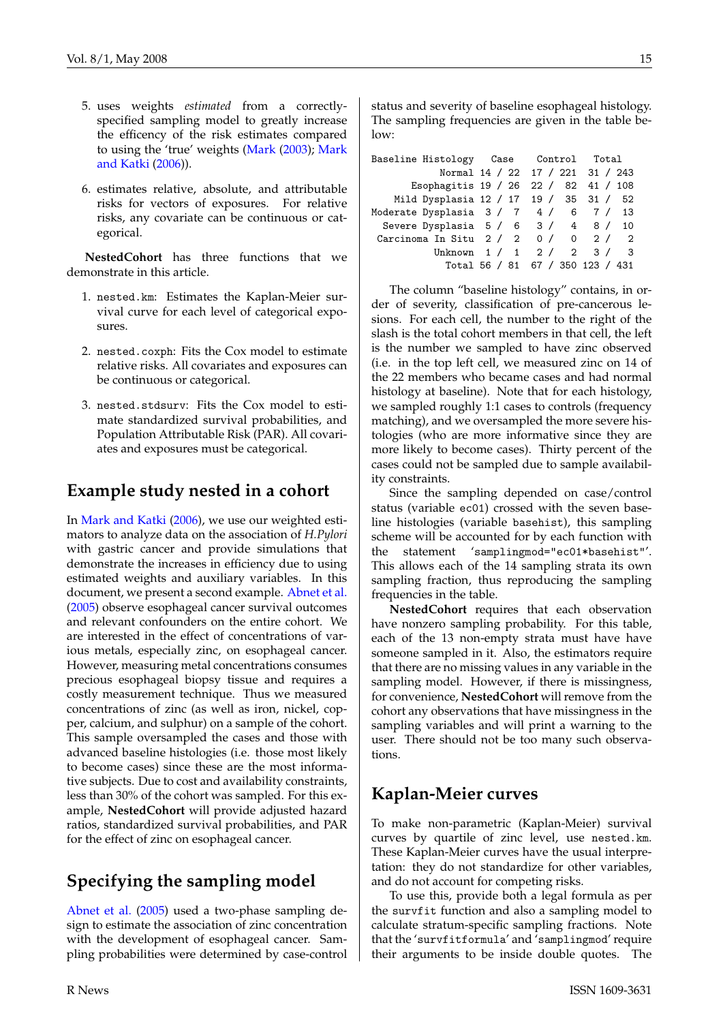- 5. uses weights *estimated* from a correctlyspecified sampling model to greatly increase the efficency of the risk estimates compared to using the 'true' weights [\(Mark](#page-18-1) [\(2003\)](#page-18-1); [Mark](#page-18-2) [and Katki](#page-18-2) [\(2006\)](#page-18-2)).
- 6. estimates relative, absolute, and attributable risks for vectors of exposures. For relative risks, any covariate can be continuous or categorical.

**NestedCohort** has three functions that we demonstrate in this article.

- 1. nested.km: Estimates the Kaplan-Meier survival curve for each level of categorical exposures.
- 2. nested.coxph: Fits the Cox model to estimate relative risks. All covariates and exposures can be continuous or categorical.
- 3. nested.stdsurv: Fits the Cox model to estimate standardized survival probabilities, and Population Attributable Risk (PAR). All covariates and exposures must be categorical.

# **Example study nested in a cohort**

In [Mark and Katki](#page-18-2) [\(2006\)](#page-18-2), we use our weighted estimators to analyze data on the association of *H.Pylori* with gastric cancer and provide simulations that demonstrate the increases in efficiency due to using estimated weights and auxiliary variables. In this document, we present a second example. [Abnet et al.](#page-18-3) [\(2005\)](#page-18-3) observe esophageal cancer survival outcomes and relevant confounders on the entire cohort. We are interested in the effect of concentrations of various metals, especially zinc, on esophageal cancer. However, measuring metal concentrations consumes precious esophageal biopsy tissue and requires a costly measurement technique. Thus we measured concentrations of zinc (as well as iron, nickel, copper, calcium, and sulphur) on a sample of the cohort. This sample oversampled the cases and those with advanced baseline histologies (i.e. those most likely to become cases) since these are the most informative subjects. Due to cost and availability constraints, less than 30% of the cohort was sampled. For this example, **NestedCohort** will provide adjusted hazard ratios, standardized survival probabilities, and PAR for the effect of zinc on esophageal cancer.

# **Specifying the sampling model**

[Abnet et al.](#page-18-3) [\(2005\)](#page-18-3) used a two-phase sampling design to estimate the association of zinc concentration with the development of esophageal cancer. Sampling probabilities were determined by case-control

status and severity of baseline esophageal histology. The sampling frequencies are given in the table below:

| Baseline Histology Case Control Total |                                        |  |  |  |  |  |  |
|---------------------------------------|----------------------------------------|--|--|--|--|--|--|
|                                       | Normal 14 / 22 17 / 221 31 / 243       |  |  |  |  |  |  |
|                                       | Esophagitis 19 / 26 22 / 82 41 / 108   |  |  |  |  |  |  |
|                                       | Mild Dysplasia 12 / 17 19 / 35 31 / 52 |  |  |  |  |  |  |
| Moderate Dysplasia $3 / 7$ 4/ 6 7/ 13 |                                        |  |  |  |  |  |  |
|                                       | Severe Dysplasia $5/6$ $3/4$ $8/10$    |  |  |  |  |  |  |
| Carcinoma In Situ $2/2$ 0/0 2/2       |                                        |  |  |  |  |  |  |
|                                       | Unknown 1 / 1 2 / 2 3 / 3              |  |  |  |  |  |  |
|                                       | Total 56 / 81 67 / 350 123 / 431       |  |  |  |  |  |  |

The column "baseline histology" contains, in order of severity, classification of pre-cancerous lesions. For each cell, the number to the right of the slash is the total cohort members in that cell, the left is the number we sampled to have zinc observed (i.e. in the top left cell, we measured zinc on 14 of the 22 members who became cases and had normal histology at baseline). Note that for each histology, we sampled roughly 1:1 cases to controls (frequency matching), and we oversampled the more severe histologies (who are more informative since they are more likely to become cases). Thirty percent of the cases could not be sampled due to sample availability constraints.

Since the sampling depended on case/control status (variable ec01) crossed with the seven baseline histologies (variable basehist), this sampling scheme will be accounted for by each function with the statement 'samplingmod="ec01\*basehist"'. This allows each of the 14 sampling strata its own sampling fraction, thus reproducing the sampling frequencies in the table.

**NestedCohort** requires that each observation have nonzero sampling probability. For this table, each of the 13 non-empty strata must have have someone sampled in it. Also, the estimators require that there are no missing values in any variable in the sampling model. However, if there is missingness, for convenience, **NestedCohort** will remove from the cohort any observations that have missingness in the sampling variables and will print a warning to the user. There should not be too many such observations.

# **Kaplan-Meier curves**

To make non-parametric (Kaplan-Meier) survival curves by quartile of zinc level, use nested.km. These Kaplan-Meier curves have the usual interpretation: they do not standardize for other variables, and do not account for competing risks.

To use this, provide both a legal formula as per the survfit function and also a sampling model to calculate stratum-specific sampling fractions. Note that the 'survfitformula' and 'samplingmod' require their arguments to be inside double quotes. The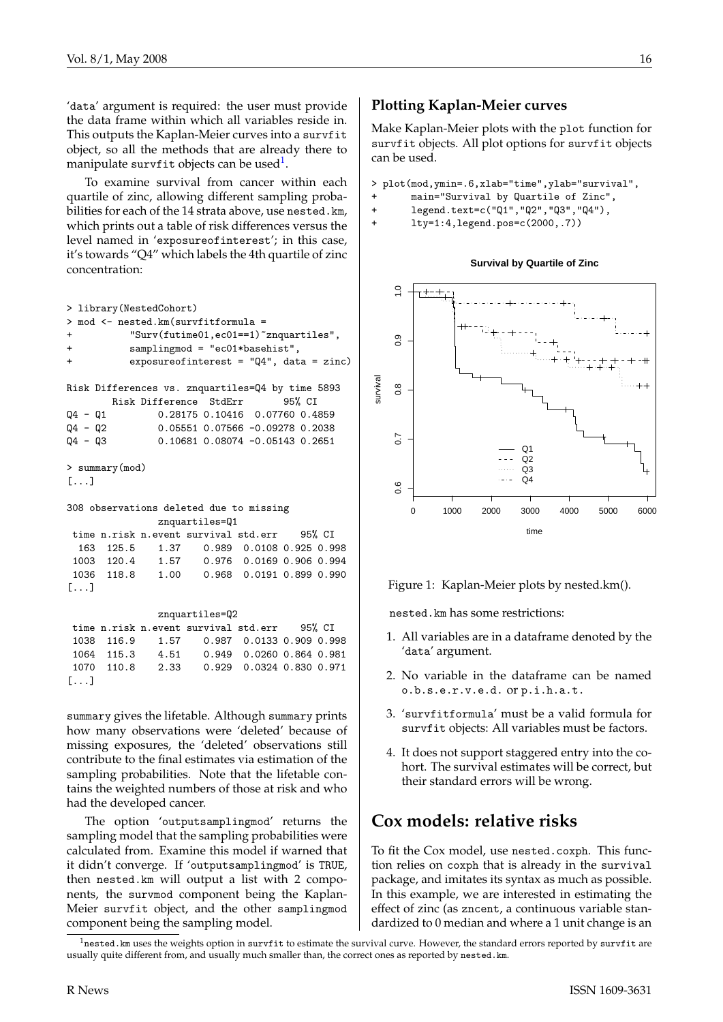'data' argument is required: the user must provide the data frame within which all variables reside in. This outputs the Kaplan-Meier curves into a survfit object, so all the methods that are already there to manipulate survfit objects can be used $^{\rm 1}.$  $^{\rm 1}.$  $^{\rm 1}.$ 

To examine survival from cancer within each quartile of zinc, allowing different sampling probabilities for each of the 14 strata above, use nested.km, which prints out a table of risk differences versus the level named in 'exposureofinterest'; in this case, it's towards "Q4" which labels the 4th quartile of zinc concentration:

```
> library(NestedCohort)
> mod <- nested.km(survfitformula =
+ "Surv(futime01,ec01==1)~znquartiles",
+ samplingmod = "ec01*basehist",
+ exposureofinterest = "Q4", data = zinc)
Risk Differences vs. znquartiles=Q4 by time 5893
       Risk Difference StdErr 95% CI
Q4 - Q1 0.28175 0.10416 0.07760 0.4859
Q4 - Q2 0.05551 0.07566 -0.09278 0.2038
Q4 - Q3 0.10681 0.08074 -0.05143 0.2651
> summary(mod)
[...]
308 observations deleted due to missing
              znquartiles=Q1
time n.risk n.event survival std.err 95% CI
 163 125.5 1.37 0.989 0.0108 0.925 0.998
1003 120.4 1.57 0.976 0.0169 0.906 0.994
1036 118.8 1.00 0.968 0.0191 0.899 0.990
[.\,.]znquartiles=Q2
time n.risk n.event survival std.err 95% CI
1038 116.9 1.57 0.987 0.0133 0.909 0.998
1064 115.3 4.51 0.949 0.0260 0.864 0.981
1070 110.8 2.33 0.929 0.0324 0.830 0.971
```
[...]

summary gives the lifetable. Although summary prints how many observations were 'deleted' because of missing exposures, the 'deleted' observations still contribute to the final estimates via estimation of the sampling probabilities. Note that the lifetable contains the weighted numbers of those at risk and who had the developed cancer.

The option 'outputsamplingmod' returns the sampling model that the sampling probabilities were calculated from. Examine this model if warned that it didn't converge. If 'outputsamplingmod' is TRUE, then nested.km will output a list with 2 components, the survmod component being the Kaplan-Meier survfit object, and the other samplingmod component being the sampling model.

## **Plotting Kaplan-Meier curves**

Make Kaplan-Meier plots with the plot function for survfit objects. All plot options for survfit objects can be used.

> plot(mod,ymin=.6,xlab="time",ylab="survival",

- + main="Survival by Quartile of Zinc",
- + legend.text=c("Q1","Q2","Q3","Q4"),
- + lty=1:4,legend.pos=c(2000,.7))



**Survival by Quartile of Zinc**

Figure 1: Kaplan-Meier plots by nested.km().

nested.km has some restrictions:

- 1. All variables are in a dataframe denoted by the 'data' argument.
- 2. No variable in the dataframe can be named o.b.s.e.r.v.e.d. or p.i.h.a.t.
- 3. 'survfitformula' must be a valid formula for survfit objects: All variables must be factors.
- 4. It does not support staggered entry into the cohort. The survival estimates will be correct, but their standard errors will be wrong.

## **Cox models: relative risks**

To fit the Cox model, use nested.coxph. This function relies on coxph that is already in the survival package, and imitates its syntax as much as possible. In this example, we are interested in estimating the effect of zinc (as zncent, a continuous variable standardized to 0 median and where a 1 unit change is an

<span id="page-15-0"></span><sup>&</sup>lt;sup>1</sup>nested.km uses the weights option in survfit to estimate the survival curve. However, the standard errors reported by survfit are usually quite different from, and usually much smaller than, the correct ones as reported by nested.km.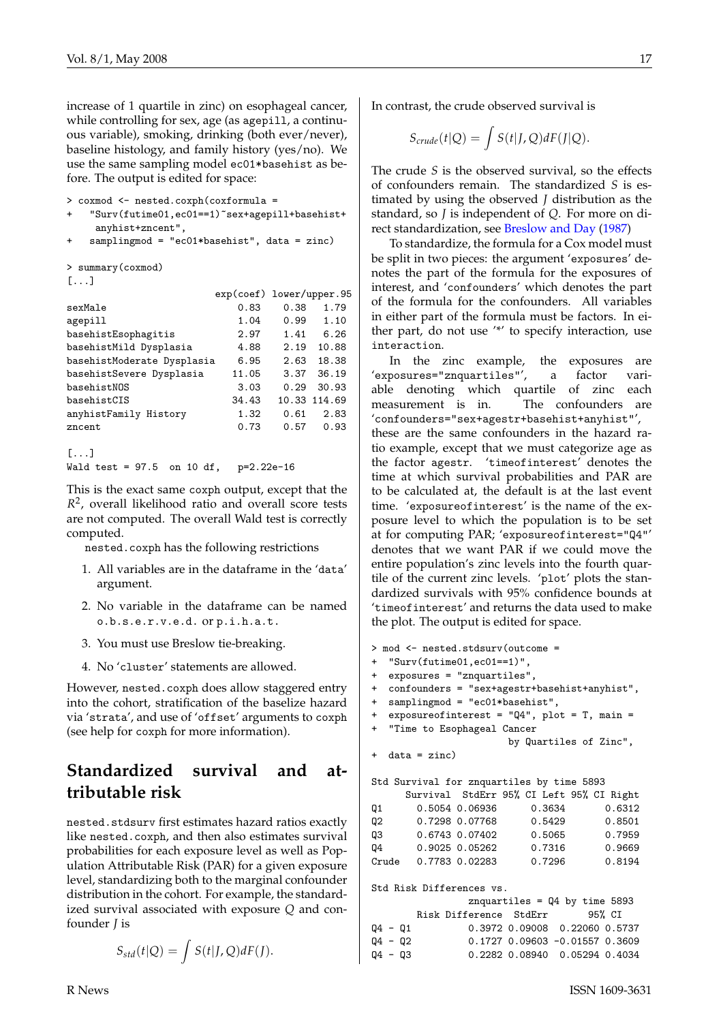increase of 1 quartile in zinc) on esophageal cancer, while controlling for sex, age (as agepill, a continuous variable), smoking, drinking (both ever/never), baseline histology, and family history (yes/no). We use the same sampling model ec01\*basehist as before. The output is edited for space:

```
> coxmod <- nested.coxph(coxformula =
    + "Surv(futime01,ec01==1)~sex+agepill+basehist+
    anyhist+zncent",
```
 $samplingmod = "ec01*basehist", data = zinc)$ 

```
> summary(coxmod)
[...]
```

|                            | exp(coef) lower/upper.95 |      |              |
|----------------------------|--------------------------|------|--------------|
| sexMale                    | 0.83                     | 0.38 | 1.79         |
| agepill                    | 1.04                     | 0.99 | 1.10         |
| basehistEsophagitis        | 2.97                     | 1.41 | 6.26         |
| basehistMild Dysplasia     | 4.88                     | 2.19 | 10.88        |
| basehistModerate Dysplasia | 6.95                     | 2.63 | 18.38        |
| basehistSevere Dysplasia   | 11.05                    | 3.37 | 36.19        |
| basehistNOS                | 3.03                     | 0.29 | 30.93        |
| basehistCIS                | 34.43                    |      | 10.33 114.69 |
| anyhistFamily History      | 1.32                     | 0.61 | 2.83         |
| zncent                     | 0.73                     | 0.57 | 0.93         |
|                            |                          |      |              |
| $\Gamma$ . 1               |                          |      |              |

```
Wald test = 97.5 on 10 df, p=2.22e-16
```
This is the exact same coxph output, except that the *R* 2 , overall likelihood ratio and overall score tests are not computed. The overall Wald test is correctly computed.

nested.coxph has the following restrictions

- 1. All variables are in the dataframe in the 'data' argument.
- 2. No variable in the dataframe can be named o.b.s.e.r.v.e.d. or p.i.h.a.t.
- 3. You must use Breslow tie-breaking.
- 4. No 'cluster' statements are allowed.

However, nested.coxph does allow staggered entry into the cohort, stratification of the baselize hazard via 'strata', and use of 'offset' arguments to coxph (see help for coxph for more information).

# **Standardized survival and attributable risk**

nested.stdsurv first estimates hazard ratios exactly like nested.coxph, and then also estimates survival probabilities for each exposure level as well as Population Attributable Risk (PAR) for a given exposure level, standardizing both to the marginal confounder distribution in the cohort. For example, the standardized survival associated with exposure *Q* and confounder *J* is

$$
S_{std}(t|Q) = \int S(t|J,Q)dF(J).
$$

In contrast, the crude observed survival is

$$
S_{crude}(t|Q) = \int S(t|J,Q)dF(J|Q).
$$

The crude *S* is the observed survival, so the effects of confounders remain. The standardized *S* is estimated by using the observed *J* distribution as the standard, so *J* is independent of *Q*. For more on direct standardization, see [Breslow and Day](#page-18-4) [\(1987\)](#page-18-4)

To standardize, the formula for a Cox model must be split in two pieces: the argument 'exposures' denotes the part of the formula for the exposures of interest, and 'confounders' which denotes the part of the formula for the confounders. All variables in either part of the formula must be factors. In either part, do not use '\*' to specify interaction, use interaction.

In the zinc example, the exposures are 'exposures="znquartiles"', a factor variable denoting which quartile of zinc each measurement is in. The confounders are 'confounders="sex+agestr+basehist+anyhist"', these are the same confounders in the hazard ratio example, except that we must categorize age as the factor agestr. 'timeofinterest' denotes the time at which survival probabilities and PAR are to be calculated at, the default is at the last event time. 'exposureofinterest' is the name of the exposure level to which the population is to be set at for computing PAR; 'exposureofinterest="Q4"' denotes that we want PAR if we could move the entire population's zinc levels into the fourth quartile of the current zinc levels. 'plot' plots the standardized survivals with 95% confidence bounds at 'timeofinterest' and returns the data used to make the plot. The output is edited for space.

```
> mod <- nested.stdsurv(outcome =
+ "Surv(futime01,ec01==1)",
+ exposures = "znquartiles",
+ confounders = "sex+agestr+basehist+anyhist",
+ samplingmod = "ec01*basehist",
+ exposureofinterest = "Q4", plot = T, main =
+ "Time to Esophageal Cancer
                    by Quartiles of Zinc",
 data = zinc)Std Survival for znquartiles by time 5893
     Survival StdErr 95% CI Left 95% CI Right
Q1 0.5054 0.06936 0.3634 0.6312
Q2 0.7298 0.07768 0.5429 0.8501
Q3 0.6743 0.07402 0.5065 0.7959
Q4 0.9025 0.05262 0.7316 0.9669
Crude 0.7783 0.02283 0.7296 0.8194
Std Risk Differences vs.
              znquartiles = Q4 by time 5893
      Risk Difference StdErr 95% CI
Q4 - Q1 0.3972 0.09008 0.22060 0.5737
Q4 - Q2 0.1727 0.09603 -0.01557 0.3609
```
Q4 - Q3 0.2282 0.08940 0.05294 0.4034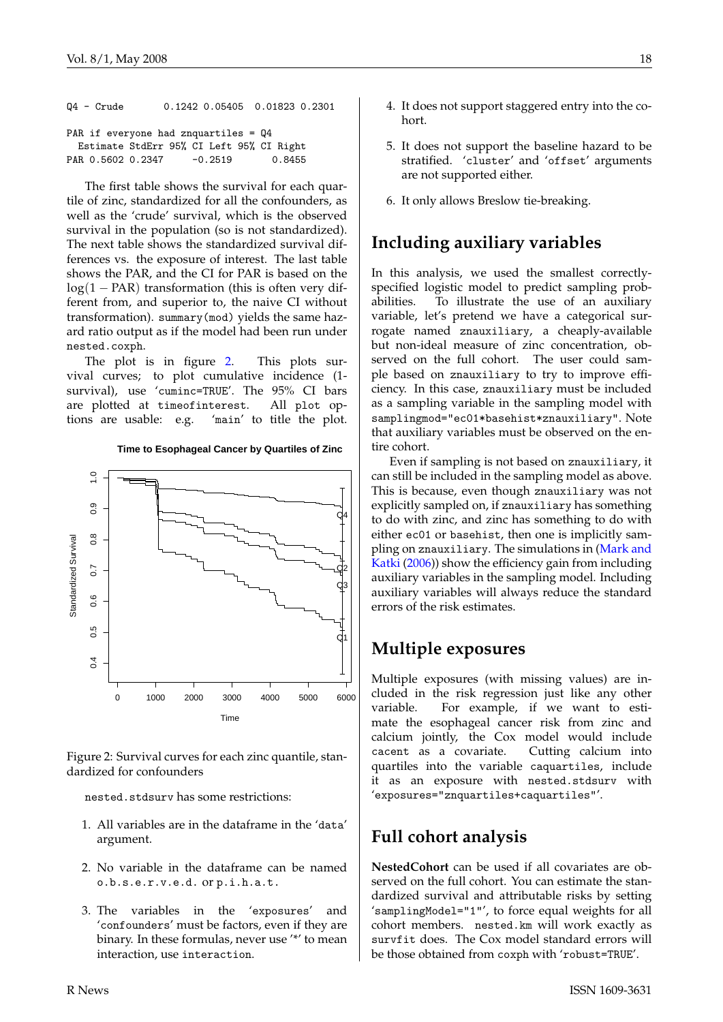Q4 - Crude 0.1242 0.05405 0.01823 0.2301 PAR if everyone had znquartiles = Q4 Estimate StdErr 95% CI Left 95% CI Right

PAR 0.5602 0.2347 -0.2519 0.8455

The first table shows the survival for each quartile of zinc, standardized for all the confounders, as well as the 'crude' survival, which is the observed survival in the population (so is not standardized). The next table shows the standardized survival differences vs. the exposure of interest. The last table shows the PAR, and the CI for PAR is based on the  $log(1 - PAR)$  transformation (this is often very different from, and superior to, the naive CI without transformation). summary(mod) yields the same hazard ratio output as if the model had been run under nested.coxph.

The plot is in figure [2.](#page-17-0) This plots survival curves; to plot cumulative incidence (1 survival), use 'cuminc=TRUE'. The 95% CI bars are plotted at timeofinterest. All plot options are usable: e.g. 'main' to title the plot.

#### **Time to Esophageal Cancer by Quartiles of Zinc**



<span id="page-17-0"></span>Figure 2: Survival curves for each zinc quantile, standardized for confounders

nested.stdsurv has some restrictions:

- 1. All variables are in the dataframe in the 'data' argument.
- 2. No variable in the dataframe can be named o.b.s.e.r.v.e.d. or p.i.h.a.t.
- 3. The variables in the 'exposures' and 'confounders' must be factors, even if they are binary. In these formulas, never use '\*' to mean interaction, use interaction.
- 4. It does not support staggered entry into the cohort.
- 5. It does not support the baseline hazard to be stratified. 'cluster' and 'offset' arguments are not supported either.
- 6. It only allows Breslow tie-breaking.

## **Including auxiliary variables**

In this analysis, we used the smallest correctlyspecified logistic model to predict sampling probabilities. To illustrate the use of an auxiliary variable, let's pretend we have a categorical surrogate named znauxiliary, a cheaply-available but non-ideal measure of zinc concentration, observed on the full cohort. The user could sample based on znauxiliary to try to improve efficiency. In this case, znauxiliary must be included as a sampling variable in the sampling model with samplingmod="ec01\*basehist\*znauxiliary". Note that auxiliary variables must be observed on the entire cohort.

Even if sampling is not based on znauxiliary, it can still be included in the sampling model as above. This is because, even though znauxiliary was not explicitly sampled on, if znauxiliary has something to do with zinc, and zinc has something to do with either ec01 or basehist, then one is implicitly sampling on znauxiliary. The simulations in [\(Mark and](#page-18-2) [Katki](#page-18-2) [\(2006\)](#page-18-2)) show the efficiency gain from including auxiliary variables in the sampling model. Including auxiliary variables will always reduce the standard errors of the risk estimates.

## **Multiple exposures**

Multiple exposures (with missing values) are included in the risk regression just like any other variable. For example, if we want to estimate the esophageal cancer risk from zinc and calcium jointly, the Cox model would include cacent as a covariate. Cutting calcium into quartiles into the variable caquartiles, include it as an exposure with nested.stdsurv with 'exposures="znquartiles+caquartiles"'.

## **Full cohort analysis**

**NestedCohort** can be used if all covariates are observed on the full cohort. You can estimate the standardized survival and attributable risks by setting 'samplingModel="1"', to force equal weights for all cohort members. nested.km will work exactly as survfit does. The Cox model standard errors will be those obtained from coxph with 'robust=TRUE'.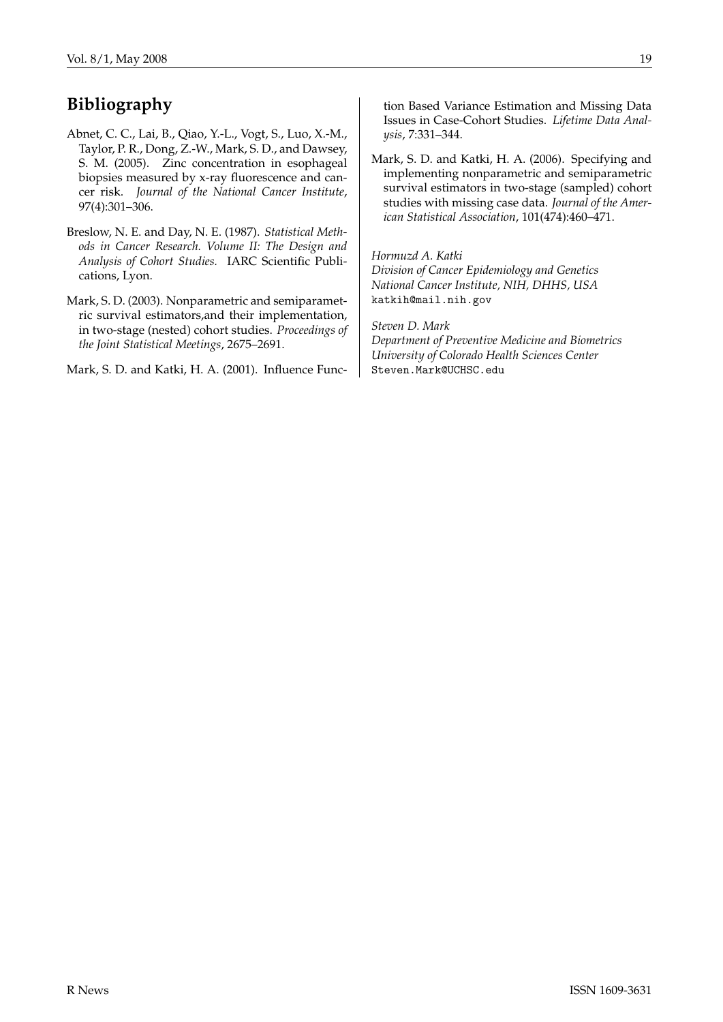# **Bibliography**

- <span id="page-18-3"></span>Abnet, C. C., Lai, B., Qiao, Y.-L., Vogt, S., Luo, X.-M., Taylor, P. R., Dong, Z.-W., Mark, S. D., and Dawsey, S. M. (2005). Zinc concentration in esophageal biopsies measured by x-ray fluorescence and cancer risk. *Journal of the National Cancer Institute*, 97(4):301–306.
- <span id="page-18-4"></span>Breslow, N. E. and Day, N. E. (1987). *Statistical Methods in Cancer Research. Volume II: The Design and Analysis of Cohort Studies.* IARC Scientific Publications, Lyon.
- <span id="page-18-1"></span>Mark, S. D. (2003). Nonparametric and semiparametric survival estimators,and their implementation, in two-stage (nested) cohort studies. *Proceedings of the Joint Statistical Meetings*, 2675–2691.
- <span id="page-18-0"></span>Mark, S. D. and Katki, H. A. (2001). Influence Func-

tion Based Variance Estimation and Missing Data Issues in Case-Cohort Studies. *Lifetime Data Analysis*, 7:331–344.

<span id="page-18-2"></span>Mark, S. D. and Katki, H. A. (2006). Specifying and implementing nonparametric and semiparametric survival estimators in two-stage (sampled) cohort studies with missing case data. *Journal of the American Statistical Association*, 101(474):460–471.

### *Hormuzd A. Katki*

*Division of Cancer Epidemiology and Genetics National Cancer Institute, NIH, DHHS, USA* katkih@mail.nih.gov

#### *Steven D. Mark*

*Department of Preventive Medicine and Biometrics University of Colorado Health Sciences Center* Steven.Mark@UCHSC.edu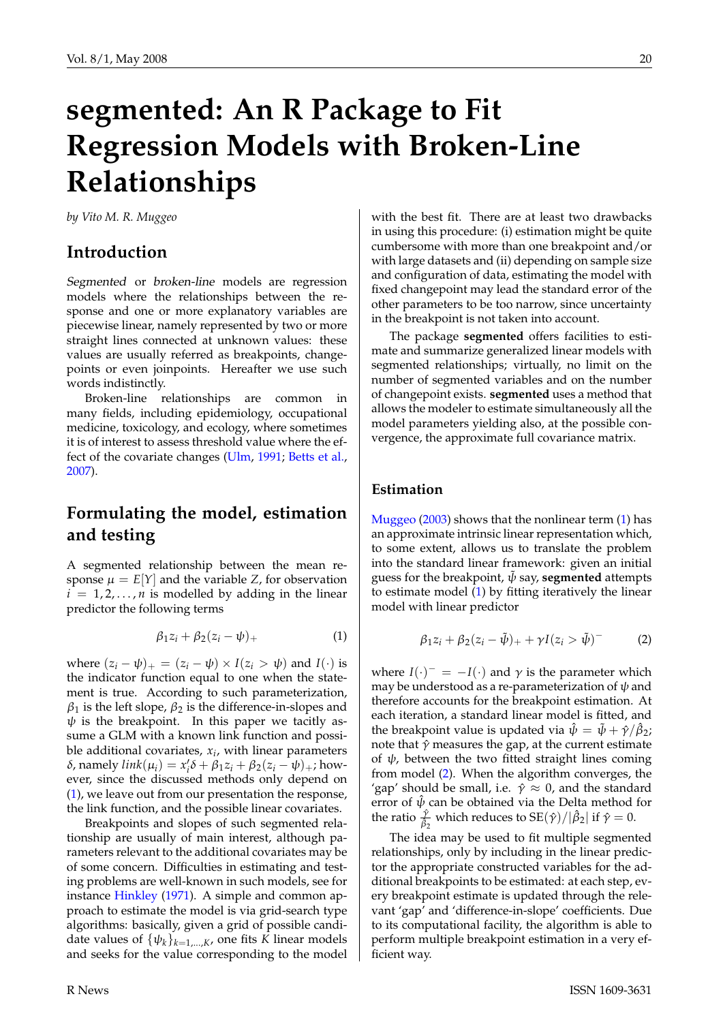# **segmented: An R Package to Fit Regression Models with Broken-Line Relationships**

<span id="page-19-0"></span>*by Vito M. R. Muggeo*

## **Introduction**

Segmented or broken-line models are regression models where the relationships between the response and one or more explanatory variables are piecewise linear, namely represented by two or more straight lines connected at unknown values: these values are usually referred as breakpoints, changepoints or even joinpoints. Hereafter we use such words indistinctly.

Broken-line relationships are common in many fields, including epidemiology, occupational medicine, toxicology, and ecology, where sometimes it is of interest to assess threshold value where the effect of the covariate changes [\(Ulm,](#page-24-0) [1991;](#page-24-0) [Betts et al.,](#page-24-1) [2007\)](#page-24-1).

# **Formulating the model, estimation and testing**

A segmented relationship between the mean response  $\mu = E[Y]$  and the variable *Z*, for observation  $i = 1, 2, \ldots, n$  is modelled by adding in the linear predictor the following terms

<span id="page-19-1"></span>
$$
\beta_1 z_i + \beta_2 (z_i - \psi)_+ \tag{1}
$$

where  $(z_i - \psi)_+ = (z_i - \psi) \times I(z_i > \psi)$  and  $I(\cdot)$  is the indicator function equal to one when the statement is true. According to such parameterization,  $\beta_1$  is the left slope,  $\beta_2$  is the difference-in-slopes and  $\psi$  is the breakpoint. In this paper we tacitly assume a GLM with a known link function and possible additional covariates, *x<sup>i</sup>* , with linear parameters *δ*, namely  $link(\mu_i) = x_i^{\prime} \delta + \beta_1 z_i + \beta_2 (z_i - \psi)_+$ ; however, since the discussed methods only depend on [\(1\)](#page-19-1), we leave out from our presentation the response, the link function, and the possible linear covariates.

Breakpoints and slopes of such segmented relationship are usually of main interest, although parameters relevant to the additional covariates may be of some concern. Difficulties in estimating and testing problems are well-known in such models, see for instance [Hinkley](#page-24-2) [\(1971\)](#page-24-2). A simple and common approach to estimate the model is via grid-search type algorithms: basically, given a grid of possible candidate values of  $\{\psi_k\}_{k=1,\dots,K}$ , one fits *K* linear models and seeks for the value corresponding to the model

with the best fit. There are at least two drawbacks in using this procedure: (i) estimation might be quite cumbersome with more than one breakpoint and/or with large datasets and (ii) depending on sample size and configuration of data, estimating the model with fixed changepoint may lead the standard error of the other parameters to be too narrow, since uncertainty in the breakpoint is not taken into account.

The package **segmented** offers facilities to estimate and summarize generalized linear models with segmented relationships; virtually, no limit on the number of segmented variables and on the number of changepoint exists. **segmented** uses a method that allows the modeler to estimate simultaneously all the model parameters yielding also, at the possible convergence, the approximate full covariance matrix.

#### **Estimation**

[Muggeo](#page-24-3) [\(2003\)](#page-24-3) shows that the nonlinear term [\(1\)](#page-19-1) has an approximate intrinsic linear representation which, to some extent, allows us to translate the problem into the standard linear framework: given an initial guess for the breakpoint,  $\hat{\psi}$  say, **segmented** attempts to estimate model [\(1\)](#page-19-1) by fitting iteratively the linear model with linear predictor

<span id="page-19-2"></span>
$$
\beta_1 z_i + \beta_2 (z_i - \tilde{\psi})_+ + \gamma I (z_i > \tilde{\psi})^- \tag{2}
$$

where  $I(\cdot)^{-} = -I(\cdot)$  and  $\gamma$  is the parameter which may be understood as a re-parameterization of  $\psi$  and therefore accounts for the breakpoint estimation. At each iteration, a standard linear model is fitted, and the breakpoint value is updated via  $\hat{\psi} = \tilde{\psi} + \hat{\gamma}/\hat{\beta}_2$ ; note that  $\hat{\gamma}$  measures the gap, at the current estimate of  $\psi$ , between the two fitted straight lines coming from model [\(2\)](#page-19-2). When the algorithm converges, the 'gap' should be small, i.e.  $\hat{\gamma} \approx 0$ , and the standard error of  $\hat{\psi}$  can be obtained via the Delta method for the ratio  $\frac{\hat{\gamma}}{\hat{\beta}_2}$  which reduces to  $\text{SE}(\hat{\gamma})/|\hat{\beta}_2|$  if  $\hat{\gamma}=0$ .

The idea may be used to fit multiple segmented relationships, only by including in the linear predictor the appropriate constructed variables for the additional breakpoints to be estimated: at each step, every breakpoint estimate is updated through the relevant 'gap' and 'difference-in-slope' coefficients. Due to its computational facility, the algorithm is able to perform multiple breakpoint estimation in a very efficient way.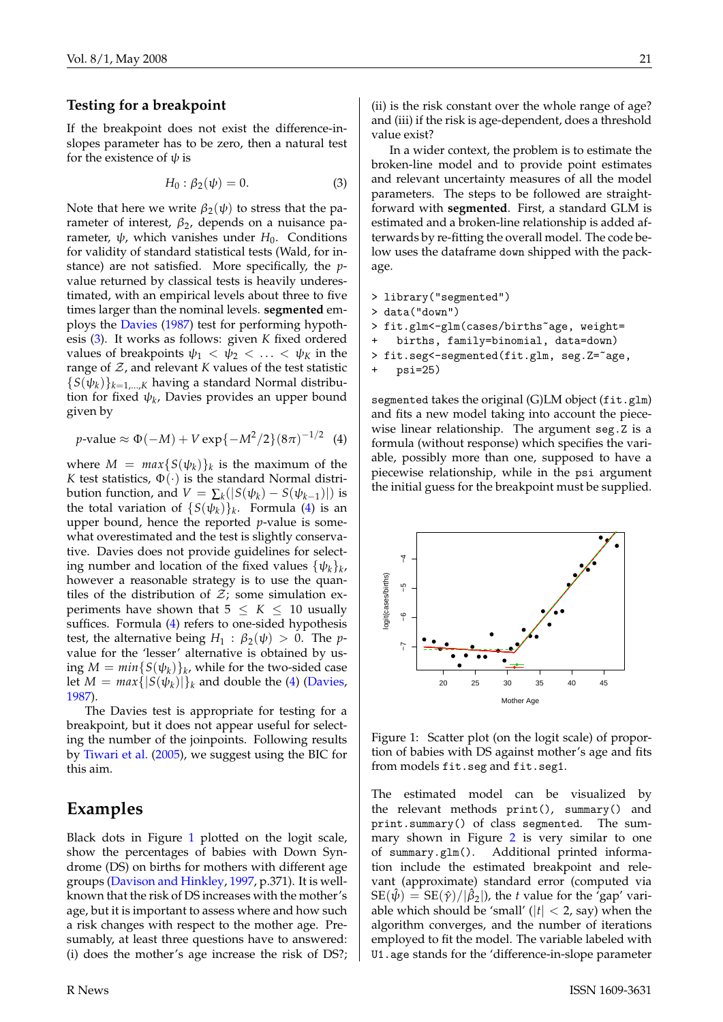### **Testing for a breakpoint**

If the breakpoint does not exist the difference-inslopes parameter has to be zero, then a natural test for the existence of  $\psi$  is

<span id="page-20-0"></span>
$$
H_0: \beta_2(\psi) = 0. \tag{3}
$$

Note that here we write  $\beta_2(\psi)$  to stress that the parameter of interest,  $\beta_2$ , depends on a nuisance parameter,  $ψ$ , which vanishes under  $H_0$ . Conditions for validity of standard statistical tests (Wald, for instance) are not satisfied. More specifically, the *p*value returned by classical tests is heavily underestimated, with an empirical levels about three to five times larger than the nominal levels. **segmented** employs the [Davies](#page-24-4) [\(1987\)](#page-24-4) test for performing hypothesis [\(3\)](#page-20-0). It works as follows: given *K* fixed ordered values of breakpoints  $\psi_1 < \psi_2 < \ldots < \psi_K$  in the range of  $Z$ , and relevant  $K$  values of the test statistic  ${S(\psi_k)}_{k=1,\dots,K}$  having a standard Normal distribution for fixed ψ*<sup>k</sup>* , Davies provides an upper bound given by

<span id="page-20-1"></span>
$$
p
$$
-value  $\approx \Phi(-M) + V \exp{-M^2/2}(8\pi)^{-1/2}$  (4)

where  $M = max\{S(\psi_k)\}_k$  is the maximum of the *K* test statistics,  $\Phi(\cdot)$  is the standard Normal distribution function, and  $V = \sum_k (|S(\psi_k) - S(\psi_{k-1})|)$  is the total variation of  $\{S(\psi_k)\}_k$ . Formula [\(4\)](#page-20-1) is an upper bound, hence the reported *p*-value is somewhat overestimated and the test is slightly conservative. Davies does not provide guidelines for selecting number and location of the fixed values  $\{\psi_k\}_k$ , however a reasonable strategy is to use the quantiles of the distribution of  $\mathcal{Z}$ ; some simulation experiments have shown that  $5 \leq K \leq 10$  usually suffices. Formula [\(4\)](#page-20-1) refers to one-sided hypothesis test, the alternative being  $H_1$  :  $\beta_2(\psi) > 0$ . The *p*value for the 'lesser' alternative is obtained by us- $\log M = min\{S(\psi_k)\}_k$ , while for the two-sided case let  $M = max\{|S(\psi_k)|\}_k$  and double the [\(4\)](#page-20-1) [\(Davies,](#page-24-4) [1987\)](#page-24-4).

The Davies test is appropriate for testing for a breakpoint, but it does not appear useful for selecting the number of the joinpoints. Following results by [Tiwari et al.](#page-24-5) [\(2005\)](#page-24-5), we suggest using the BIC for this aim.

## **Examples**

Black dots in Figure [1](#page-20-2) plotted on the logit scale, show the percentages of babies with Down Syndrome (DS) on births for mothers with different age groups [\(Davison and Hinkley,](#page-24-6) [1997,](#page-24-6) p.371). It is wellknown that the risk of DS increases with the mother's age, but it is important to assess where and how such a risk changes with respect to the mother age. Presumably, at least three questions have to answered: (i) does the mother's age increase the risk of DS?;

(ii) is the risk constant over the whole range of age? and (iii) if the risk is age-dependent, does a threshold value exist?

In a wider context, the problem is to estimate the broken-line model and to provide point estimates and relevant uncertainty measures of all the model parameters. The steps to be followed are straightforward with **segmented**. First, a standard GLM is estimated and a broken-line relationship is added afterwards by re-fitting the overall model. The code below uses the dataframe down shipped with the package.

```
> library("segmented")
> data("down")
```

```
> fit.glm <- glm (cases/births ~ age, weight =
```

```
births, family=binomial, data=down)
```

```
> fit.seg<-segmented(fit.glm, seg.Z="age,
```

```
psi=25)
```
segmented takes the original (G)LM object (fit.glm) and fits a new model taking into account the piecewise linear relationship. The argument seg.Z is a formula (without response) which specifies the variable, possibly more than one, supposed to have a piecewise relationship, while in the psi argument the initial guess for the breakpoint must be supplied.



<span id="page-20-2"></span>Figure 1: Scatter plot (on the logit scale) of proportion of babies with DS against mother's age and fits from models fit.seg and fit.seg1.

The estimated model can be visualized by the relevant methods print(), summary() and print.summary() of class segmented. The summary shown in Figure [2](#page-21-0) is very similar to one of summary.glm(). Additional printed information include the estimated breakpoint and relevant (approximate) standard error (computed via  $\text{SE}(\hat{\psi}) = \text{SE}(\hat{\gamma}) / |\hat{\beta}_2|$ ), the *t* value for the 'gap' variable which should be 'small' ( $|t|$  < 2, say) when the algorithm converges, and the number of iterations employed to fit the model. The variable labeled with U1.age stands for the 'difference-in-slope parameter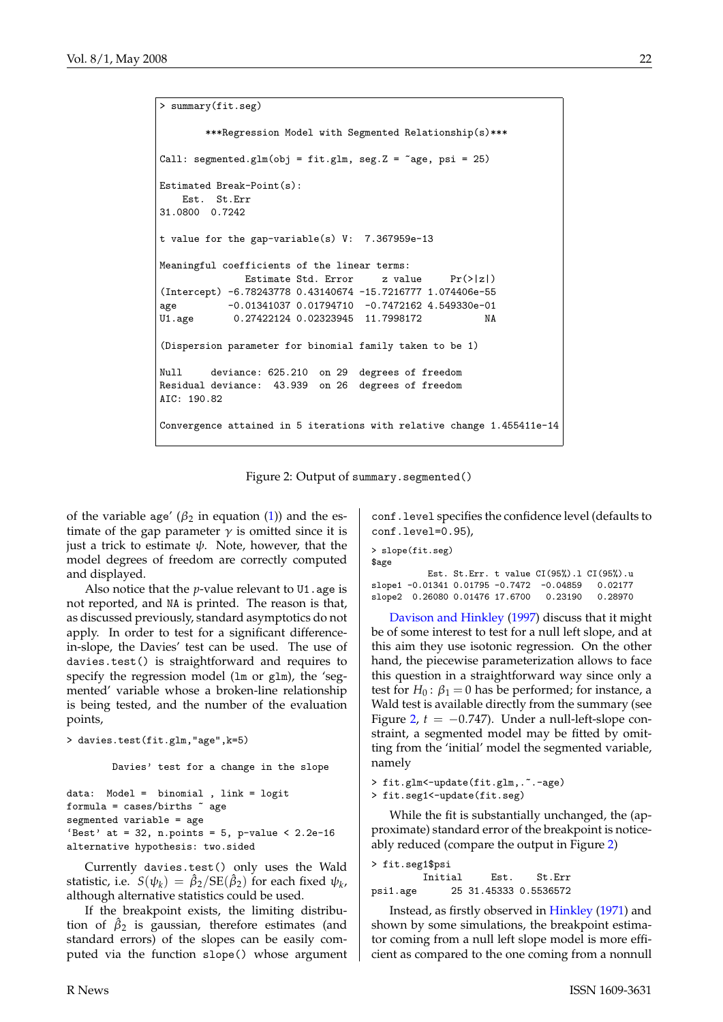```
> summary(fit.seg)
       ***Regression Model with Segmented Relationship(s)***
Call: segmented.glm(obj = fit.glm, seg.Z = \text{age}, psi = 25)
Estimated Break-Point(s):
   Est. St.Err
31.0800 0.7242
t value for the gap-variable(s) V: 7.367959e-13
Meaningful coefficients of the linear terms:
              Estimate Std. Error z value Pr(>|z|)(Intercept) -6.78243778 0.43140674 -15.7216777 1.074406e-55
age -0.01341037 0.01794710 -0.7472162 4.549330e-01
U1.age 0.27422124 0.02323945 11.7998172 NA
(Dispersion parameter for binomial family taken to be 1)
Null deviance: 625.210 on 29 degrees of freedom
Residual deviance: 43.939 on 26 degrees of freedom
AIC: 190.82
Convergence attained in 5 iterations with relative change 1.455411e-14
```
<span id="page-21-0"></span>Figure 2: Output of summary.segmented()

of the variable age' ( $\beta_2$  in equation [\(1\)](#page-19-1)) and the estimate of the gap parameter  $\gamma$  is omitted since it is just a trick to estimate  $\psi$ . Note, however, that the model degrees of freedom are correctly computed and displayed.

Also notice that the *p*-value relevant to U1.age is not reported, and NA is printed. The reason is that, as discussed previously, standard asymptotics do not apply. In order to test for a significant differencein-slope, the Davies' test can be used. The use of davies.test() is straightforward and requires to specify the regression model (lm or glm), the 'segmented' variable whose a broken-line relationship is being tested, and the number of the evaluation points,

```
> davies.test(fit.glm,"age",k=5)
```
Davies' test for a change in the slope

data: Model = binomial , link = logit formula =  $cases/births$   $\degree$  age segmented variable = age 'Best' at = 32, n.points = 5, p-value <  $2.2e-16$ alternative hypothesis: two.sided

Currently davies.test() only uses the Wald statistic, i.e.  $S(\psi_k) = \hat{\beta}_2 / \text{SE}(\hat{\beta}_2)$  for each fixed  $\psi_k$ , although alternative statistics could be used.

If the breakpoint exists, the limiting distribution of  $\hat{\beta}_2$  is gaussian, therefore estimates (and standard errors) of the slopes can be easily computed via the function slope() whose argument conf.level specifies the confidence level (defaults to conf.level=0.95),

> slope(fit.seg) \$age Est. St.Err. t value CI(95%).l CI(95%).u slope1 -0.01341 0.01795 -0.7472 -0.04859 0.02177<br>slope2 0.26080 0.01476 17.6700 0.23190 0.28970 slope2 0.26080 0.01476 17.6700 0.23190

[Davison and Hinkley](#page-24-6) [\(1997\)](#page-24-6) discuss that it might be of some interest to test for a null left slope, and at this aim they use isotonic regression. On the other hand, the piecewise parameterization allows to face this question in a straightforward way since only a test for  $H_0: \beta_1 = 0$  has be performed; for instance, a Wald test is available directly from the summary (see Figure [2,](#page-21-0)  $t = -0.747$ ). Under a null-left-slope constraint, a segmented model may be fitted by omitting from the 'initial' model the segmented variable, namely

```
> fit.glm<-update(fit.glm,.".-age)
```

```
> fit.seg1<-update(fit.seg)
```
While the fit is substantially unchanged, the (approximate) standard error of the breakpoint is noticeably reduced (compare the output in Figure [2\)](#page-21-0)

> fit.seg1\$psi Initial Est. St.Err psi1.age 25 31.45333 0.5536572

Instead, as firstly observed in [Hinkley](#page-24-2) [\(1971\)](#page-24-2) and shown by some simulations, the breakpoint estimator coming from a null left slope model is more efficient as compared to the one coming from a nonnull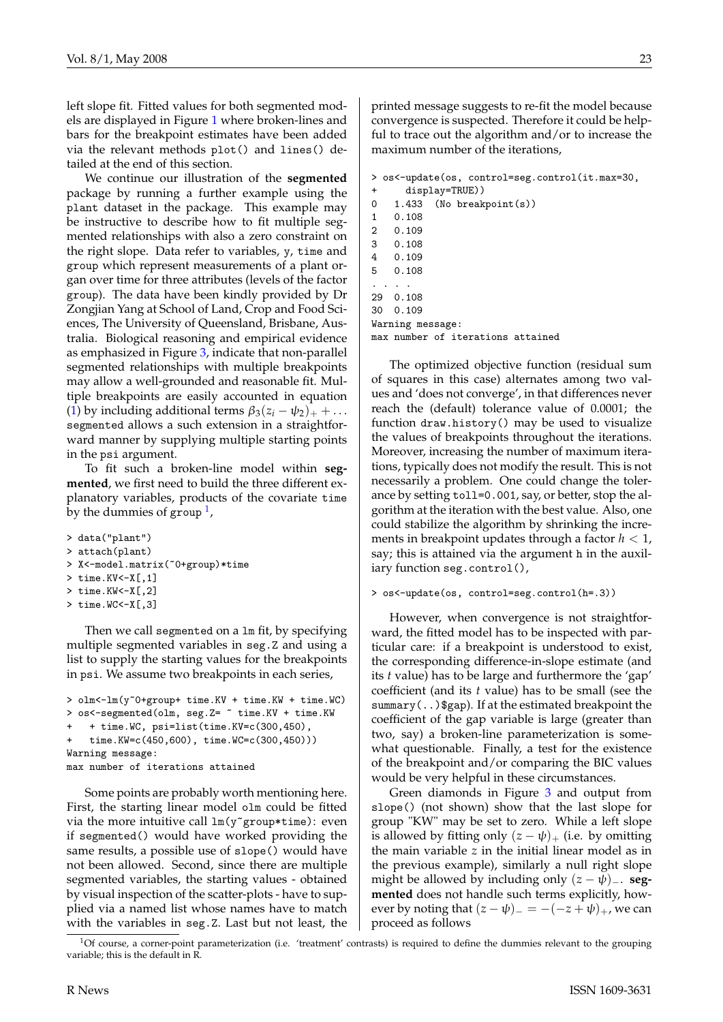left slope fit. Fitted values for both segmented models are displayed in Figure [1](#page-20-2) where broken-lines and bars for the breakpoint estimates have been added via the relevant methods plot() and lines() detailed at the end of this section.

We continue our illustration of the **segmented** package by running a further example using the plant dataset in the package. This example may be instructive to describe how to fit multiple segmented relationships with also a zero constraint on the right slope. Data refer to variables, y, time and group which represent measurements of a plant organ over time for three attributes (levels of the factor group). The data have been kindly provided by Dr Zongjian Yang at School of Land, Crop and Food Sciences, The University of Queensland, Brisbane, Australia. Biological reasoning and empirical evidence as emphasized in Figure [3,](#page-23-0) indicate that non-parallel segmented relationships with multiple breakpoints may allow a well-grounded and reasonable fit. Multiple breakpoints are easily accounted in equation [\(1\)](#page-19-1) by including additional terms  $\beta_3(z_i - \psi_2)_+ + \dots$ segmented allows a such extension in a straightforward manner by supplying multiple starting points in the psi argument.

To fit such a broken-line model within **segmented**, we first need to build the three different explanatory variables, products of the covariate time by the dummies of group  $^1$  $^1$ ,

```
> data("plant")
> attach(plant)
> X<-model.matrix(~0+group)*time
> time.KV <-X[,1]
> time.KW<-X[,2]
> time.WC<-X[,3]
```

```
Then we call segmented on a lm fit, by specifying
multiple segmented variables in seg.Z and using a
list to supply the starting values for the breakpoints
in psi. We assume two breakpoints in each series,
```

```
> olm<-lm(y~0+group+ time.KV + time.KW + time.WC)
> os<-segmented(olm, seg.Z= ~ time.KV + time.KW
   + time.WC, psi=list(time.KV=c(300,450),
   time.KW=c(450,600), time.WC=c(300,450)))Warning message:
max number of iterations attained
```
Some points are probably worth mentioning here. First, the starting linear model olm could be fitted via the more intuitive call  $lm(y<sup>*</sup>group * time)$ : even if segmented() would have worked providing the same results, a possible use of slope() would have not been allowed. Second, since there are multiple segmented variables, the starting values - obtained by visual inspection of the scatter-plots - have to supplied via a named list whose names have to match with the variables in seg.Z. Last but not least, the

printed message suggests to re-fit the model because convergence is suspected. Therefore it could be helpful to trace out the algorithm and/or to increase the maximum number of the iterations,

> os<-update(os, control=seg.control(it.max=30, display=TRUE)) 0 1.433 (No breakpoint(s)) 1 0.108 2 0.109 3 0.108 4 0.109 5 0.108 . . . . 29 0.108 30 0.109

Warning message: max number of iterations attained

The optimized objective function (residual sum of squares in this case) alternates among two values and 'does not converge', in that differences never reach the (default) tolerance value of 0.0001; the function draw.history() may be used to visualize the values of breakpoints throughout the iterations. Moreover, increasing the number of maximum iterations, typically does not modify the result. This is not necessarily a problem. One could change the tolerance by setting toll=0.001, say, or better, stop the algorithm at the iteration with the best value. Also, one could stabilize the algorithm by shrinking the increments in breakpoint updates through a factor *h* < 1, say; this is attained via the argument h in the auxiliary function seg.control(),

```
> os<-update(os, control=seg.control(h=.3))
```
However, when convergence is not straightforward, the fitted model has to be inspected with particular care: if a breakpoint is understood to exist, the corresponding difference-in-slope estimate (and its *t* value) has to be large and furthermore the 'gap' coefficient (and its *t* value) has to be small (see the summary(..)\$gap). If at the estimated breakpoint the coefficient of the gap variable is large (greater than two, say) a broken-line parameterization is somewhat questionable. Finally, a test for the existence of the breakpoint and/or comparing the BIC values would be very helpful in these circumstances.

Green diamonds in Figure [3](#page-23-0) and output from slope() (not shown) show that the last slope for group "KW" may be set to zero. While a left slope is allowed by fitting only  $(z - \psi)_+$  (i.e. by omitting the main variable *z* in the initial linear model as in the previous example), similarly a null right slope might be allowed by including only  $(z - \psi)$ <sub>-</sub>. **segmented** does not handle such terms explicitly, however by noting that  $(z - \psi)$ <sub>-</sub> =  $-(-z + \psi)$ <sub>+</sub>, we can proceed as follows

<span id="page-22-0"></span> ${}^{1}$ Of course, a corner-point parameterization (i.e. 'treatment' contrasts) is required to define the dummies relevant to the grouping variable; this is the default in R.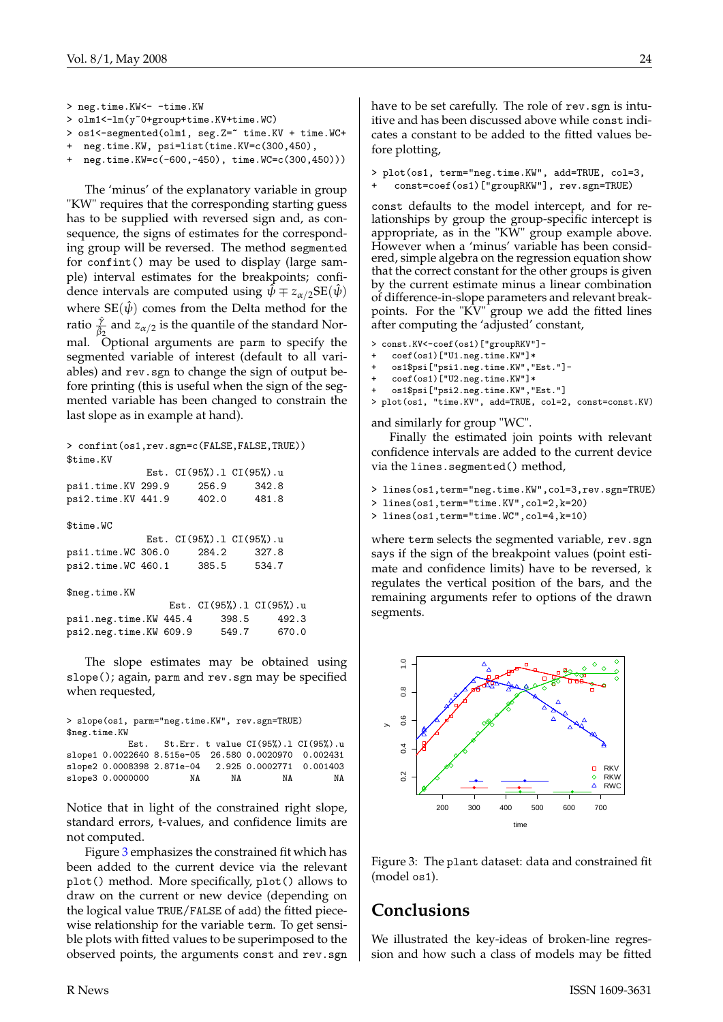```
> neg.time.KW<- -time.KW
> olm1<-lm(y~0+group+time.KV+time.WC)
> os1<-segmented(olm1, seg.Z=" time.KV + time.WC+
 + neg.time.KW, psi=list(time.KV=c(300,450),
```

```
neg.time.KW=c(-600,-450), time.WC=c(300,450)))
```
The 'minus' of the explanatory variable in group "KW" requires that the corresponding starting guess has to be supplied with reversed sign and, as consequence, the signs of estimates for the corresponding group will be reversed. The method segmented for confint() may be used to display (large sample) interval estimates for the breakpoints; confidence intervals are computed using  $\hat{\psi} \mp z_{\alpha/2}SE(\hat{\psi})$ where  $SE(\psi)$  comes from the Delta method for the ratio  $\frac{\hat{\gamma}}{\hat{\beta}_2}$  and  $z_{\alpha/2}$  is the quantile of the standard Normal. Optional arguments are parm to specify the segmented variable of interest (default to all variables) and rev.sgn to change the sign of output before printing (this is useful when the sign of the segmented variable has been changed to constrain the last slope as in example at hand).

```
> confint(os1,rev.sgn=c(FALSE,FALSE,TRUE))
$time.KV
             Est. CI(95%).l CI(95%).u
psi1.time.KV 299.9 256.9 342.8
psi2.time.KV 441.9 402.0 481.8
$time.WC
             Est. CI(95%).l CI(95%).u
psi1.time.WC 306.0 284.2 327.8<br>psi2.time.WC 460.1 385.5 534.7
psi2.time.WC 460.1 385.5 534.7
$neg.time.KW
                 Est. CI(95%).l CI(95%).u
psi1.neg.time.KW 445.4 398.5 492.3
psi2.neg.time.KW 609.9 549.7 670.0
```
The slope estimates may be obtained using slope(); again, parm and rev.sgn may be specified when requested,

```
> slope(os1, parm="neg.time.KW", rev.sgn=TRUE)
$neg.time.KW
          Est. St.Err. t value CI(95%).l CI(95%).u
slope1 0.0022640 8.515e-05 26.580 0.0020970 0.002431
slope2 0.0008398 2.871e-04 2.925 0.0002771 0.001403
slope3 0.0000000 NA NA NA NA
```
Notice that in light of the constrained right slope, standard errors, t-values, and confidence limits are not computed.

Figure [3](#page-23-0) emphasizes the constrained fit which has been added to the current device via the relevant plot() method. More specifically, plot() allows to draw on the current or new device (depending on the logical value TRUE/FALSE of add) the fitted piecewise relationship for the variable term. To get sensible plots with fitted values to be superimposed to the observed points, the arguments const and rev.sgn

have to be set carefully. The role of rev.sgn is intuitive and has been discussed above while const indicates a constant to be added to the fitted values before plotting,

```
> plot(os1, term="neg.time.KW", add=TRUE, col=3,
    const=coef(os1)["groupRKW"], rev.sgn=TRUE)
```
const defaults to the model intercept, and for relationships by group the group-specific intercept is appropriate, as in the "KW" group example above. However when a 'minus' variable has been considered, simple algebra on the regression equation show that the correct constant for the other groups is given by the current estimate minus a linear combination of difference-in-slope parameters and relevant breakpoints. For the "KV" group we add the fitted lines after computing the 'adjusted' constant,

```
> const.KV<-coef(os1)["groupRKV"]-
```
- coef(os1)["U1.neg.time.KW"]\*
- + os1\$psi["psi1.neg.time.KW","Est."]-
- + coef(os1)["U2.neg.time.KW"]\*
- + os1\$psi["psi2.neg.time.KW","Est."]

> plot(os1, "time.KV", add=TRUE, col=2, const=const.KV)

and similarly for group "WC".

Finally the estimated join points with relevant confidence intervals are added to the current device via the lines.segmented() method,

> lines(os1,term="neg.time.KW",col=3,rev.sgn=TRUE)

> lines(os1,term="time.KV",col=2,k=20)

> lines(os1,term="time.WC",col=4,k=10)

where term selects the segmented variable, rev.sgn says if the sign of the breakpoint values (point estimate and confidence limits) have to be reversed, k regulates the vertical position of the bars, and the remaining arguments refer to options of the drawn segments.



<span id="page-23-0"></span>Figure 3: The plant dataset: data and constrained fit (model os1).

# **Conclusions**

We illustrated the key-ideas of broken-line regression and how such a class of models may be fitted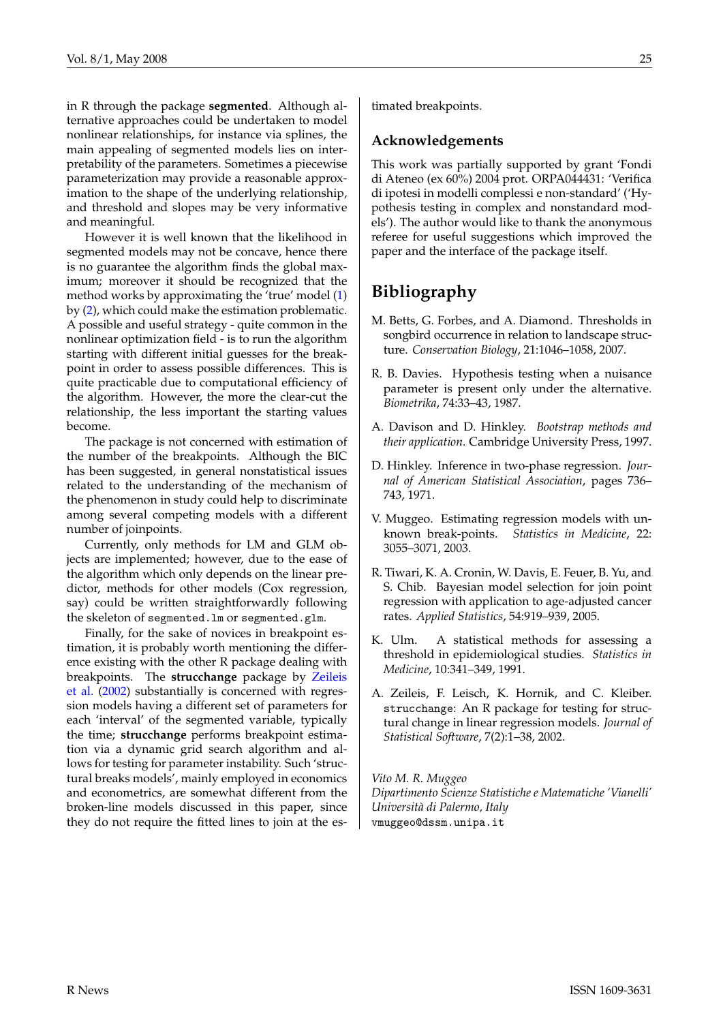in R through the package **segmented**. Although alternative approaches could be undertaken to model nonlinear relationships, for instance via splines, the main appealing of segmented models lies on interpretability of the parameters. Sometimes a piecewise parameterization may provide a reasonable approximation to the shape of the underlying relationship, and threshold and slopes may be very informative and meaningful.

However it is well known that the likelihood in segmented models may not be concave, hence there is no guarantee the algorithm finds the global maximum; moreover it should be recognized that the method works by approximating the 'true' model [\(1\)](#page-19-1) by [\(2\)](#page-19-2), which could make the estimation problematic. A possible and useful strategy - quite common in the nonlinear optimization field - is to run the algorithm starting with different initial guesses for the breakpoint in order to assess possible differences. This is quite practicable due to computational efficiency of the algorithm. However, the more the clear-cut the relationship, the less important the starting values become.

The package is not concerned with estimation of the number of the breakpoints. Although the BIC has been suggested, in general nonstatistical issues related to the understanding of the mechanism of the phenomenon in study could help to discriminate among several competing models with a different number of joinpoints.

Currently, only methods for LM and GLM objects are implemented; however, due to the ease of the algorithm which only depends on the linear predictor, methods for other models (Cox regression, say) could be written straightforwardly following the skeleton of segmented.lm or segmented.glm.

Finally, for the sake of novices in breakpoint estimation, it is probably worth mentioning the difference existing with the other R package dealing with breakpoints. The **strucchange** package by [Zeileis](#page-24-7) [et al.](#page-24-7) [\(2002\)](#page-24-7) substantially is concerned with regression models having a different set of parameters for each 'interval' of the segmented variable, typically the time; **strucchange** performs breakpoint estimation via a dynamic grid search algorithm and allows for testing for parameter instability. Such 'structural breaks models', mainly employed in economics and econometrics, are somewhat different from the broken-line models discussed in this paper, since they do not require the fitted lines to join at the estimated breakpoints.

## **Acknowledgements**

This work was partially supported by grant 'Fondi di Ateneo (ex 60%) 2004 prot. ORPA044431: 'Verifica di ipotesi in modelli complessi e non-standard' ('Hypothesis testing in complex and nonstandard models'). The author would like to thank the anonymous referee for useful suggestions which improved the paper and the interface of the package itself.

# **Bibliography**

- <span id="page-24-1"></span>M. Betts, G. Forbes, and A. Diamond. Thresholds in songbird occurrence in relation to landscape structure. *Conservation Biology*, 21:1046–1058, 2007.
- <span id="page-24-4"></span>R. B. Davies. Hypothesis testing when a nuisance parameter is present only under the alternative. *Biometrika*, 74:33–43, 1987.
- <span id="page-24-6"></span>A. Davison and D. Hinkley. *Bootstrap methods and their application*. Cambridge University Press, 1997.
- <span id="page-24-2"></span>D. Hinkley. Inference in two-phase regression. *Journal of American Statistical Association*, pages 736– 743, 1971.
- <span id="page-24-3"></span>V. Muggeo. Estimating regression models with unknown break-points. *Statistics in Medicine*, 22: 3055–3071, 2003.
- <span id="page-24-5"></span>R. Tiwari, K. A. Cronin, W. Davis, E. Feuer, B. Yu, and S. Chib. Bayesian model selection for join point regression with application to age-adjusted cancer rates. *Applied Statistics*, 54:919–939, 2005.
- <span id="page-24-0"></span>K. Ulm. A statistical methods for assessing a threshold in epidemiological studies. *Statistics in Medicine*, 10:341–349, 1991.
- <span id="page-24-7"></span>A. Zeileis, F. Leisch, K. Hornik, and C. Kleiber. strucchange: An R package for testing for structural change in linear regression models. *Journal of Statistical Software*, 7(2):1–38, 2002.

*Vito M. R. Muggeo Dipartimento Scienze Statistiche e Matematiche 'Vianelli' Università di Palermo, Italy* [vmuggeo@dssm.unipa.it](mailto:vmuggeo@dssm.unipa.it)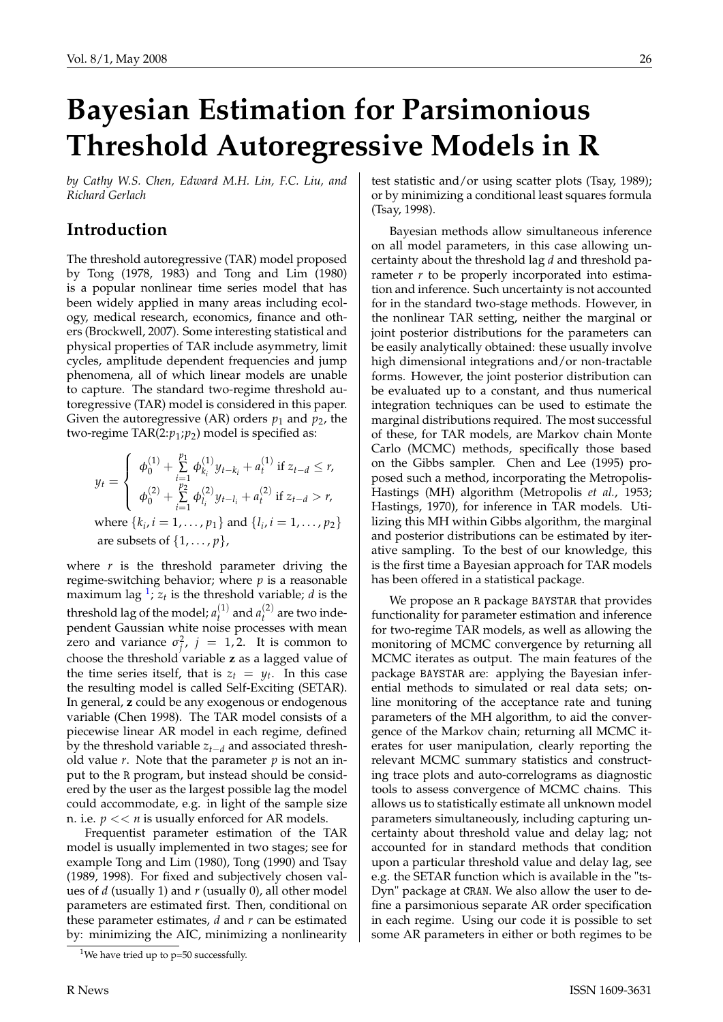# **Bayesian Estimation for Parsimonious Threshold Autoregressive Models in R**

<span id="page-25-0"></span>*by Cathy W.S. Chen, Edward M.H. Lin, F.C. Liu, and Richard Gerlach*

## **Introduction**

The threshold autoregressive (TAR) model proposed by Tong (1978, 1983) and Tong and Lim (1980) is a popular nonlinear time series model that has been widely applied in many areas including ecology, medical research, economics, finance and others (Brockwell, 2007). Some interesting statistical and physical properties of TAR include asymmetry, limit cycles, amplitude dependent frequencies and jump phenomena, all of which linear models are unable to capture. The standard two-regime threshold autoregressive (TAR) model is considered in this paper. Given the autoregressive (AR) orders  $p_1$  and  $p_2$ , the two-regime TAR(2: $p_1$ ; $p_2$ ) model is specified as:

$$
y_t = \begin{cases} \phi_0^{(1)} + \sum_{i=1}^{p_1} \phi_{k_i}^{(1)} y_{t-k_i} + a_t^{(1)} \text{ if } z_{t-d} \le r, \\ \phi_0^{(2)} + \sum_{i=1}^{p_2} \phi_{l_i}^{(2)} y_{t-l_i} + a_t^{(2)} \text{ if } z_{t-d} > r, \\ \text{where } \{k_i, i = 1, ..., p_1\} \text{ and } \{l_i, i = 1, ..., p_2\} \text{ are subsets of } \{1, ..., p\}, \end{cases}
$$

where  $r$  is the threshold parameter driving the regime-switching behavior; where *p* is a reasonable maximum lag  $^{1}$  $^{1}$  $^{1}$ ;  $z_{t}$  is the threshold variable; *d* is the threshold lag of the model;  $a_t^{(1)}$  $t_t^{(1)}$  and  $a_t^{(2)}$  $t^{(2)}$  are two independent Gaussian white noise processes with mean zero and variance  $\sigma_j^2$ ,  $j = 1, 2$ . It is common to choose the threshold variable **z** as a lagged value of the time series itself, that is  $z_t = y_t$ . In this case the resulting model is called Self-Exciting (SETAR). In general, **z** could be any exogenous or endogenous variable (Chen 1998). The TAR model consists of a piecewise linear AR model in each regime, defined by the threshold variable *zt*−*<sup>d</sup>* and associated threshold value *r*. Note that the parameter *p* is not an input to the R program, but instead should be considered by the user as the largest possible lag the model could accommodate, e.g. in light of the sample size n. i.e. *p* << *n* is usually enforced for AR models.

Frequentist parameter estimation of the TAR model is usually implemented in two stages; see for example Tong and Lim (1980), Tong (1990) and Tsay (1989, 1998). For fixed and subjectively chosen values of *d* (usually 1) and *r* (usually 0), all other model parameters are estimated first. Then, conditional on these parameter estimates, *d* and *r* can be estimated by: minimizing the AIC, minimizing a nonlinearity

test statistic and/or using scatter plots (Tsay, 1989); or by minimizing a conditional least squares formula (Tsay, 1998).

Bayesian methods allow simultaneous inference on all model parameters, in this case allowing uncertainty about the threshold lag *d* and threshold parameter *r* to be properly incorporated into estimation and inference. Such uncertainty is not accounted for in the standard two-stage methods. However, in the nonlinear TAR setting, neither the marginal or joint posterior distributions for the parameters can be easily analytically obtained: these usually involve high dimensional integrations and/or non-tractable forms. However, the joint posterior distribution can be evaluated up to a constant, and thus numerical integration techniques can be used to estimate the marginal distributions required. The most successful of these, for TAR models, are Markov chain Monte Carlo (MCMC) methods, specifically those based on the Gibbs sampler. Chen and Lee (1995) proposed such a method, incorporating the Metropolis-Hastings (MH) algorithm (Metropolis *et al.*, 1953; Hastings, 1970), for inference in TAR models. Utilizing this MH within Gibbs algorithm, the marginal and posterior distributions can be estimated by iterative sampling. To the best of our knowledge, this is the first time a Bayesian approach for TAR models has been offered in a statistical package.

We propose an R package BAYSTAR that provides functionality for parameter estimation and inference for two-regime TAR models, as well as allowing the monitoring of MCMC convergence by returning all MCMC iterates as output. The main features of the package BAYSTAR are: applying the Bayesian inferential methods to simulated or real data sets; online monitoring of the acceptance rate and tuning parameters of the MH algorithm, to aid the convergence of the Markov chain; returning all MCMC iterates for user manipulation, clearly reporting the relevant MCMC summary statistics and constructing trace plots and auto-correlograms as diagnostic tools to assess convergence of MCMC chains. This allows us to statistically estimate all unknown model parameters simultaneously, including capturing uncertainty about threshold value and delay lag; not accounted for in standard methods that condition upon a particular threshold value and delay lag, see e.g. the SETAR function which is available in the "ts-Dyn" package at CRAN. We also allow the user to define a parsimonious separate AR order specification in each regime. Using our code it is possible to set some AR parameters in either or both regimes to be

<span id="page-25-1"></span><sup>&</sup>lt;sup>1</sup>We have tried up to  $p=50$  successfully.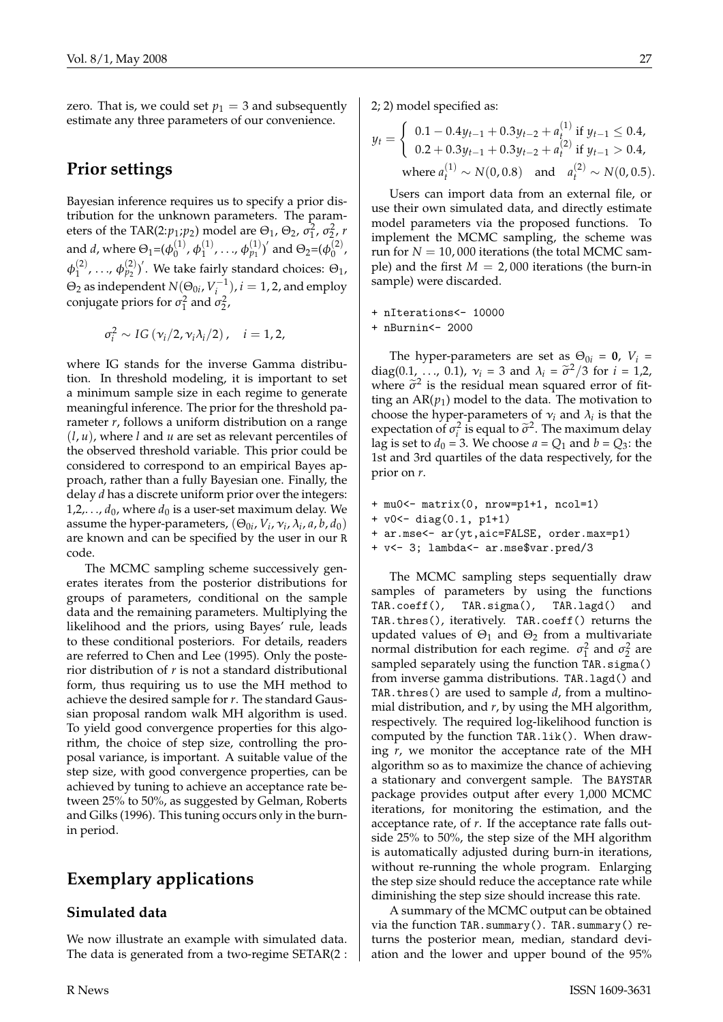zero. That is, we could set  $p_1 = 3$  and subsequently estimate any three parameters of our convenience.

# **Prior settings**

Bayesian inference requires us to specify a prior distribution for the unknown parameters. The parameters of the TAR(2: $p_1$ ; $p_2$ ) model are  $\Theta_1$ ,  $\Theta_2$ ,  $\sigma_1^2$ ,  $\sigma_2^2$ , *r* and *d*, where  $\Theta_1 = (\phi_0^{(1)})$  $\stackrel{(1)}{0}$ ,  $\phi_1^{(1)}$  $\phi_1^{(1)}, \ldots, \phi_{p_1}^{(1)})'$  and  $\Theta_2 = (\phi_0^{(2)})$  $\int_{0}^{(2)}$  $\phi_1^{(2)}$  $\phi_1^{(2)}, \ldots, \phi_{p_2}^{(2)}$ <sup>'</sup>. We take fairly standard choices:  $\Theta_1$ ,  $\Theta_2$  as independent  $N(\Theta_{0i}, V_i^{-1})$ ,  $i = 1, 2$ , and employ conjugate priors for  $\sigma_1^2$  and  $\sigma_2^2$ ,

$$
\sigma_i^2 \sim IG(\nu_i/2, \nu_i \lambda_i/2), \quad i = 1, 2,
$$

where IG stands for the inverse Gamma distribution. In threshold modeling, it is important to set a minimum sample size in each regime to generate meaningful inference. The prior for the threshold parameter *r*, follows a uniform distribution on a range (*l*, *u*), where *l* and *u* are set as relevant percentiles of the observed threshold variable. This prior could be considered to correspond to an empirical Bayes approach, rather than a fully Bayesian one. Finally, the delay *d* has a discrete uniform prior over the integers: 1,2,...,  $d_0$ , where  $d_0$  is a user-set maximum delay. We assume the hyper-parameters,  $(\Theta_{0i}, V_i, \gamma_i, \lambda_i, a, b, d_0)$ are known and can be specified by the user in our R code.

The MCMC sampling scheme successively generates iterates from the posterior distributions for groups of parameters, conditional on the sample data and the remaining parameters. Multiplying the likelihood and the priors, using Bayes' rule, leads to these conditional posteriors. For details, readers are referred to Chen and Lee (1995). Only the posterior distribution of *r* is not a standard distributional form, thus requiring us to use the MH method to achieve the desired sample for *r*. The standard Gaussian proposal random walk MH algorithm is used. To yield good convergence properties for this algorithm, the choice of step size, controlling the proposal variance, is important. A suitable value of the step size, with good convergence properties, can be achieved by tuning to achieve an acceptance rate between 25% to 50%, as suggested by Gelman, Roberts and Gilks (1996). This tuning occurs only in the burnin period.

## **Exemplary applications**

### **Simulated data**

We now illustrate an example with simulated data. The data is generated from a two-regime SETAR(2 :

$$
y_t = \begin{cases} 0.1 - 0.4y_{t-1} + 0.3y_{t-2} + a_t^{(1)} \text{ if } y_{t-1} \le 0.4, \\ 0.2 + 0.3y_{t-1} + 0.3y_{t-2} + a_t^{(2)} \text{ if } y_{t-1} > 0.4, \end{cases}
$$
  
where  $a_t^{(1)} \sim N(0, 0.8)$  and  $a_t^{(2)} \sim N(0, 0.5)$ .

Users can import data from an external file, or use their own simulated data, and directly estimate model parameters via the proposed functions. To implement the MCMC sampling, the scheme was run for  $N = 10,000$  iterations (the total MCMC sample) and the first  $M = 2,000$  iterations (the burn-in sample) were discarded.

```
+ nIterations<- 10000
+ nBurnin<- 2000
```
The hyper-parameters are set as  $\Theta_{0i} = \mathbf{0}$ ,  $V_i =$ diag(0.1, ..., 0.1),  $v_i = 3$  and  $\lambda_i = \tilde{\sigma}^2/3$  for  $i = 1,2$ ,<br>where  $\tilde{\sigma}^2$  is the residual mean squared error of fit where  $\tilde{\sigma}^2$  is the residual mean squared error of fit-<br>tips an AB(n) model to the data. The motivation to ting an  $AR(p_1)$  model to the data. The motivation to choose the hyper-parameters of  $v_i$  and  $\lambda_i$  is that the expectation of  $\sigma_i^2$  is equal to  $\tilde{\sigma}^2$ . The maximum delay<br>lag is set to  $d_2 = 3$ . We shoose  $a = Q_1$  and  $b = Q_2$ ; the lag is set to  $d_0 = 3$ . We choose  $a = Q_1$  and  $b = Q_3$ : the 1st and 3rd quartiles of the data respectively, for the prior on *r*.

+ mu0<- matrix(0, nrow=p1+1, ncol=1)

+ v0<- diag(0.1, p1+1)

+ ar.mse<- ar(yt,aic=FALSE, order.max=p1)

+ v<- 3; lambda<- ar.mse\$var.pred/3

The MCMC sampling steps sequentially draw samples of parameters by using the functions TAR.coeff(), TAR.sigma(), TAR.lagd() and TAR.thres(), iteratively. TAR.coeff() returns the updated values of  $\Theta_1$  and  $\Theta_2$  from a multivariate normal distribution for each regime.  $\sigma_1^2$  and  $\sigma_2^2$  are sampled separately using the function TAR.sigma() from inverse gamma distributions. TAR.lagd() and TAR.thres() are used to sample *d*, from a multinomial distribution, and *r*, by using the MH algorithm, respectively. The required log-likelihood function is computed by the function TAR.lik(). When drawing *r*, we monitor the acceptance rate of the MH algorithm so as to maximize the chance of achieving a stationary and convergent sample. The BAYSTAR package provides output after every 1,000 MCMC iterations, for monitoring the estimation, and the acceptance rate, of *r*. If the acceptance rate falls outside 25% to 50%, the step size of the MH algorithm is automatically adjusted during burn-in iterations, without re-running the whole program. Enlarging the step size should reduce the acceptance rate while diminishing the step size should increase this rate.

A summary of the MCMC output can be obtained via the function TAR.summary(). TAR.summary() returns the posterior mean, median, standard deviation and the lower and upper bound of the 95%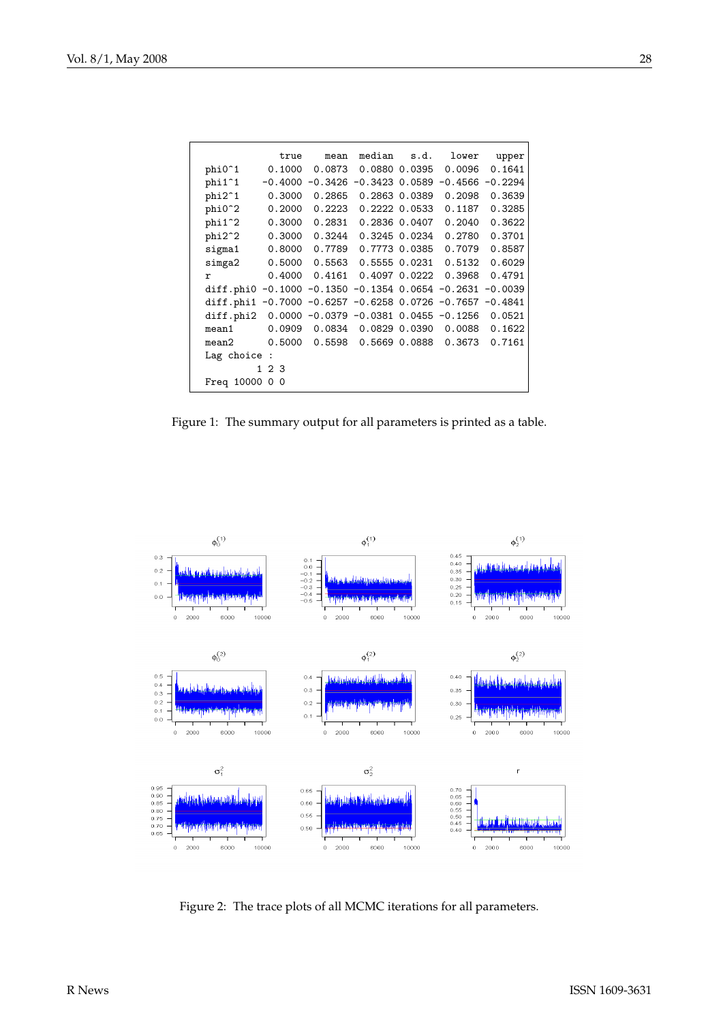|                                                          | true   | mean                                                 | median | s.d.            | lower              | upper  |
|----------------------------------------------------------|--------|------------------------------------------------------|--------|-----------------|--------------------|--------|
| phi0^1                                                   | 0.1000 | 0.0873                                               |        | 0.0880 0.0395   | 0.0096             | 0.1641 |
| phi1 <sup>-1</sup>                                       |        | $-0.4000 - 0.3426 - 0.34230.0589$                    |        |                 | $-0.4566 - 0.2294$ |        |
| phi2 <sup>-1</sup>                                       | 0.3000 | 0.2865                                               |        | 0.2863 0.0389   | 0.2098             | 0.3639 |
| phi0 <sup>-2</sup>                                       | 0.2000 | 0.2223                                               |        | 0.2222 0.0533   | 0.1187             | 0.3285 |
| phi1 <sup>-2</sup>                                       | 0.3000 | 0.2831                                               |        | 0.2836 0.0407   | 0.2040             | 0.3622 |
| phi2 <sup>-2</sup>                                       | 0.3000 | 0.3244                                               |        | $0.3245$ 0.0234 | 0.2780             | 0.3701 |
| sigma1                                                   | 0.8000 | 0.7789                                               |        | 0.7773 0.0385   | 0.7079             | 0.8587 |
| simga2                                                   | 0.5000 | 0.5563                                               |        | 0.5555 0.0231   | 0.5132             | 0.6029 |
| r                                                        | 0.4000 | 0.4161                                               |        | 0.4097 0.0222   | 0.3968             | 0.4791 |
| diff.phi0 -0.1000 -0.1350 -0.1354 0.0654 -0.2631 -0.0039 |        |                                                      |        |                 |                    |        |
| diff.phi1                                                |        | $-0.7000 - 0.6257 - 0.6258 0.0726 - 0.7657 - 0.4841$ |        |                 |                    |        |
| diff.phi2                                                |        | $0.0000 - 0.0379 - 0.0381 0.0455 - 0.1256$           |        |                 |                    | 0.0521 |
| mean <sub>1</sub>                                        | 0.0909 | 0.0834                                               |        | 0.0829 0.0390   | 0.0088             | 0.1622 |
| mean2                                                    | 0.5000 | 0.5598                                               |        | 0.5669 0.0888   | 0.3673             | 0.7161 |
| Lag choice :                                             |        |                                                      |        |                 |                    |        |
|                                                          | 1 2 3  |                                                      |        |                 |                    |        |
| Freq 10000 0 0                                           |        |                                                      |        |                 |                    |        |

<span id="page-27-0"></span>Figure 1: The summary output for all parameters is printed as a table.



<span id="page-27-1"></span>Figure 2: The trace plots of all MCMC iterations for all parameters.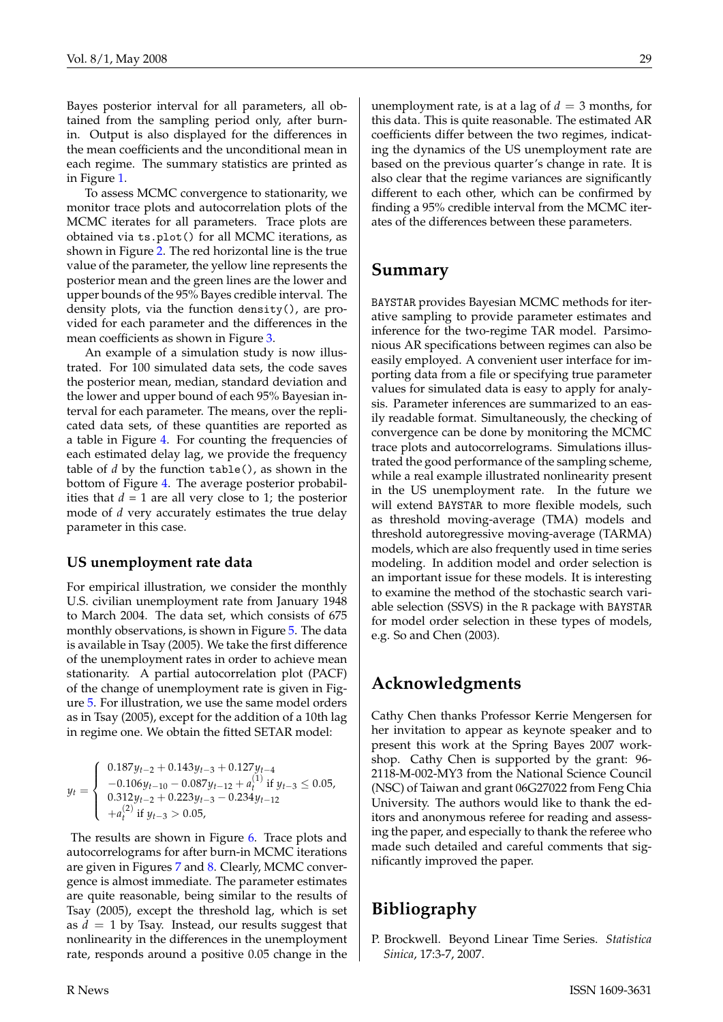Bayes posterior interval for all parameters, all obtained from the sampling period only, after burnin. Output is also displayed for the differences in the mean coefficients and the unconditional mean in each regime. The summary statistics are printed as in Figure [1.](#page-27-0)

To assess MCMC convergence to stationarity, we monitor trace plots and autocorrelation plots of the MCMC iterates for all parameters. Trace plots are obtained via ts.plot() for all MCMC iterations, as shown in Figure [2.](#page-27-1) The red horizontal line is the true value of the parameter, the yellow line represents the posterior mean and the green lines are the lower and upper bounds of the 95% Bayes credible interval. The density plots, via the function density(), are provided for each parameter and the differences in the mean coefficients as shown in Figure [3.](#page-29-0)

An example of a simulation study is now illustrated. For 100 simulated data sets, the code saves the posterior mean, median, standard deviation and the lower and upper bound of each 95% Bayesian interval for each parameter. The means, over the replicated data sets, of these quantities are reported as a table in Figure [4.](#page-29-1) For counting the frequencies of each estimated delay lag, we provide the frequency table of *d* by the function table(), as shown in the bottom of Figure [4.](#page-29-1) The average posterior probabilities that  $d = 1$  are all very close to 1; the posterior mode of *d* very accurately estimates the true delay parameter in this case.

### **US unemployment rate data**

For empirical illustration, we consider the monthly U.S. civilian unemployment rate from January 1948 to March 2004. The data set, which consists of 675 monthly observations, is shown in Figure [5.](#page-30-0) The data is available in Tsay (2005). We take the first difference of the unemployment rates in order to achieve mean stationarity. A partial autocorrelation plot (PACF) of the change of unemployment rate is given in Figure [5.](#page-30-0) For illustration, we use the same model orders as in Tsay (2005), except for the addition of a 10th lag in regime one. We obtain the fitted SETAR model:

$$
y_t = \begin{cases} 0.187y_{t-2} + 0.143y_{t-3} + 0.127y_{t-4} \\ -0.106y_{t-10} - 0.087y_{t-12} + a_t^{(1)} \text{ if } y_{t-3} \le 0.05, \\ 0.312y_{t-2} + 0.223y_{t-3} - 0.234y_{t-12} \\ +a_t^{(2)} \text{ if } y_{t-3} > 0.05, \end{cases}
$$

The results are shown in Figure [6.](#page-30-1) Trace plots and autocorrelograms for after burn-in MCMC iterations are given in Figures [7](#page-31-0) and [8.](#page-31-1) Clearly, MCMC convergence is almost immediate. The parameter estimates are quite reasonable, being similar to the results of Tsay (2005), except the threshold lag, which is set as  $d = 1$  by Tsay. Instead, our results suggest that nonlinearity in the differences in the unemployment rate, responds around a positive 0.05 change in the unemployment rate, is at a lag of  $d = 3$  months, for this data. This is quite reasonable. The estimated AR coefficients differ between the two regimes, indicating the dynamics of the US unemployment rate are based on the previous quarter's change in rate. It is also clear that the regime variances are significantly different to each other, which can be confirmed by finding a 95% credible interval from the MCMC iterates of the differences between these parameters.

## **Summary**

BAYSTAR provides Bayesian MCMC methods for iterative sampling to provide parameter estimates and inference for the two-regime TAR model. Parsimonious AR specifications between regimes can also be easily employed. A convenient user interface for importing data from a file or specifying true parameter values for simulated data is easy to apply for analysis. Parameter inferences are summarized to an easily readable format. Simultaneously, the checking of convergence can be done by monitoring the MCMC trace plots and autocorrelograms. Simulations illustrated the good performance of the sampling scheme, while a real example illustrated nonlinearity present in the US unemployment rate. In the future we will extend BAYSTAR to more flexible models, such as threshold moving-average (TMA) models and threshold autoregressive moving-average (TARMA) models, which are also frequently used in time series modeling. In addition model and order selection is an important issue for these models. It is interesting to examine the method of the stochastic search variable selection (SSVS) in the R package with BAYSTAR for model order selection in these types of models, e.g. So and Chen (2003).

## **Acknowledgments**

Cathy Chen thanks Professor Kerrie Mengersen for her invitation to appear as keynote speaker and to present this work at the Spring Bayes 2007 workshop. Cathy Chen is supported by the grant: 96- 2118-M-002-MY3 from the National Science Council (NSC) of Taiwan and grant 06G27022 from Feng Chia University. The authors would like to thank the editors and anonymous referee for reading and assessing the paper, and especially to thank the referee who made such detailed and careful comments that significantly improved the paper.

# **Bibliography**

P. Brockwell. Beyond Linear Time Series. *Statistica Sinica*, 17:3-7, 2007.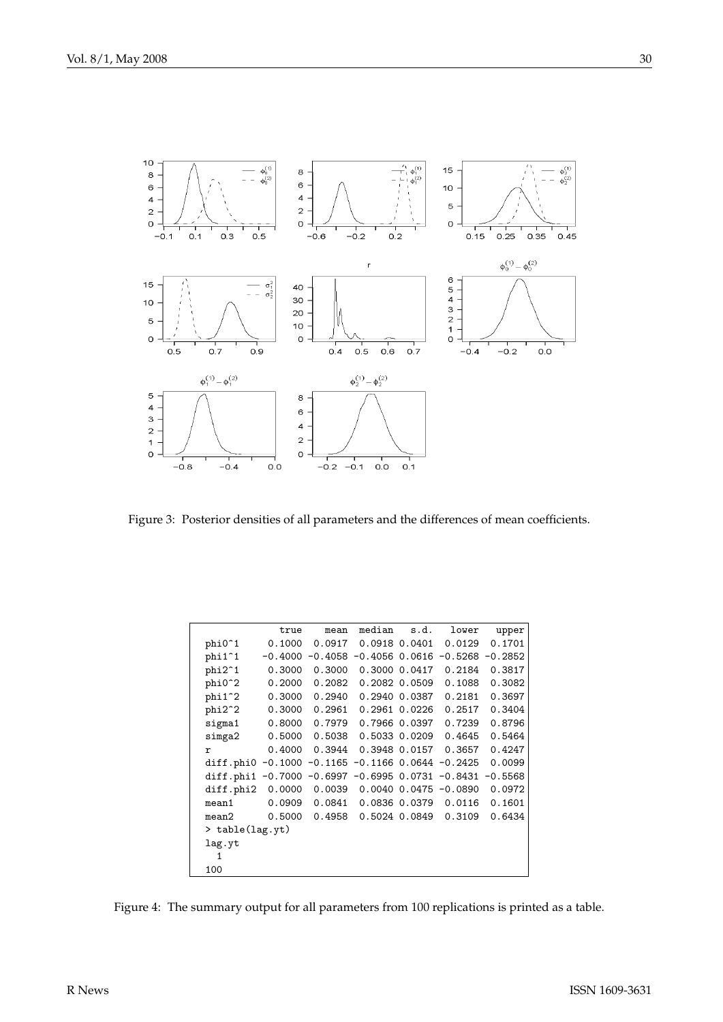

<span id="page-29-0"></span>Figure 3: Posterior densities of all parameters and the differences of mean coefficients.

|                    | true      | mean            | median                                   | s.d.                                                                                                          | lower                                                            | upper                                                                                                                                                                                                                                                                                                                 |
|--------------------|-----------|-----------------|------------------------------------------|---------------------------------------------------------------------------------------------------------------|------------------------------------------------------------------|-----------------------------------------------------------------------------------------------------------------------------------------------------------------------------------------------------------------------------------------------------------------------------------------------------------------------|
| phi0 <sup>-1</sup> | 0.1000    |                 |                                          |                                                                                                               | 0.0129                                                           | 0.1701                                                                                                                                                                                                                                                                                                                |
| phi1 <sup>-1</sup> | $-0.4000$ |                 |                                          |                                                                                                               |                                                                  | $-0.5268 - 0.2852$                                                                                                                                                                                                                                                                                                    |
| phi2 <sup>-1</sup> | 0.3000    | 0.3000          |                                          |                                                                                                               | 0.2184                                                           | 0.3817                                                                                                                                                                                                                                                                                                                |
| phi0 <sup>-2</sup> | 0.2000    |                 |                                          |                                                                                                               |                                                                  | 0.3082                                                                                                                                                                                                                                                                                                                |
| phi1 <sup>-2</sup> | 0.3000    |                 |                                          |                                                                                                               |                                                                  | 0.3697                                                                                                                                                                                                                                                                                                                |
| phi2 <sup>-2</sup> | 0.3000    |                 |                                          |                                                                                                               |                                                                  | 0.3404                                                                                                                                                                                                                                                                                                                |
| sigma1             | 0.8000    |                 |                                          |                                                                                                               |                                                                  | 0.8796                                                                                                                                                                                                                                                                                                                |
| simga2             | 0.5000    |                 |                                          |                                                                                                               |                                                                  | 0.5464                                                                                                                                                                                                                                                                                                                |
| r                  | 0.4000    |                 |                                          |                                                                                                               | 0.3657                                                           | 0.4247                                                                                                                                                                                                                                                                                                                |
|                    |           |                 |                                          |                                                                                                               |                                                                  | 0.0099                                                                                                                                                                                                                                                                                                                |
| diff.phi1          |           |                 |                                          |                                                                                                               |                                                                  |                                                                                                                                                                                                                                                                                                                       |
| diff.phi2          | 0.0000    |                 |                                          |                                                                                                               |                                                                  | 0.0972                                                                                                                                                                                                                                                                                                                |
| mean1              |           |                 |                                          |                                                                                                               |                                                                  | 0.1601                                                                                                                                                                                                                                                                                                                |
| mean2              |           |                 |                                          |                                                                                                               |                                                                  | 0.6434                                                                                                                                                                                                                                                                                                                |
|                    |           |                 |                                          |                                                                                                               |                                                                  |                                                                                                                                                                                                                                                                                                                       |
| lag.yt             |           |                 |                                          |                                                                                                               |                                                                  |                                                                                                                                                                                                                                                                                                                       |
| 1                  |           |                 |                                          |                                                                                                               |                                                                  |                                                                                                                                                                                                                                                                                                                       |
| 100                |           |                 |                                          |                                                                                                               |                                                                  |                                                                                                                                                                                                                                                                                                                       |
|                    |           | > table(lag.yt) | diff.phi $0 -0.1000$<br>0.0909<br>0.5000 | 0.0917<br>$-0.4058$<br>0.2082<br>0.2940<br>0.2961<br>0.7979<br>0.5038<br>0.3944<br>0.0039<br>0.0841<br>0.4958 | 0.3000 0.0417<br>0.2082 0.0509<br>0.2940 0.0387<br>0.0836 0.0379 | 0.0918 0.0401<br>$-0.4056$ 0.0616<br>0.1088<br>0.2181<br>0.2961 0.0226<br>0.2517<br>0.7239<br>0.7966 0.0397<br>0.5033 0.0209<br>0.4645<br>0.3948 0.0157<br>$-0.1165 - 0.1166 0.0644 - 0.2425$<br>$-0.7000 - 0.6997 - 0.6995 0.0731 - 0.8431 - 0.5568$<br>$0.0040$ 0.0475 -0.0890<br>0.0116<br>0.3109<br>0.5024 0.0849 |

<span id="page-29-1"></span>Figure 4: The summary output for all parameters from 100 replications is printed as a table.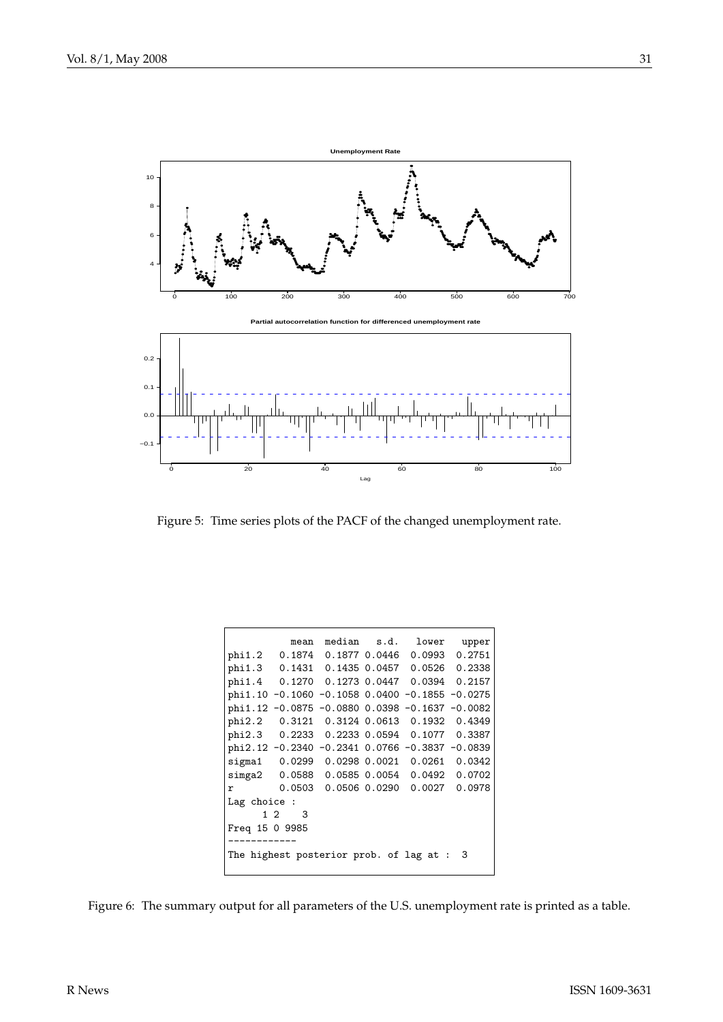

<span id="page-30-0"></span>Figure 5: Time series plots of the PACF of the changed unemployment rate.

|                                                | mean        |                                                | median s.d.   | lower   | upper              |  |  |
|------------------------------------------------|-------------|------------------------------------------------|---------------|---------|--------------------|--|--|
| phi1.2                                         | 0.1874      |                                                | 0.1877 0.0446 | 0.0993  | 0.2751             |  |  |
| phi1.3                                         | 0.1431      |                                                | 0.1435 0.0457 | 0.0526  | 0.2338             |  |  |
| phi1.4                                         | 0.1270      |                                                | 0.1273 0.0447 | 0.0394  | 0.2157             |  |  |
|                                                |             | $phi1.10 -0.1060 -0.1058 0.0400$               |               |         | $-0.1855 - 0.0275$ |  |  |
| phi1.12                                        |             | $-0.0875 -0.0880 0.0398$                       |               | -0.1637 | $-0.0082$          |  |  |
| phi2.2                                         | 0.3121      |                                                | 0.3124 0.0613 | 0.1932  | 0.4349             |  |  |
| phi2.3                                         | 0.2233      |                                                | 0.2233 0.0594 | 0.1077  | 0.3387             |  |  |
|                                                |             | phi2.12 -0.2340 -0.2341 0.0766 -0.3837 -0.0839 |               |         |                    |  |  |
| sigma1                                         | 0.0299      |                                                | 0.0298 0.0021 | 0.0261  | 0.0342             |  |  |
| $s$ imga $2$                                   | 0.0588      |                                                | 0.0585 0.0054 | 0.0492  | 0.0702             |  |  |
| r                                              | 0.0503      |                                                | 0.0506 0.0290 | 0.0027  | 0.0978             |  |  |
| Lag choice :                                   |             |                                                |               |         |                    |  |  |
|                                                | $1\,2$<br>3 |                                                |               |         |                    |  |  |
| Freq 15 0 9985                                 |             |                                                |               |         |                    |  |  |
|                                                |             |                                                |               |         |                    |  |  |
| The highest posterior prob. of lag at :<br>- 3 |             |                                                |               |         |                    |  |  |
|                                                |             |                                                |               |         |                    |  |  |

<span id="page-30-1"></span>Figure 6: The summary output for all parameters of the U.S. unemployment rate is printed as a table.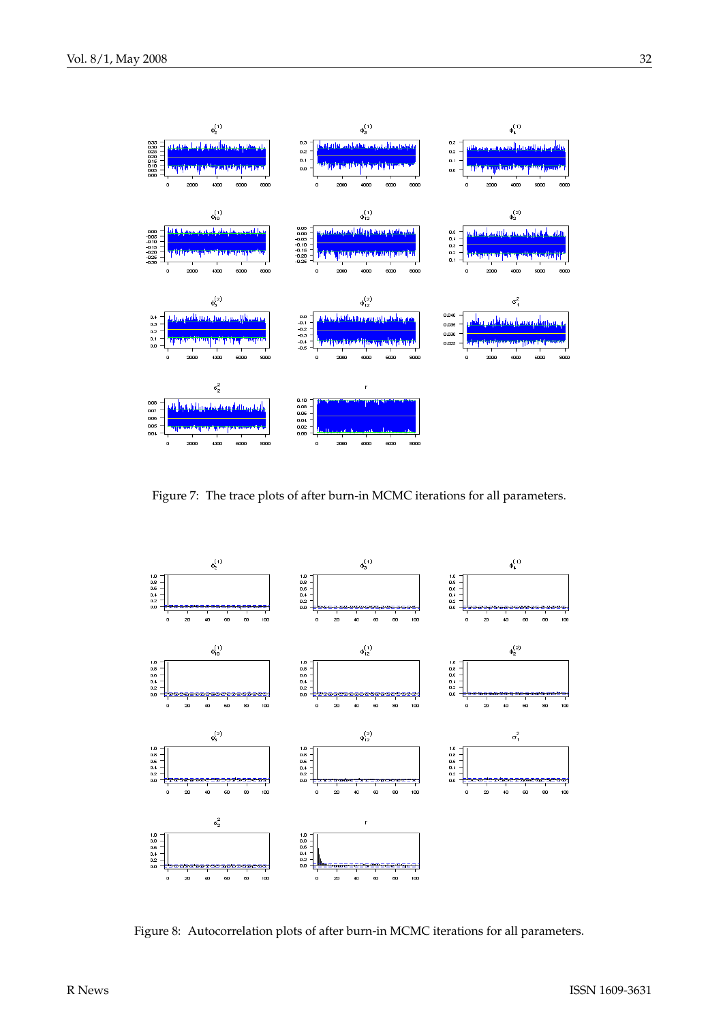

<span id="page-31-0"></span>Figure 7: The trace plots of after burn-in MCMC iterations for all parameters.



<span id="page-31-1"></span>Figure 8: Autocorrelation plots of after burn-in MCMC iterations for all parameters.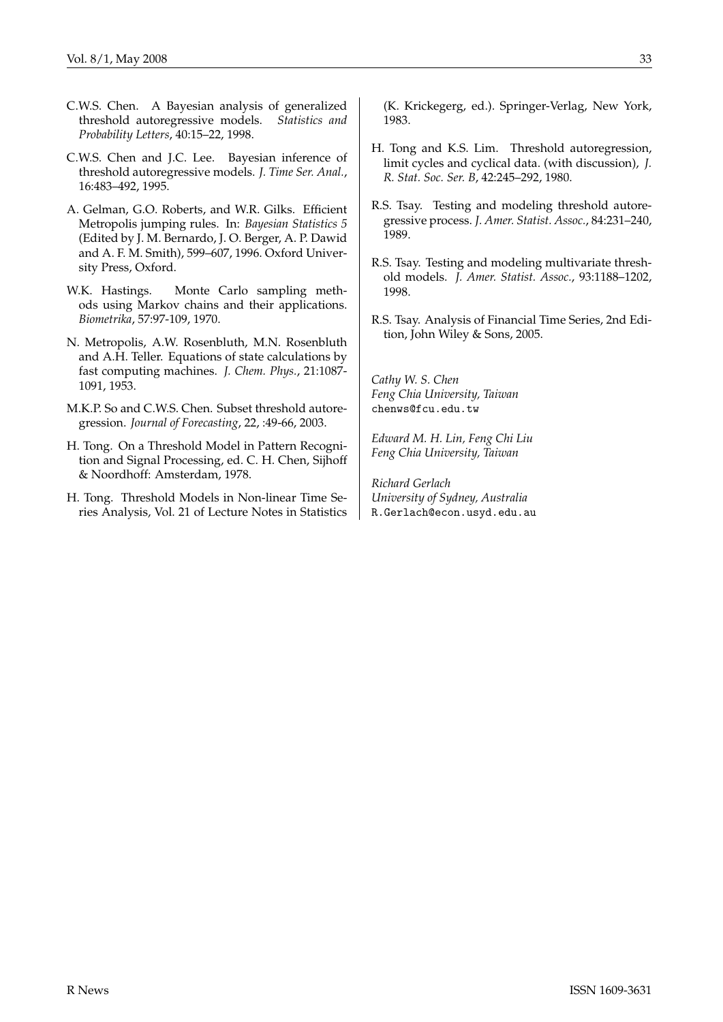- C.W.S. Chen. A Bayesian analysis of generalized threshold autoregressive models. *Statistics and*
- *Probability Letters*, 40:15–22, 1998.
- C.W.S. Chen and J.C. Lee. Bayesian inference of threshold autoregressive models. *J. Time Ser. Anal.*, 16:483–492, 1995.
- A. Gelman, G.O. Roberts, and W.R. Gilks. Efficient Metropolis jumping rules. In: *Bayesian Statistics 5* (Edited by J. M. Bernardo, J. O. Berger, A. P. Dawid and A. F. M. Smith), 599–607, 1996. Oxford University Press, Oxford.
- W.K. Hastings. Monte Carlo sampling methods using Markov chains and their applications. *Biometrika*, 57:97-109, 1970.
- N. Metropolis, A.W. Rosenbluth, M.N. Rosenbluth and A.H. Teller. Equations of state calculations by fast computing machines. *J. Chem. Phys.*, 21:1087- 1091, 1953.
- M.K.P. So and C.W.S. Chen. Subset threshold autoregression. *Journal of Forecasting*, 22, :49-66, 2003.
- H. Tong. On a Threshold Model in Pattern Recognition and Signal Processing, ed. C. H. Chen, Sijhoff & Noordhoff: Amsterdam, 1978.
- H. Tong. Threshold Models in Non-linear Time Series Analysis, Vol. 21 of Lecture Notes in Statistics

(K. Krickegerg, ed.). Springer-Verlag, New York, 1983.

- H. Tong and K.S. Lim. Threshold autoregression, limit cycles and cyclical data. (with discussion), *J. R. Stat. Soc. Ser. B*, 42:245–292, 1980.
- R.S. Tsay. Testing and modeling threshold autoregressive process. *J. Amer. Statist. Assoc.*, 84:231–240, 1989.
- R.S. Tsay. Testing and modeling multivariate threshold models. *J. Amer. Statist. Assoc.*, 93:1188–1202, 1998.
- R.S. Tsay. Analysis of Financial Time Series, 2nd Edition, John Wiley & Sons, 2005.

*Cathy W. S. Chen Feng Chia University, Taiwan* [chenws@fcu.edu.tw](mailto:chenws@fcu.edu.tw )

*Edward M. H. Lin, Feng Chi Liu Feng Chia University, Taiwan*

*Richard Gerlach University of Sydney, Australia* [R.Gerlach@econ.usyd.edu.au](mailto:R.Gerlach@econ.usyd.edu.au)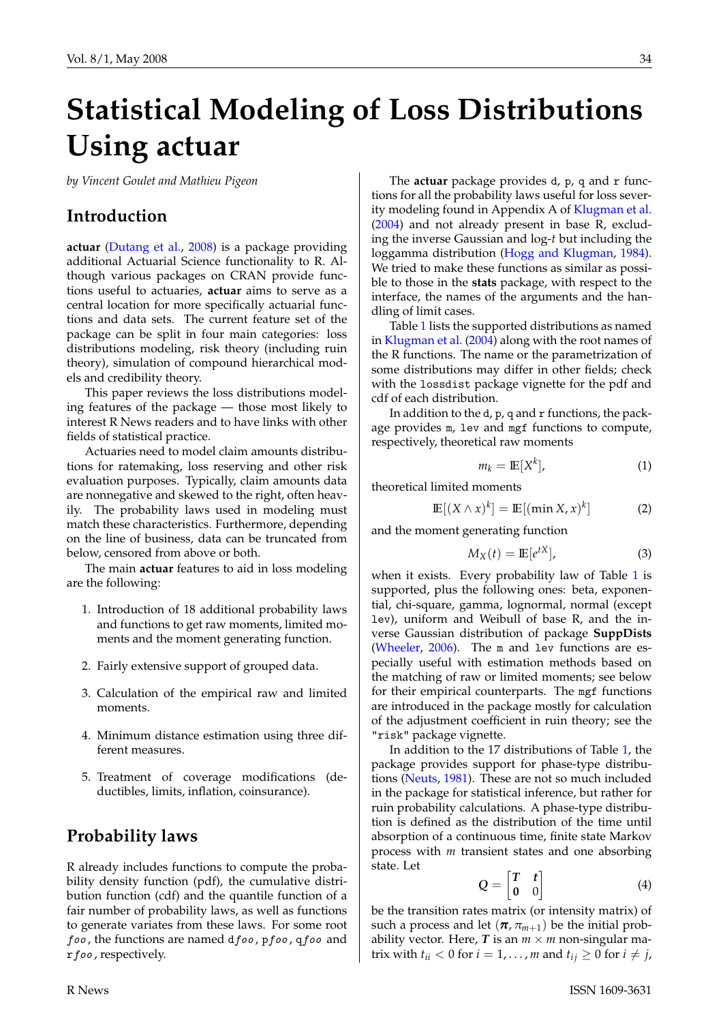# **Statistical Modeling of Loss Distributions Using actuar**

<span id="page-33-0"></span>*by Vincent Goulet and Mathieu Pigeon*

# **Introduction**

**actuar** [\(Dutang et al.,](#page-38-0) [2008\)](#page-38-0) is a package providing additional Actuarial Science functionality to R. Although various packages on CRAN provide functions useful to actuaries, **actuar** aims to serve as a central location for more specifically actuarial functions and data sets. The current feature set of the package can be split in four main categories: loss distributions modeling, risk theory (including ruin theory), simulation of compound hierarchical models and credibility theory.

This paper reviews the loss distributions modeling features of the package — those most likely to interest R News readers and to have links with other fields of statistical practice.

Actuaries need to model claim amounts distributions for ratemaking, loss reserving and other risk evaluation purposes. Typically, claim amounts data are nonnegative and skewed to the right, often heavily. The probability laws used in modeling must match these characteristics. Furthermore, depending on the line of business, data can be truncated from below, censored from above or both.

The main **actuar** features to aid in loss modeling are the following:

- 1. Introduction of 18 additional probability laws and functions to get raw moments, limited moments and the moment generating function.
- 2. Fairly extensive support of grouped data.
- 3. Calculation of the empirical raw and limited moments.
- 4. Minimum distance estimation using three different measures.
- 5. Treatment of coverage modifications (deductibles, limits, inflation, coinsurance).

# **Probability laws**

R already includes functions to compute the probability density function (pdf), the cumulative distribution function (cdf) and the quantile function of a fair number of probability laws, as well as functions to generate variates from these laws. For some root foo, the functions are named dfoo, pfoo, qfoo and rfoo , respectively.

The **actuar** package provides d, p, q and r functions for all the probability laws useful for loss severity modeling found in Appendix A of [Klugman et al.](#page-39-0) [\(2004\)](#page-39-0) and not already present in base R, excluding the inverse Gaussian and log-*t* but including the loggamma distribution [\(Hogg and Klugman,](#page-38-1) [1984\)](#page-38-1). We tried to make these functions as similar as possible to those in the **stats** package, with respect to the interface, the names of the arguments and the handling of limit cases.

Table [1](#page-34-0) lists the supported distributions as named in [Klugman et al.](#page-39-0) [\(2004\)](#page-39-0) along with the root names of the R functions. The name or the parametrization of some distributions may differ in other fields; check with the lossdist package vignette for the pdf and cdf of each distribution.

In addition to the  $d$ ,  $p$ ,  $q$  and  $r$  functions, the package provides m, lev and mgf functions to compute, respectively, theoretical raw moments

$$
m_k = \mathop{\mathrm{I\!E}}[X^k],\tag{1}
$$

theoretical limited moments

$$
\mathbb{E}[(X \wedge x)^k] = \mathbb{E}[(\min X, x)^k]
$$
 (2)

and the moment generating function

$$
M_X(t) = \mathbb{E}[e^{tX}], \tag{3}
$$

when it exists. Every probability law of Table [1](#page-34-0) is supported, plus the following ones: beta, exponential, chi-square, gamma, lognormal, normal (except lev), uniform and Weibull of base R, and the inverse Gaussian distribution of package **SuppDists** [\(Wheeler,](#page-39-1) [2006\)](#page-39-1). The m and lev functions are especially useful with estimation methods based on the matching of raw or limited moments; see below for their empirical counterparts. The mgf functions are introduced in the package mostly for calculation of the adjustment coefficient in ruin theory; see the "risk" package vignette.

In addition to the 17 distributions of Table [1,](#page-34-0) the package provides support for phase-type distributions [\(Neuts,](#page-39-2) [1981\)](#page-39-2). These are not so much included in the package for statistical inference, but rather for ruin probability calculations. A phase-type distribution is defined as the distribution of the time until absorption of a continuous time, finite state Markov process with *m* transient states and one absorbing state. Let

$$
Q = \begin{bmatrix} T & t \\ 0 & 0 \end{bmatrix} \tag{4}
$$

be the transition rates matrix (or intensity matrix) of such a process and let  $(\pi, \pi_{m+1})$  be the initial probability vector. Here,  $T$  is an  $m \times m$  non-singular matrix with  $t_{ii} < 0$  for  $i = 1, \ldots, m$  and  $t_{ij} \ge 0$  for  $i \ne j$ ,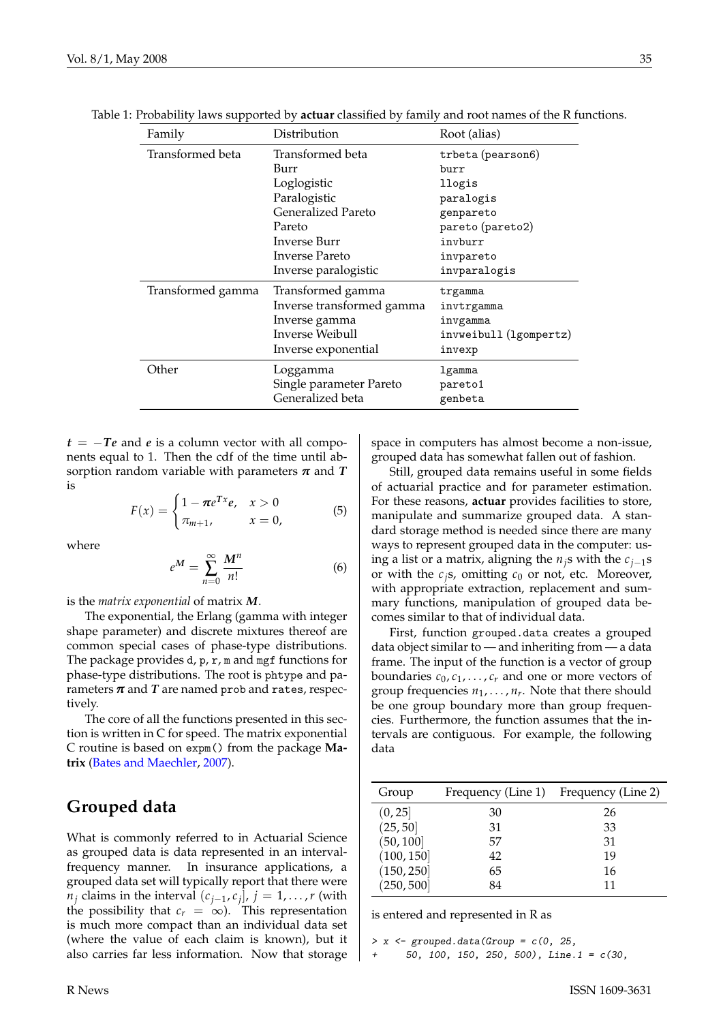<span id="page-34-0"></span>

| Family            | Distribution                                                                                                                                             | Root (alias)                                                                                                              |
|-------------------|----------------------------------------------------------------------------------------------------------------------------------------------------------|---------------------------------------------------------------------------------------------------------------------------|
| Transformed beta  | Transformed beta<br>Burr<br>Loglogistic<br>Paralogistic<br>Generalized Pareto<br>Pareto<br><b>Inverse Burr</b><br>Inverse Pareto<br>Inverse paralogistic | trbeta (pearson6)<br>burr<br>llogis<br>paralogis<br>genpareto<br>pareto (pareto2)<br>invburr<br>invpareto<br>invparalogis |
| Transformed gamma | Transformed gamma<br>Inverse transformed gamma<br>Inverse gamma<br><b>Inverse Weibull</b><br>Inverse exponential                                         | trgamma<br>invtrgamma<br>invgamma<br>invweibull (1gompertz)<br>invexp                                                     |
| Other             | Loggamma<br>Single parameter Pareto<br>Generalized beta                                                                                                  | lgamma<br>pareto1<br>genbeta                                                                                              |

Table 1: Probability laws supported by **actuar** classified by family and root names of the R functions.

 $t = -Te$  and *e* is a column vector with all components equal to 1. Then the cdf of the time until absorption random variable with parameters  $\pi$  and  $T$ is

$$
F(x) = \begin{cases} 1 - \pi e^{Tx} e, & x > 0 \\ \pi_{m+1}, & x = 0, \end{cases}
$$
 (5)

where

$$
e^M = \sum_{n=0}^{\infty} \frac{M^n}{n!}
$$
 (6)

is the *matrix exponential* of matrix *M*.

The exponential, the Erlang (gamma with integer shape parameter) and discrete mixtures thereof are common special cases of phase-type distributions. The package provides d, p, r, m and mgf functions for phase-type distributions. The root is phtype and parameters  $\pi$  and  $T$  are named prob and rates, respectively.

The core of all the functions presented in this section is written in C for speed. The matrix exponential C routine is based on expm() from the package **Matrix** [\(Bates and Maechler,](#page-38-2) [2007\)](#page-38-2).

## **Grouped data**

What is commonly referred to in Actuarial Science as grouped data is data represented in an intervalfrequency manner. In insurance applications, a grouped data set will typically report that there were  $n_j$  claims in the interval  $(c_{j-1}, c_j]$ ,  $j = 1, \ldots, r$  (with the possibility that  $c_r = \infty$ ). This representation is much more compact than an individual data set (where the value of each claim is known), but it also carries far less information. Now that storage space in computers has almost become a non-issue, grouped data has somewhat fallen out of fashion.

Still, grouped data remains useful in some fields of actuarial practice and for parameter estimation. For these reasons, **actuar** provides facilities to store, manipulate and summarize grouped data. A standard storage method is needed since there are many ways to represent grouped data in the computer: using a list or a matrix, aligning the  $n_j$ s with the  $c_{j-1}$ s or with the  $c_j$ s, omitting  $c_0$  or not, etc. Moreover, with appropriate extraction, replacement and summary functions, manipulation of grouped data becomes similar to that of individual data.

First, function grouped.data creates a grouped data object similar to — and inheriting from — a data frame. The input of the function is a vector of group boundaries  $c_0, c_1, \ldots, c_r$  and one or more vectors of group frequencies *n*1, . . . , *n<sup>r</sup>* . Note that there should be one group boundary more than group frequencies. Furthermore, the function assumes that the intervals are contiguous. For example, the following data

| Group      | Frequency (Line 1) | Frequency (Line 2) |
|------------|--------------------|--------------------|
| (0, 25]    | 30                 | 26                 |
| (25, 50)   | 31                 | 33                 |
| (50, 100]  | 57                 | 31                 |
| (100, 150] | 42                 | 19                 |
| (150, 250] | 65                 | 16                 |
| (250, 500] | 84                 | 11                 |

is entered and represented in R as

 $> x < -$  grouped.data(Group =  $c(0, 25,$ 

50, 100, 150, 250, 500), Line. $1 = c(30,$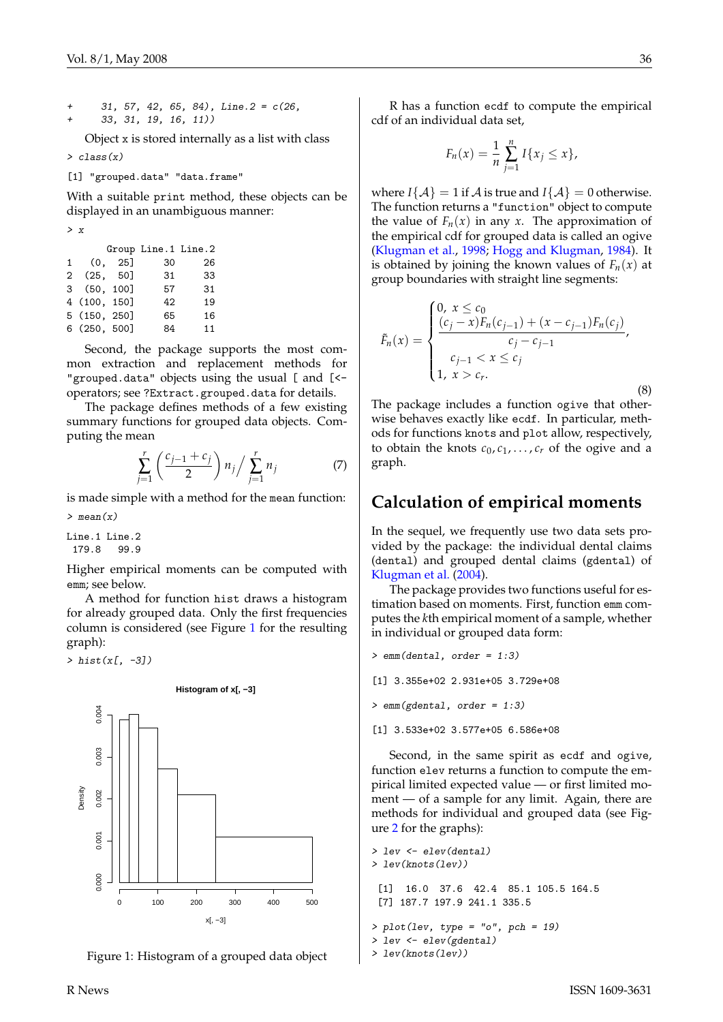$31, 57, 42, 65, 84)$ , Line. $2 = c(26,$ + 33, 31, 19, 16, 11))

Object x is stored internally as a list with class

> class(x)

[1] "grouped.data" "data.frame"

With a suitable print method, these objects can be displayed in an unambiguous manner:

> x

|           |              | Group Line.1 Line.2 |    |  |
|-----------|--------------|---------------------|----|--|
| $1 \quad$ | (0, 25]      | 30                  | 26 |  |
|           | 2 (25. 50]   | 31                  | 33 |  |
|           | 3(50, 100]   | 57                  | 31 |  |
|           | 4 (100, 150] | 42                  | 19 |  |
|           | 5 (150, 250] | 65                  | 16 |  |
|           | 6 (250, 500] | 84                  | 11 |  |
|           |              |                     |    |  |

Second, the package supports the most common extraction and replacement methods for "grouped.data" objects using the usual [ and [< operators; see ?Extract.grouped.data for details.

The package defines methods of a few existing summary functions for grouped data objects. Computing the mean

$$
\sum_{j=1}^{r} \left(\frac{c_{j-1} + c_j}{2}\right) n_j / \sum_{j=1}^{r} n_j \tag{7}
$$

is made simple with a method for the mean function:  $>$  mean $(x)$ 

Line.1 Line.2 179.8 99.9

Higher empirical moments can be computed with emm; see below.

A method for function hist draws a histogram for already grouped data. Only the first frequencies column is considered (see Figure [1](#page-35-0) for the resulting graph):

 $> hist(x[, -3])$ 



<span id="page-35-0"></span>Figure 1: Histogram of a grouped data object

R has a function ecdf to compute the empirical cdf of an individual data set,

$$
F_n(x) = \frac{1}{n} \sum_{j=1}^n I\{x_j \le x\},\,
$$

where  $I\{\mathcal{A}\} = 1$  if  $\mathcal{A}$  is true and  $I\{\mathcal{A}\} = 0$  otherwise. The function returns a "function" object to compute the value of  $F_n(x)$  in any *x*. The approximation of the empirical cdf for grouped data is called an ogive [\(Klugman et al.,](#page-39-3) [1998;](#page-39-3) [Hogg and Klugman,](#page-38-1) [1984\)](#page-38-1). It is obtained by joining the known values of  $F_n(x)$  at group boundaries with straight line segments:

$$
\tilde{F}_n(x) = \begin{cases}\n0, & x \leq c_0 \\
\frac{(c_j - x)F_n(c_{j-1}) + (x - c_{j-1})F_n(c_j)}{c_j - c_{j-1}}, \\
c_{j-1} < x \leq c_j \\
1, & x > c_r.\n\end{cases}
$$
\n(8)

The package includes a function ogive that otherwise behaves exactly like ecdf. In particular, methods for functions knots and plot allow, respectively, to obtain the knots  $c_0, c_1, \ldots, c_r$  of the ogive and a graph.

## **Calculation of empirical moments**

In the sequel, we frequently use two data sets provided by the package: the individual dental claims (dental) and grouped dental claims (gdental) of [Klugman et al.](#page-39-0) [\(2004\)](#page-39-0).

The package provides two functions useful for estimation based on moments. First, function emm computes the *k*th empirical moment of a sample, whether in individual or grouped data form:

```
> emm(dental, order = 1:3)
```
- [1] 3.355e+02 2.931e+05 3.729e+08
- > emm(gdental, order = 1:3)
- [1] 3.533e+02 3.577e+05 6.586e+08

Second, in the same spirit as ecdf and ogive, function elev returns a function to compute the empirical limited expected value — or first limited moment — of a sample for any limit. Again, there are methods for individual and grouped data (see Figure [2](#page-36-0) for the graphs):

```
> lev <- elev(dental)
> lev(knots(lev))
 [1] 16.0 37.6 42.4 85.1 105.5 164.5
 [7] 187.7 197.9 241.1 335.5
> plot(lev, type = "o", pch = 19)> lev <- elev(gdental)
> lev(knots(lev))
```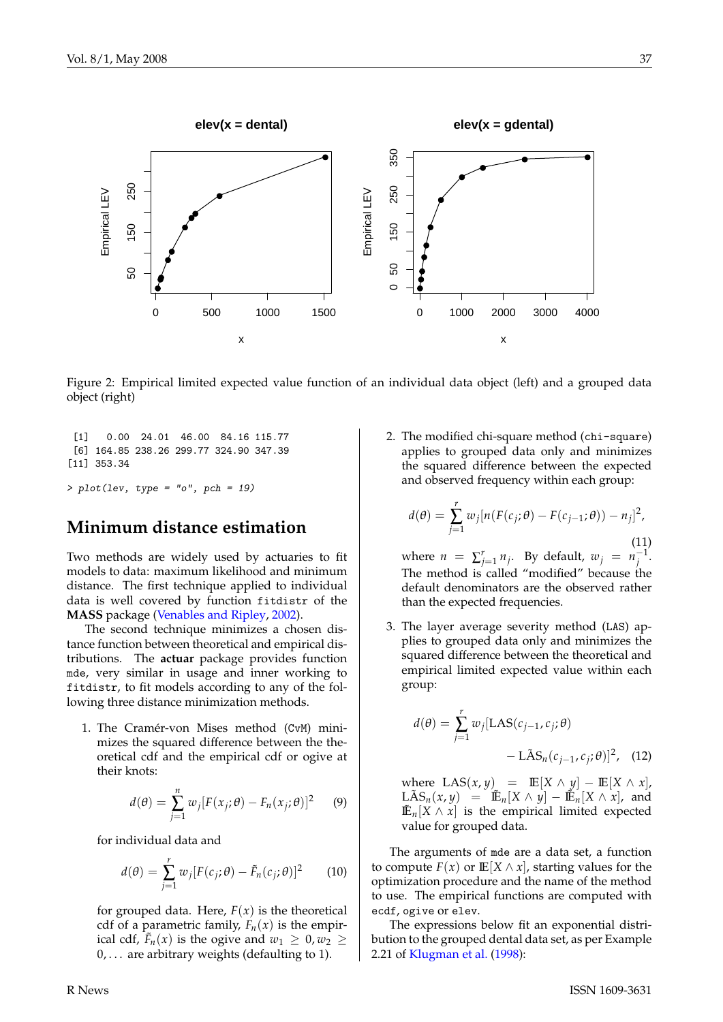

Figure 2: Empirical limited expected value function of an individual data object (left) and a grouped data object (right)

- [1] 0.00 24.01 46.00 84.16 115.77 [6] 164.85 238.26 299.77 324.90 347.39 [11] 353.34
- $> plot(lev, type = "o", pch = 19)$

#### **Minimum distance estimation**

Two methods are widely used by actuaries to fit models to data: maximum likelihood and minimum distance. The first technique applied to individual data is well covered by function fitdistr of the **MASS** package [\(Venables and Ripley,](#page-39-0) [2002\)](#page-39-0).

The second technique minimizes a chosen distance function between theoretical and empirical distributions. The **actuar** package provides function mde, very similar in usage and inner working to fitdistr, to fit models according to any of the following three distance minimization methods.

1. The Cramér-von Mises method (CvM) minimizes the squared difference between the theoretical cdf and the empirical cdf or ogive at their knots:

$$
d(\theta) = \sum_{j=1}^{n} w_j [F(x_j; \theta) - F_n(x_j; \theta)]^2 \qquad (9)
$$

for individual data and

$$
d(\theta) = \sum_{j=1}^{r} w_j [F(c_j; \theta) - \tilde{F}_n(c_j; \theta)]^2
$$
 (10)

for grouped data. Here,  $F(x)$  is the theoretical cdf of a parametric family,  $F_n(x)$  is the empirical cdf,  $\tilde{F}_n(x)$  is the ogive and  $w_1 \geq 0, w_2 \geq 1$ 0, . . . are arbitrary weights (defaulting to 1).

2. The modified chi-square method (chi-square) applies to grouped data only and minimizes the squared difference between the expected and observed frequency within each group:

$$
d(\theta) = \sum_{j=1}^{r} w_j [n(F(c_j; \theta) - F(c_{j-1}; \theta)) - n_j]^2,
$$
\n(11)

where  $n = \sum_{j=1}^r n_j$ . By default,  $w_j = n_j^{-1}$ . The method is called "modified" because the default denominators are the observed rather than the expected frequencies.

3. The layer average severity method (LAS) applies to grouped data only and minimizes the squared difference between the theoretical and empirical limited expected value within each group:

$$
d(\theta) = \sum_{j=1}^{r} w_j [\text{LAS}(c_{j-1}, c_j; \theta) - \text{LÁS}_n(c_{j-1}, c_j; \theta)]^2, \quad (12)
$$

where  $LAS(x, y) = \mathbb{E}[X \wedge y] - \mathbb{E}[X \wedge x],$  $\widetilde{\mathbf{L}} = \widetilde{\mathbf{E}}_n[X \wedge y] - \widetilde{\mathbf{E}}_n[X \wedge x]$ , and  $\mathbb{E}_n[X \wedge x]$  is the empirical limited expected value for grouped data.

The arguments of mde are a data set, a function to compute  $F(x)$  or  $E[X \wedge x]$ , starting values for the optimization procedure and the name of the method to use. The empirical functions are computed with ecdf, ogive or elev.

The expressions below fit an exponential distribution to the grouped dental data set, as per Example 2.21 of [Klugman et al.](#page-39-1) [\(1998\)](#page-39-1):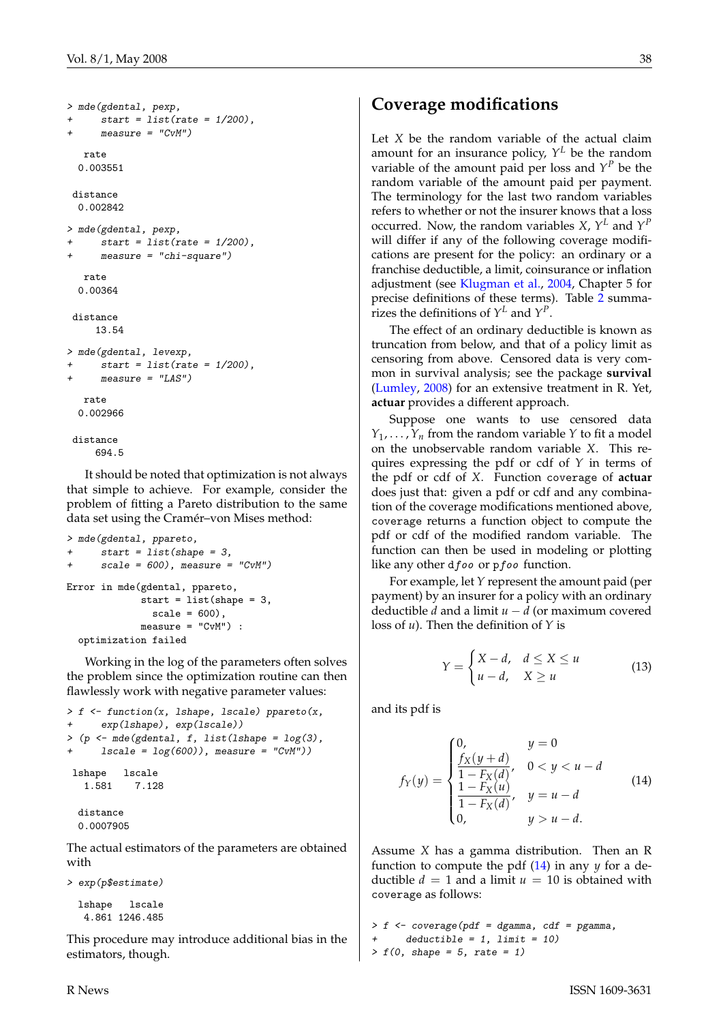```
> mde(gdental, pexp,
    start = list(rate = 1/200).
     measure = "CvM")rate
 0.003551
distance
 0.002842
> mde(gdental, pexp,
    start = list(rate = 1/200),
     measure = "chi-square")rate
 0.00364
distance
    13.54
> mde(gdental, levexp,
+ start = list(rate = 1/200),
     measure = "LAS")rate
 0.002966
distance
    694.5
```
It should be noted that optimization is not always that simple to achieve. For example, consider the problem of fitting a Pareto distribution to the same data set using the Cramér–von Mises method:

```
> mde(gdental, ppareto,
+ start = list(shape = 3,scale = 600), measure = "CvM")
Error in mde(gdental, ppareto,
            start = list(shape = 3,
              scale = 600,
            measure = "CvM"):
  optimization failed
```
Working in the log of the parameters often solves the problem since the optimization routine can then flawlessly work with negative parameter values:

```
\geq f \leq function(x, \text{lshape}, \text{lscale}) ppareto(x,
+ exp(lshape), exp(lscale))
> (p \leftarrow \text{mde}(\text{gdental}, f, \text{list}(\text{lshape} = \text{log}(3)),Iscale = log(600)), measure = "CvM"))
 lshape lscale
   1.581 7.128
  distance
  0.0007905
```
The actual estimators of the parameters are obtained with

```
> exp(p$estimate)
 lshape lscale
  4.861 1246.485
```
This procedure may introduce additional bias in the estimators, though.

## **Coverage modifications**

Let *X* be the random variable of the actual claim amount for an insurance policy, *Y <sup>L</sup>* be the random variable of the amount paid per loss and  $Y^P$  be the random variable of the amount paid per payment. The terminology for the last two random variables refers to whether or not the insurer knows that a loss occurred. Now, the random variables *X*,  $Y^L$  and  $Y^F$ will differ if any of the following coverage modifications are present for the policy: an ordinary or a franchise deductible, a limit, coinsurance or inflation adjustment (see [Klugman et al.,](#page-39-2) [2004,](#page-39-2) Chapter 5 for precise definitions of these terms). Table [2](#page-38-0) summarizes the definitions of  $Y^L$  and  $Y^P$ .

The effect of an ordinary deductible is known as truncation from below, and that of a policy limit as censoring from above. Censored data is very common in survival analysis; see the package **survival** [\(Lumley,](#page-39-3) [2008\)](#page-39-3) for an extensive treatment in R. Yet, **actuar** provides a different approach.

Suppose one wants to use censored data  $Y_1, \ldots, Y_n$  from the random variable *Y* to fit a model on the unobservable random variable *X*. This requires expressing the pdf or cdf of *Y* in terms of the pdf or cdf of *X*. Function coverage of **actuar** does just that: given a pdf or cdf and any combination of the coverage modifications mentioned above, coverage returns a function object to compute the pdf or cdf of the modified random variable. The function can then be used in modeling or plotting like any other dfoo or pfoo function.

For example, let *Y* represent the amount paid (per payment) by an insurer for a policy with an ordinary deductible *d* and a limit *u* − *d* (or maximum covered loss of *u*). Then the definition of *Y* is

<span id="page-37-0"></span>
$$
Y = \begin{cases} X - d, & d \le X \le u \\ u - d, & X \ge u \end{cases}
$$
 (13)

and its pdf is

$$
f_Y(y) = \begin{cases} 0, & y = 0 \\ \frac{f_X(y+d)}{1 - F_X(d)}, & 0 < y < u - d \\ \frac{1 - F_X(u)}{1 - F_X(d)}, & y = u - d \\ 0, & y > u - d. \end{cases}
$$
(14)

Assume *X* has a gamma distribution. Then an R function to compute the pdf  $(14)$  in any  $\gamma$  for a deductible  $d = 1$  and a limit  $u = 10$  is obtained with coverage as follows:

```
> f <- coverage(pdf = dgamma, cdf = pgamma,
     deductible = 1, limit = 10)> f(0, shape = 5, rate = 1)
```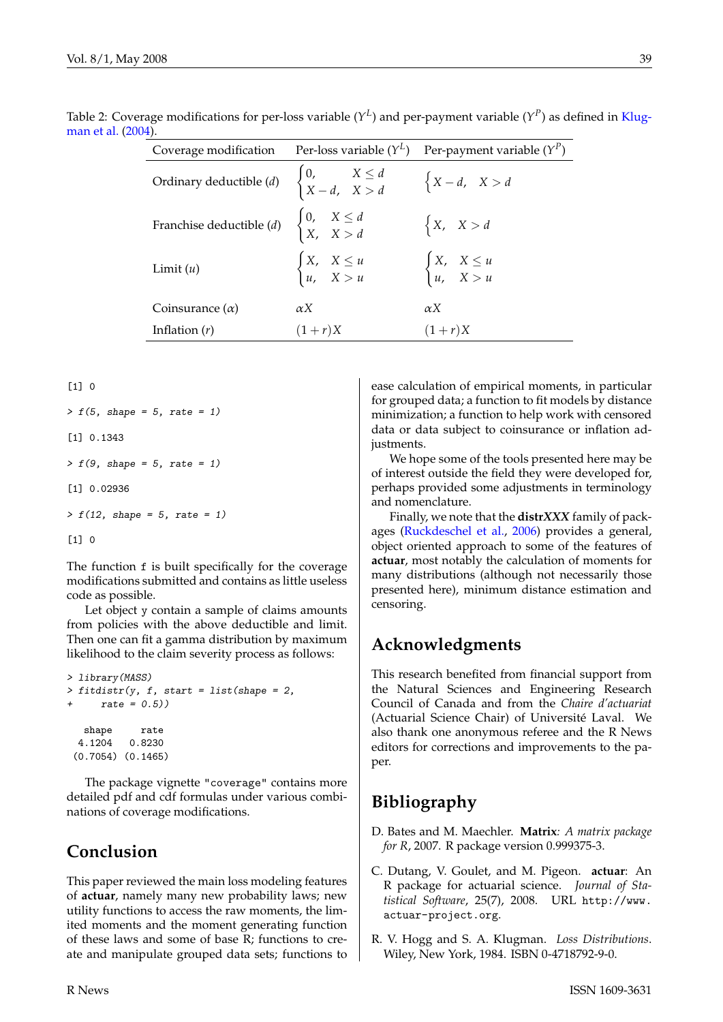<span id="page-38-0"></span>

| Coverage modification                                                                       | Per-loss variable $(Y^L)$                               | Per-payment variable $(Y^P)$                            |
|---------------------------------------------------------------------------------------------|---------------------------------------------------------|---------------------------------------------------------|
| Ordinary deductible ( <i>d</i> ) $\begin{cases} 0, & X \le d \\ X - d, & X > d \end{cases}$ |                                                         | $\begin{cases} X - d, & X > d \end{cases}$              |
| Franchise deductible ( <i>d</i> ) $\begin{cases} 0, & X \le d \\ X, & X > d \end{cases}$    |                                                         | $\{X, X > d\}$                                          |
| Limit(u)                                                                                    | $\begin{cases} X, & X \leq u \\ u, & X > u \end{cases}$ | $\begin{cases} X, & X \leq u \\ u, & X > u \end{cases}$ |
| Coinsurance $(\alpha)$                                                                      | $\alpha X$                                              | $\alpha X$                                              |
| Inflation $(r)$                                                                             | $(1+r)X$                                                | $(1+r)X$                                                |

Table 2: Coverage modifications for per-loss variable ( $Y^L$ ) and per-payment variable ( $Y^P$ ) as defined in [Klug](#page-39-2)[man et al.](#page-39-2) [\(2004\)](#page-39-2).

 $[1]$  0

```
> f(5, shape = 5, rate = 1)[1] 0.1343
> f(9, shape = 5, rate = 1)[1] 0.02936
> f(12, shape = 5, rate = 1)[1] 0
```
The function f is built specifically for the coverage modifications submitted and contains as little useless code as possible.

Let object y contain a sample of claims amounts from policies with the above deductible and limit. Then one can fit a gamma distribution by maximum likelihood to the claim severity process as follows:

```
> library(MASS)
> fittdistr(y, f, start = list(shape = 2,rate = 0.5))
  shape rate
 4.1204 0.8230
(0.7054) (0.1465)
```
The package vignette "coverage" contains more detailed pdf and cdf formulas under various combinations of coverage modifications.

# **Conclusion**

This paper reviewed the main loss modeling features of **actuar**, namely many new probability laws; new utility functions to access the raw moments, the limited moments and the moment generating function of these laws and some of base R; functions to create and manipulate grouped data sets; functions to

ease calculation of empirical moments, in particular for grouped data; a function to fit models by distance minimization; a function to help work with censored data or data subject to coinsurance or inflation adjustments.

We hope some of the tools presented here may be of interest outside the field they were developed for, perhaps provided some adjustments in terminology and nomenclature.

Finally, we note that the **distr***XXX* family of packages [\(Ruckdeschel et al.,](#page-39-4) [2006\)](#page-39-4) provides a general, object oriented approach to some of the features of **actuar**, most notably the calculation of moments for many distributions (although not necessarily those presented here), minimum distance estimation and censoring.

# **Acknowledgments**

This research benefited from financial support from the Natural Sciences and Engineering Research Council of Canada and from the *Chaire d'actuariat* (Actuarial Science Chair) of Université Laval. We also thank one anonymous referee and the R News editors for corrections and improvements to the paper.

# **Bibliography**

- D. Bates and M. Maechler. **Matrix***: A matrix package for R*, 2007. R package version 0.999375-3.
- C. Dutang, V. Goulet, and M. Pigeon. **actuar**: An R package for actuarial science. *Journal of Statistical Software*, 25(7), 2008. URL [http://www.](http://www.actuar-project.org) [actuar-project.org](http://www.actuar-project.org).
- R. V. Hogg and S. A. Klugman. *Loss Distributions*. Wiley, New York, 1984. ISBN 0-4718792-9-0.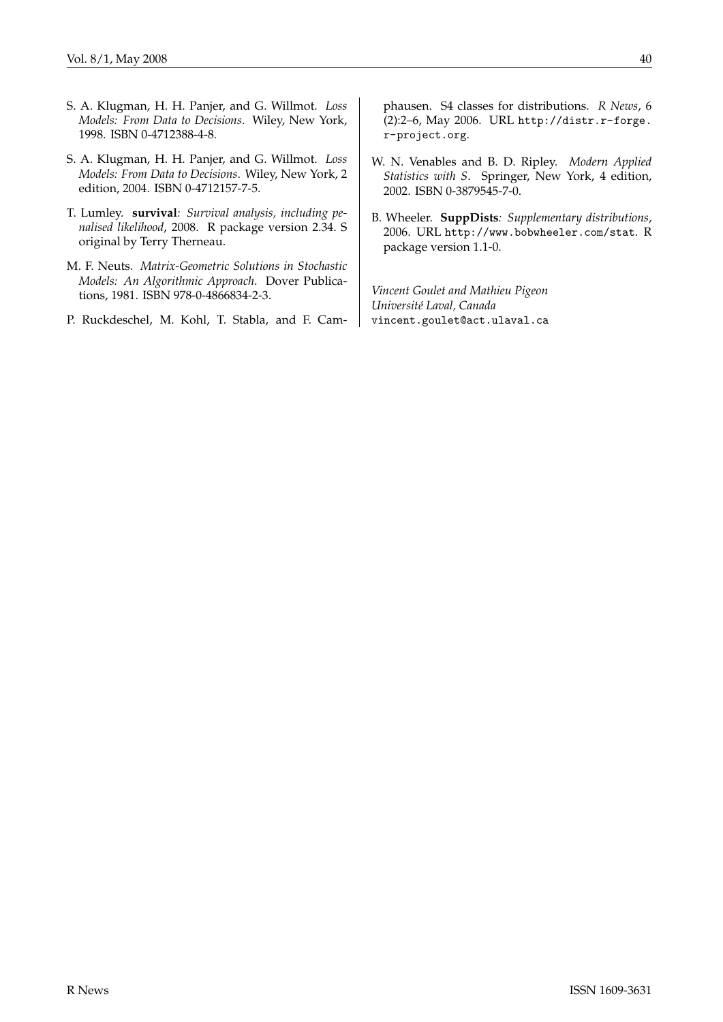- <span id="page-39-1"></span>S. A. Klugman, H. H. Panjer, and G. Willmot. *Loss Models: From Data to Decisions*. Wiley, New York, 1998. ISBN 0-4712388-4-8.
- <span id="page-39-2"></span>S. A. Klugman, H. H. Panjer, and G. Willmot. *Loss Models: From Data to Decisions*. Wiley, New York, 2 edition, 2004. ISBN 0-4712157-7-5.
- <span id="page-39-3"></span>T. Lumley. **survival***: Survival analysis, including penalised likelihood*, 2008. R package version 2.34. S original by Terry Therneau.
- M. F. Neuts. *Matrix-Geometric Solutions in Stochastic Models: An Algorithmic Approach*. Dover Publications, 1981. ISBN 978-0-4866834-2-3.
- <span id="page-39-4"></span>P. Ruckdeschel, M. Kohl, T. Stabla, and F. Cam-

phausen. S4 classes for distributions. *R News*, 6 (2):2–6, May 2006. URL [http://distr.r-forge.](http://distr.r-forge.r-project.org) [r-project.org](http://distr.r-forge.r-project.org).

- <span id="page-39-0"></span>W. N. Venables and B. D. Ripley. *Modern Applied Statistics with S*. Springer, New York, 4 edition, 2002. ISBN 0-3879545-7-0.
- B. Wheeler. **SuppDists***: Supplementary distributions*, 2006. URL <http://www.bobwheeler.com/stat>. R package version 1.1-0.

*Vincent Goulet and Mathieu Pigeon Université Laval, Canada* [vincent.goulet@act.ulaval.ca](mailto:vincent.goulet@act.ulaval.ca)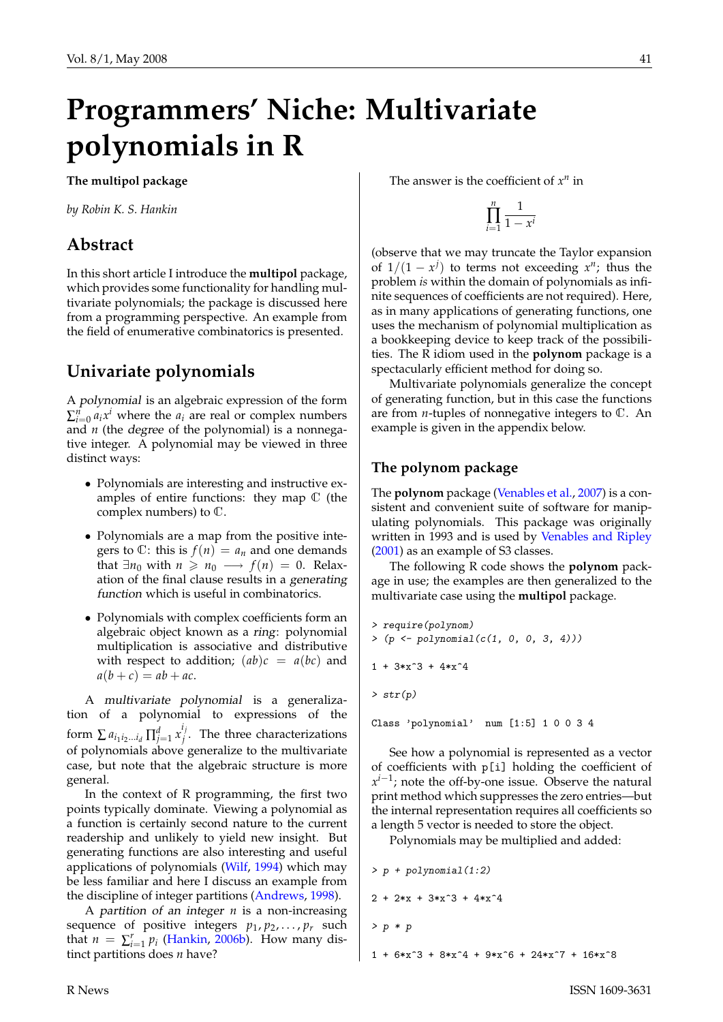# **Programmers' Niche: Multivariate polynomials in R**

#### **The multipol package**

*by Robin K. S. Hankin*

#### **Abstract**

In this short article I introduce the **multipol** package, which provides some functionality for handling multivariate polynomials; the package is discussed here from a programming perspective. An example from the field of enumerative combinatorics is presented.

### **Univariate polynomials**

A polynomial is an algebraic expression of the form  $\sum_{i=0}^{n} a_i x^i$  where the  $a_i$  are real or complex numbers and *n* (the degree of the polynomial) is a nonnegative integer. A polynomial may be viewed in three distinct ways:

- Polynomials are interesting and instructive examples of entire functions: they map  $\mathbb C$  (the complex numbers) to C.
- Polynomials are a map from the positive integers to  $\mathbb{C}$ : this is  $f(n) = a_n$  and one demands that  $\exists n_0$  with  $n \geq n_0 \longrightarrow f(n) = 0$ . Relaxation of the final clause results in a generating function which is useful in combinatorics.
- Polynomials with complex coefficients form an algebraic object known as a ring: polynomial multiplication is associative and distributive with respect to addition;  $(ab)c = a(bc)$  and  $a(b+c) = ab + ac$ .

A multivariate polynomial is a generalization of a polynomial to expressions of the form  $\sum a_{i_1 i_2 ... i_d} \prod_{j=1}^d x_j^{i_j}$ . The three characterizations of polynomials above generalize to the multivariate case, but note that the algebraic structure is more general.

In the context of R programming, the first two points typically dominate. Viewing a polynomial as a function is certainly second nature to the current readership and unlikely to yield new insight. But generating functions are also interesting and useful applications of polynomials [\(Wilf,](#page-44-0) [1994\)](#page-44-0) which may be less familiar and here I discuss an example from the discipline of integer partitions [\(Andrews,](#page-44-1) [1998\)](#page-44-1).

A partition of an integer *n* is a non-increasing sequence of positive integers  $p_1, p_2, \ldots, p_r$  such that  $n = \sum_{i=1}^{r} p_i$  [\(Hankin,](#page-44-2) [2006b\)](#page-44-2). How many distinct partitions does *n* have?

The answer is the coefficient of  $x^n$  in

$$
\prod_{i=1}^n \frac{1}{1-x^i}
$$

(observe that we may truncate the Taylor expansion of  $1/(1 - x^j)$  to terms not exceeding  $x^n$ ; thus the problem *is* within the domain of polynomials as infinite sequences of coefficients are not required). Here, as in many applications of generating functions, one uses the mechanism of polynomial multiplication as a bookkeeping device to keep track of the possibilities. The R idiom used in the **polynom** package is a spectacularly efficient method for doing so.

Multivariate polynomials generalize the concept of generating function, but in this case the functions are from *n*-tuples of nonnegative integers to C. An example is given in the appendix below.

#### **The polynom package**

The **polynom** package [\(Venables et al.,](#page-44-3) [2007\)](#page-44-3) is a consistent and convenient suite of software for manipulating polynomials. This package was originally written in 1993 and is used by [Venables and Ripley](#page-44-4) [\(2001\)](#page-44-4) as an example of S3 classes.

The following R code shows the **polynom** package in use; the examples are then generalized to the multivariate case using the **multipol** package.

```
> require(polynom)
> (p <- polynomial(c(1, 0, 0, 3, 4)))
1 + 3*x^3 + 4*x^4> str(p)Class 'polynomial' num [1:5] 1 0 0 3 4
```
See how a polynomial is represented as a vector of coefficients with p[i] holding the coefficient of *x*<sup>*i*−1</sup>; note the off-by-one issue. Observe the natural print method which suppresses the zero entries—but the internal representation requires all coefficients so a length 5 vector is needed to store the object.

Polynomials may be multiplied and added:

```
> p + polynomial(1:2)2 + 2*x + 3*x^3 + 4*x^4> p * p
```
 $1 + 6*x^3 + 8*x^4 + 9*x^6 + 24*x^7 + 16*x^8$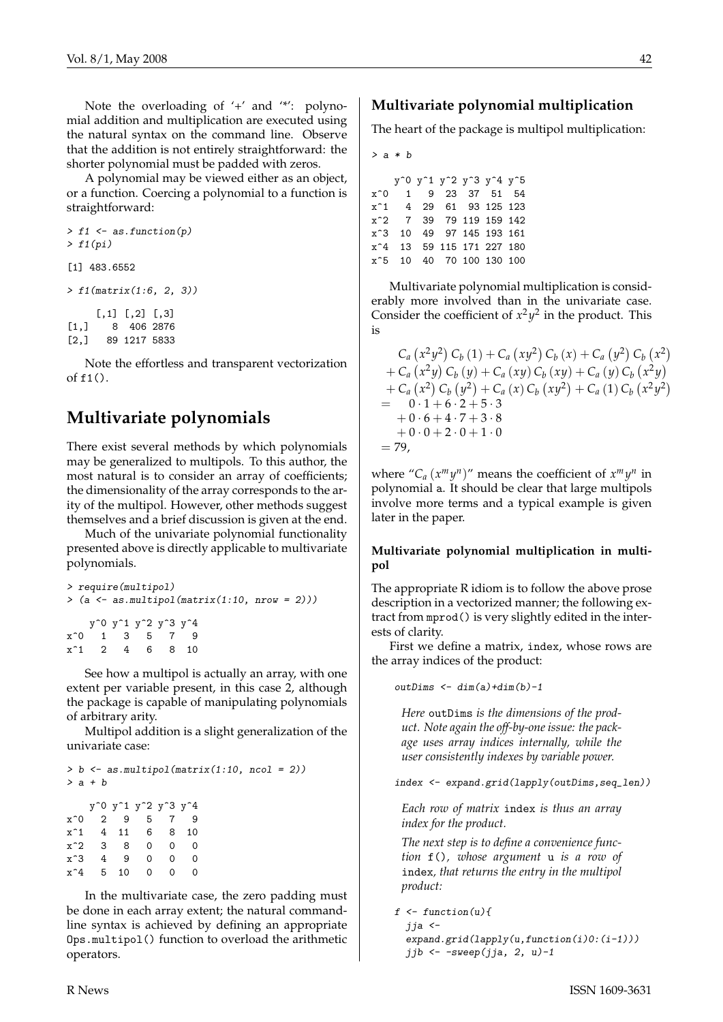Note the overloading of '+' and '\*': polynomial addition and multiplication are executed using the natural syntax on the command line. Observe that the addition is not entirely straightforward: the shorter polynomial must be padded with zeros.

A polynomial may be viewed either as an object, or a function. Coercing a polynomial to a function is straightforward:

> f1 <- as.function(p) > f1(pi) [1] 483.6552  $> f1(matrix(1:6, 2, 3))$ 

 $[,1]$   $[,2]$   $[,3]$ [1,] 8 406 2876 [2,] 89 1217 5833

Note the effortless and transparent vectorization  $of f1()$ 

## **Multivariate polynomials**

There exist several methods by which polynomials may be generalized to multipols. To this author, the most natural is to consider an array of coefficients; the dimensionality of the array corresponds to the arity of the multipol. However, other methods suggest themselves and a brief discussion is given at the end.

Much of the univariate polynomial functionality presented above is directly applicable to multivariate polynomials.

```
> require(multipol)
>(a \leq -as.multipol(matrix(1:10, nrow = 2)))y^0 y^1 y^2 y^3 y^4
x^0 1 3 5 7 9
x^1 2 4 6 8 10
```
See how a multipol is actually an array, with one extent per variable present, in this case 2, although the package is capable of manipulating polynomials of arbitrary arity.

Multipol addition is a slight generalization of the univariate case:

```
> b <- as.multipol(matrix(1:10, ncol = 2))
> a + by^0 y^1 y^2 y^3 y^4
x^0 2 9 5 7 9<br>x^1 4 11 6 8 10
x^21 4 11
x^2 3 8 0 0 0
x^3 4 9 0 0 0
x^4 5 10 0 0 0
```
In the multivariate case, the zero padding must be done in each array extent; the natural commandline syntax is achieved by defining an appropriate Ops.multipol() function to overload the arithmetic operators.

#### **Multivariate polynomial multiplication**

The heart of the package is multipol multiplication:

```
> a * b
```

|  | y <sup>o</sup> y <sup>o</sup> 1 y <sup>o</sup> 2 y <sup>o</sup> 3 y <sup>o</sup> 4 y <sup>o</sup> 5 |  |  |
|--|-----------------------------------------------------------------------------------------------------|--|--|
|  | x <sup>2</sup> 0 1 9 23 37 51 54                                                                    |  |  |
|  | x <sup>2</sup> 1 4 29 61 93 125 123                                                                 |  |  |
|  | x <sup>2</sup> 7 39 79 119 159 142                                                                  |  |  |
|  | x <sup>-3</sup> 10 49 97 145 193 161                                                                |  |  |
|  | x <sup>2</sup> 4 13 59 115 171 227 180                                                              |  |  |
|  | x <sup>-</sup> 5 10 40 70 100 130 100                                                               |  |  |

Multivariate polynomial multiplication is considerably more involved than in the univariate case. Consider the coefficient of  $x^2y^2$  in the product. This is

$$
C_a (x^2y^2) C_b (1) + C_a (xy^2) C_b (x) + C_a (y^2) C_b (x^2)
$$
  
+  $C_a (x^2y) C_b (y) + C_a (xy) C_b (xy) + C_a (y) C_b (x^2y)$   
+  $C_a (x^2) C_b (y^2) + C_a (x) C_b (xy^2) + C_a (1) C_b (x^2y^2)$   
= 0 · 1 + 6 · 2 + 5 · 3  
+ 0 · 6 + 4 · 7 + 3 · 8  
+ 0 · 0 + 2 · 0 + 1 · 0  
= 79,

where " $C_a (x^m y^n)$ " means the coefficient of  $x^m y^n$  in polynomial a. It should be clear that large multipols involve more terms and a typical example is given later in the paper.

#### **Multivariate polynomial multiplication in multipol**

The appropriate R idiom is to follow the above prose description in a vectorized manner; the following extract from mprod() is very slightly edited in the interests of clarity.

First we define a matrix, index, whose rows are the array indices of the product:

outDims  $\leftarrow$  dim(a)+dim(b)-1

*Here* outDims *is the dimensions of the product. Note again the off-by-one issue: the package uses array indices internally, while the user consistently indexes by variable power.*

index <- expand.grid(lapply(outDims,seq\_len))

*Each row of matrix* index *is thus an array index for the product.*

*The next step is to define a convenience function* f()*, whose argument* u *is a row of* index*, that returns the entry in the multipol product:*

```
f \leftarrow function(u)jja <-
  expand.grid(lapply(u,function(i)0:(i-1)))jjb \leftarrow -sweep(jja, 2, u)-1
```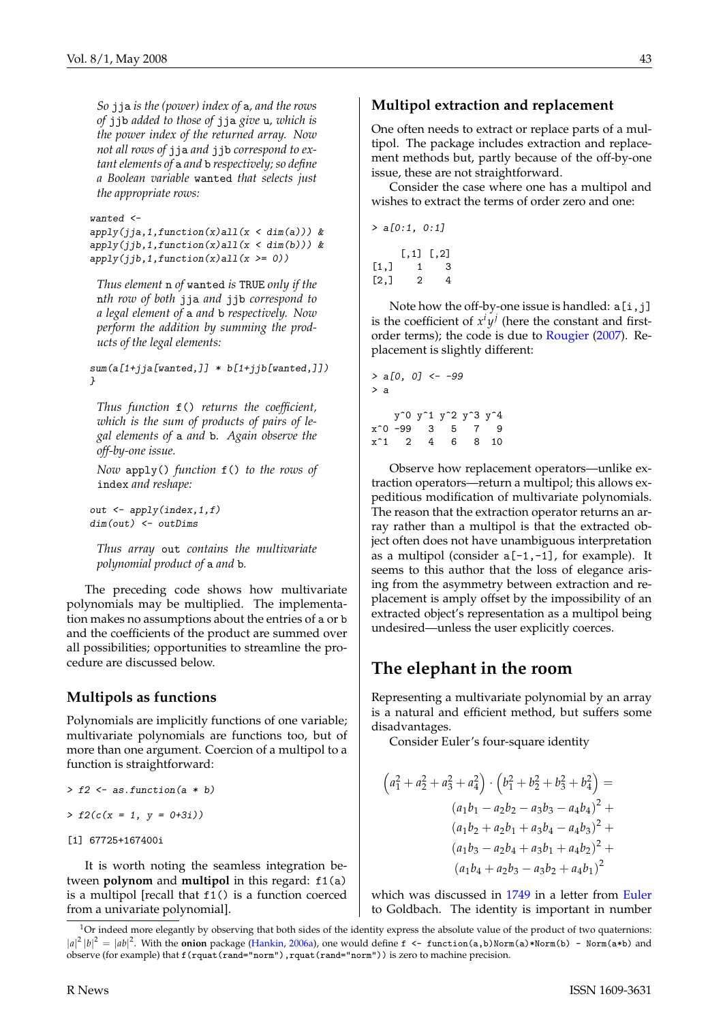*So* jja *is the (power) index of* a*, and the rows of* jjb *added to those of* jja *give* u*, which is the power index of the returned array. Now not all rows of* jja *and* jjb *correspond to extant elements of* a *and* b *respectively; so define a Boolean variable* wanted *that selects just the appropriate rows:*

wanted <-

 $apply(jja,1,function(x)all(x < dim(a)))$  &  $apply(jjb,1,function(x)all(x < dim(b)))$  &  $apply(jjb,1,function(x)all(x >= 0))$ 

*Thus element* n *of* wanted *is* TRUE *only if the* n*th row of both* jja *and* jjb *correspond to a legal element of* a *and* b *respectively. Now perform the addition by summing the products of the legal elements:*

sum(a[1+jja[wanted,]] \* b[1+jjb[wanted,]]) }

*Thus function* f() *returns the coefficient, which is the sum of products of pairs of legal elements of* a *and* b*. Again observe the off-by-one issue.*

*Now* apply() *function* f() *to the rows of* index *and reshape:*

```
out <- apply(index,1,f)
dim(out) <- outDims
```
*Thus array* out *contains the multivariate polynomial product of* a *and* b*.*

The preceding code shows how multivariate polynomials may be multiplied. The implementation makes no assumptions about the entries of a or b and the coefficients of the product are summed over all possibilities; opportunities to streamline the procedure are discussed below.

#### **Multipols as functions**

Polynomials are implicitly functions of one variable; multivariate polynomials are functions too, but of more than one argument. Coercion of a multipol to a function is straightforward:

```
> f2 \leq -as.function(a * b)
```

```
> f2(c(x = 1, y = 0+3i))
```

```
[1] 67725+167400i
```
It is worth noting the seamless integration between **polynom** and **multipol** in this regard: f1(a) is a multipol [recall that f1() is a function coerced from a univariate polynomial].

#### **Multipol extraction and replacement**

One often needs to extract or replace parts of a multipol. The package includes extraction and replacement methods but, partly because of the off-by-one issue, these are not straightforward.

Consider the case where one has a multipol and wishes to extract the terms of order zero and one:

$$
\begin{aligned}\n > a[0:1, 0:1] \\
 &\quad \text{[},1] \quad \text{[},2] \\
 &\quad \text{[1,]} \quad 1 \quad 3 \\
 &\quad \text{[2,]} \quad 2 \quad 4\n \end{aligned}
$$

Note how the off-by-one issue is handled:  $a[i, j]$ is the coefficient of  $x^i y^j$  (here the constant and firstorder terms); the code is due to [Rougier](#page-44-5) [\(2007\)](#page-44-5). Replacement is slightly different:

$$
\begin{array}{rcl}\n> a[0, 0] <-99 \\
> a \\
y^0 y^1 y^2 y^3 y^4 \\
x^0 -99 & 3 & 5 & 7 & 9 \\
x^1 2 & 4 & 6 & 8 & 10\n\end{array}
$$

Observe how replacement operators—unlike extraction operators—return a multipol; this allows expeditious modification of multivariate polynomials. The reason that the extraction operator returns an array rather than a multipol is that the extracted object often does not have unambiguous interpretation as a multipol (consider  $a[-1,-1]$ , for example). It seems to this author that the loss of elegance arising from the asymmetry between extraction and replacement is amply offset by the impossibility of an extracted object's representation as a multipol being undesired—unless the user explicitly coerces.

### **The elephant in the room**

Representing a multivariate polynomial by an array is a natural and efficient method, but suffers some disadvantages.

Consider Euler's four-square identity

$$
(a_1^2 + a_2^2 + a_3^2 + a_4^2) \cdot (b_1^2 + b_2^2 + b_3^2 + b_4^2) =
$$
  
\n
$$
(a_1b_1 - a_2b_2 - a_3b_3 - a_4b_4)^2 +
$$
  
\n
$$
(a_1b_2 + a_2b_1 + a_3b_4 - a_4b_3)^2 +
$$
  
\n
$$
(a_1b_3 - a_2b_4 + a_3b_1 + a_4b_2)^2 +
$$
  
\n
$$
(a_1b_4 + a_2b_3 - a_3b_2 + a_4b_1)^2
$$

which was discussed in [1749](#page-44-6) in a letter from [Euler](#page-44-6) to Goldbach. The identity is important in number

<span id="page-42-0"></span><sup>&</sup>lt;sup>1</sup>Or indeed more elegantly by observing that both sides of the identity express the absolute value of the product of two quaternions:  $|a|^2 |b|^2 = |ab|^2$ . With the **onion** package [\(Hankin,](#page-44-7) [2006a\)](#page-44-7), one would define  $f \leftarrow function(a, b) \text{Norm}(a) * \text{Norm}(b) - \text{Norm}(a * b)$  and observe (for example) that f(rquat(rand="norm"),rquat(rand="norm")) is zero to machine precision.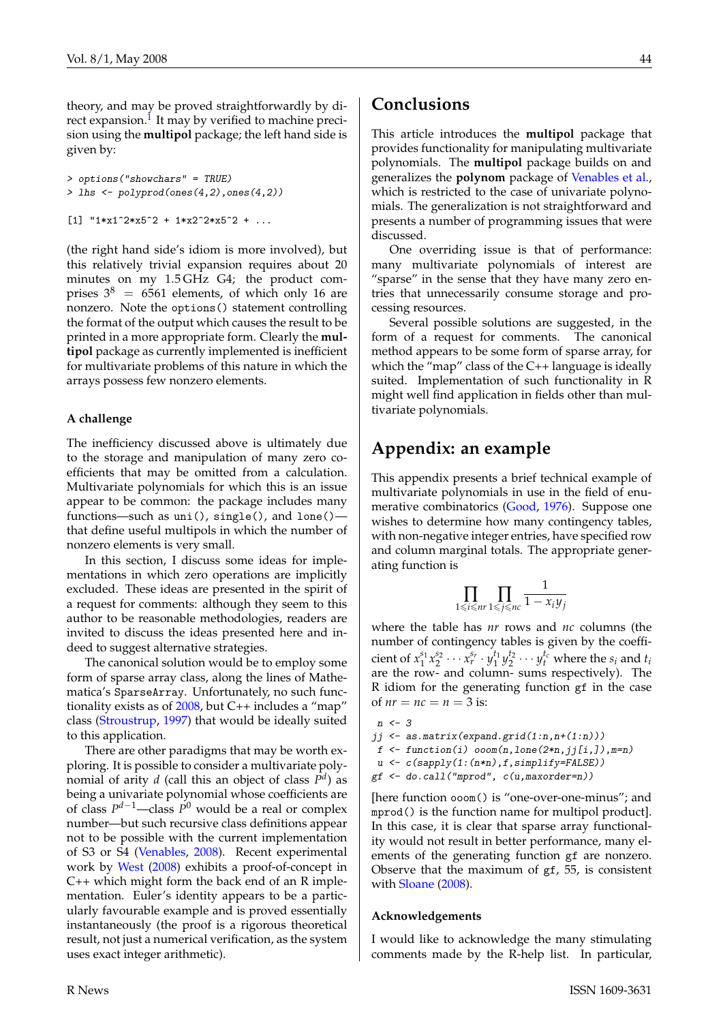theory, and may be proved straightforwardly by di-rect expansion.<sup>[1](#page-42-0)</sup> It may by verified to machine precision using the **multipol** package; the left hand side is given by:

```
> options("showchars" = TRUE)
> lhs <- polyprod(ones(4,2),ones(4,2))
```

```
[1] "1*x1^2*x5^2 + 1*x2^2*x5^2 + ...
```
(the right hand side's idiom is more involved), but this relatively trivial expansion requires about 20 minutes on my 1.5 GHz G4; the product comprises  $3^8$  = 6561 elements, of which only 16 are nonzero. Note the options() statement controlling the format of the output which causes the result to be printed in a more appropriate form. Clearly the **multipol** package as currently implemented is inefficient for multivariate problems of this nature in which the arrays possess few nonzero elements.

#### **A challenge**

The inefficiency discussed above is ultimately due to the storage and manipulation of many zero coefficients that may be omitted from a calculation. Multivariate polynomials for which this is an issue appear to be common: the package includes many functions—such as uni(), single(), and lone() that define useful multipols in which the number of nonzero elements is very small.

In this section, I discuss some ideas for implementations in which zero operations are implicitly excluded. These ideas are presented in the spirit of a request for comments: although they seem to this author to be reasonable methodologies, readers are invited to discuss the ideas presented here and indeed to suggest alternative strategies.

The canonical solution would be to employ some form of sparse array class, along the lines of Mathematica's SparseArray. Unfortunately, no such functionality exists as of [2008,](#page-44-8) but C++ includes a "map" class [\(Stroustrup,](#page-44-9) [1997\)](#page-44-9) that would be ideally suited to this application.

There are other paradigms that may be worth exploring. It is possible to consider a multivariate polynomial of arity *d* (call this an object of class *P d* ) as being a univariate polynomial whose coefficients are of class  $P^{d-1}$ —class  $P^{0}$  would be a real or complex number—but such recursive class definitions appear not to be possible with the current implementation of S3 or S4 [\(Venables,](#page-44-8) [2008\)](#page-44-8). Recent experimental work by [West](#page-44-10) [\(2008\)](#page-44-10) exhibits a proof-of-concept in C++ which might form the back end of an R implementation. Euler's identity appears to be a particularly favourable example and is proved essentially instantaneously (the proof is a rigorous theoretical result, not just a numerical verification, as the system uses exact integer arithmetic).

#### **Conclusions**

This article introduces the **multipol** package that provides functionality for manipulating multivariate polynomials. The **multipol** package builds on and generalizes the **polynom** package of [Venables et al.,](#page-44-3) which is restricted to the case of univariate polynomials. The generalization is not straightforward and presents a number of programming issues that were discussed.

One overriding issue is that of performance: many multivariate polynomials of interest are "sparse" in the sense that they have many zero entries that unnecessarily consume storage and processing resources.

Several possible solutions are suggested, in the form of a request for comments. The canonical method appears to be some form of sparse array, for which the "map" class of the C++ language is ideally suited. Implementation of such functionality in R might well find application in fields other than multivariate polynomials.

### **Appendix: an example**

This appendix presents a brief technical example of multivariate polynomials in use in the field of enumerative combinatorics [\(Good,](#page-44-11) [1976\)](#page-44-11). Suppose one wishes to determine how many contingency tables, with non-negative integer entries, have specified row and column marginal totals. The appropriate generating function is

$$
\prod_{1\leq i\leq n}{\prod_{1\leq j\leq nc}{\frac{1}{1-x_iy_j}}}
$$

where the table has *nr* rows and *nc* columns (the number of contingency tables is given by the coefficient of  $x_1^{s_1} x_2^{s_2} \cdots x_r^{s_r} \cdot y_1^{t_1} y_2^{t_2} \cdots y_t^{t_c}$  where the  $s_i$  and  $t_i$ are the row- and column- sums respectively). The R idiom for the generating function gf in the case of  $nr = nc = n = 3$  is:

```
n \leftarrow 3jj <- as.matrix(expand.grid(1:n,n+(1:n)))
 f \leftarrow function(i) ooom(n,lone(2*n, jj[i,]), m=n)
 u \leftarrow c(sapply(1:(n*n),f,simplify=False))
```

```
gf <- do.call("mprod", c(u,maxorder=n))
```
[here function ooom() is "one-over-one-minus"; and mprod() is the function name for multipol product]. In this case, it is clear that sparse array functionality would not result in better performance, many elements of the generating function gf are nonzero. Observe that the maximum of gf, 55, is consistent with [Sloane](#page-44-12) [\(2008\)](#page-44-12).

#### **Acknowledgements**

I would like to acknowledge the many stimulating comments made by the R-help list. In particular,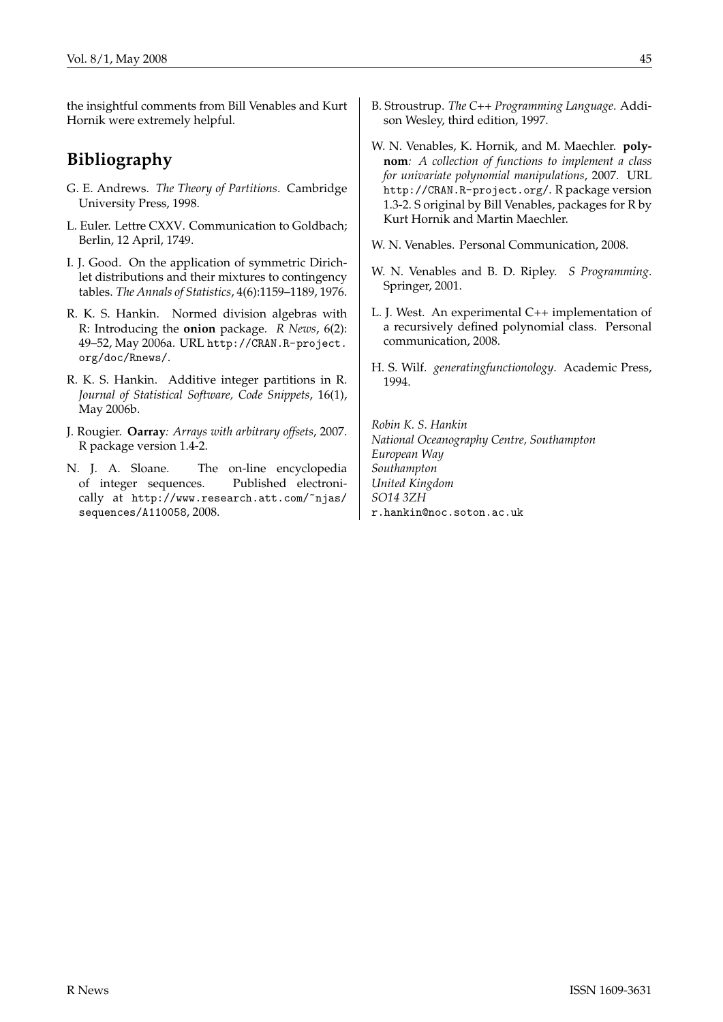the insightful comments from Bill Venables and Kurt Hornik were extremely helpful.

#### **Bibliography**

- <span id="page-44-1"></span>G. E. Andrews. *The Theory of Partitions*. Cambridge University Press, 1998.
- <span id="page-44-6"></span>L. Euler. Lettre CXXV. Communication to Goldbach; Berlin, 12 April, 1749.
- <span id="page-44-11"></span>I. J. Good. On the application of symmetric Dirichlet distributions and their mixtures to contingency tables. *The Annals of Statistics*, 4(6):1159–1189, 1976.
- <span id="page-44-7"></span>R. K. S. Hankin. Normed division algebras with R: Introducing the **onion** package. *R News*, 6(2): 49–52, May 2006a. URL [http://CRAN.R-project.](http://CRAN.R-project.org/doc/Rnews/) [org/doc/Rnews/](http://CRAN.R-project.org/doc/Rnews/).
- <span id="page-44-2"></span>R. K. S. Hankin. Additive integer partitions in R. *Journal of Statistical Software, Code Snippets*, 16(1), May 2006b.
- <span id="page-44-5"></span>J. Rougier. **Oarray***: Arrays with arbitrary offsets*, 2007. R package version 1.4-2.
- <span id="page-44-12"></span>N. J. A. Sloane. The on-line encyclopedia of integer sequences. Published electronically at [http://www.research.att.com/~njas/](http://www.research.att.com/~njas/sequences/A110058) [sequences/A110058](http://www.research.att.com/~njas/sequences/A110058), 2008.
- <span id="page-44-9"></span>B. Stroustrup. *The C++ Programming Language*. Addison Wesley, third edition, 1997.
- <span id="page-44-3"></span>W. N. Venables, K. Hornik, and M. Maechler. **polynom***: A collection of functions to implement a class for univariate polynomial manipulations*, 2007. URL <http://CRAN.R-project.org/>. R package version 1.3-2. S original by Bill Venables, packages for R by Kurt Hornik and Martin Maechler.
- <span id="page-44-8"></span>W. N. Venables. Personal Communication, 2008.
- <span id="page-44-4"></span>W. N. Venables and B. D. Ripley. *S Programming*. Springer, 2001.
- <span id="page-44-10"></span>L. J. West. An experimental C++ implementation of a recursively defined polynomial class. Personal communication, 2008.
- <span id="page-44-0"></span>H. S. Wilf. *generatingfunctionology*. Academic Press, 1994.

*Robin K. S. Hankin National Oceanography Centre, Southampton European Way Southampton United Kingdom SO14 3ZH* [r.hankin@noc.soton.ac.uk](mailto:r.hankin@noc.soton.ac.uk)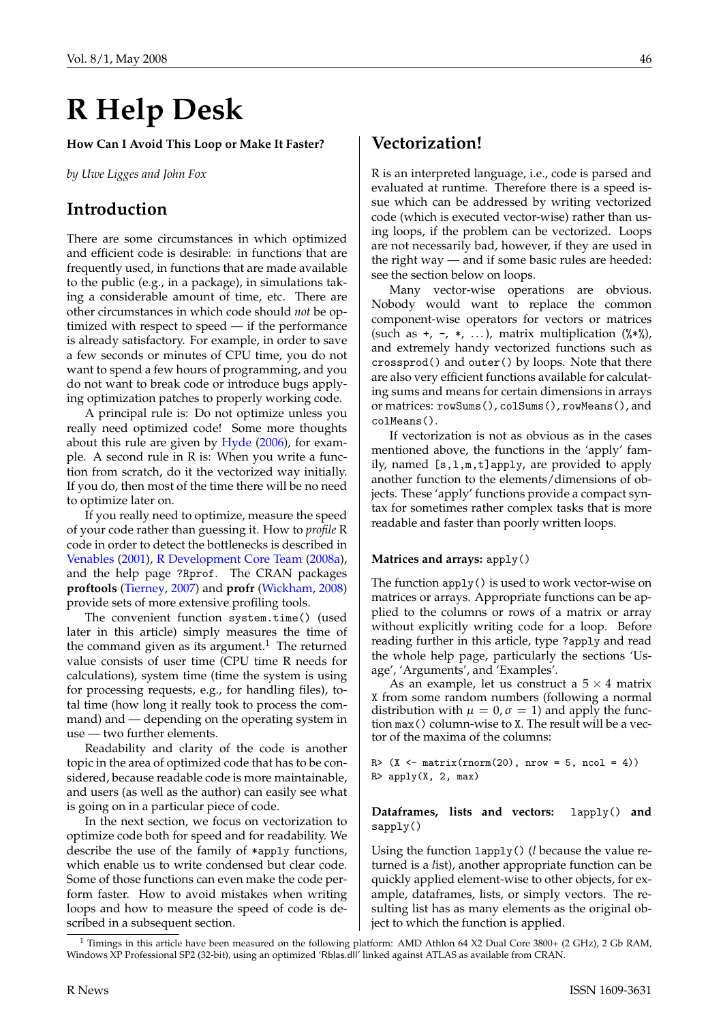# **R Help Desk**

**How Can I Avoid This Loop or Make It Faster?**

*by Uwe Ligges and John Fox*

### **Introduction**

There are some circumstances in which optimized and efficient code is desirable: in functions that are frequently used, in functions that are made available to the public (e.g., in a package), in simulations taking a considerable amount of time, etc. There are other circumstances in which code should *not* be optimized with respect to speed — if the performance is already satisfactory. For example, in order to save a few seconds or minutes of CPU time, you do not want to spend a few hours of programming, and you do not want to break code or introduce bugs applying optimization patches to properly working code.

A principal rule is: Do not optimize unless you really need optimized code! Some more thoughts about this rule are given by [Hyde](#page-48-0) [\(2006\)](#page-48-0), for example. A second rule in R is: When you write a function from scratch, do it the vectorized way initially. If you do, then most of the time there will be no need to optimize later on.

If you really need to optimize, measure the speed of your code rather than guessing it. How to *profile* R code in order to detect the bottlenecks is described in [Venables](#page-49-0) [\(2001\)](#page-49-0), [R Development Core Team](#page-48-1) [\(2008a\)](#page-48-1), and the help page ?Rprof. The CRAN packages **proftools** [\(Tierney,](#page-48-2) [2007\)](#page-48-2) and **profr** [\(Wickham,](#page-49-1) [2008\)](#page-49-1) provide sets of more extensive profiling tools.

The convenient function system.time() (used later in this article) simply measures the time of the command given as its argument.<sup>[1](#page-45-0)</sup> The returned value consists of user time (CPU time R needs for calculations), system time (time the system is using for processing requests, e.g., for handling files), total time (how long it really took to process the command) and — depending on the operating system in use — two further elements.

Readability and clarity of the code is another topic in the area of optimized code that has to be considered, because readable code is more maintainable, and users (as well as the author) can easily see what is going on in a particular piece of code.

In the next section, we focus on vectorization to optimize code both for speed and for readability. We describe the use of the family of \*apply functions, which enable us to write condensed but clear code. Some of those functions can even make the code perform faster. How to avoid mistakes when writing loops and how to measure the speed of code is described in a subsequent section.

#### **Vectorization!**

R is an interpreted language, i.e., code is parsed and evaluated at runtime. Therefore there is a speed issue which can be addressed by writing vectorized code (which is executed vector-wise) rather than using loops, if the problem can be vectorized. Loops are not necessarily bad, however, if they are used in the right way — and if some basic rules are heeded: see the section below on loops.

Many vector-wise operations are obvious. Nobody would want to replace the common component-wise operators for vectors or matrices (such as  $+$ ,  $-$ ,  $*$ , ...), matrix multiplication ( $\frac{2}{3}$ , and extremely handy vectorized functions such as crossprod() and outer() by loops. Note that there are also very efficient functions available for calculating sums and means for certain dimensions in arrays or matrices: rowSums(), colSums(), rowMeans(), and colMeans().

If vectorization is not as obvious as in the cases mentioned above, the functions in the 'apply' family, named [s,l,m,t]apply, are provided to apply another function to the elements/dimensions of objects. These 'apply' functions provide a compact syntax for sometimes rather complex tasks that is more readable and faster than poorly written loops.

#### **Matrices and arrays:** apply()

The function apply() is used to work vector-wise on matrices or arrays. Appropriate functions can be applied to the columns or rows of a matrix or array without explicitly writing code for a loop. Before reading further in this article, type ?apply and read the whole help page, particularly the sections 'Usage', 'Arguments', and 'Examples'.

As an example, let us construct a  $5 \times 4$  matrix X from some random numbers (following a normal distribution with  $\mu = 0$ ,  $\sigma = 1$ ) and apply the function max() column-wise to X. The result will be a vector of the maxima of the columns:

R>  $(X \leftarrow matrix(rnorm(20), nrow = 5, ncol = 4))$ R> apply(X, 2, max)

**Dataframes, lists and vectors:** lapply() **and** sapply()

Using the function lapply() (*l* because the value returned is a *l*ist), another appropriate function can be quickly applied element-wise to other objects, for example, dataframes, lists, or simply vectors. The resulting list has as many elements as the original object to which the function is applied.

<span id="page-45-0"></span><sup>&</sup>lt;sup>1</sup> Timings in this article have been measured on the following platform: AMD Athlon 64 X2 Dual Core 3800+ (2 GHz), 2 Gb RAM, Windows XP Professional SP2 (32-bit), using an optimized 'Rblas.dll' linked against ATLAS as available from CRAN.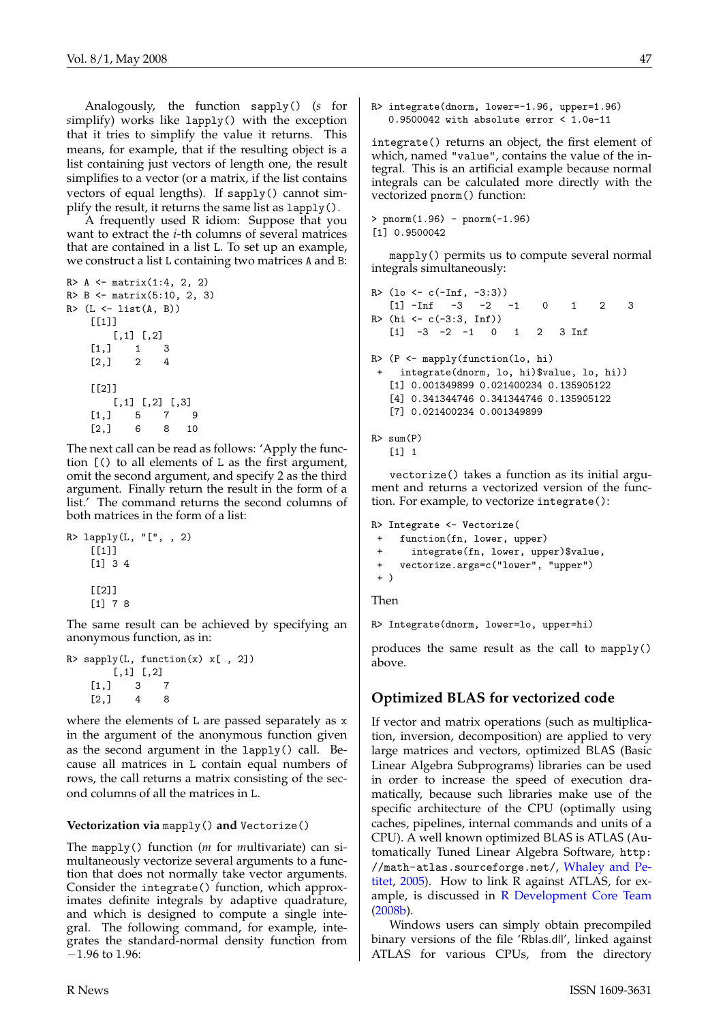Analogously, the function sapply() (*s* for *s*implify) works like lapply() with the exception that it tries to simplify the value it returns. This means, for example, that if the resulting object is a list containing just vectors of length one, the result simplifies to a vector (or a matrix, if the list contains vectors of equal lengths). If sapply() cannot simplify the result, it returns the same list as  $l$ apply().

A frequently used R idiom: Suppose that you want to extract the *i*-th columns of several matrices that are contained in a list L. To set up an example, we construct a list L containing two matrices A and B:

```
R > A \leftarrow matrix(1:4, 2, 2)R> B <- matrix(5:10, 2, 3)
R (L \leftarrow list(A, B))
   [[1]]
       [,1] [,2][1,] 1 3[2,] 2 4\Gamma[2]]
       [,1] [,2] [,3]
    [1,] 5 7 9[2,] 6 8 10
```
The next call can be read as follows: 'Apply the function [() to all elements of L as the first argument, omit the second argument, and specify 2 as the third argument. Finally return the result in the form of a list.' The command returns the second columns of both matrices in the form of a list:

```
R> lapply(L, "[", , 2)
    [[1]]
    [1] 3 4
    \lceil[2]]
    [1] 7 8
```
The same result can be achieved by specifying an anonymous function, as in:

```
R > sapply(L, function(x) x[, 2])
      [,1] [,2]
   [1,] 3 7
   [2, 1 4 8
```
where the elements of L are passed separately as x in the argument of the anonymous function given as the second argument in the lapply() call. Because all matrices in L contain equal numbers of rows, the call returns a matrix consisting of the second columns of all the matrices in L.

#### **Vectorization via** mapply() **and** Vectorize()

The mapply() function (*m* for *m*ultivariate) can simultaneously vectorize several arguments to a function that does not normally take vector arguments. Consider the integrate() function, which approximates definite integrals by adaptive quadrature, and which is designed to compute a single integral. The following command, for example, integrates the standard-normal density function from −1.96 to 1.96:

R> integrate(dnorm, lower=-1.96, upper=1.96) 0.9500042 with absolute error < 1.0e-11

integrate() returns an object, the first element of which, named "value", contains the value of the integral. This is an artificial example because normal integrals can be calculated more directly with the vectorized pnorm() function:

```
> pnorm(1.96) - pnorm(-1.96)[1] 0.9500042
```
mapply() permits us to compute several normal integrals simultaneously:

```
R > (lo \leftarrow c(-Inf, -3:3))[1] -Inf -3 -2 -1 0 1 2 3
R > (hi \leftarrow c(-3:3, Inf))[1] -3 -2 -1 0 1 2 3 Inf
R> (P <- mapply(function(lo, hi)
   integrate(dnorm, lo, hi)$value, lo, hi))
   [1] 0.001349899 0.021400234 0.135905122
   [4] 0.341344746 0.341344746 0.135905122
   [7] 0.021400234 0.001349899
R > sum(P)
```

```
[1] 1
```
vectorize() takes a function as its initial argument and returns a vectorized version of the function. For example, to vectorize integrate():

```
R> Integrate <- Vectorize(
+ function(fn, lower, upper)
+ integrate(fn, lower, upper)$value,
+ vectorize.args=c("lower", "upper")
+ )
Then
```
R> Integrate(dnorm, lower=lo, upper=hi)

produces the same result as the call to mapply() above.

#### **Optimized BLAS for vectorized code**

If vector and matrix operations (such as multiplication, inversion, decomposition) are applied to very large matrices and vectors, optimized BLAS (Basic Linear Algebra Subprograms) libraries can be used in order to increase the speed of execution dramatically, because such libraries make use of the specific architecture of the CPU (optimally using caches, pipelines, internal commands and units of a CPU). A well known optimized BLAS is ATLAS (Automatically Tuned Linear Algebra Software, [http:](http://math-atlas.sourceforge.net/) [//math-atlas.sourceforge.net/](http://math-atlas.sourceforge.net/), [Whaley and Pe](#page-49-2)[titet,](#page-49-2) [2005\)](#page-49-2). How to link R against ATLAS, for example, is discussed in [R Development Core Team](#page-48-3) [\(2008b\)](#page-48-3).

Windows users can simply obtain precompiled binary versions of the file 'Rblas.dll', linked against ATLAS for various CPUs, from the directory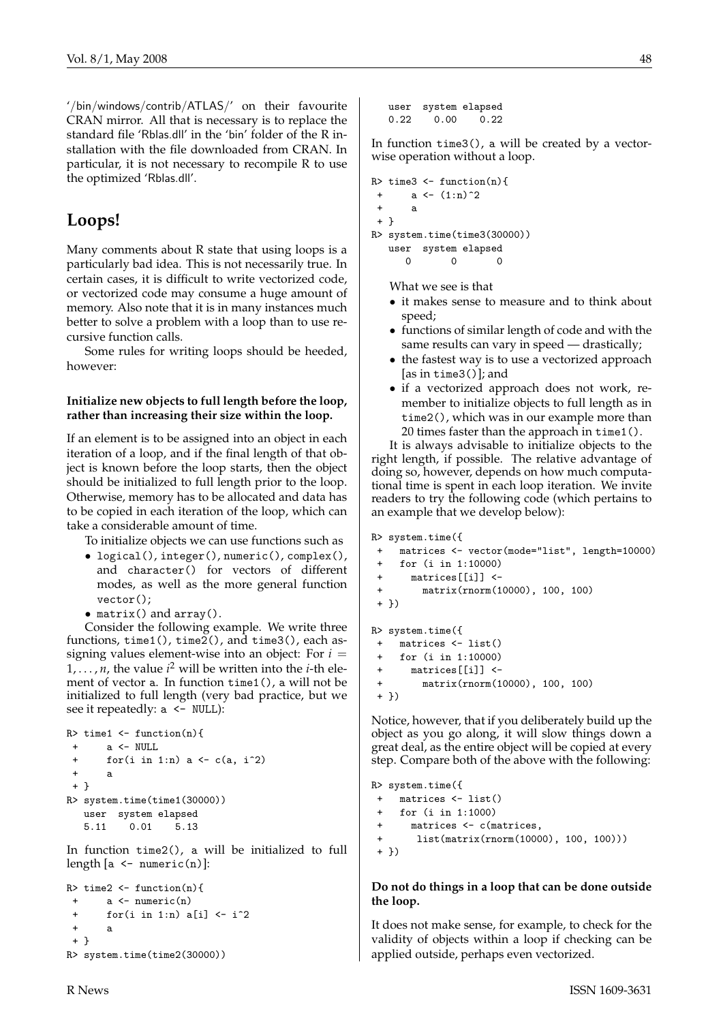'/bin/windows/contrib/ATLAS/' on their favourite CRAN mirror. All that is necessary is to replace the standard file 'Rblas.dll' in the 'bin' folder of the R installation with the file downloaded from CRAN. In particular, it is not necessary to recompile R to use the optimized 'Rblas.dll'.

#### **Loops!**

Many comments about R state that using loops is a particularly bad idea. This is not necessarily true. In certain cases, it is difficult to write vectorized code, or vectorized code may consume a huge amount of memory. Also note that it is in many instances much better to solve a problem with a loop than to use recursive function calls.

Some rules for writing loops should be heeded, however:

#### **Initialize new objects to full length before the loop, rather than increasing their size within the loop.**

If an element is to be assigned into an object in each iteration of a loop, and if the final length of that object is known before the loop starts, then the object should be initialized to full length prior to the loop. Otherwise, memory has to be allocated and data has to be copied in each iteration of the loop, which can take a considerable amount of time.

To initialize objects we can use functions such as

- logical(), integer(), numeric(), complex(), and character() for vectors of different modes, as well as the more general function vector();
- matrix() and array().

Consider the following example. We write three functions, time1(), time2(), and time3(), each assigning values element-wise into an object: For  $i =$  $1, \ldots, n$ , the value  $i^2$  will be written into the *i*-th element of vector a. In function time1(), a will not be initialized to full length (very bad practice, but we see it repeatedly:  $a \leq NULL$ :

```
R> time1 <- function(n){
 + a <- NULL
 + for(i \text{ in } 1\text{:}n) a \leftarrow c(a, i^2)+ a
 + }
R> system.time(time1(30000))
  user system elapsed
  5.11 0.01 5.13
```
In function time2(), a will be initialized to full length  $[a \leftarrow numeric(n)]$ :

```
R> time2 <- function(n){
+ a <- numeric(n)
+ for(i in 1:n) a[i] <- i^2
+ a
+ }
R> system.time(time2(30000))
```
user system elapsed 0.22 0.00 0.22

In function time3(), a will be created by a vectorwise operation without a loop.

R> time3  $\leftarrow$  function(n){ +  $a \leftarrow (1:n)^2$ + a + } R> system.time(time3(30000)) user system elapsed 0 0 0

What we see is that

- it makes sense to measure and to think about speed;
- functions of similar length of code and with the same results can vary in speed — drastically;
- the fastest way is to use a vectorized approach [as in time3()]; and
- if a vectorized approach does not work, remember to initialize objects to full length as in time2(), which was in our example more than 20 times faster than the approach in time1().

It is always advisable to initialize objects to the right length, if possible. The relative advantage of doing so, however, depends on how much computational time is spent in each loop iteration. We invite readers to try the following code (which pertains to an example that we develop below):

```
R> system.time({
+ matrices <- vector(mode="list", length=10000)
+ for (i in 1:10000)
+ matrices[[i]] <-
+ matrix(rnorm(10000), 100, 100)
+ })
R> system.time({
+ matrices <- list()
+ for (i in 1:10000)
+ matrices[[i]] <-
+ matrix(rnorm(10000), 100, 100)
+ })
```
Notice, however, that if you deliberately build up the object as you go along, it will slow things down a great deal, as the entire object will be copied at every step. Compare both of the above with the following:

```
R> system.time({
+ matrices <- list()
+ for (i in 1:1000)
+ matrices <- c(matrices,
+ list(matrix(rnorm(10000), 100, 100)))
+ })
```
#### **Do not do things in a loop that can be done outside the loop.**

It does not make sense, for example, to check for the validity of objects within a loop if checking can be applied outside, perhaps even vectorized.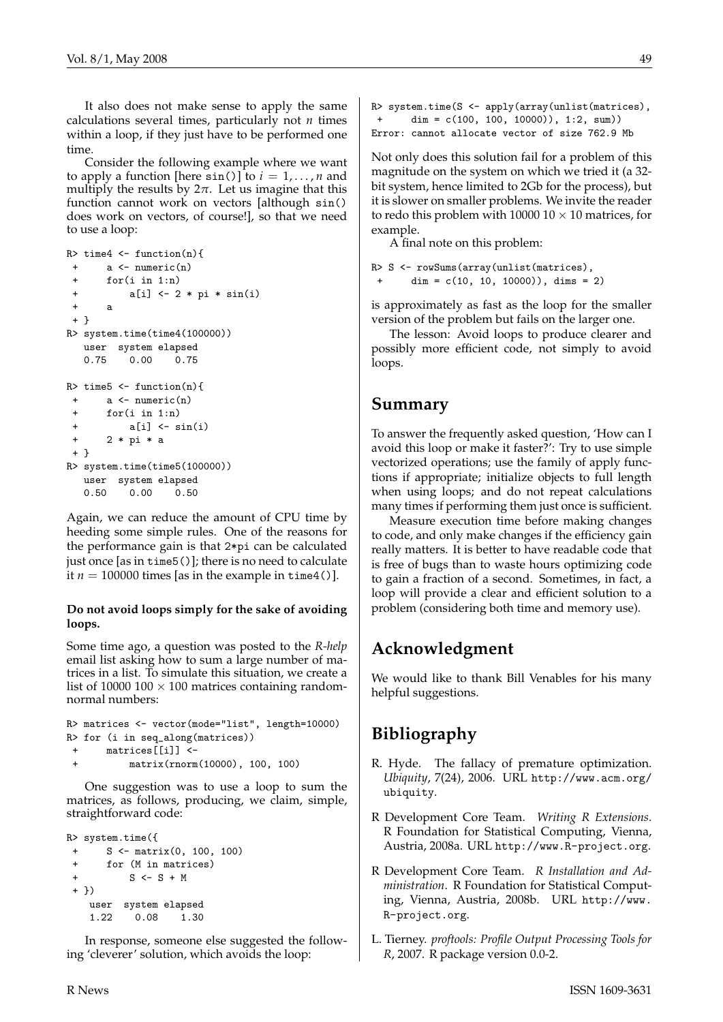It also does not make sense to apply the same calculations several times, particularly not *n* times within a loop, if they just have to be performed one time.

Consider the following example where we want to apply a function [here  $sin()$ ] to  $i = 1, ..., n$  and multiply the results by  $2\pi$ . Let us imagine that this function cannot work on vectors [although sin() does work on vectors, of course!], so that we need to use a loop:

```
R> time4 <- function(n){
 + a <- numeric(n)
 + for(i in 1:n)
 + a[i] <- 2 * pi * sin(i)
 + a
 + }
R> system.time(time4(100000))
  user system elapsed
  0.75 0.00 0.75
R> time5 \leftarrow function(n){
 + a <- numeric(n)
 + for(i in 1:n)
 + a[i] <- sin(i)
 + 2 * pi * a
 + }
R> system.time(time5(100000))
  user system elapsed
  0.50 0.00 0.50
```
Again, we can reduce the amount of CPU time by heeding some simple rules. One of the reasons for the performance gain is that 2\*pi can be calculated just once [as in time5()]; there is no need to calculate it  $n = 100000$  times [as in the example in time4()].

#### **Do not avoid loops simply for the sake of avoiding loops.**

Some time ago, a question was posted to the *R-help* email list asking how to sum a large number of matrices in a list. To simulate this situation, we create a list of 10000 100  $\times$  100 matrices containing randomnormal numbers:

```
R> matrices <- vector(mode="list", length=10000)
R> for (i in seq_along(matrices))
 + matrices[[i]] <-
 + matrix(rnorm(10000), 100, 100)
```
One suggestion was to use a loop to sum the matrices, as follows, producing, we claim, simple, straightforward code:

```
R> system.time({
+ S <- matrix(0, 100, 100)
+ for (M in matrices)
+ S <- S + M
+ })
   user system elapsed
   1.22 0.08 1.30
```
In response, someone else suggested the following 'cleverer' solution, which avoids the loop:

Not only does this solution fail for a problem of this magnitude on the system on which we tried it (a 32 bit system, hence limited to 2Gb for the process), but it is slower on smaller problems. We invite the reader to redo this problem with 10000  $10 \times 10$  matrices, for example.

A final note on this problem:

```
R> S <- rowSums(array(unlist(matrices),
+ dim = c(10, 10, 10000)), dims = 2)
```
is approximately as fast as the loop for the smaller version of the problem but fails on the larger one.

The lesson: Avoid loops to produce clearer and possibly more efficient code, not simply to avoid loops.

### **Summary**

To answer the frequently asked question, 'How can I avoid this loop or make it faster?': Try to use simple vectorized operations; use the family of apply functions if appropriate; initialize objects to full length when using loops; and do not repeat calculations many times if performing them just once is sufficient.

Measure execution time before making changes to code, and only make changes if the efficiency gain really matters. It is better to have readable code that is free of bugs than to waste hours optimizing code to gain a fraction of a second. Sometimes, in fact, a loop will provide a clear and efficient solution to a problem (considering both time and memory use).

# **Acknowledgment**

We would like to thank Bill Venables for his many helpful suggestions.

# **Bibliography**

- <span id="page-48-0"></span>R. Hyde. The fallacy of premature optimization. *Ubiquity*, 7(24), 2006. URL [http://www.acm.org/](http://www.acm.org/ubiquity) [ubiquity](http://www.acm.org/ubiquity).
- <span id="page-48-1"></span>R Development Core Team. *Writing R Extensions*. R Foundation for Statistical Computing, Vienna, Austria, 2008a. URL <http://www.R-project.org>.
- <span id="page-48-3"></span>R Development Core Team. *R Installation and Administration*. R Foundation for Statistical Computing, Vienna, Austria, 2008b. URL [http://www.](http://www.R-project.org) [R-project.org](http://www.R-project.org).
- <span id="page-48-2"></span>L. Tierney. *proftools: Profile Output Processing Tools for R*, 2007. R package version 0.0-2.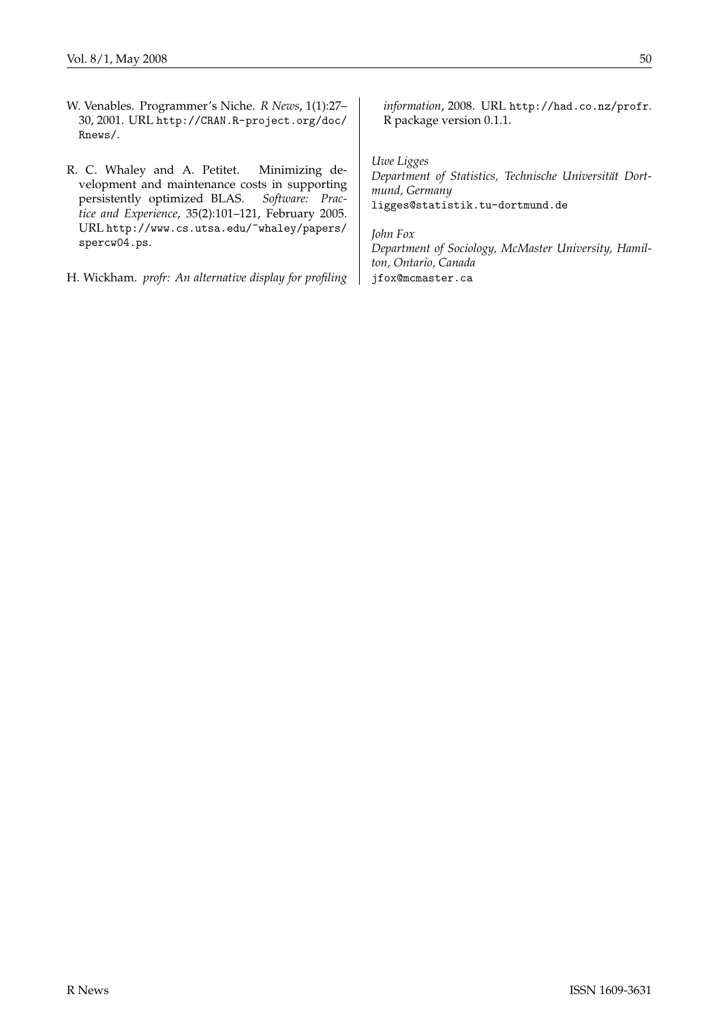- <span id="page-49-0"></span>W. Venables. Programmer's Niche. *R News*, 1(1):27– 30, 2001. URL [http://CRAN.R-project.org/doc/](http://CRAN.R-project.org/doc/Rnews/) [Rnews/](http://CRAN.R-project.org/doc/Rnews/).
- <span id="page-49-2"></span>R. C. Whaley and A. Petitet. Minimizing development and maintenance costs in supporting persistently optimized BLAS. *Software: Practice and Experience*, 35(2):101–121, February 2005. URL [http://www.cs.utsa.edu/~whaley/papers/](http://www.cs.utsa.edu/~whaley/papers/spercw04.ps) [spercw04.ps](http://www.cs.utsa.edu/~whaley/papers/spercw04.ps).
- <span id="page-49-1"></span>H. Wickham. *profr: An alternative display for profiling*

*information*, 2008. URL <http://had.co.nz/profr>. R package version 0.1.1.

*Uwe Ligges*

*Department of Statistics, Technische Universität Dortmund, Germany* [ligges@statistik.tu-dortmund.de](mailto:ligges@statistik.tu-dortmund.de)

*John Fox*

*Department of Sociology, McMaster University, Hamilton, Ontario, Canada* [jfox@mcmaster.ca](mailto:jfox@mcmaster.ca)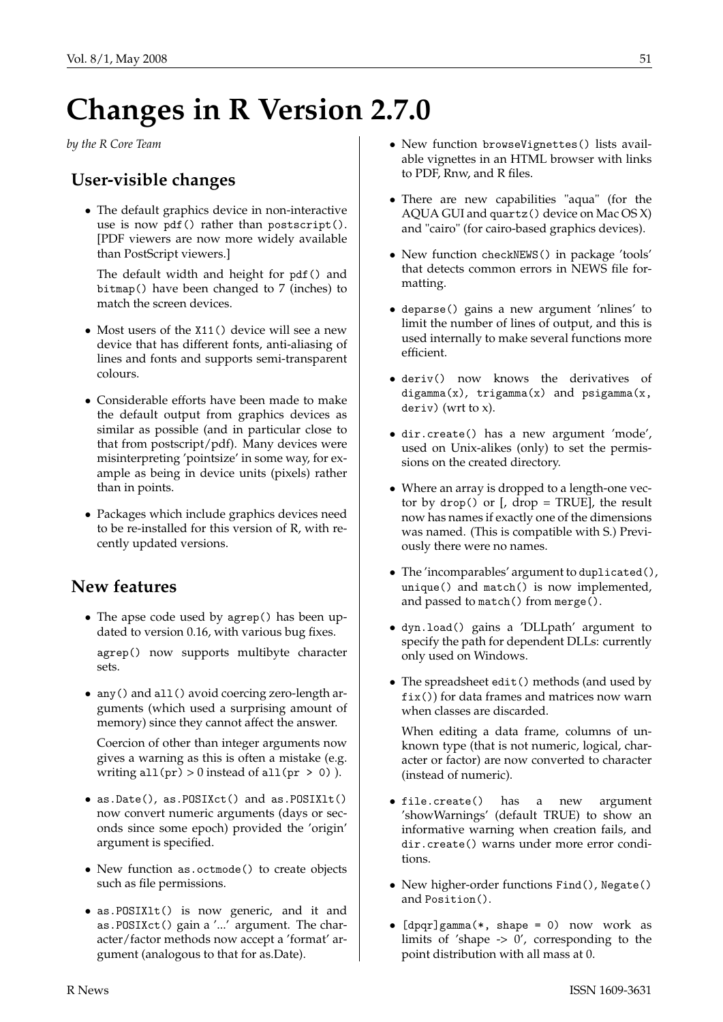# **Changes in R Version 2.7.0**

*by the R Core Team*

## **User-visible changes**

• The default graphics device in non-interactive use is now pdf() rather than postscript(). [PDF viewers are now more widely available than PostScript viewers.]

The default width and height for pdf() and bitmap() have been changed to 7 (inches) to match the screen devices.

- Most users of the X11() device will see a new device that has different fonts, anti-aliasing of lines and fonts and supports semi-transparent colours.
- Considerable efforts have been made to make the default output from graphics devices as similar as possible (and in particular close to that from postscript/pdf). Many devices were misinterpreting 'pointsize' in some way, for example as being in device units (pixels) rather than in points.
- Packages which include graphics devices need to be re-installed for this version of R, with recently updated versions.

## **New features**

• The apse code used by agrep() has been updated to version 0.16, with various bug fixes.

agrep() now supports multibyte character sets.

• any () and all() avoid coercing zero-length arguments (which used a surprising amount of memory) since they cannot affect the answer.

Coercion of other than integer arguments now gives a warning as this is often a mistake (e.g. writing  $all(pr) > 0$  instead of  $all(pr > 0)$ .

- as.Date(), as.POSIXct() and as.POSIXlt() now convert numeric arguments (days or seconds since some epoch) provided the 'origin' argument is specified.
- New function as.octmode() to create objects such as file permissions.
- as.POSIXlt() is now generic, and it and as.POSIXct() gain a '...' argument. The character/factor methods now accept a 'format' argument (analogous to that for as.Date).
- New function browseVignettes() lists available vignettes in an HTML browser with links to PDF, Rnw, and R files.
- There are new capabilities "aqua" (for the AQUA GUI and quartz() device on Mac OS X) and "cairo" (for cairo-based graphics devices).
- New function checkNEWS() in package 'tools' that detects common errors in NEWS file formatting.
- deparse() gains a new argument 'nlines' to limit the number of lines of output, and this is used internally to make several functions more efficient.
- deriv() now knows the derivatives of digamma(x), trigamma(x) and psigamma(x, deriv) (wrt to x).
- dir.create() has a new argument 'mode', used on Unix-alikes (only) to set the permissions on the created directory.
- Where an array is dropped to a length-one vector by drop() or  $\left[$ , drop = TRUE $\right]$ , the result now has names if exactly one of the dimensions was named. (This is compatible with S.) Previously there were no names.
- The 'incomparables' argument to duplicated(), unique() and match() is now implemented, and passed to match() from merge().
- dyn.load() gains a 'DLLpath' argument to specify the path for dependent DLLs: currently only used on Windows.
- The spreadsheet edit() methods (and used by fix()) for data frames and matrices now warn when classes are discarded.

When editing a data frame, columns of unknown type (that is not numeric, logical, character or factor) are now converted to character (instead of numeric).

- file.create() has a new argument 'showWarnings' (default TRUE) to show an informative warning when creation fails, and dir.create() warns under more error conditions.
- New higher-order functions Find(), Negate() and Position().
- $[dpqr]$ gamma $(*, shape = 0)$  now work as limits of 'shape -> 0', corresponding to the point distribution with all mass at 0.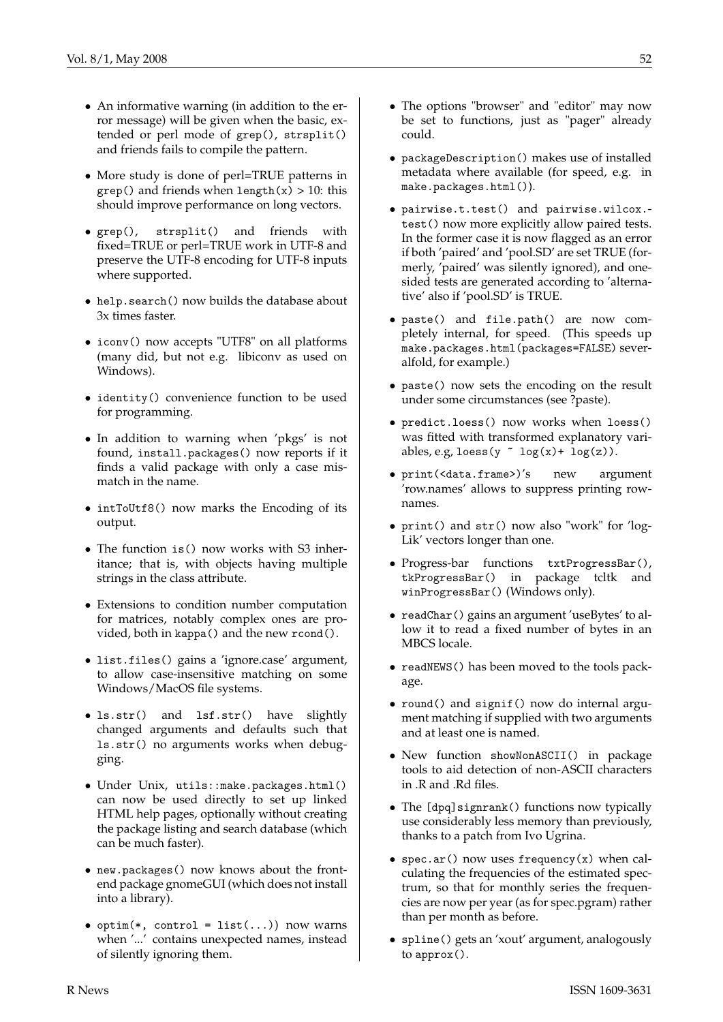- An informative warning (in addition to the error message) will be given when the basic, extended or perl mode of grep(), strsplit() and friends fails to compile the pattern.
- More study is done of perl=TRUE patterns in  $grep()$  and friends when length $(x) > 10$ : this should improve performance on long vectors.
- grep(), strsplit() and friends with fixed=TRUE or perl=TRUE work in UTF-8 and preserve the UTF-8 encoding for UTF-8 inputs where supported.
- help.search() now builds the database about 3x times faster.
- iconv() now accepts "UTF8" on all platforms (many did, but not e.g. libiconv as used on Windows).
- identity() convenience function to be used for programming.
- In addition to warning when 'pkgs' is not found, install.packages() now reports if it finds a valid package with only a case mismatch in the name.
- intToUtf8() now marks the Encoding of its output.
- The function is() now works with S3 inheritance; that is, with objects having multiple strings in the class attribute.
- Extensions to condition number computation for matrices, notably complex ones are provided, both in kappa() and the new rcond().
- list.files() gains a 'ignore.case' argument, to allow case-insensitive matching on some Windows/MacOS file systems.
- ls.str() and lsf.str() have slightly changed arguments and defaults such that ls.str() no arguments works when debugging.
- Under Unix, utils::make.packages.html() can now be used directly to set up linked HTML help pages, optionally without creating the package listing and search database (which can be much faster).
- new.packages() now knows about the frontend package gnomeGUI (which does not install into a library).
- optim $(*,$  control = list $(...)$  now warns when '...' contains unexpected names, instead of silently ignoring them.
- The options "browser" and "editor" may now be set to functions, just as "pager" already could.
- packageDescription() makes use of installed metadata where available (for speed, e.g. in make.packages.html()).
- pairwise.t.test() and pairwise.wilcox. test() now more explicitly allow paired tests. In the former case it is now flagged as an error if both 'paired' and 'pool.SD' are set TRUE (formerly, 'paired' was silently ignored), and onesided tests are generated according to 'alternative' also if 'pool.SD' is TRUE.
- paste() and file.path() are now completely internal, for speed. (This speeds up make.packages.html(packages=FALSE) severalfold, for example.)
- paste() now sets the encoding on the result under some circumstances (see ?paste).
- predict.loess() now works when loess() was fitted with transformed explanatory variables, e.g, loess( $y \sim \log(x) + \log(z)$ ).
- print(<data.frame>)'s new argument 'row.names' allows to suppress printing rownames.
- print() and str() now also "work" for 'log-Lik' vectors longer than one.
- Progress-bar functions txtProgressBar(), tkProgressBar() in package tcltk and winProgressBar() (Windows only).
- readChar() gains an argument 'useBytes' to allow it to read a fixed number of bytes in an MBCS locale.
- readNEWS() has been moved to the tools package.
- round() and signif() now do internal argument matching if supplied with two arguments and at least one is named.
- New function showNonASCII() in package tools to aid detection of non-ASCII characters in .R and .Rd files.
- The [dpq] signrank() functions now typically use considerably less memory than previously, thanks to a patch from Ivo Ugrina.
- spec.ar() now uses frequency(x) when calculating the frequencies of the estimated spectrum, so that for monthly series the frequencies are now per year (as for spec.pgram) rather than per month as before.
- spline() gets an 'xout' argument, analogously to approx().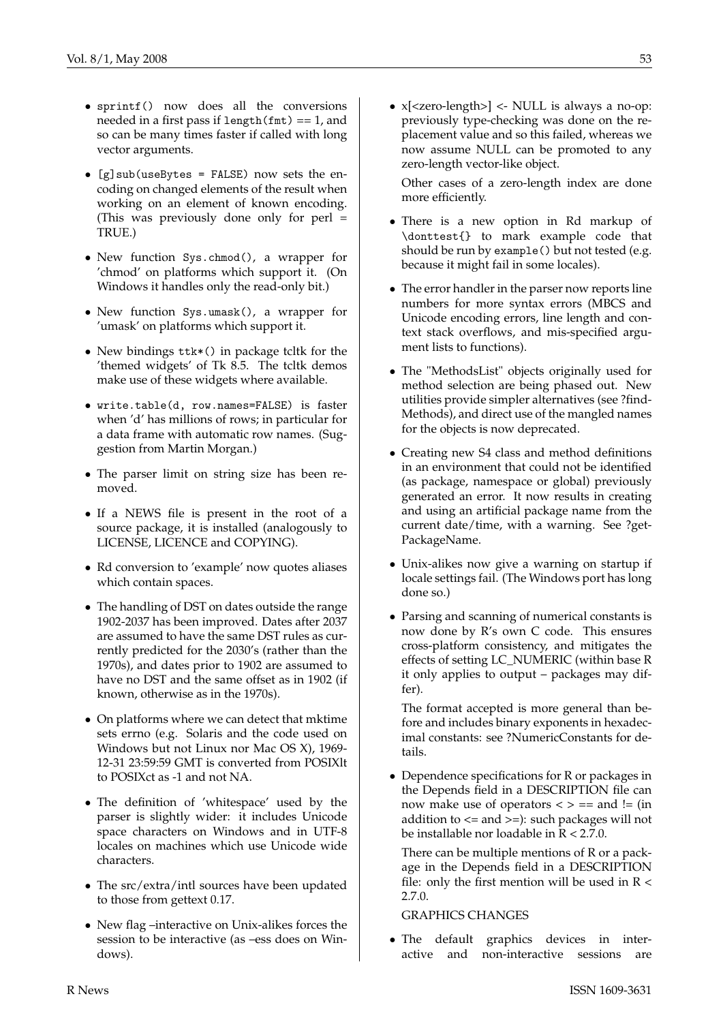- sprintf() now does all the conversions needed in a first pass if length $(fmt) == 1$ , and so can be many times faster if called with long vector arguments.
- [g]sub(useBytes = FALSE) now sets the encoding on changed elements of the result when working on an element of known encoding. (This was previously done only for perl = TRUE.)
- New function Sys.chmod(), a wrapper for 'chmod' on platforms which support it. (On Windows it handles only the read-only bit.)
- New function Sys.umask(), a wrapper for 'umask' on platforms which support it.
- New bindings ttk\*() in package tcltk for the 'themed widgets' of Tk 8.5. The tcltk demos make use of these widgets where available.
- write.table(d, row.names=FALSE) is faster when 'd' has millions of rows; in particular for a data frame with automatic row names. (Suggestion from Martin Morgan.)
- The parser limit on string size has been removed.
- If a NEWS file is present in the root of a source package, it is installed (analogously to LICENSE, LICENCE and COPYING).
- Rd conversion to 'example' now quotes aliases which contain spaces.
- The handling of DST on dates outside the range 1902-2037 has been improved. Dates after 2037 are assumed to have the same DST rules as currently predicted for the 2030's (rather than the 1970s), and dates prior to 1902 are assumed to have no DST and the same offset as in 1902 (if known, otherwise as in the 1970s).
- On platforms where we can detect that mktime sets errno (e.g. Solaris and the code used on Windows but not Linux nor Mac OS X), 1969- 12-31 23:59:59 GMT is converted from POSIXlt to POSIXct as -1 and not NA.
- The definition of 'whitespace' used by the parser is slightly wider: it includes Unicode space characters on Windows and in UTF-8 locales on machines which use Unicode wide characters.
- The src/extra/intl sources have been updated to those from gettext 0.17.
- New flag –interactive on Unix-alikes forces the session to be interactive (as –ess does on Windows).

• x[<zero-length>] <- NULL is always a no-op: previously type-checking was done on the replacement value and so this failed, whereas we now assume NULL can be promoted to any zero-length vector-like object.

Other cases of a zero-length index are done more efficiently.

- There is a new option in Rd markup of \donttest{} to mark example code that should be run by example() but not tested (e.g. because it might fail in some locales).
- The error handler in the parser now reports line numbers for more syntax errors (MBCS and Unicode encoding errors, line length and context stack overflows, and mis-specified argument lists to functions).
- The "MethodsList" objects originally used for method selection are being phased out. New utilities provide simpler alternatives (see ?find-Methods), and direct use of the mangled names for the objects is now deprecated.
- Creating new S4 class and method definitions in an environment that could not be identified (as package, namespace or global) previously generated an error. It now results in creating and using an artificial package name from the current date/time, with a warning. See ?get-PackageName.
- Unix-alikes now give a warning on startup if locale settings fail. (The Windows port has long done so.)
- Parsing and scanning of numerical constants is now done by R's own C code. This ensures cross-platform consistency, and mitigates the effects of setting LC\_NUMERIC (within base R it only applies to output – packages may differ).

The format accepted is more general than before and includes binary exponents in hexadecimal constants: see ?NumericConstants for details.

• Dependence specifications for R or packages in the Depends field in a DESCRIPTION file can now make use of operators  $\langle \rangle$  = and != (in addition to <= and >=): such packages will not be installable nor loadable in R < 2.7.0.

There can be multiple mentions of R or a package in the Depends field in a DESCRIPTION file: only the first mention will be used in  $R <$ 2.7.0.

#### GRAPHICS CHANGES

• The default graphics devices in interactive and non-interactive sessions are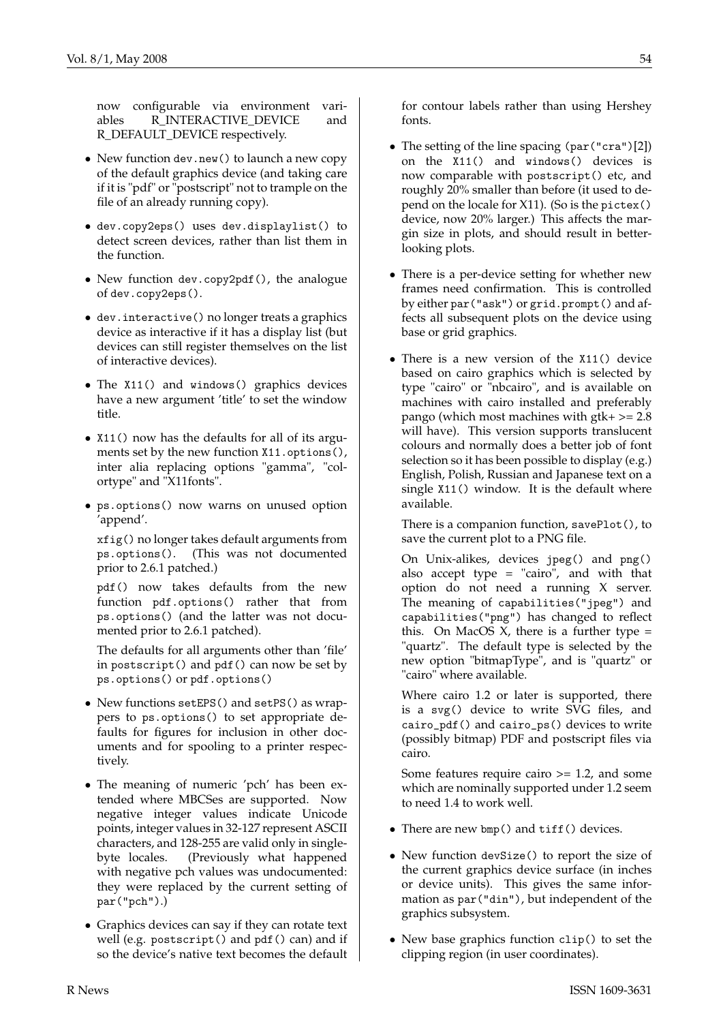now configurable via environment variables R\_INTERACTIVE\_DEVICE and R\_DEFAULT\_DEVICE respectively.

- New function dev.new() to launch a new copy of the default graphics device (and taking care if it is "pdf" or "postscript" not to trample on the file of an already running copy).
- dev.copy2eps() uses dev.displaylist() to detect screen devices, rather than list them in the function.
- New function dev.copy2pdf(), the analogue of dev.copy2eps().
- dev.interactive() no longer treats a graphics device as interactive if it has a display list (but devices can still register themselves on the list of interactive devices).
- The X11() and windows() graphics devices have a new argument 'title' to set the window title.
- X11() now has the defaults for all of its arguments set by the new function X11.options(), inter alia replacing options "gamma", "colortype" and "X11fonts".
- ps.options() now warns on unused option 'append'.

xfig() no longer takes default arguments from ps.options(). (This was not documented prior to 2.6.1 patched.)

pdf() now takes defaults from the new function pdf.options() rather that from ps.options() (and the latter was not documented prior to 2.6.1 patched).

The defaults for all arguments other than 'file' in postscript() and pdf() can now be set by ps.options() or pdf.options()

- New functions setEPS() and setPS() as wrappers to ps.options() to set appropriate defaults for figures for inclusion in other documents and for spooling to a printer respectively.
- The meaning of numeric 'pch' has been extended where MBCSes are supported. Now negative integer values indicate Unicode points, integer values in 32-127 represent ASCII characters, and 128-255 are valid only in singlebyte locales. (Previously what happened with negative pch values was undocumented: they were replaced by the current setting of par("pch").)
- Graphics devices can say if they can rotate text well (e.g. postscript() and pdf() can) and if so the device's native text becomes the default

for contour labels rather than using Hershey fonts.

- The setting of the line spacing (par("cra")[2]) on the X11() and windows() devices is now comparable with postscript() etc, and roughly 20% smaller than before (it used to depend on the locale for X11). (So is the pictex() device, now 20% larger.) This affects the margin size in plots, and should result in betterlooking plots.
- There is a per-device setting for whether new frames need confirmation. This is controlled by either par("ask") or grid.prompt() and affects all subsequent plots on the device using base or grid graphics.
- There is a new version of the X11() device based on cairo graphics which is selected by type "cairo" or "nbcairo", and is available on machines with cairo installed and preferably pango (which most machines with  $gtk += = 2.8$ will have). This version supports translucent colours and normally does a better job of font selection so it has been possible to display (e.g.) English, Polish, Russian and Japanese text on a single X11() window. It is the default where available.

There is a companion function, savePlot(), to save the current plot to a PNG file.

On Unix-alikes, devices jpeg() and png() also accept type = "cairo", and with that option do not need a running X server. The meaning of capabilities("jpeg") and capabilities("png") has changed to reflect this. On MacOS  $X$ , there is a further type = "quartz". The default type is selected by the new option "bitmapType", and is "quartz" or "cairo" where available.

Where cairo 1.2 or later is supported, there is a svg() device to write SVG files, and cairo\_pdf() and cairo\_ps() devices to write (possibly bitmap) PDF and postscript files via cairo.

Some features require cairo >= 1.2, and some which are nominally supported under 1.2 seem to need 1.4 to work well.

- There are new bmp() and tiff() devices.
- New function devSize() to report the size of the current graphics device surface (in inches or device units). This gives the same information as par("din"), but independent of the graphics subsystem.
- New base graphics function clip() to set the clipping region (in user coordinates).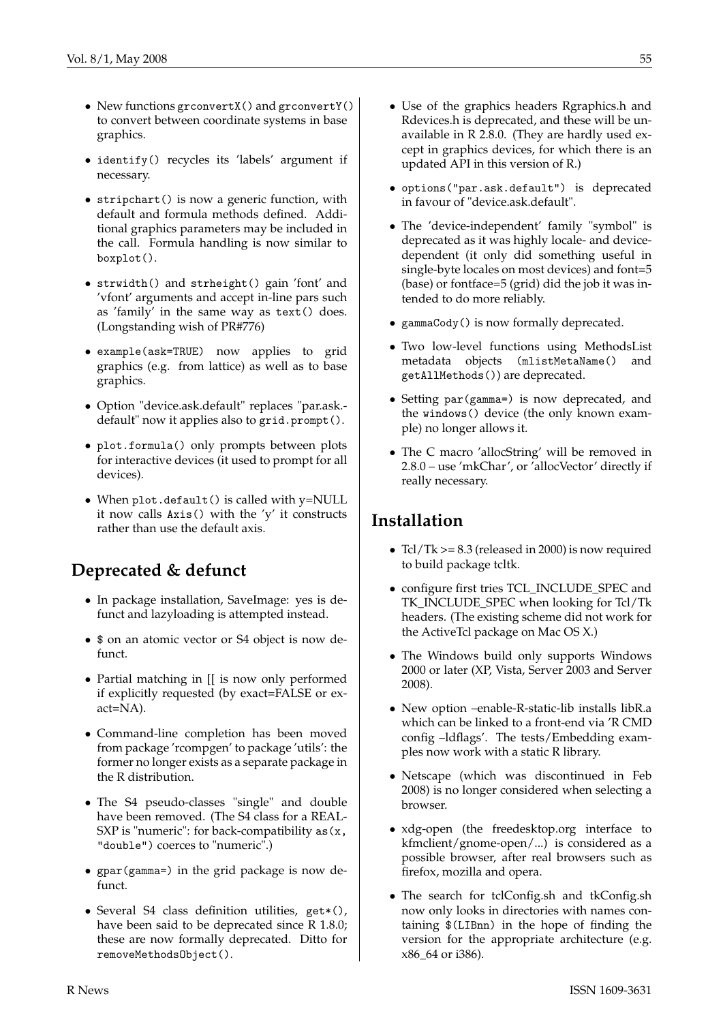- New functions grconvertX() and grconvertY() to convert between coordinate systems in base graphics.
- identify() recycles its 'labels' argument if necessary.
- stripchart() is now a generic function, with default and formula methods defined. Additional graphics parameters may be included in the call. Formula handling is now similar to boxplot().
- strwidth() and strheight() gain 'font' and 'vfont' arguments and accept in-line pars such as 'family' in the same way as text() does. (Longstanding wish of PR#776)
- example(ask=TRUE) now applies to grid graphics (e.g. from lattice) as well as to base graphics.
- Option "device.ask.default" replaces "par.ask. default" now it applies also to grid.prompt().
- plot.formula() only prompts between plots for interactive devices (it used to prompt for all devices).
- When plot.default() is called with y=NULL it now calls Axis() with the 'y' it constructs rather than use the default axis.

# **Deprecated & defunct**

- In package installation, SaveImage: yes is defunct and lazyloading is attempted instead.
- $\bullet$  on an atomic vector or S4 object is now defunct.
- Partial matching in [[ is now only performed if explicitly requested (by exact=FALSE or exact=NA).
- Command-line completion has been moved from package 'rcompgen' to package 'utils': the former no longer exists as a separate package in the R distribution.
- The S4 pseudo-classes "single" and double have been removed. (The S4 class for a REAL-SXP is "numeric": for back-compatibility  $as(x,$ "double") coerces to "numeric".)
- gpar(gamma=) in the grid package is now defunct.
- Several S4 class definition utilities, get\*(), have been said to be deprecated since R 1.8.0; these are now formally deprecated. Ditto for removeMethodsObject().
- Use of the graphics headers Rgraphics.h and Rdevices.h is deprecated, and these will be unavailable in R 2.8.0. (They are hardly used except in graphics devices, for which there is an updated API in this version of R.)
- options("par.ask.default") is deprecated in favour of "device.ask.default".
- The 'device-independent' family "symbol" is deprecated as it was highly locale- and devicedependent (it only did something useful in single-byte locales on most devices) and font=5 (base) or fontface=5 (grid) did the job it was intended to do more reliably.
- gammaCody() is now formally deprecated.
- Two low-level functions using MethodsList metadata objects (mlistMetaName() and getAllMethods()) are deprecated.
- Setting par(gamma=) is now deprecated, and the windows() device (the only known example) no longer allows it.
- The C macro 'allocString' will be removed in 2.8.0 – use 'mkChar', or 'allocVector' directly if really necessary.

## **Installation**

- Tcl/Tk >= 8.3 (released in 2000) is now required to build package tcltk.
- configure first tries TCL\_INCLUDE\_SPEC and TK\_INCLUDE\_SPEC when looking for Tcl/Tk headers. (The existing scheme did not work for the ActiveTcl package on Mac OS X.)
- The Windows build only supports Windows 2000 or later (XP, Vista, Server 2003 and Server 2008).
- New option –enable-R-static-lib installs libR.a which can be linked to a front-end via 'R CMD config –ldflags'. The tests/Embedding examples now work with a static R library.
- Netscape (which was discontinued in Feb 2008) is no longer considered when selecting a browser.
- xdg-open (the freedesktop.org interface to kfmclient/gnome-open/...) is considered as a possible browser, after real browsers such as firefox, mozilla and opera.
- The search for tclConfig.sh and tkConfig.sh now only looks in directories with names containing \$(LIBnn) in the hope of finding the version for the appropriate architecture (e.g. x86\_64 or i386).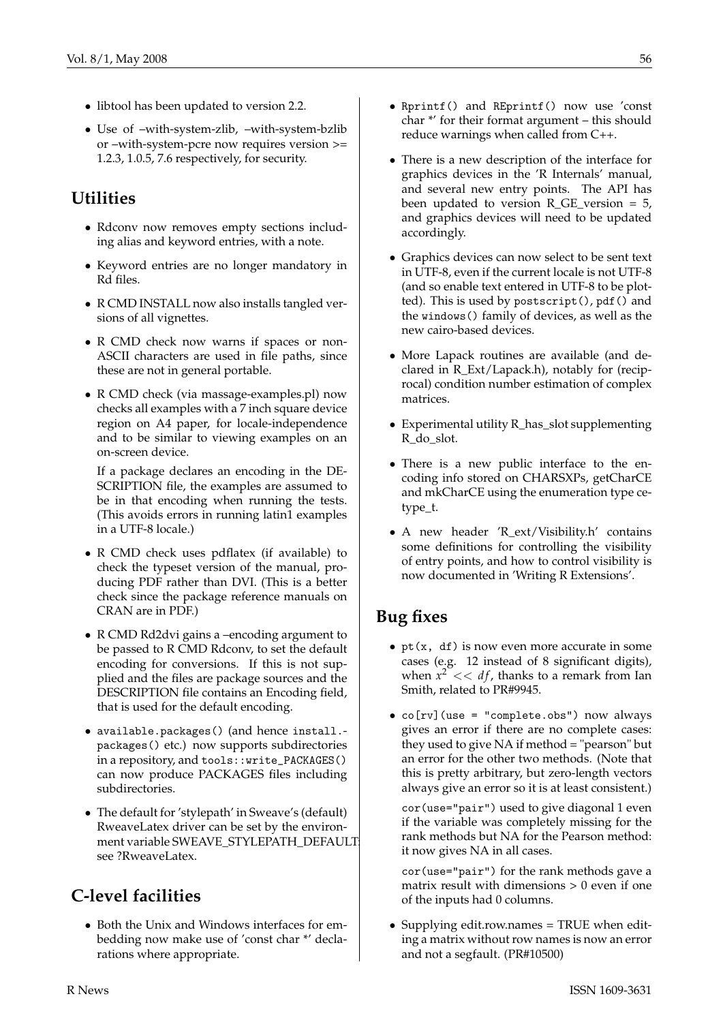- libtool has been updated to version 2.2.
- Use of –with-system-zlib, –with-system-bzlib or –with-system-pcre now requires version >= 1.2.3, 1.0.5, 7.6 respectively, for security.

## **Utilities**

- Rdconv now removes empty sections including alias and keyword entries, with a note.
- Keyword entries are no longer mandatory in Rd files.
- R CMD INSTALL now also installs tangled versions of all vignettes.
- R CMD check now warns if spaces or non-ASCII characters are used in file paths, since these are not in general portable.
- R CMD check (via massage-examples.pl) now checks all examples with a 7 inch square device region on A4 paper, for locale-independence and to be similar to viewing examples on an on-screen device.

If a package declares an encoding in the DE-SCRIPTION file, the examples are assumed to be in that encoding when running the tests. (This avoids errors in running latin1 examples in a UTF-8 locale.)

- R CMD check uses pdflatex (if available) to check the typeset version of the manual, producing PDF rather than DVI. (This is a better check since the package reference manuals on CRAN are in PDF.)
- R CMD Rd2dvi gains a –encoding argument to be passed to R CMD Rdconv, to set the default encoding for conversions. If this is not supplied and the files are package sources and the DESCRIPTION file contains an Encoding field, that is used for the default encoding.
- available.packages() (and hence install. packages() etc.) now supports subdirectories in a repository, and tools::write\_PACKAGES() can now produce PACKAGES files including subdirectories.
- The default for 'stylepath' in Sweave's (default) RweaveLatex driver can be set by the environment variable SWEAVE\_STYLEPATH\_DEFAULT: see ?RweaveLatex.

# **C-level facilities**

• Both the Unix and Windows interfaces for embedding now make use of 'const char \*' declarations where appropriate.

- Rprintf() and REprintf() now use 'const char \*' for their format argument – this should reduce warnings when called from C++.
- There is a new description of the interface for graphics devices in the 'R Internals' manual, and several new entry points. The API has been updated to version  $R_{C}$ GE\_version = 5, and graphics devices will need to be updated accordingly.
- Graphics devices can now select to be sent text in UTF-8, even if the current locale is not UTF-8 (and so enable text entered in UTF-8 to be plotted). This is used by postscript(), pdf() and the windows() family of devices, as well as the new cairo-based devices.
- More Lapack routines are available (and declared in R\_Ext/Lapack.h), notably for (reciprocal) condition number estimation of complex matrices.
- Experimental utility R\_has\_slot supplementing R\_do\_slot.
- There is a new public interface to the encoding info stored on CHARSXPs, getCharCE and mkCharCE using the enumeration type cetype\_t.
- A new header 'R\_ext/Visibility.h' contains some definitions for controlling the visibility of entry points, and how to control visibility is now documented in 'Writing R Extensions'.

# **Bug fixes**

- $pt(x, df)$  is now even more accurate in some cases (e.g. 12 instead of 8 significant digits), when  $x^2 \ll df$ , thanks to a remark from Ian Smith, related to PR#9945.
- co[rv](use = "complete.obs") now always gives an error if there are no complete cases: they used to give NA if method = "pearson" but an error for the other two methods. (Note that this is pretty arbitrary, but zero-length vectors always give an error so it is at least consistent.)

cor(use="pair") used to give diagonal 1 even if the variable was completely missing for the rank methods but NA for the Pearson method: it now gives NA in all cases.

cor(use="pair") for the rank methods gave a matrix result with dimensions > 0 even if one of the inputs had 0 columns.

• Supplying edit.row.names = TRUE when editing a matrix without row names is now an error and not a segfault. (PR#10500)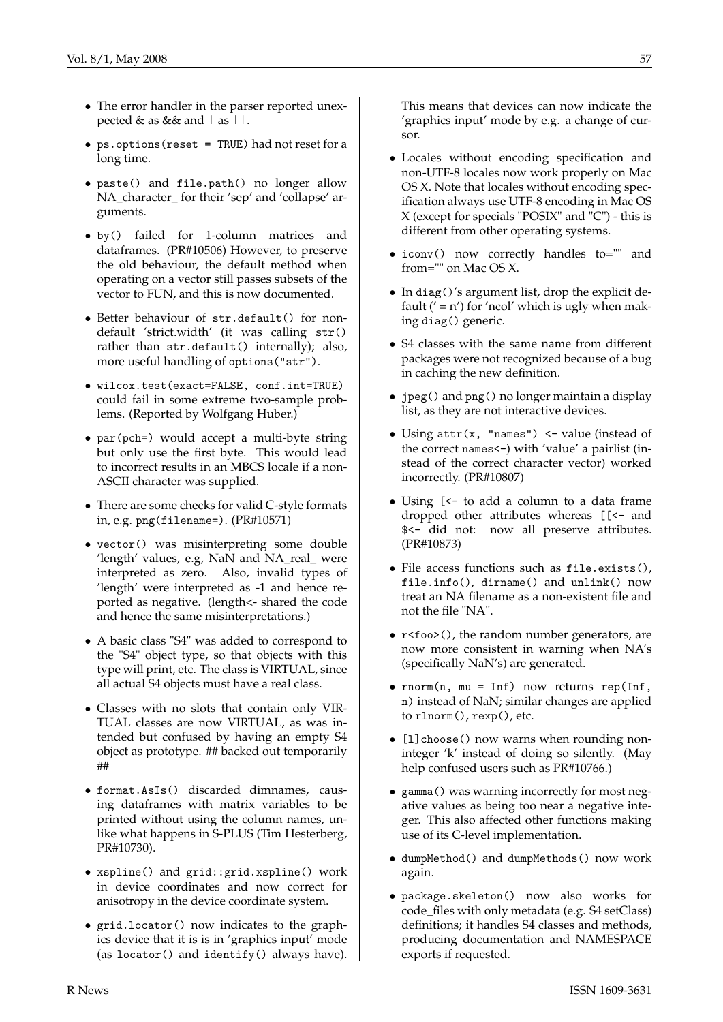- The error handler in the parser reported unexpected  $&$  as  $&$  and  $|$  as  $||$ .
- ps.options(reset = TRUE) had not reset for a long time.
- paste() and file.path() no longer allow NA\_character\_ for their 'sep' and 'collapse' arguments.
- by() failed for 1-column matrices and dataframes. (PR#10506) However, to preserve the old behaviour, the default method when operating on a vector still passes subsets of the vector to FUN, and this is now documented.
- Better behaviour of str.default() for nondefault 'strict.width' (it was calling str() rather than str.default() internally); also, more useful handling of options("str").
- wilcox.test(exact=FALSE, conf.int=TRUE) could fail in some extreme two-sample problems. (Reported by Wolfgang Huber.)
- par(pch=) would accept a multi-byte string but only use the first byte. This would lead to incorrect results in an MBCS locale if a non-ASCII character was supplied.
- There are some checks for valid C-style formats in, e.g. png(filename=). (PR#10571)
- vector() was misinterpreting some double 'length' values, e.g, NaN and NA\_real\_ were interpreted as zero. Also, invalid types of 'length' were interpreted as -1 and hence reported as negative. (length<- shared the code and hence the same misinterpretations.)
- A basic class "S4" was added to correspond to the "S4" object type, so that objects with this type will print, etc. The class is VIRTUAL, since all actual S4 objects must have a real class.
- Classes with no slots that contain only VIR-TUAL classes are now VIRTUAL, as was intended but confused by having an empty S4 object as prototype. ## backed out temporarily ##
- format.AsIs() discarded dimnames, causing dataframes with matrix variables to be printed without using the column names, unlike what happens in S-PLUS (Tim Hesterberg, PR#10730).
- xspline() and grid::grid.xspline() work in device coordinates and now correct for anisotropy in the device coordinate system.
- grid.locator() now indicates to the graphics device that it is is in 'graphics input' mode (as locator() and identify() always have).

This means that devices can now indicate the 'graphics input' mode by e.g. a change of cursor.

- Locales without encoding specification and non-UTF-8 locales now work properly on Mac OS X. Note that locales without encoding specification always use UTF-8 encoding in Mac OS X (except for specials "POSIX" and "C") - this is different from other operating systems.
- iconv() now correctly handles to="" and from="" on Mac OS X.
- In diag()'s argument list, drop the explicit default  $(' = n')$  for 'ncol' which is ugly when making diag() generic.
- S4 classes with the same name from different packages were not recognized because of a bug in caching the new definition.
- jpeg() and png() no longer maintain a display list, as they are not interactive devices.
- Using  $attr(x, "names") \leq value (instead of)$ the correct names<-) with 'value' a pairlist (instead of the correct character vector) worked incorrectly. (PR#10807)
- Using [<- to add a column to a data frame dropped other attributes whereas [[<- and \$<- did not: now all preserve attributes. (PR#10873)
- File access functions such as file.exists(), file.info(), dirname() and unlink() now treat an NA filename as a non-existent file and not the file "NA".
- $r$  < foo > (), the random number generators, are now more consistent in warning when NA's (specifically NaN's) are generated.
- $rnorm(n, mu = Inf)$  now returns rep(Inf, n) instead of NaN; similar changes are applied to rlnorm(), rexp(), etc.
- [1] choose () now warns when rounding noninteger 'k' instead of doing so silently. (May help confused users such as PR#10766.)
- gamma() was warning incorrectly for most negative values as being too near a negative integer. This also affected other functions making use of its C-level implementation.
- dumpMethod() and dumpMethods() now work again.
- package.skeleton() now also works for code\_files with only metadata (e.g. S4 setClass) definitions; it handles S4 classes and methods, producing documentation and NAMESPACE exports if requested.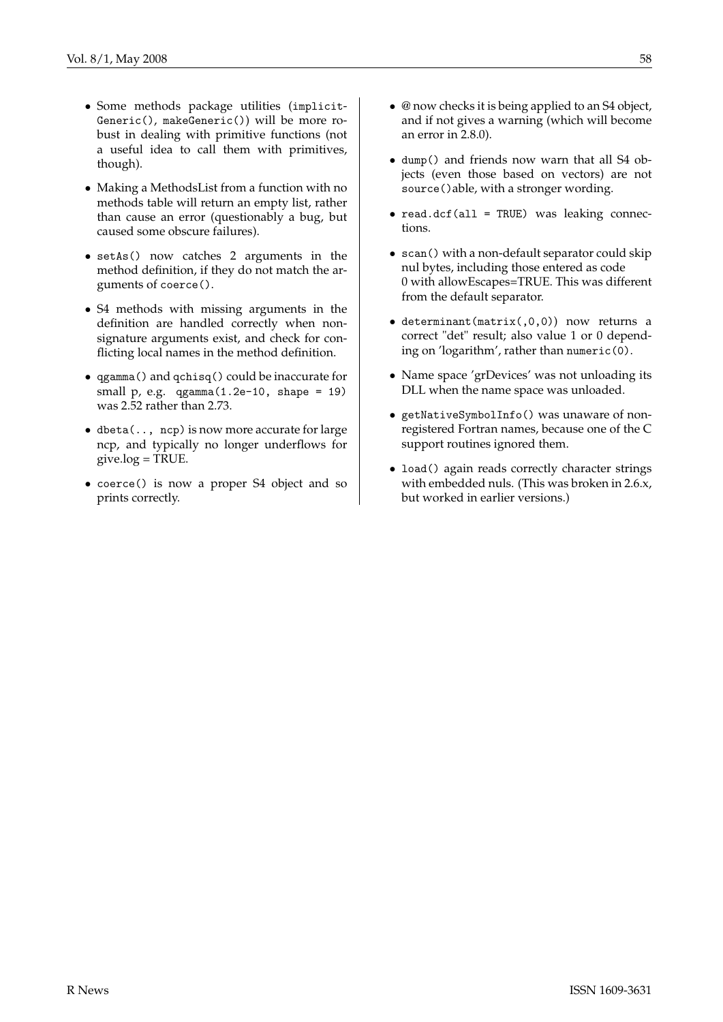- Some methods package utilities (implicit-Generic(), makeGeneric()) will be more robust in dealing with primitive functions (not a useful idea to call them with primitives, though).
- Making a MethodsList from a function with no methods table will return an empty list, rather than cause an error (questionably a bug, but caused some obscure failures).
- setAs() now catches 2 arguments in the method definition, if they do not match the arguments of coerce().
- S4 methods with missing arguments in the definition are handled correctly when nonsignature arguments exist, and check for conflicting local names in the method definition.
- qgamma() and qchisq() could be inaccurate for small p, e.g.  $qgamma(1.2e-10, shape = 19)$ was 2.52 rather than 2.73.
- dbeta(.., ncp) is now more accurate for large ncp, and typically no longer underflows for  $give.log = TRUE.$
- coerce() is now a proper S4 object and so prints correctly.
- @ now checks it is being applied to an S4 object, and if not gives a warning (which will become an error in 2.8.0).
- dump() and friends now warn that all S4 objects (even those based on vectors) are not source()able, with a stronger wording.
- read.dcf(all = TRUE) was leaking connections.
- scan() with a non-default separator could skip nul bytes, including those entered as code 0 with allowEscapes=TRUE. This was different from the default separator.
- determinant(matrix(,0,0)) now returns a correct "det" result; also value 1 or 0 depending on 'logarithm', rather than numeric(0).
- Name space 'grDevices' was not unloading its DLL when the name space was unloaded.
- getNativeSymbolInfo() was unaware of nonregistered Fortran names, because one of the C support routines ignored them.
- load() again reads correctly character strings with embedded nuls. (This was broken in 2.6.x, but worked in earlier versions.)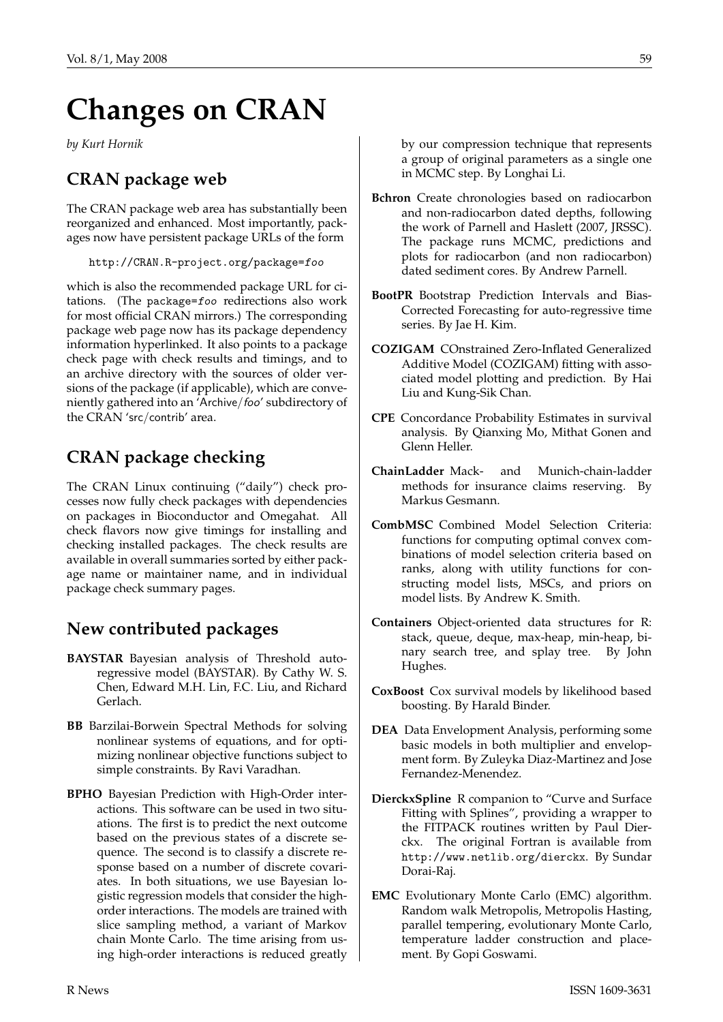# **Changes on CRAN**

*by Kurt Hornik*

# **CRAN package web**

The CRAN package web area has substantially been reorganized and enhanced. Most importantly, packages now have persistent package URLs of the form

http://CRAN.R-project.org/package=foo

which is also the recommended package URL for citations. (The package=foo redirections also work for most official CRAN mirrors.) The corresponding package web page now has its package dependency information hyperlinked. It also points to a package check page with check results and timings, and to an archive directory with the sources of older versions of the package (if applicable), which are conveniently gathered into an 'Archive/foo' subdirectory of the CRAN 'src/contrib' area.

# **CRAN package checking**

The CRAN Linux continuing ("daily") check processes now fully check packages with dependencies on packages in Bioconductor and Omegahat. All check flavors now give timings for installing and checking installed packages. The check results are available in overall summaries sorted by either package name or maintainer name, and in individual package check summary pages.

# **New contributed packages**

- **BAYSTAR** Bayesian analysis of Threshold autoregressive model (BAYSTAR). By Cathy W. S. Chen, Edward M.H. Lin, F.C. Liu, and Richard Gerlach.
- **BB** Barzilai-Borwein Spectral Methods for solving nonlinear systems of equations, and for optimizing nonlinear objective functions subject to simple constraints. By Ravi Varadhan.
- **BPHO** Bayesian Prediction with High-Order interactions. This software can be used in two situations. The first is to predict the next outcome based on the previous states of a discrete sequence. The second is to classify a discrete response based on a number of discrete covariates. In both situations, we use Bayesian logistic regression models that consider the highorder interactions. The models are trained with slice sampling method, a variant of Markov chain Monte Carlo. The time arising from using high-order interactions is reduced greatly

by our compression technique that represents a group of original parameters as a single one in MCMC step. By Longhai Li.

- **Bchron** Create chronologies based on radiocarbon and non-radiocarbon dated depths, following the work of Parnell and Haslett (2007, JRSSC). The package runs MCMC, predictions and plots for radiocarbon (and non radiocarbon) dated sediment cores. By Andrew Parnell.
- **BootPR** Bootstrap Prediction Intervals and Bias-Corrected Forecasting for auto-regressive time series. By Jae H. Kim.
- **COZIGAM** COnstrained Zero-Inflated Generalized Additive Model (COZIGAM) fitting with associated model plotting and prediction. By Hai Liu and Kung-Sik Chan.
- **CPE** Concordance Probability Estimates in survival analysis. By Qianxing Mo, Mithat Gonen and Glenn Heller.
- **ChainLadder** Mack- and Munich-chain-ladder methods for insurance claims reserving. By Markus Gesmann.
- **CombMSC** Combined Model Selection Criteria: functions for computing optimal convex combinations of model selection criteria based on ranks, along with utility functions for constructing model lists, MSCs, and priors on model lists. By Andrew K. Smith.
- **Containers** Object-oriented data structures for R: stack, queue, deque, max-heap, min-heap, binary search tree, and splay tree. By John Hughes.
- **CoxBoost** Cox survival models by likelihood based boosting. By Harald Binder.
- **DEA** Data Envelopment Analysis, performing some basic models in both multiplier and envelopment form. By Zuleyka Diaz-Martinez and Jose Fernandez-Menendez.
- **DierckxSpline** R companion to "Curve and Surface Fitting with Splines", providing a wrapper to the FITPACK routines written by Paul Dierckx. The original Fortran is available from <http://www.netlib.org/dierckx>. By Sundar Dorai-Raj.
- **EMC** Evolutionary Monte Carlo (EMC) algorithm. Random walk Metropolis, Metropolis Hasting, parallel tempering, evolutionary Monte Carlo, temperature ladder construction and placement. By Gopi Goswami.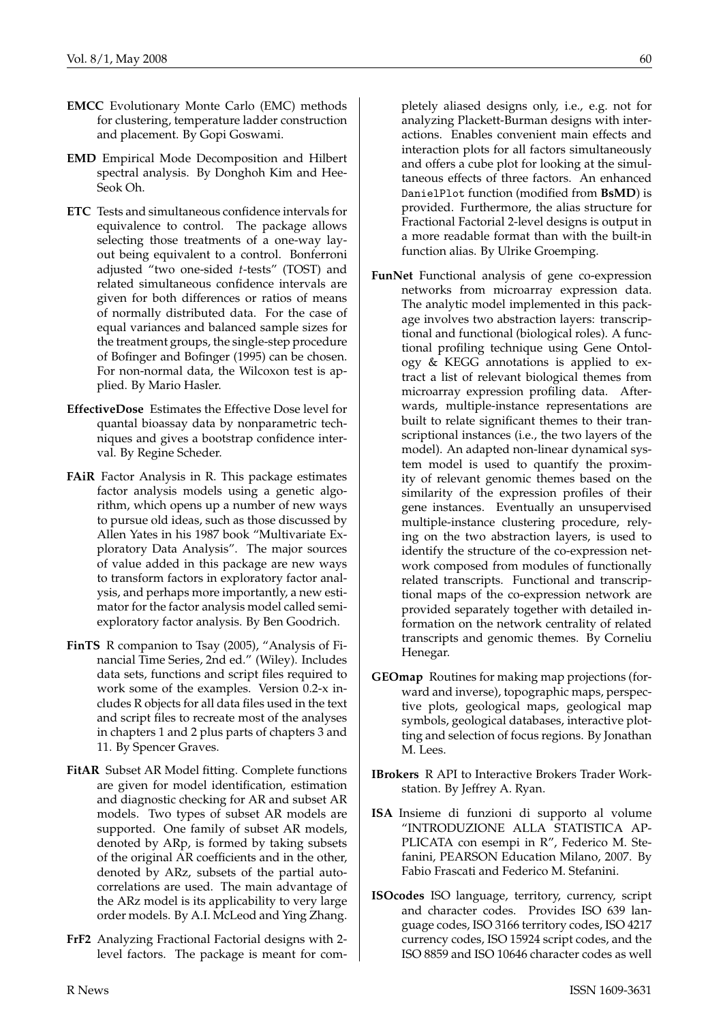- **EMCC** Evolutionary Monte Carlo (EMC) methods for clustering, temperature ladder construction and placement. By Gopi Goswami.
- **EMD** Empirical Mode Decomposition and Hilbert spectral analysis. By Donghoh Kim and Hee-Seok Oh.
- **ETC** Tests and simultaneous confidence intervals for equivalence to control. The package allows selecting those treatments of a one-way layout being equivalent to a control. Bonferroni adjusted "two one-sided *t*-tests" (TOST) and related simultaneous confidence intervals are given for both differences or ratios of means of normally distributed data. For the case of equal variances and balanced sample sizes for the treatment groups, the single-step procedure of Bofinger and Bofinger (1995) can be chosen. For non-normal data, the Wilcoxon test is applied. By Mario Hasler.
- **EffectiveDose** Estimates the Effective Dose level for quantal bioassay data by nonparametric techniques and gives a bootstrap confidence interval. By Regine Scheder.
- **FAiR** Factor Analysis in R. This package estimates factor analysis models using a genetic algorithm, which opens up a number of new ways to pursue old ideas, such as those discussed by Allen Yates in his 1987 book "Multivariate Exploratory Data Analysis". The major sources of value added in this package are new ways to transform factors in exploratory factor analysis, and perhaps more importantly, a new estimator for the factor analysis model called semiexploratory factor analysis. By Ben Goodrich.
- **FinTS** R companion to Tsay (2005), "Analysis of Financial Time Series, 2nd ed." (Wiley). Includes data sets, functions and script files required to work some of the examples. Version 0.2-x includes R objects for all data files used in the text and script files to recreate most of the analyses in chapters 1 and 2 plus parts of chapters 3 and 11. By Spencer Graves.
- **FitAR** Subset AR Model fitting. Complete functions are given for model identification, estimation and diagnostic checking for AR and subset AR models. Two types of subset AR models are supported. One family of subset AR models, denoted by ARp, is formed by taking subsets of the original AR coefficients and in the other, denoted by ARz, subsets of the partial autocorrelations are used. The main advantage of the ARz model is its applicability to very large order models. By A.I. McLeod and Ying Zhang.
- **FrF2** Analyzing Fractional Factorial designs with 2 level factors. The package is meant for com-

pletely aliased designs only, i.e., e.g. not for analyzing Plackett-Burman designs with interactions. Enables convenient main effects and interaction plots for all factors simultaneously and offers a cube plot for looking at the simultaneous effects of three factors. An enhanced DanielPlot function (modified from **BsMD**) is provided. Furthermore, the alias structure for Fractional Factorial 2-level designs is output in a more readable format than with the built-in function alias. By Ulrike Groemping.

- **FunNet** Functional analysis of gene co-expression networks from microarray expression data. The analytic model implemented in this package involves two abstraction layers: transcriptional and functional (biological roles). A functional profiling technique using Gene Ontology & KEGG annotations is applied to extract a list of relevant biological themes from microarray expression profiling data. Afterwards, multiple-instance representations are built to relate significant themes to their transcriptional instances (i.e., the two layers of the model). An adapted non-linear dynamical system model is used to quantify the proximity of relevant genomic themes based on the similarity of the expression profiles of their gene instances. Eventually an unsupervised multiple-instance clustering procedure, relying on the two abstraction layers, is used to identify the structure of the co-expression network composed from modules of functionally related transcripts. Functional and transcriptional maps of the co-expression network are provided separately together with detailed information on the network centrality of related transcripts and genomic themes. By Corneliu Henegar.
- **GEOmap** Routines for making map projections (forward and inverse), topographic maps, perspective plots, geological maps, geological map symbols, geological databases, interactive plotting and selection of focus regions. By Jonathan  $M$  Lees.
- **IBrokers** R API to Interactive Brokers Trader Workstation. By Jeffrey A. Ryan.
- **ISA** Insieme di funzioni di supporto al volume "INTRODUZIONE ALLA STATISTICA AP-PLICATA con esempi in R", Federico M. Stefanini, PEARSON Education Milano, 2007. By Fabio Frascati and Federico M. Stefanini.
- **ISOcodes** ISO language, territory, currency, script and character codes. Provides ISO 639 language codes, ISO 3166 territory codes, ISO 4217 currency codes, ISO 15924 script codes, and the ISO 8859 and ISO 10646 character codes as well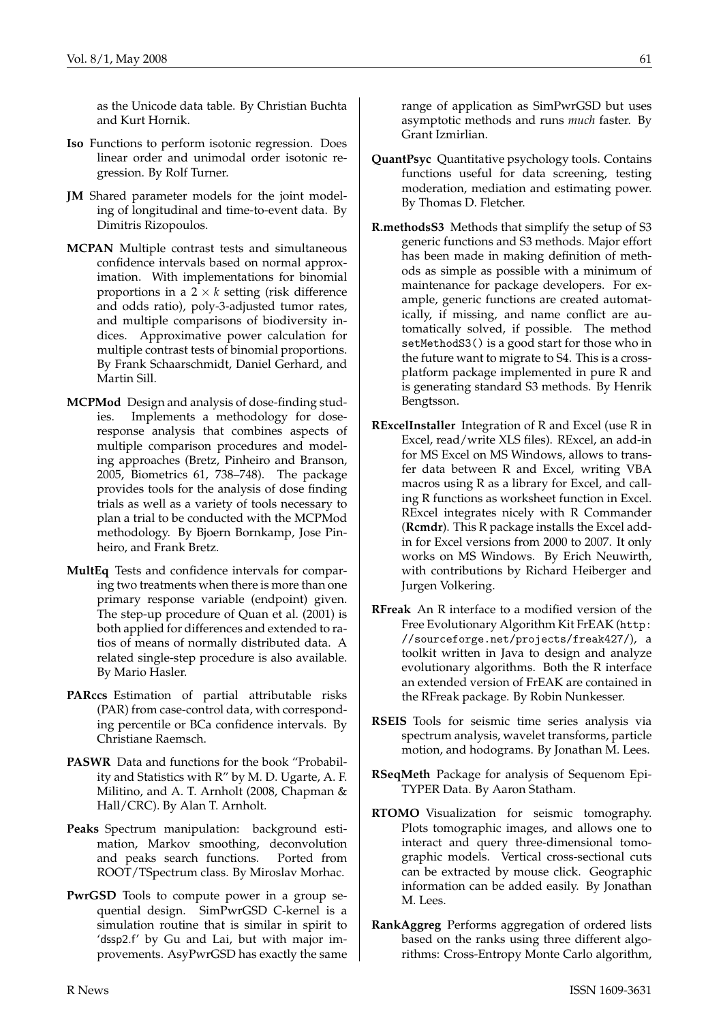as the Unicode data table. By Christian Buchta and Kurt Hornik.

- **Iso** Functions to perform isotonic regression. Does linear order and unimodal order isotonic regression. By Rolf Turner.
- **JM** Shared parameter models for the joint modeling of longitudinal and time-to-event data. By Dimitris Rizopoulos.
- **MCPAN** Multiple contrast tests and simultaneous confidence intervals based on normal approximation. With implementations for binomial proportions in a  $2 \times k$  setting (risk difference and odds ratio), poly-3-adjusted tumor rates, and multiple comparisons of biodiversity indices. Approximative power calculation for multiple contrast tests of binomial proportions. By Frank Schaarschmidt, Daniel Gerhard, and Martin Sill.
- **MCPMod** Design and analysis of dose-finding studies. Implements a methodology for doseresponse analysis that combines aspects of multiple comparison procedures and modeling approaches (Bretz, Pinheiro and Branson, 2005, Biometrics 61, 738–748). The package provides tools for the analysis of dose finding trials as well as a variety of tools necessary to plan a trial to be conducted with the MCPMod methodology. By Bjoern Bornkamp, Jose Pinheiro, and Frank Bretz.
- **MultEq** Tests and confidence intervals for comparing two treatments when there is more than one primary response variable (endpoint) given. The step-up procedure of Quan et al. (2001) is both applied for differences and extended to ratios of means of normally distributed data. A related single-step procedure is also available. By Mario Hasler.
- **PARccs** Estimation of partial attributable risks (PAR) from case-control data, with corresponding percentile or BCa confidence intervals. By Christiane Raemsch.
- **PASWR** Data and functions for the book "Probability and Statistics with R" by M. D. Ugarte, A. F. Militino, and A. T. Arnholt (2008, Chapman & Hall/CRC). By Alan T. Arnholt.
- **Peaks** Spectrum manipulation: background estimation, Markov smoothing, deconvolution and peaks search functions. Ported from ROOT/TSpectrum class. By Miroslav Morhac.
- **PwrGSD** Tools to compute power in a group sequential design. SimPwrGSD C-kernel is a simulation routine that is similar in spirit to 'dssp2.f' by Gu and Lai, but with major improvements. AsyPwrGSD has exactly the same

range of application as SimPwrGSD but uses asymptotic methods and runs *much* faster. By Grant Izmirlian.

- **QuantPsyc** Quantitative psychology tools. Contains functions useful for data screening, testing moderation, mediation and estimating power. By Thomas D. Fletcher.
- **R.methodsS3** Methods that simplify the setup of S3 generic functions and S3 methods. Major effort has been made in making definition of methods as simple as possible with a minimum of maintenance for package developers. For example, generic functions are created automatically, if missing, and name conflict are automatically solved, if possible. The method setMethodS3() is a good start for those who in the future want to migrate to S4. This is a crossplatform package implemented in pure R and is generating standard S3 methods. By Henrik Bengtsson.
- **RExcelInstaller** Integration of R and Excel (use R in Excel, read/write XLS files). RExcel, an add-in for MS Excel on MS Windows, allows to transfer data between R and Excel, writing VBA macros using R as a library for Excel, and calling R functions as worksheet function in Excel. RExcel integrates nicely with R Commander (**Rcmdr**). This R package installs the Excel addin for Excel versions from 2000 to 2007. It only works on MS Windows. By Erich Neuwirth, with contributions by Richard Heiberger and Jurgen Volkering.
- **RFreak** An R interface to a modified version of the Free Evolutionary Algorithm Kit FrEAK ([http:](http://sourceforge.net/projects/freak427/) [//sourceforge.net/projects/freak427/](http://sourceforge.net/projects/freak427/)), a toolkit written in Java to design and analyze evolutionary algorithms. Both the R interface an extended version of FrEAK are contained in the RFreak package. By Robin Nunkesser.
- **RSEIS** Tools for seismic time series analysis via spectrum analysis, wavelet transforms, particle motion, and hodograms. By Jonathan M. Lees.
- **RSeqMeth** Package for analysis of Sequenom Epi-TYPER Data. By Aaron Statham.
- **RTOMO** Visualization for seismic tomography. Plots tomographic images, and allows one to interact and query three-dimensional tomographic models. Vertical cross-sectional cuts can be extracted by mouse click. Geographic information can be added easily. By Jonathan M. Lees.
- **RankAggreg** Performs aggregation of ordered lists based on the ranks using three different algorithms: Cross-Entropy Monte Carlo algorithm,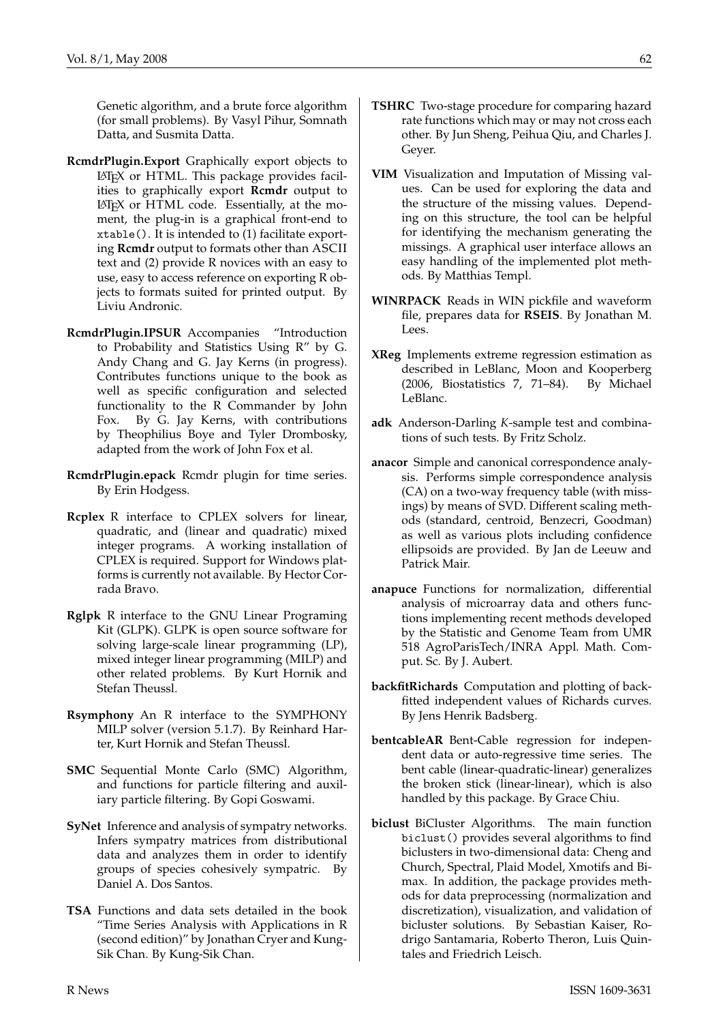Genetic algorithm, and a brute force algorithm (for small problems). By Vasyl Pihur, Somnath Datta, and Susmita Datta.

- **RcmdrPlugin.Export** Graphically export objects to  $\text{LATEX}$  or HTML. This package provides facilities to graphically export **Rcmdr** output to LATEX or HTML code. Essentially, at the moment, the plug-in is a graphical front-end to xtable(). It is intended to (1) facilitate exporting **Rcmdr** output to formats other than ASCII text and (2) provide R novices with an easy to use, easy to access reference on exporting R objects to formats suited for printed output. By Liviu Andronic.
- **RcmdrPlugin.IPSUR** Accompanies "Introduction to Probability and Statistics Using R" by G. Andy Chang and G. Jay Kerns (in progress). Contributes functions unique to the book as well as specific configuration and selected functionality to the R Commander by John Fox. By G. Jay Kerns, with contributions by Theophilius Boye and Tyler Drombosky, adapted from the work of John Fox et al.
- **RcmdrPlugin.epack** Rcmdr plugin for time series. By Erin Hodgess.
- **Rcplex** R interface to CPLEX solvers for linear, quadratic, and (linear and quadratic) mixed integer programs. A working installation of CPLEX is required. Support for Windows platforms is currently not available. By Hector Corrada Bravo.
- **Rglpk** R interface to the GNU Linear Programing Kit (GLPK). GLPK is open source software for solving large-scale linear programming (LP), mixed integer linear programming (MILP) and other related problems. By Kurt Hornik and Stefan Theussl.
- **Rsymphony** An R interface to the SYMPHONY MILP solver (version 5.1.7). By Reinhard Harter, Kurt Hornik and Stefan Theussl.
- **SMC** Sequential Monte Carlo (SMC) Algorithm, and functions for particle filtering and auxiliary particle filtering. By Gopi Goswami.
- **SyNet** Inference and analysis of sympatry networks. Infers sympatry matrices from distributional data and analyzes them in order to identify groups of species cohesively sympatric. By Daniel A. Dos Santos.
- **TSA** Functions and data sets detailed in the book "Time Series Analysis with Applications in R (second edition)" by Jonathan Cryer and Kung-Sik Chan. By Kung-Sik Chan.
- 
- **TSHRC** Two-stage procedure for comparing hazard rate functions which may or may not cross each other. By Jun Sheng, Peihua Qiu, and Charles J. Geyer.
- **VIM** Visualization and Imputation of Missing values. Can be used for exploring the data and the structure of the missing values. Depending on this structure, the tool can be helpful for identifying the mechanism generating the missings. A graphical user interface allows an easy handling of the implemented plot methods. By Matthias Templ.
- **WINRPACK** Reads in WIN pickfile and waveform file, prepares data for **RSEIS**. By Jonathan M. Lees.
- **XReg** Implements extreme regression estimation as described in LeBlanc, Moon and Kooperberg (2006, Biostatistics 7, 71–84). By Michael LeBlanc.
- **adk** Anderson-Darling *K*-sample test and combinations of such tests. By Fritz Scholz.
- **anacor** Simple and canonical correspondence analysis. Performs simple correspondence analysis (CA) on a two-way frequency table (with missings) by means of SVD. Different scaling methods (standard, centroid, Benzecri, Goodman) as well as various plots including confidence ellipsoids are provided. By Jan de Leeuw and Patrick Mair.
- **anapuce** Functions for normalization, differential analysis of microarray data and others functions implementing recent methods developed by the Statistic and Genome Team from UMR 518 AgroParisTech/INRA Appl. Math. Comput. Sc. By J. Aubert.
- **backfitRichards** Computation and plotting of backfitted independent values of Richards curves. By Jens Henrik Badsberg.
- **bentcableAR** Bent-Cable regression for independent data or auto-regressive time series. The bent cable (linear-quadratic-linear) generalizes the broken stick (linear-linear), which is also handled by this package. By Grace Chiu.
- **biclust** BiCluster Algorithms. The main function biclust() provides several algorithms to find biclusters in two-dimensional data: Cheng and Church, Spectral, Plaid Model, Xmotifs and Bimax. In addition, the package provides methods for data preprocessing (normalization and discretization), visualization, and validation of bicluster solutions. By Sebastian Kaiser, Rodrigo Santamaria, Roberto Theron, Luis Quintales and Friedrich Leisch.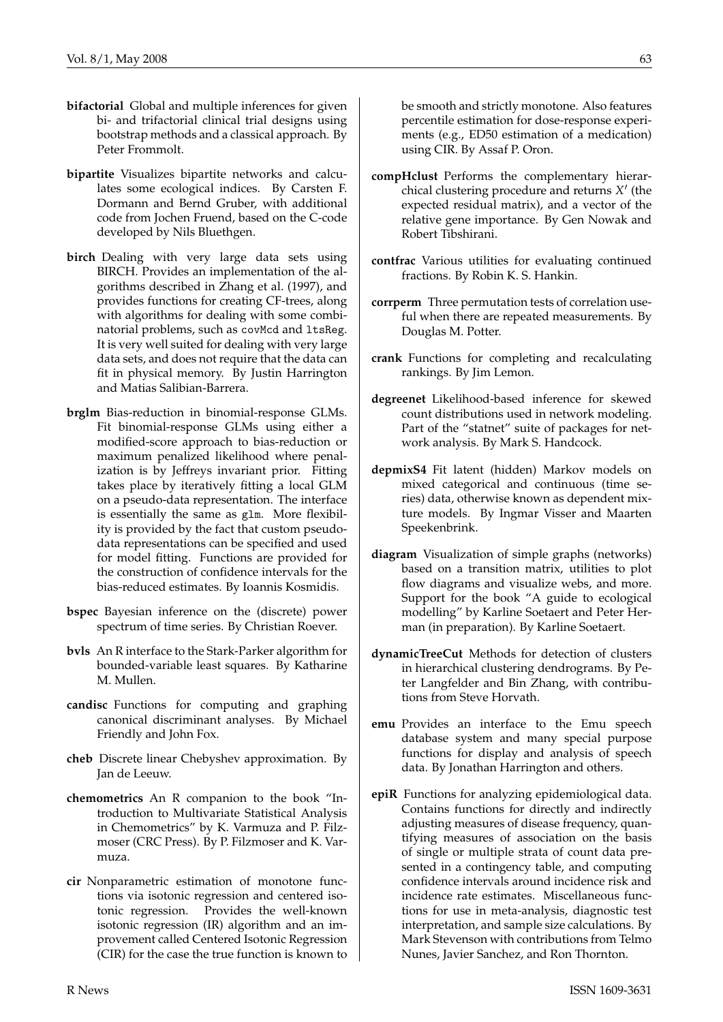- **bifactorial** Global and multiple inferences for given bi- and trifactorial clinical trial designs using bootstrap methods and a classical approach. By Peter Frommolt.
- **bipartite** Visualizes bipartite networks and calculates some ecological indices. By Carsten F. Dormann and Bernd Gruber, with additional code from Jochen Fruend, based on the C-code developed by Nils Bluethgen.
- **birch** Dealing with very large data sets using BIRCH. Provides an implementation of the algorithms described in Zhang et al. (1997), and provides functions for creating CF-trees, along with algorithms for dealing with some combinatorial problems, such as covMcd and ltsReg. It is very well suited for dealing with very large data sets, and does not require that the data can fit in physical memory. By Justin Harrington and Matias Salibian-Barrera.
- **brglm** Bias-reduction in binomial-response GLMs. Fit binomial-response GLMs using either a modified-score approach to bias-reduction or maximum penalized likelihood where penalization is by Jeffreys invariant prior. Fitting takes place by iteratively fitting a local GLM on a pseudo-data representation. The interface is essentially the same as glm. More flexibility is provided by the fact that custom pseudodata representations can be specified and used for model fitting. Functions are provided for the construction of confidence intervals for the bias-reduced estimates. By Ioannis Kosmidis.
- **bspec** Bayesian inference on the (discrete) power spectrum of time series. By Christian Roever.
- **bvls** An R interface to the Stark-Parker algorithm for bounded-variable least squares. By Katharine M. Mullen.
- **candisc** Functions for computing and graphing canonical discriminant analyses. By Michael Friendly and John Fox.
- **cheb** Discrete linear Chebyshev approximation. By Jan de Leeuw.
- **chemometrics** An R companion to the book "Introduction to Multivariate Statistical Analysis in Chemometrics" by K. Varmuza and P. Filzmoser (CRC Press). By P. Filzmoser and K. Varmuza.
- **cir** Nonparametric estimation of monotone functions via isotonic regression and centered isotonic regression. Provides the well-known isotonic regression (IR) algorithm and an improvement called Centered Isotonic Regression (CIR) for the case the true function is known to

be smooth and strictly monotone. Also features percentile estimation for dose-response experiments (e.g., ED50 estimation of a medication) using CIR. By Assaf P. Oron.

- **compHclust** Performs the complementary hierarchical clustering procedure and returns X' (the expected residual matrix), and a vector of the relative gene importance. By Gen Nowak and Robert Tibshirani.
- **contfrac** Various utilities for evaluating continued fractions. By Robin K. S. Hankin.
- **corrperm** Three permutation tests of correlation useful when there are repeated measurements. By Douglas M. Potter.
- **crank** Functions for completing and recalculating rankings. By Jim Lemon.
- **degreenet** Likelihood-based inference for skewed count distributions used in network modeling. Part of the "statnet" suite of packages for network analysis. By Mark S. Handcock.
- **depmixS4** Fit latent (hidden) Markov models on mixed categorical and continuous (time series) data, otherwise known as dependent mixture models. By Ingmar Visser and Maarten Speekenbrink.
- **diagram** Visualization of simple graphs (networks) based on a transition matrix, utilities to plot flow diagrams and visualize webs, and more. Support for the book "A guide to ecological modelling" by Karline Soetaert and Peter Herman (in preparation). By Karline Soetaert.
- **dynamicTreeCut** Methods for detection of clusters in hierarchical clustering dendrograms. By Peter Langfelder and Bin Zhang, with contributions from Steve Horvath.
- **emu** Provides an interface to the Emu speech database system and many special purpose functions for display and analysis of speech data. By Jonathan Harrington and others.
- **epiR** Functions for analyzing epidemiological data. Contains functions for directly and indirectly adjusting measures of disease frequency, quantifying measures of association on the basis of single or multiple strata of count data presented in a contingency table, and computing confidence intervals around incidence risk and incidence rate estimates. Miscellaneous functions for use in meta-analysis, diagnostic test interpretation, and sample size calculations. By Mark Stevenson with contributions from Telmo Nunes, Javier Sanchez, and Ron Thornton.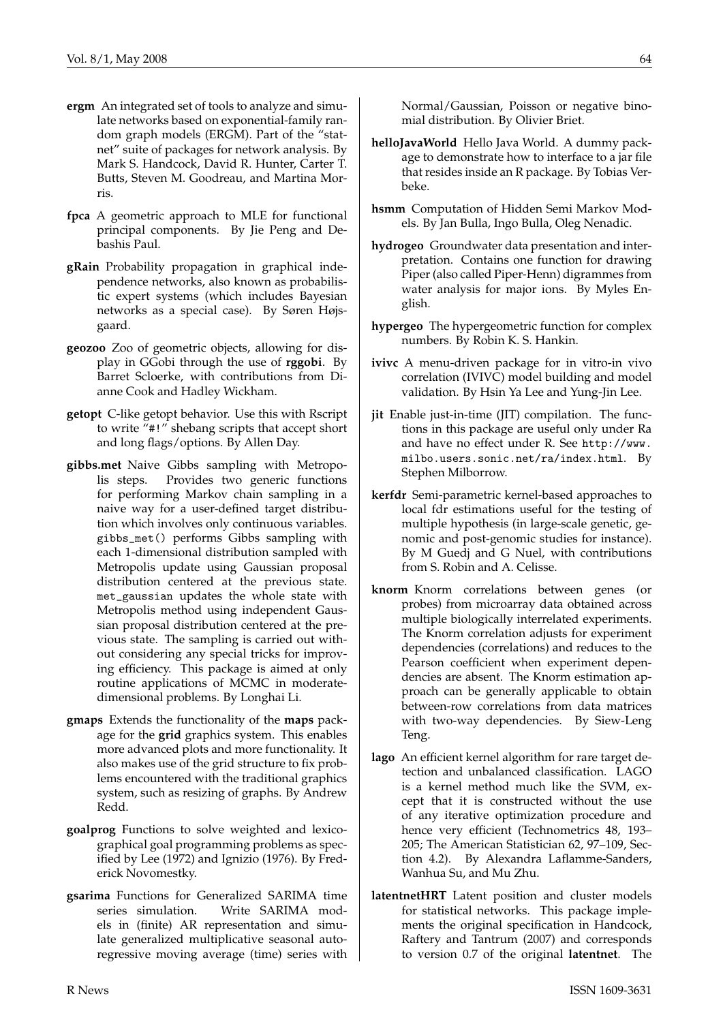- **ergm** An integrated set of tools to analyze and simulate networks based on exponential-family random graph models (ERGM). Part of the "statnet" suite of packages for network analysis. By Mark S. Handcock, David R. Hunter, Carter T. Butts, Steven M. Goodreau, and Martina Morris.
- **fpca** A geometric approach to MLE for functional principal components. By Jie Peng and Debashis Paul.
- **gRain** Probability propagation in graphical independence networks, also known as probabilistic expert systems (which includes Bayesian networks as a special case). By Søren Højsgaard.
- **geozoo** Zoo of geometric objects, allowing for display in GGobi through the use of **rggobi**. By Barret Scloerke, with contributions from Dianne Cook and Hadley Wickham.
- **getopt** C-like getopt behavior. Use this with Rscript to write "#!" shebang scripts that accept short and long flags/options. By Allen Day.
- **gibbs.met** Naive Gibbs sampling with Metropolis steps. Provides two generic functions for performing Markov chain sampling in a naive way for a user-defined target distribution which involves only continuous variables. gibbs\_met() performs Gibbs sampling with each 1-dimensional distribution sampled with Metropolis update using Gaussian proposal distribution centered at the previous state. met\_gaussian updates the whole state with Metropolis method using independent Gaussian proposal distribution centered at the previous state. The sampling is carried out without considering any special tricks for improving efficiency. This package is aimed at only routine applications of MCMC in moderatedimensional problems. By Longhai Li.
- **gmaps** Extends the functionality of the **maps** package for the **grid** graphics system. This enables more advanced plots and more functionality. It also makes use of the grid structure to fix problems encountered with the traditional graphics system, such as resizing of graphs. By Andrew Redd.
- **goalprog** Functions to solve weighted and lexicographical goal programming problems as specified by Lee (1972) and Ignizio (1976). By Frederick Novomestky.
- **gsarima** Functions for Generalized SARIMA time series simulation. Write SARIMA models in (finite) AR representation and simulate generalized multiplicative seasonal autoregressive moving average (time) series with

Normal/Gaussian, Poisson or negative binomial distribution. By Olivier Briet.

- **helloJavaWorld** Hello Java World. A dummy package to demonstrate how to interface to a jar file that resides inside an R package. By Tobias Verbeke.
- **hsmm** Computation of Hidden Semi Markov Models. By Jan Bulla, Ingo Bulla, Oleg Nenadic.
- **hydrogeo** Groundwater data presentation and interpretation. Contains one function for drawing Piper (also called Piper-Henn) digrammes from water analysis for major ions. By Myles English.
- **hypergeo** The hypergeometric function for complex numbers. By Robin K. S. Hankin.
- **ivivc** A menu-driven package for in vitro-in vivo correlation (IVIVC) model building and model validation. By Hsin Ya Lee and Yung-Jin Lee.
- **jit** Enable just-in-time (JIT) compilation. The functions in this package are useful only under Ra and have no effect under R. See [http://www.](http://www.milbo.users.sonic.net/ra/index.html) [milbo.users.sonic.net/ra/index.html](http://www.milbo.users.sonic.net/ra/index.html). By Stephen Milborrow.
- **kerfdr** Semi-parametric kernel-based approaches to local fdr estimations useful for the testing of multiple hypothesis (in large-scale genetic, genomic and post-genomic studies for instance). By M Guedj and G Nuel, with contributions from S. Robin and A. Celisse.
- **knorm** Knorm correlations between genes (or probes) from microarray data obtained across multiple biologically interrelated experiments. The Knorm correlation adjusts for experiment dependencies (correlations) and reduces to the Pearson coefficient when experiment dependencies are absent. The Knorm estimation approach can be generally applicable to obtain between-row correlations from data matrices with two-way dependencies. By Siew-Leng Teng.
- **lago** An efficient kernel algorithm for rare target detection and unbalanced classification. LAGO is a kernel method much like the SVM, except that it is constructed without the use of any iterative optimization procedure and hence very efficient (Technometrics 48, 193– 205; The American Statistician 62, 97–109, Section 4.2). By Alexandra Laflamme-Sanders, Wanhua Su, and Mu Zhu.
- **latentnetHRT** Latent position and cluster models for statistical networks. This package implements the original specification in Handcock, Raftery and Tantrum (2007) and corresponds to version 0.7 of the original **latentnet**. The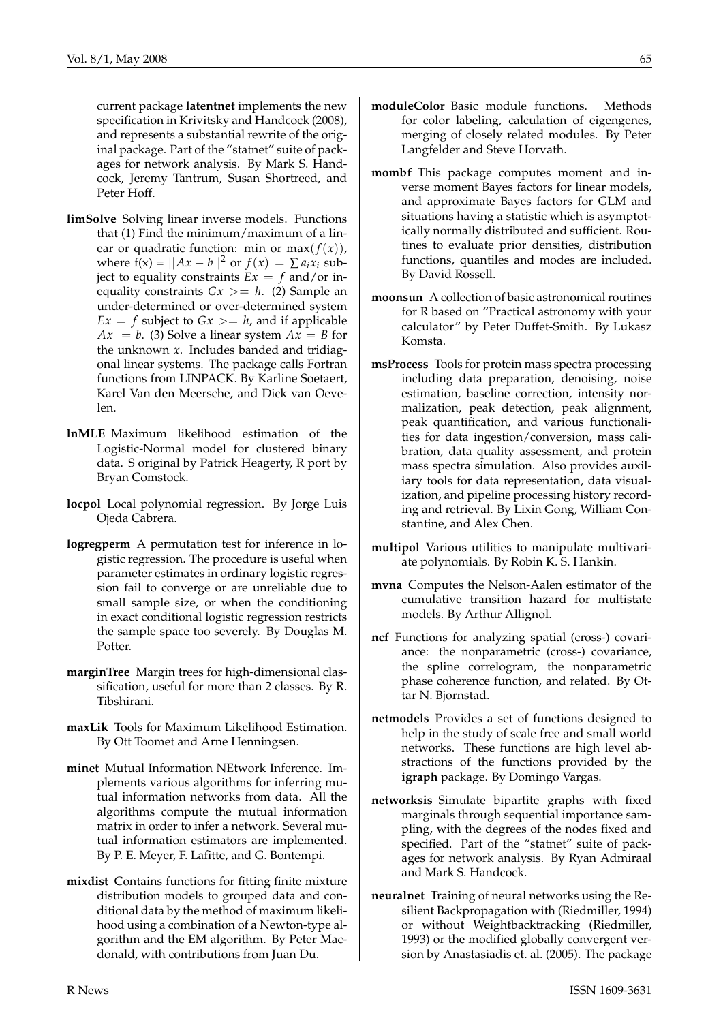current package **latentnet** implements the new specification in Krivitsky and Handcock (2008), and represents a substantial rewrite of the original package. Part of the "statnet" suite of packages for network analysis. By Mark S. Handcock, Jeremy Tantrum, Susan Shortreed, and Peter Hoff.

- **limSolve** Solving linear inverse models. Functions that (1) Find the minimum/maximum of a linear or quadratic function: min or max $(f(x))$ , where  $f(x) = ||Ax - b||^2$  or  $f(x) = \sum a_i x_i$  subject to equality constraints  $Ex = f$  and/or inequality constraints  $Gx \geq h$ . (2) Sample an under-determined or over-determined system  $Ex = f$  subject to  $Gx \ge h$ , and if applicable  $Ax = b$ . (3) Solve a linear system  $Ax = B$  for the unknown *x*. Includes banded and tridiagonal linear systems. The package calls Fortran functions from LINPACK. By Karline Soetaert, Karel Van den Meersche, and Dick van Oevelen.
- **lnMLE** Maximum likelihood estimation of the Logistic-Normal model for clustered binary data. S original by Patrick Heagerty, R port by Bryan Comstock.
- **locpol** Local polynomial regression. By Jorge Luis Ojeda Cabrera.
- **logregperm** A permutation test for inference in logistic regression. The procedure is useful when parameter estimates in ordinary logistic regression fail to converge or are unreliable due to small sample size, or when the conditioning in exact conditional logistic regression restricts the sample space too severely. By Douglas M. Potter.
- **marginTree** Margin trees for high-dimensional classification, useful for more than 2 classes. By R. Tibshirani.
- **maxLik** Tools for Maximum Likelihood Estimation. By Ott Toomet and Arne Henningsen.
- **minet** Mutual Information NEtwork Inference. Implements various algorithms for inferring mutual information networks from data. All the algorithms compute the mutual information matrix in order to infer a network. Several mutual information estimators are implemented. By P. E. Meyer, F. Lafitte, and G. Bontempi.
- **mixdist** Contains functions for fitting finite mixture distribution models to grouped data and conditional data by the method of maximum likelihood using a combination of a Newton-type algorithm and the EM algorithm. By Peter Macdonald, with contributions from Juan Du.
- **moduleColor** Basic module functions. Methods for color labeling, calculation of eigengenes, merging of closely related modules. By Peter Langfelder and Steve Horvath.
- **mombf** This package computes moment and inverse moment Bayes factors for linear models, and approximate Bayes factors for GLM and situations having a statistic which is asymptotically normally distributed and sufficient. Routines to evaluate prior densities, distribution functions, quantiles and modes are included. By David Rossell.
- **moonsun** A collection of basic astronomical routines for R based on "Practical astronomy with your calculator" by Peter Duffet-Smith. By Lukasz Komsta.
- **msProcess** Tools for protein mass spectra processing including data preparation, denoising, noise estimation, baseline correction, intensity normalization, peak detection, peak alignment, peak quantification, and various functionalities for data ingestion/conversion, mass calibration, data quality assessment, and protein mass spectra simulation. Also provides auxiliary tools for data representation, data visualization, and pipeline processing history recording and retrieval. By Lixin Gong, William Constantine, and Alex Chen.
- **multipol** Various utilities to manipulate multivariate polynomials. By Robin K. S. Hankin.
- **mvna** Computes the Nelson-Aalen estimator of the cumulative transition hazard for multistate models. By Arthur Allignol.
- **ncf** Functions for analyzing spatial (cross-) covariance: the nonparametric (cross-) covariance, the spline correlogram, the nonparametric phase coherence function, and related. By Ottar N. Bjornstad.
- **netmodels** Provides a set of functions designed to help in the study of scale free and small world networks. These functions are high level abstractions of the functions provided by the **igraph** package. By Domingo Vargas.
- **networksis** Simulate bipartite graphs with fixed marginals through sequential importance sampling, with the degrees of the nodes fixed and specified. Part of the "statnet" suite of packages for network analysis. By Ryan Admiraal and Mark S. Handcock.
- **neuralnet** Training of neural networks using the Resilient Backpropagation with (Riedmiller, 1994) or without Weightbacktracking (Riedmiller, 1993) or the modified globally convergent version by Anastasiadis et. al. (2005). The package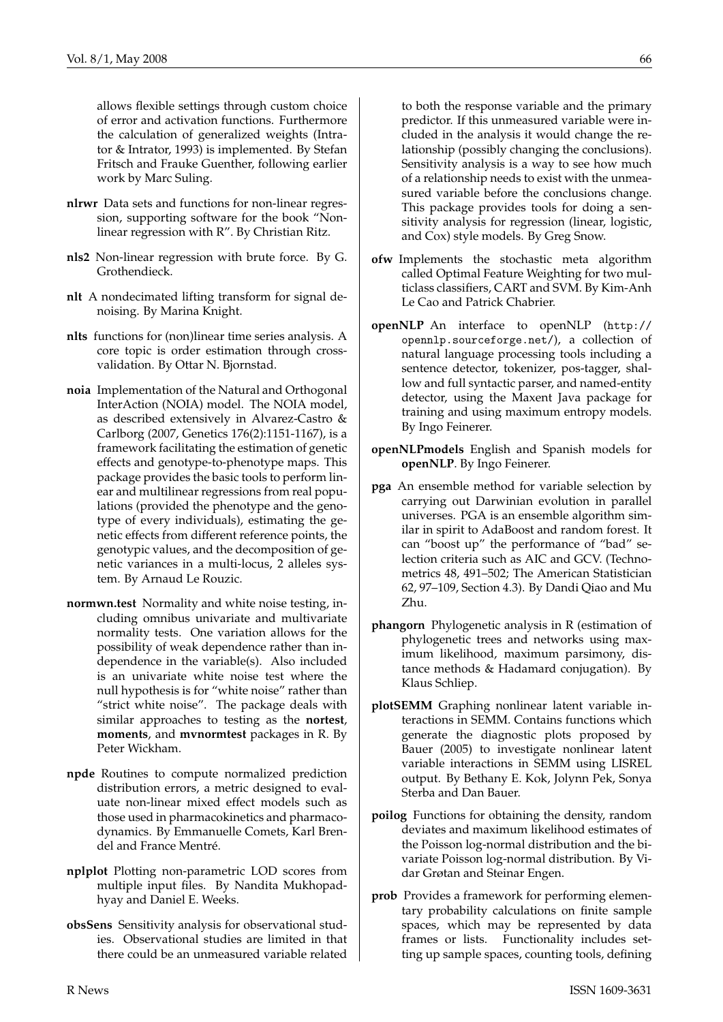allows flexible settings through custom choice of error and activation functions. Furthermore the calculation of generalized weights (Intrator & Intrator, 1993) is implemented. By Stefan Fritsch and Frauke Guenther, following earlier work by Marc Suling.

- **nlrwr** Data sets and functions for non-linear regression, supporting software for the book "Nonlinear regression with R". By Christian Ritz.
- **nls2** Non-linear regression with brute force. By G. Grothendieck.
- **nlt** A nondecimated lifting transform for signal denoising. By Marina Knight.
- **nlts** functions for (non)linear time series analysis. A core topic is order estimation through crossvalidation. By Ottar N. Bjornstad.
- **noia** Implementation of the Natural and Orthogonal InterAction (NOIA) model. The NOIA model, as described extensively in Alvarez-Castro & Carlborg (2007, Genetics 176(2):1151-1167), is a framework facilitating the estimation of genetic effects and genotype-to-phenotype maps. This package provides the basic tools to perform linear and multilinear regressions from real populations (provided the phenotype and the genotype of every individuals), estimating the genetic effects from different reference points, the genotypic values, and the decomposition of genetic variances in a multi-locus, 2 alleles system. By Arnaud Le Rouzic.
- **normwn.test** Normality and white noise testing, including omnibus univariate and multivariate normality tests. One variation allows for the possibility of weak dependence rather than independence in the variable(s). Also included is an univariate white noise test where the null hypothesis is for "white noise" rather than "strict white noise". The package deals with similar approaches to testing as the **nortest**, **moments**, and **mvnormtest** packages in R. By Peter Wickham.
- **npde** Routines to compute normalized prediction distribution errors, a metric designed to evaluate non-linear mixed effect models such as those used in pharmacokinetics and pharmacodynamics. By Emmanuelle Comets, Karl Brendel and France Mentré.
- **nplplot** Plotting non-parametric LOD scores from multiple input files. By Nandita Mukhopadhyay and Daniel E. Weeks.
- **obsSens** Sensitivity analysis for observational studies. Observational studies are limited in that there could be an unmeasured variable related

to both the response variable and the primary predictor. If this unmeasured variable were included in the analysis it would change the relationship (possibly changing the conclusions). Sensitivity analysis is a way to see how much of a relationship needs to exist with the unmeasured variable before the conclusions change.

- This package provides tools for doing a sensitivity analysis for regression (linear, logistic, and Cox) style models. By Greg Snow. **ofw** Implements the stochastic meta algorithm
- called Optimal Feature Weighting for two multiclass classifiers, CART and SVM. By Kim-Anh Le Cao and Patrick Chabrier.
- **openNLP** An interface to openNLP ([http://](http://opennlp.sourceforge.net/) [opennlp.sourceforge.net/](http://opennlp.sourceforge.net/)), a collection of natural language processing tools including a sentence detector, tokenizer, pos-tagger, shallow and full syntactic parser, and named-entity detector, using the Maxent Java package for training and using maximum entropy models. By Ingo Feinerer.
- **openNLPmodels** English and Spanish models for **openNLP**. By Ingo Feinerer.
- **pga** An ensemble method for variable selection by carrying out Darwinian evolution in parallel universes. PGA is an ensemble algorithm similar in spirit to AdaBoost and random forest. It can "boost up" the performance of "bad" selection criteria such as AIC and GCV. (Technometrics 48, 491–502; The American Statistician 62, 97–109, Section 4.3). By Dandi Qiao and Mu Zhu.
- **phangorn** Phylogenetic analysis in R (estimation of phylogenetic trees and networks using maximum likelihood, maximum parsimony, distance methods & Hadamard conjugation). By Klaus Schliep.
- **plotSEMM** Graphing nonlinear latent variable interactions in SEMM. Contains functions which generate the diagnostic plots proposed by Bauer (2005) to investigate nonlinear latent variable interactions in SEMM using LISREL output. By Bethany E. Kok, Jolynn Pek, Sonya Sterba and Dan Bauer.
- **poilog** Functions for obtaining the density, random deviates and maximum likelihood estimates of the Poisson log-normal distribution and the bivariate Poisson log-normal distribution. By Vidar Grøtan and Steinar Engen.
- **prob** Provides a framework for performing elementary probability calculations on finite sample spaces, which may be represented by data frames or lists. Functionality includes setting up sample spaces, counting tools, defining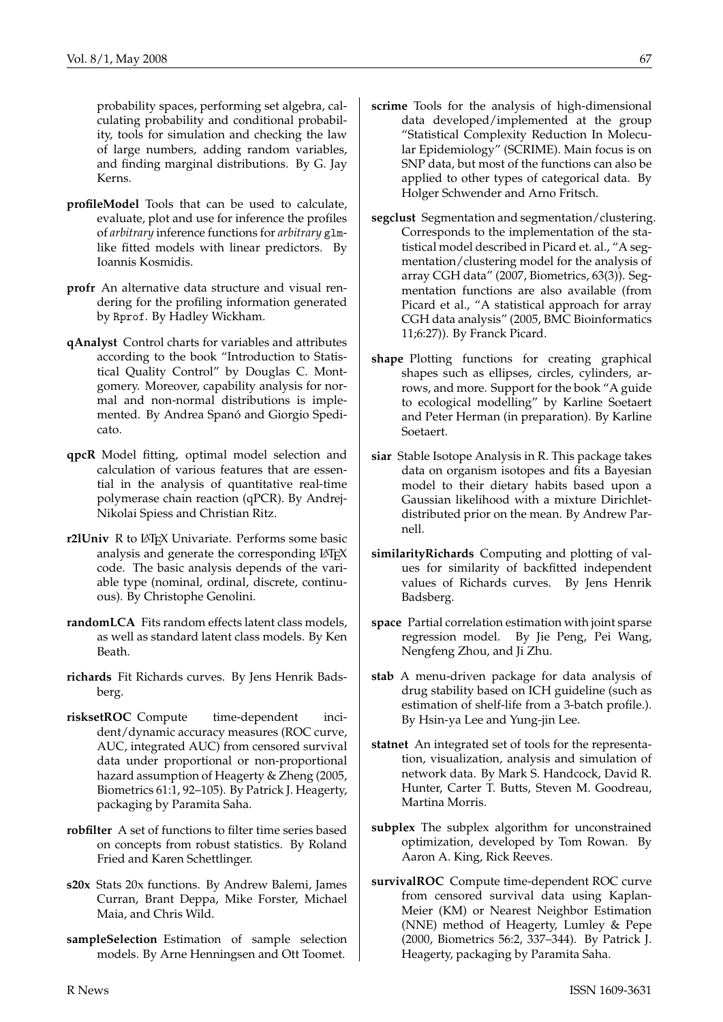probability spaces, performing set algebra, calculating probability and conditional probability, tools for simulation and checking the law of large numbers, adding random variables, and finding marginal distributions. By G. Jay Kerns.

- **profileModel** Tools that can be used to calculate, evaluate, plot and use for inference the profiles of *arbitrary* inference functions for *arbitrary* glmlike fitted models with linear predictors. By Ioannis Kosmidis.
- **profr** An alternative data structure and visual rendering for the profiling information generated by Rprof. By Hadley Wickham.
- **qAnalyst** Control charts for variables and attributes according to the book "Introduction to Statistical Quality Control" by Douglas C. Montgomery. Moreover, capability analysis for normal and non-normal distributions is implemented. By Andrea Spanó and Giorgio Spedicato.
- **qpcR** Model fitting, optimal model selection and calculation of various features that are essential in the analysis of quantitative real-time polymerase chain reaction (qPCR). By Andrej-Nikolai Spiess and Christian Ritz.
- r2lUniv R to L<sup>AT</sup>EX Univariate. Performs some basic analysis and generate the corresponding LATEX code. The basic analysis depends of the variable type (nominal, ordinal, discrete, continuous). By Christophe Genolini.
- **randomLCA** Fits random effects latent class models, as well as standard latent class models. By Ken Beath.
- **richards** Fit Richards curves. By Jens Henrik Badsberg.
- **risksetROC** Compute time-dependent incident/dynamic accuracy measures (ROC curve, AUC, integrated AUC) from censored survival data under proportional or non-proportional hazard assumption of Heagerty & Zheng (2005, Biometrics 61:1, 92–105). By Patrick J. Heagerty, packaging by Paramita Saha.
- **robfilter** A set of functions to filter time series based on concepts from robust statistics. By Roland Fried and Karen Schettlinger.
- **s20x** Stats 20x functions. By Andrew Balemi, James Curran, Brant Deppa, Mike Forster, Michael Maia, and Chris Wild.
- **sampleSelection** Estimation of sample selection models. By Arne Henningsen and Ott Toomet.
- **scrime** Tools for the analysis of high-dimensional data developed/implemented at the group "Statistical Complexity Reduction In Molecular Epidemiology" (SCRIME). Main focus is on SNP data, but most of the functions can also be applied to other types of categorical data. By Holger Schwender and Arno Fritsch.
- **segclust** Segmentation and segmentation/clustering. Corresponds to the implementation of the statistical model described in Picard et. al., "A segmentation/clustering model for the analysis of array CGH data" (2007, Biometrics, 63(3)). Segmentation functions are also available (from Picard et al., "A statistical approach for array CGH data analysis" (2005, BMC Bioinformatics 11;6:27)). By Franck Picard.
- **shape** Plotting functions for creating graphical shapes such as ellipses, circles, cylinders, arrows, and more. Support for the book "A guide to ecological modelling" by Karline Soetaert and Peter Herman (in preparation). By Karline Soetaert.
- **siar** Stable Isotope Analysis in R. This package takes data on organism isotopes and fits a Bayesian model to their dietary habits based upon a Gaussian likelihood with a mixture Dirichletdistributed prior on the mean. By Andrew Parnell.
- **similarityRichards** Computing and plotting of values for similarity of backfitted independent values of Richards curves. By Jens Henrik Badsberg.
- **space** Partial correlation estimation with joint sparse regression model. By Jie Peng, Pei Wang, Nengfeng Zhou, and Ji Zhu.
- **stab** A menu-driven package for data analysis of drug stability based on ICH guideline (such as estimation of shelf-life from a 3-batch profile.). By Hsin-ya Lee and Yung-jin Lee.
- **statnet** An integrated set of tools for the representation, visualization, analysis and simulation of network data. By Mark S. Handcock, David R. Hunter, Carter T. Butts, Steven M. Goodreau, Martina Morris.
- **subplex** The subplex algorithm for unconstrained optimization, developed by Tom Rowan. By Aaron A. King, Rick Reeves.
- **survivalROC** Compute time-dependent ROC curve from censored survival data using Kaplan-Meier (KM) or Nearest Neighbor Estimation (NNE) method of Heagerty, Lumley & Pepe (2000, Biometrics 56:2, 337–344). By Patrick J. Heagerty, packaging by Paramita Saha.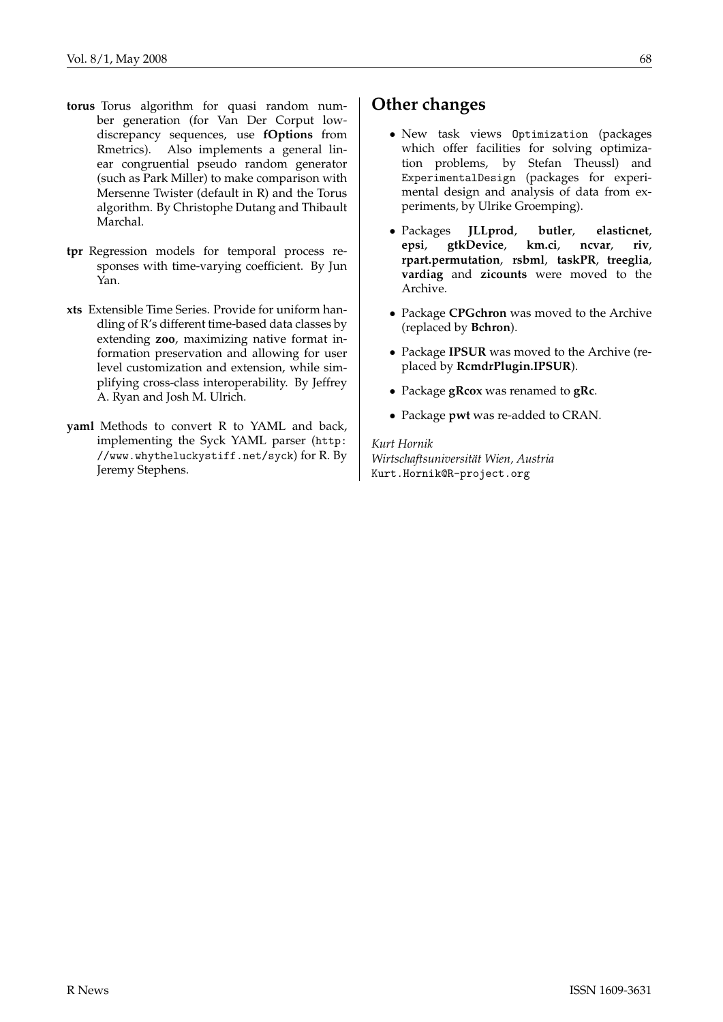- **torus** Torus algorithm for quasi random number generation (for Van Der Corput lowdiscrepancy sequences, use **fOptions** from Rmetrics). Also implements a general linear congruential pseudo random generator (such as Park Miller) to make comparison with Mersenne Twister (default in R) and the Torus algorithm. By Christophe Dutang and Thibault Marchal.
- **tpr** Regression models for temporal process responses with time-varying coefficient. By Jun Yan.
- **xts** Extensible Time Series. Provide for uniform handling of R's different time-based data classes by extending **zoo**, maximizing native format information preservation and allowing for user level customization and extension, while simplifying cross-class interoperability. By Jeffrey A. Ryan and Josh M. Ulrich.
- **yaml** Methods to convert R to YAML and back, implementing the Syck YAML parser ([http:](http://www.whytheluckystiff.net/syck) [//www.whytheluckystiff.net/syck](http://www.whytheluckystiff.net/syck)) for R. By Jeremy Stephens.

#### **Other changes**

- New task views Optimization (packages which offer facilities for solving optimization problems, by Stefan Theussl) and ExperimentalDesign (packages for experimental design and analysis of data from experiments, by Ulrike Groemping).
- Packages **JLLprod**, **butler**, **elasticnet**, **epsi**, **gtkDevice**, **km.ci**, **ncvar**, **riv**, **rpart.permutation**, **rsbml**, **taskPR**, **treeglia**, **vardiag** and **zicounts** were moved to the Archive.
- Package **CPGchron** was moved to the Archive (replaced by **Bchron**).
- Package **IPSUR** was moved to the Archive (replaced by **RcmdrPlugin.IPSUR**).
- Package **gRcox** was renamed to **gRc**.
- Package **pwt** was re-added to CRAN.

*Kurt Hornik Wirtschaftsuniversität Wien, Austria* [Kurt.Hornik@R-project.org](mailto:Kurt.Hornik@R-project.org)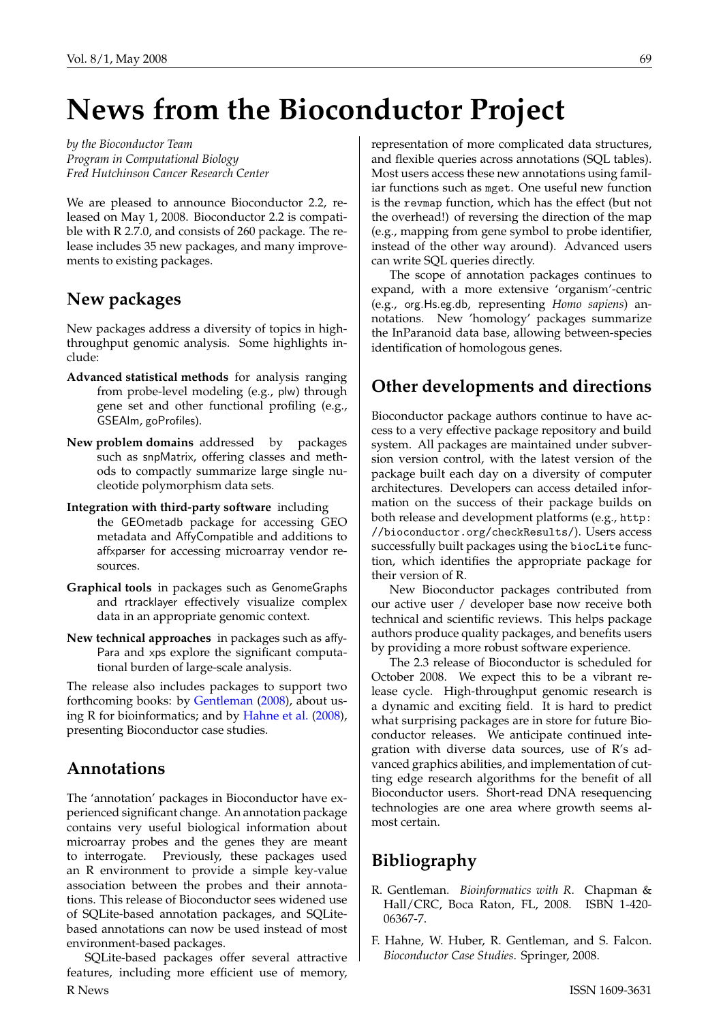# **News from the Bioconductor Project**

*by the Bioconductor Team Program in Computational Biology Fred Hutchinson Cancer Research Center*

We are pleased to announce Bioconductor 2.2, released on May 1, 2008. Bioconductor 2.2 is compatible with R 2.7.0, and consists of 260 package. The release includes 35 new packages, and many improvements to existing packages.

### **New packages**

New packages address a diversity of topics in highthroughput genomic analysis. Some highlights include:

- **Advanced statistical methods** for analysis ranging from probe-level modeling (e.g., plw) through gene set and other functional profiling (e.g., GSEAlm, goProfiles).
- **New problem domains** addressed by packages such as snpMatrix, offering classes and methods to compactly summarize large single nucleotide polymorphism data sets.
- **Integration with third-party software** including the GEOmetadb package for accessing GEO metadata and AffyCompatible and additions to affxparser for accessing microarray vendor resources.
- **Graphical tools** in packages such as GenomeGraphs and rtracklayer effectively visualize complex data in an appropriate genomic context.
- **New technical approaches** in packages such as affy-Para and xps explore the significant computational burden of large-scale analysis.

The release also includes packages to support two forthcoming books: by [Gentleman](#page-68-0) [\(2008\)](#page-68-0), about using R for bioinformatics; and by [Hahne et al.](#page-68-1) [\(2008\)](#page-68-1), presenting Bioconductor case studies.

#### **Annotations**

The 'annotation' packages in Bioconductor have experienced significant change. An annotation package contains very useful biological information about microarray probes and the genes they are meant to interrogate. Previously, these packages used an R environment to provide a simple key-value association between the probes and their annotations. This release of Bioconductor sees widened use of SQLite-based annotation packages, and SQLitebased annotations can now be used instead of most environment-based packages.

SQLite-based packages offer several attractive features, including more efficient use of memory, R News ISSN 1609-3631

representation of more complicated data structures, and flexible queries across annotations (SQL tables). Most users access these new annotations using familiar functions such as mget. One useful new function is the revmap function, which has the effect (but not the overhead!) of reversing the direction of the map (e.g., mapping from gene symbol to probe identifier, instead of the other way around). Advanced users can write SQL queries directly.

The scope of annotation packages continues to expand, with a more extensive 'organism'-centric (e.g., org.Hs.eg.db, representing *Homo sapiens*) annotations. New 'homology' packages summarize the InParanoid data base, allowing between-species identification of homologous genes.

## **Other developments and directions**

Bioconductor package authors continue to have access to a very effective package repository and build system. All packages are maintained under subversion version control, with the latest version of the package built each day on a diversity of computer architectures. Developers can access detailed information on the success of their package builds on both release and development platforms (e.g., [http:](http://bioconductor.org/checkResults/) [//bioconductor.org/checkResults/](http://bioconductor.org/checkResults/)). Users access successfully built packages using the biocLite function, which identifies the appropriate package for their version of R.

New Bioconductor packages contributed from our active user / developer base now receive both technical and scientific reviews. This helps package authors produce quality packages, and benefits users by providing a more robust software experience.

The 2.3 release of Bioconductor is scheduled for October 2008. We expect this to be a vibrant release cycle. High-throughput genomic research is a dynamic and exciting field. It is hard to predict what surprising packages are in store for future Bioconductor releases. We anticipate continued integration with diverse data sources, use of R's advanced graphics abilities, and implementation of cutting edge research algorithms for the benefit of all Bioconductor users. Short-read DNA resequencing technologies are one area where growth seems almost certain.

## **Bibliography**

- <span id="page-68-0"></span>R. Gentleman. *Bioinformatics with R*. Chapman & Hall/CRC, Boca Raton, FL, 2008. ISBN 1-420- 06367-7.
- <span id="page-68-1"></span>F. Hahne, W. Huber, R. Gentleman, and S. Falcon. *Bioconductor Case Studies*. Springer, 2008.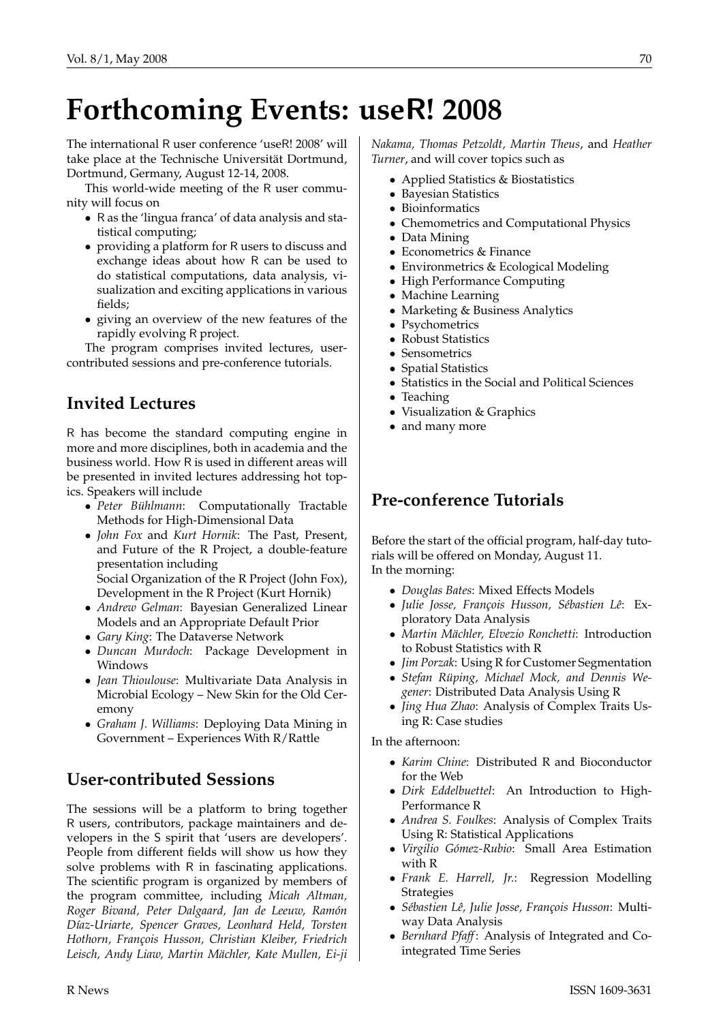# **Forthcoming Events: use**R**! 2008**

The international R user conference 'useR! 2008' will take place at the Technische Universität Dortmund, Dortmund, Germany, August 12-14, 2008.

This world-wide meeting of the R user community will focus on

- R as the 'lingua franca' of data analysis and statistical computing;
- providing a platform for R users to discuss and exchange ideas about how R can be used to do statistical computations, data analysis, visualization and exciting applications in various fields;
- giving an overview of the new features of the rapidly evolving R project.

The program comprises invited lectures, usercontributed sessions and pre-conference tutorials.

## **Invited Lectures**

R has become the standard computing engine in more and more disciplines, both in academia and the business world. How R is used in different areas will be presented in invited lectures addressing hot topics. Speakers will include

- *Peter Bühlmann*: Computationally Tractable Methods for High-Dimensional Data
- *John Fox* and *Kurt Hornik*: The Past, Present, and Future of the R Project, a double-feature presentation including Social Organization of the R Project (John Fox),

Development in the R Project (Kurt Hornik)

- *Andrew Gelman*: Bayesian Generalized Linear Models and an Appropriate Default Prior
- *Gary King*: The Dataverse Network
- *Duncan Murdoch*: Package Development in Windows
- *Jean Thioulouse*: Multivariate Data Analysis in Microbial Ecology – New Skin for the Old Ceremony
- *Graham J. Williams*: Deploying Data Mining in Government – Experiences With R/Rattle

## **User-contributed Sessions**

The sessions will be a platform to bring together R users, contributors, package maintainers and developers in the S spirit that 'users are developers'. People from different fields will show us how they solve problems with R in fascinating applications. The scientific program is organized by members of the program committee, including *Micah Altman, Roger Bivand, Peter Dalgaard, Jan de Leeuw, Ramón Díaz-Uriarte, Spencer Graves, Leonhard Held, Torsten Hothorn, François Husson, Christian Kleiber, Friedrich Leisch, Andy Liaw, Martin Mächler, Kate Mullen, Ei-ji* *Nakama, Thomas Petzoldt, Martin Theus*, and *Heather Turner*, and will cover topics such as

- Applied Statistics & Biostatistics
- Bayesian Statistics
- Bioinformatics
- Chemometrics and Computational Physics
- Data Mining
- Econometrics & Finance
- Environmetrics & Ecological Modeling
- High Performance Computing
- Machine Learning
- Marketing & Business Analytics
- Psychometrics
- Robust Statistics
- Sensometrics
- Spatial Statistics
- Statistics in the Social and Political Sciences
- Teaching
- Visualization & Graphics
- and many more

## **Pre-conference Tutorials**

Before the start of the official program, half-day tutorials will be offered on Monday, August 11. In the morning:

- *Douglas Bates*: Mixed Effects Models
- *Julie Josse, François Husson, Sébastien Lê*: Exploratory Data Analysis
- *Martin Mächler, Elvezio Ronchetti*: Introduction to Robust Statistics with R
- *Jim Porzak*: Using R for Customer Segmentation
- *Stefan Rüping, Michael Mock, and Dennis Wegener*: Distributed Data Analysis Using R
- *Jing Hua Zhao*: Analysis of Complex Traits Using R: Case studies

In the afternoon:

- *Karim Chine*: Distributed R and Bioconductor for the Web
- *Dirk Eddelbuettel*: An Introduction to High-Performance R
- *Andrea S. Foulkes*: Analysis of Complex Traits Using R: Statistical Applications
- *Virgilio Gómez-Rubio*: Small Area Estimation with R
- *Frank E. Harrell, Jr.*: Regression Modelling Strategies
- *Sébastien Lê, Julie Josse, François Husson*: Multiway Data Analysis
- *Bernhard Pfaff*: Analysis of Integrated and Cointegrated Time Series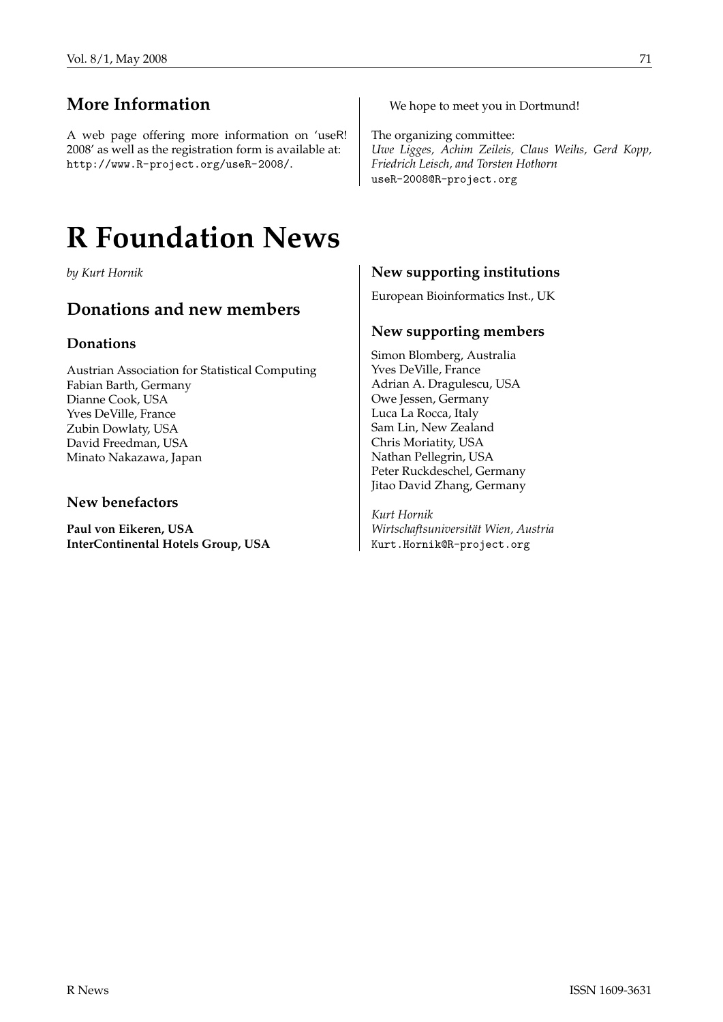## **More Information**

A web page offering more information on 'useR! 2008' as well as the registration form is available at: <http://www.R-project.org/useR-2008/>.

# **R Foundation News**

*by Kurt Hornik*

### **Donations and new members**

#### **Donations**

Austrian Association for Statistical Computing Fabian Barth, Germany Dianne Cook, USA Yves DeVille, France Zubin Dowlaty, USA David Freedman, USA Minato Nakazawa, Japan

#### **New benefactors**

**Paul von Eikeren, USA InterContinental Hotels Group, USA** We hope to meet you in Dortmund!

The organizing committee: *Uwe Ligges, Achim Zeileis, Claus Weihs, Gerd Kopp, Friedrich Leisch, and Torsten Hothorn* [useR-2008@R-project.org](mailto:useR-2008@R-project.org)

#### **New supporting institutions**

European Bioinformatics Inst., UK

#### **New supporting members**

Simon Blomberg, Australia Yves DeVille, France Adrian A. Dragulescu, USA Owe Jessen, Germany Luca La Rocca, Italy Sam Lin, New Zealand Chris Moriatity, USA Nathan Pellegrin, USA Peter Ruckdeschel, Germany Jitao David Zhang, Germany

*Kurt Hornik Wirtschaftsuniversität Wien, Austria* [Kurt.Hornik@R-project.org](mailto:Kurt.Hornik@R-project.org)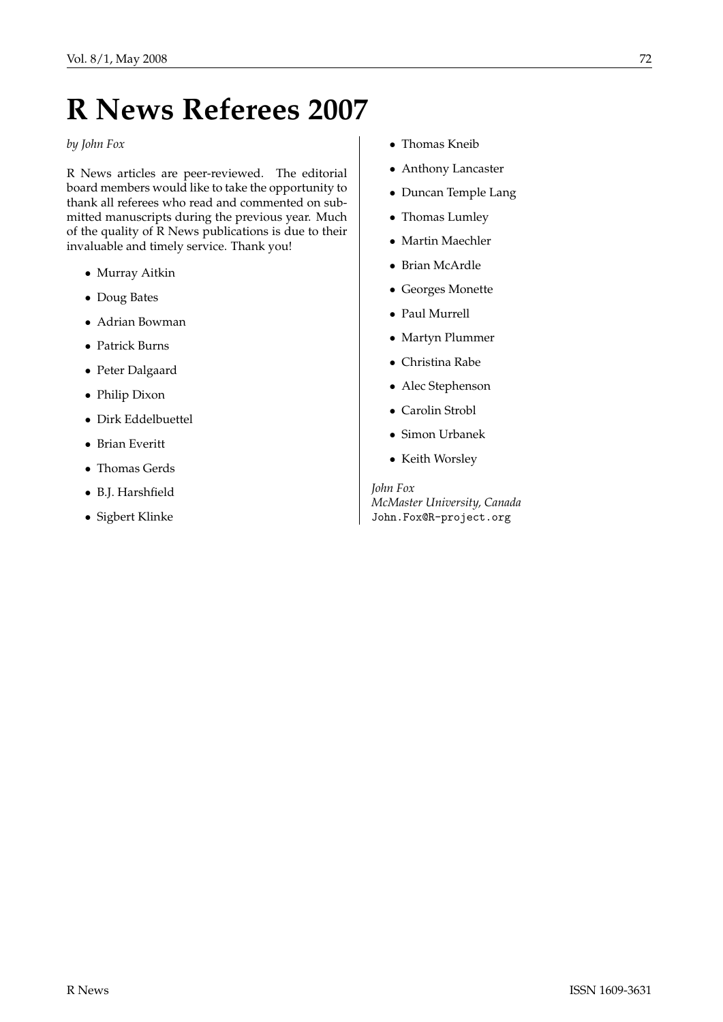# **R News Referees 2007**

*by John Fox*

R News articles are peer-reviewed. The editorial board members would like to take the opportunity to thank all referees who read and commented on submitted manuscripts during the previous year. Much of the quality of R News publications is due to their invaluable and timely service. Thank you!

- Murray Aitkin
- Doug Bates
- Adrian Bowman
- Patrick Burns
- Peter Dalgaard
- Philip Dixon
- Dirk Eddelbuettel
- Brian Everitt
- Thomas Gerds
- B.J. Harshfield
- Sigbert Klinke
- Thomas Kneib
- Anthony Lancaster
- Duncan Temple Lang
- Thomas Lumley
- Martin Maechler
- Brian McArdle
- Georges Monette
- Paul Murrell
- Martyn Plummer
- Christina Rabe
- Alec Stephenson
- Carolin Strobl
- Simon Urbanek
- Keith Worsley

*John Fox McMaster University, Canada* [John.Fox@R-project.org](mailto:John.Fox@R-project.org)